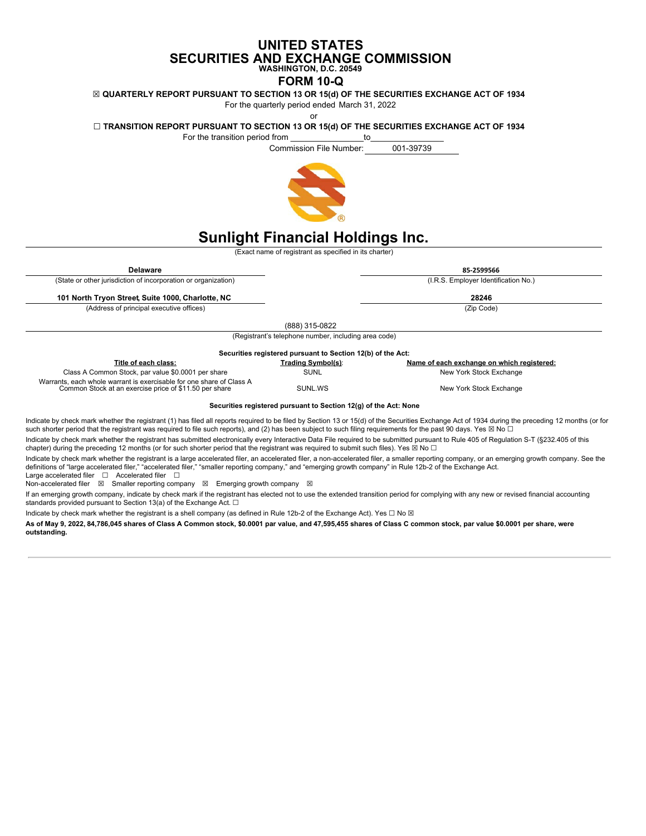# **UNITED STATES SECURITIES AND EXCHANGE COMMISSION WASHINGTON, D.C. 20549**

# **FORM 10-Q**

**☒ QUARTERLY REPORT PURSUANT TO SECTION 13 OR 15(d) OF THE SECURITIES EXCHANGE ACT OF 1934**

For the quarterly period ended March 31, 2022

or

# **☐ TRANSITION REPORT PURSUANT TO SECTION 13 OR 15(d) OF THE SECURITIES EXCHANGE ACT OF 1934**

For the transition period from example of the transition of the state of the state of the state of the state o Commission File Number: 001-39739

# **Sunlight Financial Holdings Inc.**

(Exact name of registrant as specified in its charter)

| <b>Delaware</b>                                                                                                                |                                                             | 85-2599566                                 |  |  |  |
|--------------------------------------------------------------------------------------------------------------------------------|-------------------------------------------------------------|--------------------------------------------|--|--|--|
| (State or other jurisdiction of incorporation or organization)                                                                 |                                                             | (I.R.S. Employer Identification No.)       |  |  |  |
| 101 North Tryon Street, Suite 1000, Charlotte, NC                                                                              |                                                             | 28246                                      |  |  |  |
| (Address of principal executive offices)                                                                                       |                                                             | (Zip Code)                                 |  |  |  |
|                                                                                                                                | (888) 315-0822                                              |                                            |  |  |  |
|                                                                                                                                | (Registrant's telephone number, including area code)        |                                            |  |  |  |
|                                                                                                                                | Securities registered pursuant to Section 12(b) of the Act: |                                            |  |  |  |
| Title of each class:                                                                                                           | Trading Symbol(s):                                          | Name of each exchange on which registered: |  |  |  |
|                                                                                                                                |                                                             |                                            |  |  |  |
| Class A Common Stock, par value \$0.0001 per share                                                                             | <b>SUNL</b>                                                 | New York Stock Exchange                    |  |  |  |
| Warrants, each whole warrant is exercisable for one share of Class A<br>Common Stock at an exercise price of \$11.50 per share | SUNL.WS                                                     | New York Stock Exchange                    |  |  |  |

Indicate by check mark whether the registrant (1) has filed all reports required to be filed by Section 13 or 15(d) of the Securities Exchange Act of 1934 during the preceding 12 months (or for such shorter period that the registrant was required to file such reports), and (2) has been subject to such filing requirements for the past 90 days. Yes ⊠ No □

Indicate by check mark whether the registrant has submitted electronically every Interactive Data File required to be submitted pursuant to Rule 405 of Regulation S-T (§232.405 of this chapter) during the preceding 12 months (or for such shorter period that the registrant was required to submit such files). Yes ⊠ No  $\Box$ 

Indicate by check mark whether the registrant is a large accelerated filer, an accelerated filer, a mon-accelerated filer, a smaller reporting company, or an emerging growth company. See the<br>definitions of "large accelerat

Large accelerated filer ❑ Accelerated filer ❑<br>Non-accelerated filer ⊠ Smaller reporting company ⊠ Emerging growth company ⊠

If an emerging growth company, indicate by check mark if the registrant has elected not to use the extended transition period for complying with any new or revised financial accounting standards provided pursuant to Section 13(a) of the Exchange Act.  $\square$ 

Indicate by check mark whether the registrant is a shell company (as defined in Rule 12b-2 of the Exchange Act). Yes □ No ⊠

As of May 9, 2022, 84,786,045 shares of Class A Common stock, \$0.0001 par value, and 47,595,455 shares of Class C common stock, par value \$0.0001 per share, were **outstanding.**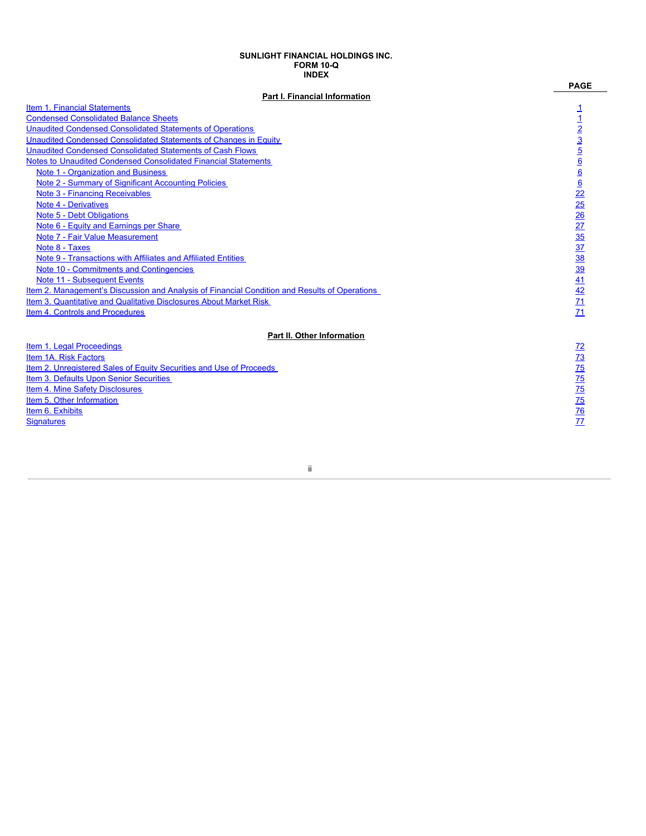#### **SUNLIGHT FINANCIAL HOLDINGS INC. FORM 10-Q INDEX**

 $\mathbf{r}$ 

| <b>INDEX</b>                                                                                  |                                                     |
|-----------------------------------------------------------------------------------------------|-----------------------------------------------------|
|                                                                                               | <b>PAGE</b>                                         |
| Part I. Financial Information                                                                 |                                                     |
| Item 1. Financial Statements                                                                  |                                                     |
| <b>Condensed Consolidated Balance Sheets</b>                                                  |                                                     |
| <b>Unaudited Condensed Consolidated Statements of Operations</b>                              |                                                     |
| Unaudited Condensed Consolidated Statements of Changes in Equity                              |                                                     |
| <b>Unaudited Condensed Consolidated Statements of Cash Flows</b>                              |                                                     |
| Notes to Unaudited Condensed Consolidated Financial Statements                                |                                                     |
| <b>Note 1 - Organization and Business</b>                                                     |                                                     |
| Note 2 - Summary of Significant Accounting Policies                                           |                                                     |
| <b>Note 3 - Financing Receivables</b>                                                         |                                                     |
| <b>Note 4 - Derivatives</b>                                                                   |                                                     |
| Note 5 - Debt Obligations                                                                     |                                                     |
| Note 6 - Equity and Earnings per Share                                                        |                                                     |
| Note 7 - Fair Value Measurement                                                               |                                                     |
| Note 8 - Taxes                                                                                |                                                     |
| Note 9 - Transactions with Affiliates and Affiliated Entities                                 | 1 1 2 3 5 6 6 6 22 25 26 27 35 37 38 39 41 42 71 71 |
| Note 10 - Commitments and Contingencies                                                       |                                                     |
| Note 11 - Subsequent Events                                                                   |                                                     |
| Item 2. Management's Discussion and Analysis of Financial Condition and Results of Operations |                                                     |
| Item 3. Quantitative and Qualitative Disclosures About Market Risk                            |                                                     |
| Item 4. Controls and Procedures                                                               |                                                     |
| Part II. Other Information                                                                    |                                                     |
| Item 1. Legal Proceedings                                                                     |                                                     |
| Item 1A. Risk Factors                                                                         |                                                     |
| Item 2. Unregistered Sales of Equity Securities and Use of Proceeds                           |                                                     |
| Item 3. Defaults Upon Senior Securities                                                       |                                                     |
| Item 4. Mine Safety Disclosures                                                               |                                                     |
| Item 5. Other Information                                                                     | 72 73 75 75 75 76 77                                |
| Item 6. Exhibits                                                                              |                                                     |
| <b>Signatures</b>                                                                             |                                                     |
|                                                                                               |                                                     |

ii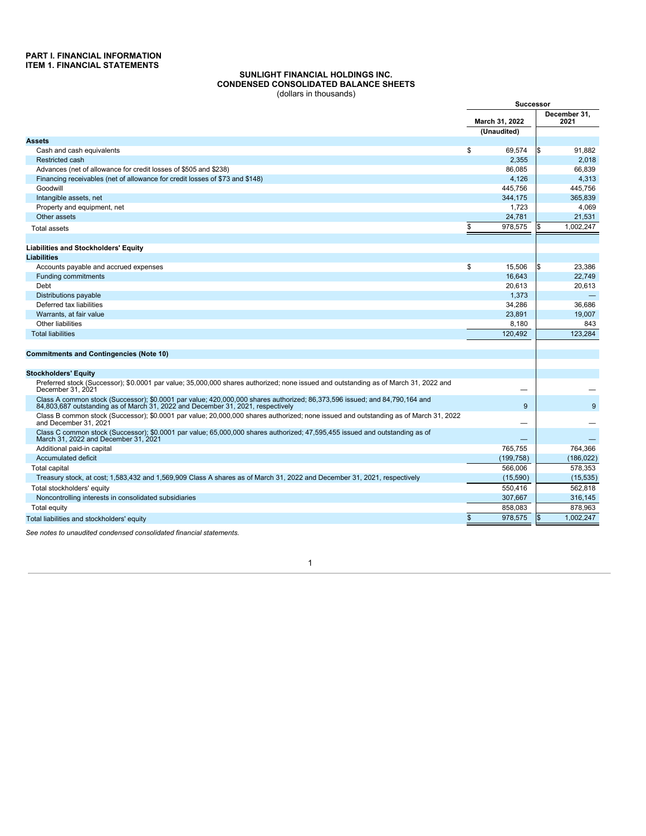#### **SUNLIGHT FINANCIAL HOLDINGS INC. CONDENSED CONSOLIDATED BALANCE SHEETS** (dollars in thousands)

<span id="page-2-1"></span><span id="page-2-0"></span>

|                                                                                                                                                                                                               |                               | <b>Successor</b> |                      |  |
|---------------------------------------------------------------------------------------------------------------------------------------------------------------------------------------------------------------|-------------------------------|------------------|----------------------|--|
|                                                                                                                                                                                                               | March 31, 2022<br>(Unaudited) |                  | December 31.<br>2021 |  |
| <b>Assets</b>                                                                                                                                                                                                 |                               |                  |                      |  |
| Cash and cash equivalents                                                                                                                                                                                     | \$                            | 69,574           | 91,882<br>l\$        |  |
| <b>Restricted cash</b>                                                                                                                                                                                        |                               | 2.355            | 2.018                |  |
| Advances (net of allowance for credit losses of \$505 and \$238)                                                                                                                                              |                               | 86.085           | 66.839               |  |
| Financing receivables (net of allowance for credit losses of \$73 and \$148)                                                                                                                                  |                               | 4.126            | 4.313                |  |
| Goodwill                                                                                                                                                                                                      |                               | 445.756          | 445.756              |  |
| Intangible assets, net                                                                                                                                                                                        |                               | 344,175          | 365,839              |  |
| Property and equipment, net                                                                                                                                                                                   |                               | 1,723            | 4,069                |  |
| Other assets                                                                                                                                                                                                  |                               | 24.781           | 21.531               |  |
| <b>Total assets</b>                                                                                                                                                                                           | \$                            | 978,575          | 1.002.247            |  |
|                                                                                                                                                                                                               |                               |                  |                      |  |
|                                                                                                                                                                                                               |                               |                  |                      |  |
| <b>Liabilities and Stockholders' Equity</b>                                                                                                                                                                   |                               |                  |                      |  |
| <b>Liabilities</b>                                                                                                                                                                                            | \$                            |                  |                      |  |
| Accounts payable and accrued expenses                                                                                                                                                                         |                               | 15.506           | 23.386               |  |
| <b>Funding commitments</b>                                                                                                                                                                                    |                               | 16,643           | 22,749               |  |
| Debt                                                                                                                                                                                                          |                               | 20,613           | 20,613               |  |
| Distributions payable                                                                                                                                                                                         |                               | 1,373            |                      |  |
| Deferred tax liabilities                                                                                                                                                                                      |                               | 34,286           | 36.686               |  |
| Warrants, at fair value                                                                                                                                                                                       |                               | 23.891           | 19.007               |  |
| Other liabilities                                                                                                                                                                                             |                               | 8,180            | 843                  |  |
| <b>Total liabilities</b>                                                                                                                                                                                      |                               | 120,492          | 123,284              |  |
|                                                                                                                                                                                                               |                               |                  |                      |  |
| <b>Commitments and Contingencies (Note 10)</b>                                                                                                                                                                |                               |                  |                      |  |
|                                                                                                                                                                                                               |                               |                  |                      |  |
| <b>Stockholders' Equity</b>                                                                                                                                                                                   |                               |                  |                      |  |
| Preferred stock (Successor); \$0.0001 par value; 35,000,000 shares authorized; none issued and outstanding as of March 31, 2022 and<br>December 31, 2021                                                      |                               |                  |                      |  |
| Class A common stock (Successor); \$0.0001 par value; 420,000,000 shares authorized; 86,373,596 issued; and 84,790,164 and<br>84.803.687 outstanding as of March 31, 2022 and December 31, 2021, respectively |                               | 9                | 9                    |  |
| Class B common stock (Successor); \$0.0001 par value; 20,000,000 shares authorized; none issued and outstanding as of March 31, 2022<br>and December 31, 2021                                                 |                               |                  |                      |  |
| Class C common stock (Successor); \$0.0001 par value; 65,000,000 shares authorized; 47,595,455 issued and outstanding as of<br>March 31, 2022 and December 31, 2021                                           |                               |                  |                      |  |
| Additional paid-in capital                                                                                                                                                                                    |                               | 765.755          | 764.366              |  |
| Accumulated deficit                                                                                                                                                                                           |                               | (199, 758)       | (186, 022)           |  |
| <b>Total capital</b>                                                                                                                                                                                          |                               | 566.006          | 578.353              |  |
| Treasury stock, at cost; 1,583,432 and 1,569,909 Class A shares as of March 31, 2022 and December 31, 2021, respectively                                                                                      |                               | (15,590)         | (15, 535)            |  |
| Total stockholders' equity                                                                                                                                                                                    |                               | 550,416          | 562,818              |  |
| Noncontrolling interests in consolidated subsidiaries                                                                                                                                                         |                               | 307,667          | 316,145              |  |
|                                                                                                                                                                                                               |                               | 858,083          | 878,963              |  |
| Total equity                                                                                                                                                                                                  |                               |                  |                      |  |
| Total liabilities and stockholders' equity                                                                                                                                                                    | \$                            | 978,575          | I\$<br>1.002.247     |  |

<span id="page-2-2"></span>*See notes to unaudited condensed consolidated financial statements.*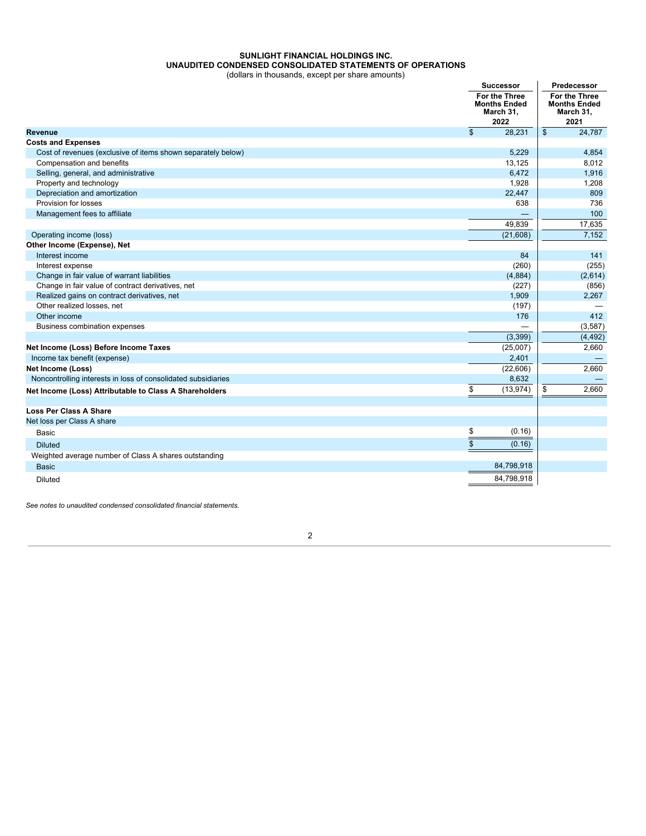# **SUNLIGHT FINANCIAL HOLDINGS INC. UNAUDITED CONDENSED CONSOLIDATED STATEMENTS OF OPERATIONS**

(dollars in thousands, except per share amounts)

|                                                               | <b>Successor</b>                                          | Predecessor                                               |  |
|---------------------------------------------------------------|-----------------------------------------------------------|-----------------------------------------------------------|--|
|                                                               | For the Three<br><b>Months Ended</b><br>March 31,<br>2022 | For the Three<br><b>Months Ended</b><br>March 31,<br>2021 |  |
| <b>Revenue</b>                                                | $\frac{2}{3}$<br>28,231                                   | $\mathfrak{S}$<br>24,787                                  |  |
| <b>Costs and Expenses</b>                                     |                                                           |                                                           |  |
| Cost of revenues (exclusive of items shown separately below)  | 5,229                                                     | 4,854                                                     |  |
| Compensation and benefits                                     | 13,125                                                    | 8,012                                                     |  |
| Selling, general, and administrative                          | 6,472                                                     | 1,916                                                     |  |
| Property and technology                                       | 1,928                                                     | 1,208                                                     |  |
| Depreciation and amortization                                 | 22,447                                                    | 809                                                       |  |
| Provision for losses                                          | 638                                                       | 736                                                       |  |
| Management fees to affiliate                                  |                                                           | 100                                                       |  |
|                                                               | 49,839                                                    | 17,635                                                    |  |
| Operating income (loss)                                       | (21,608)                                                  | 7,152                                                     |  |
| Other Income (Expense), Net                                   |                                                           |                                                           |  |
| Interest income                                               | 84                                                        | 141                                                       |  |
| Interest expense                                              | (260)                                                     | (255)                                                     |  |
| Change in fair value of warrant liabilities                   | (4,884)                                                   | (2,614)                                                   |  |
| Change in fair value of contract derivatives, net             | (227)                                                     | (856)                                                     |  |
| Realized gains on contract derivatives, net                   | 1,909                                                     | 2,267                                                     |  |
| Other realized losses, net                                    | (197)                                                     |                                                           |  |
| Other income                                                  | 176                                                       | 412                                                       |  |
| Business combination expenses                                 |                                                           | (3, 587)                                                  |  |
|                                                               | (3,399)                                                   | (4, 492)                                                  |  |
| Net Income (Loss) Before Income Taxes                         | (25,007)                                                  | 2,660                                                     |  |
| Income tax benefit (expense)                                  | 2,401                                                     |                                                           |  |
| <b>Net Income (Loss)</b>                                      | (22,606)                                                  | 2.660                                                     |  |
| Noncontrolling interests in loss of consolidated subsidiaries | 8,632                                                     |                                                           |  |
| Net Income (Loss) Attributable to Class A Shareholders        | \$<br>(13, 974)                                           | 2,660<br>\$                                               |  |
|                                                               |                                                           |                                                           |  |
| <b>Loss Per Class A Share</b>                                 |                                                           |                                                           |  |
| Net loss per Class A share                                    |                                                           |                                                           |  |
| Basic                                                         | \$<br>(0.16)                                              |                                                           |  |
| <b>Diluted</b>                                                | (0.16)                                                    |                                                           |  |
| Weighted average number of Class A shares outstanding         |                                                           |                                                           |  |
| <b>Basic</b>                                                  | 84,798,918                                                |                                                           |  |
|                                                               | 84,798,918                                                |                                                           |  |
| <b>Diluted</b>                                                |                                                           |                                                           |  |

<span id="page-3-0"></span>*See notes to unaudited condensed consolidated financial statements.*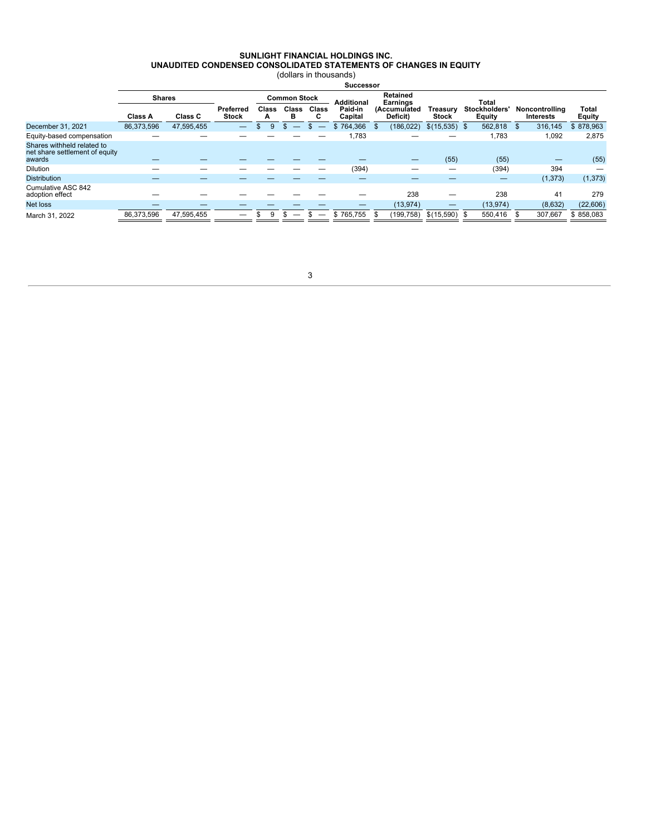#### **SUNLIGHT FINANCIAL HOLDINGS INC. UNAUDITED CONDENSED CONSOLIDATED STATEMENTS OF CHANGES IN EQUITY** (dollars in thousands)

|                                                                        | <b>Successor</b> |            |                           |                                                                                |                   |            |                    |  |                          |                          |  |                                      |                                    |                        |
|------------------------------------------------------------------------|------------------|------------|---------------------------|--------------------------------------------------------------------------------|-------------------|------------|--------------------|--|--------------------------|--------------------------|--|--------------------------------------|------------------------------------|------------------------|
|                                                                        | <b>Shares</b>    |            |                           | <b>Retained</b><br><b>Common Stock</b><br><b>Additional</b><br><b>Earnings</b> |                   |            |                    |  |                          | Total                    |  |                                      |                                    |                        |
|                                                                        | Class A          | Class C    | Preferred<br><b>Stock</b> | Class<br>A                                                                     | <b>Class</b><br>в | Class<br>C | Paid-in<br>Capital |  | (Accumulated<br>Deficit) | Treasury<br><b>Stock</b> |  | <b>Stockholders</b><br><b>Equity</b> | Noncontrolling<br><b>Interests</b> | Total<br><b>Equity</b> |
| December 31, 2021                                                      | 86,373,596       | 47,595,455 |                           | 9                                                                              | S.                |            | \$764,366          |  | (186, 022)               | $$$ (15,535) \$          |  | 562,818                              | \$<br>316,145                      | \$878,963              |
| Equity-based compensation                                              |                  |            |                           |                                                                                |                   |            | 1,783              |  |                          |                          |  | 1.783                                | 1,092                              | 2,875                  |
| Shares withheld related to<br>net share settlement of equity<br>awards |                  |            |                           |                                                                                |                   |            |                    |  |                          | (55)                     |  | (55)                                 |                                    | (55)                   |
| <b>Dilution</b>                                                        |                  |            |                           |                                                                                |                   |            | (394)              |  |                          |                          |  | (394)                                | 394                                |                        |
| <b>Distribution</b>                                                    |                  |            |                           |                                                                                |                   |            |                    |  |                          |                          |  | —                                    | (1, 373)                           | (1, 373)               |
| Cumulative ASC 842<br>adoption effect                                  |                  |            |                           |                                                                                |                   |            |                    |  | 238                      |                          |  | 238                                  | 41                                 | 279                    |
| Net loss                                                               |                  |            |                           |                                                                                |                   |            | –                  |  | (13, 974)                |                          |  | (13, 974)                            | (8,632)                            | (22,606)               |
| March 31, 2022                                                         | 86,373,596       | 47,595,455 |                           | 9<br>\$                                                                        | S                 |            | \$765.755          |  | (199, 758)               | $$$ (15,590) \$          |  | 550.416                              | 307.667                            | \$858.083              |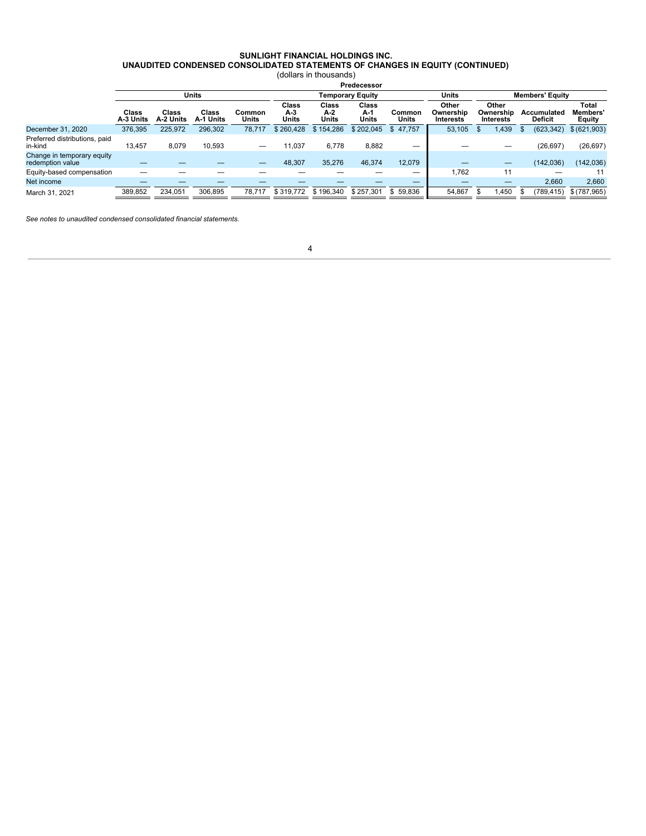#### **SUNLIGHT FINANCIAL HOLDINGS INC. UNAUDITED CONDENSED CONSOLIDATED STATEMENTS OF CHANGES IN EQUITY (CONTINUED)**

(dollars in thousands)

|                                                |                    | Predecessor        |                    |                 |                       |                       |                              |                 |                                 |                                        |                               |                                          |  |
|------------------------------------------------|--------------------|--------------------|--------------------|-----------------|-----------------------|-----------------------|------------------------------|-----------------|---------------------------------|----------------------------------------|-------------------------------|------------------------------------------|--|
|                                                |                    |                    | <b>Units</b>       |                 |                       |                       | <b>Temporary Equity</b>      |                 | Units                           | <b>Members' Equity</b>                 |                               |                                          |  |
|                                                | Class<br>A-3 Units | Class<br>A-2 Units | Class<br>A-1 Units | Common<br>Units | Class<br>A-3<br>Units | Class<br>A-2<br>Units | <b>Class</b><br>A-1<br>Units | Common<br>Units | Other<br>Ownership<br>Interests | Other<br>Ownership<br><b>Interests</b> | Accumulated<br><b>Deficit</b> | Total<br><b>Members</b><br><b>Equity</b> |  |
| December 31, 2020                              | 376.395            | 225,972            | 296,302            | 78.717          | \$260.428             | \$154,286             | \$202.045                    | \$47.757        | 53.105                          | .439                                   | (623, 342)                    | \$ (621,903)                             |  |
| Preferred distributions, paid<br>in-kind       | 13.457             | 8.079              | 10.593             | —               | 1,037                 | 6.778                 | 8,882                        | –               |                                 |                                        | (26, 697)                     | (26, 697)                                |  |
| Change in temporary equity<br>redemption value |                    |                    |                    | --              | 48,307                | 35.276                | 46,374                       | 12.079          |                                 |                                        | (142, 036)                    | (142, 036)                               |  |
| Equity-based compensation                      |                    |                    |                    |                 |                       |                       |                              | –               | 1.762                           | 11                                     | –                             |                                          |  |
| Net income                                     |                    |                    |                    |                 |                       |                       |                              |                 |                                 |                                        | 2,660                         | 2,660                                    |  |
| March 31, 2021                                 | 389.852            | 234.051            | 306.895            | 78.717          | \$319.772             | \$196,340             | \$257.301                    | \$59.836        | 54.867                          | .450                                   | 789,415)                      | \$(787,965)                              |  |

<span id="page-5-0"></span>*See notes to unaudited condensed consolidated financial statements.*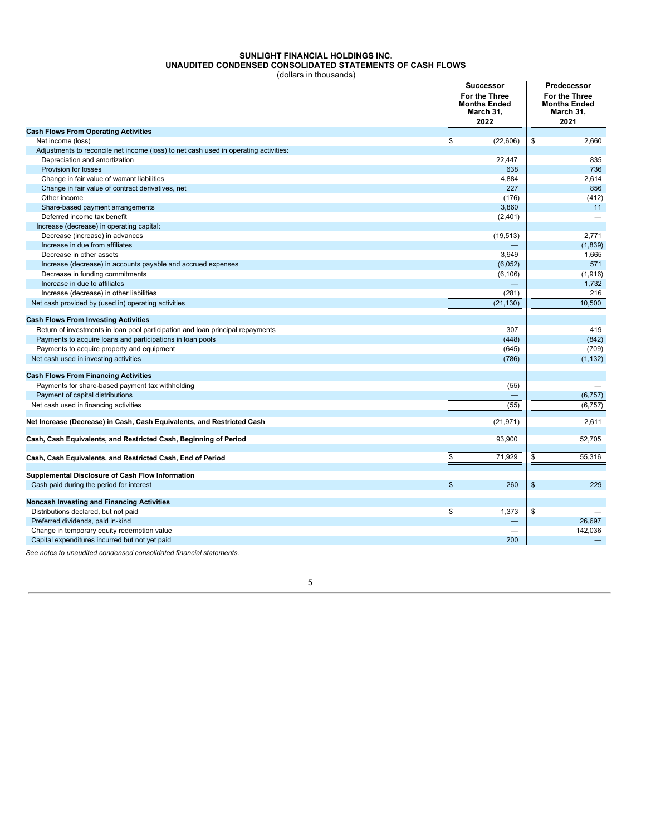# **SUNLIGHT FINANCIAL HOLDINGS INC. UNAUDITED CONDENSED CONSOLIDATED STATEMENTS OF CASH FLOWS**

(dollars in thousands)

|                                                                                      |                | <b>Successor</b>                                          |               | Predecessor                                               |
|--------------------------------------------------------------------------------------|----------------|-----------------------------------------------------------|---------------|-----------------------------------------------------------|
|                                                                                      |                | For the Three<br><b>Months Ended</b><br>March 31,<br>2022 |               | For the Three<br><b>Months Ended</b><br>March 31,<br>2021 |
| <b>Cash Flows From Operating Activities</b>                                          |                |                                                           |               |                                                           |
| Net income (loss)                                                                    | \$             | (22, 606)                                                 | \$            | 2,660                                                     |
| Adjustments to reconcile net income (loss) to net cash used in operating activities: |                |                                                           |               |                                                           |
| Depreciation and amortization                                                        |                | 22,447                                                    |               | 835                                                       |
| Provision for losses                                                                 |                | 638                                                       |               | 736                                                       |
| Change in fair value of warrant liabilities                                          |                | 4,884                                                     |               | 2,614                                                     |
| Change in fair value of contract derivatives, net                                    |                | 227                                                       |               | 856                                                       |
| Other income                                                                         |                | (176)                                                     |               | (412)                                                     |
| Share-based payment arrangements                                                     |                | 3.860                                                     |               | 11                                                        |
| Deferred income tax benefit                                                          |                | (2,401)                                                   |               |                                                           |
| Increase (decrease) in operating capital:                                            |                |                                                           |               |                                                           |
| Decrease (increase) in advances                                                      |                | (19, 513)                                                 |               | 2.771                                                     |
| Increase in due from affiliates                                                      |                |                                                           |               | (1,839)                                                   |
| Decrease in other assets                                                             |                | 3,949                                                     |               | 1,665                                                     |
| Increase (decrease) in accounts payable and accrued expenses                         |                | (6,052)                                                   |               | 571                                                       |
| Decrease in funding commitments                                                      |                | (6, 106)                                                  |               | (1,916)                                                   |
| Increase in due to affiliates<br>Increase (decrease) in other liabilities            |                |                                                           |               | 1,732<br>216                                              |
|                                                                                      |                | (281)                                                     |               | 10.500                                                    |
| Net cash provided by (used in) operating activities                                  |                | (21, 130)                                                 |               |                                                           |
| <b>Cash Flows From Investing Activities</b>                                          |                |                                                           |               |                                                           |
| Return of investments in loan pool participation and loan principal repayments       |                | 307                                                       |               | 419                                                       |
| Payments to acquire loans and participations in loan pools                           |                | (448)                                                     |               | (842)                                                     |
| Payments to acquire property and equipment                                           |                | (645)                                                     |               | (709)                                                     |
| Net cash used in investing activities                                                |                | (786)                                                     |               | (1, 132)                                                  |
|                                                                                      |                |                                                           |               |                                                           |
| <b>Cash Flows From Financing Activities</b>                                          |                |                                                           |               |                                                           |
| Payments for share-based payment tax withholding                                     |                | (55)                                                      |               |                                                           |
| Payment of capital distributions                                                     |                |                                                           |               | (6, 757)                                                  |
| Net cash used in financing activities                                                |                | (55)                                                      |               | (6,757)                                                   |
| Net Increase (Decrease) in Cash, Cash Equivalents, and Restricted Cash               |                | (21, 971)                                                 |               | 2,611                                                     |
|                                                                                      |                |                                                           |               |                                                           |
| Cash, Cash Equivalents, and Restricted Cash, Beginning of Period                     |                | 93,900                                                    |               | 52,705                                                    |
| Cash, Cash Equivalents, and Restricted Cash, End of Period                           | \$             | 71,929                                                    | \$            | 55,316                                                    |
| Supplemental Disclosure of Cash Flow Information                                     |                |                                                           |               |                                                           |
| Cash paid during the period for interest                                             | $\mathfrak{S}$ | 260                                                       | $\sqrt[6]{3}$ | 229                                                       |
|                                                                                      |                |                                                           |               |                                                           |
| <b>Noncash Investing and Financing Activities</b>                                    |                |                                                           |               |                                                           |
| Distributions declared, but not paid                                                 | \$             | 1,373                                                     | \$            |                                                           |
| Preferred dividends, paid in-kind                                                    |                |                                                           |               | 26.697                                                    |
| Change in temporary equity redemption value                                          |                |                                                           |               | 142,036                                                   |
| Capital expenditures incurred but not yet paid                                       |                | 200                                                       |               |                                                           |

5

<span id="page-6-0"></span>*See notes to unaudited condensed consolidated financial statements.*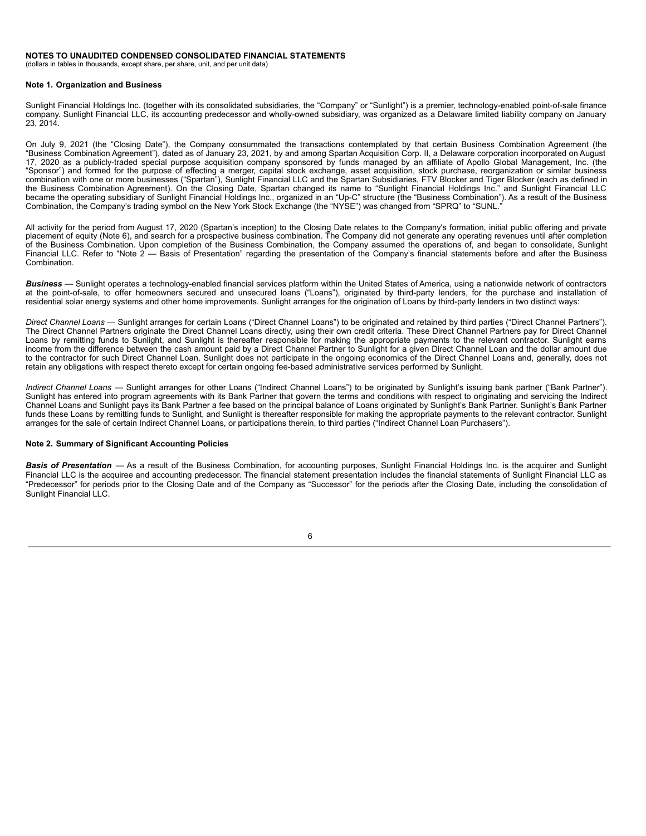#### **NOTES TO UNAUDITED CONDENSED CONSOLIDATED FINANCIAL STATEMENTS**

(dollars in tables in thousands, except share, per share, unit, and per unit data)

#### <span id="page-7-0"></span>**Note 1. Organization and Business**

Sunlight Financial Holdings Inc. (together with its consolidated subsidiaries, the "Company" or "Sunlight") is a premier, technology-enabled point-of-sale finance company. Sunlight Financial LLC, its accounting predecessor and wholly-owned subsidiary, was organized as a Delaware limited liability company on January 23, 2014.

On July 9, 2021 (the "Closing Date"), the Company consummated the transactions contemplated by that certain Business Combination Agreement (the "Business Combination Agreement"), dated as of January 23, 2021, by and among Spartan Acquisition Corp. II, a Delaware corporation incorporated on August 17, 2020 as a publicly-traded special purpose acquisition company sponsored by funds managed by an affiliate of Apollo Global Management, Inc. (the "Sponsor") and formed for the purpose of effecting a merger, capital stock exchange, asset acquisition, stock purchase, reorganization or similar business combination with one or more businesses ("Spartan"), Sunlight Financial LLC and the Spartan Subsidiaries, FTV Blocker and Tiger Blocker (each as defined in the Business Combination Agreement). On the Closing Date, Spartan changed its name to "Sunlight Financial Holdings Inc." and Sunlight Financial LLC became the operating subsidiary of Sunlight Financial Holdings Inc., organized in an "Up-C" structure (the "Business Combination"). As a result of the Business Combination, the Company's trading symbol on the New York Stock Exchange (the "NYSE") was changed from "SPRQ" to "SUNL."

All activity for the period from August 17, 2020 (Spartan's inception) to the Closing Date relates to the Company's formation, initial public offering and private placement of equity (Note 6), and search for a prospective business combination. The Company did not generate any operating revenues until after completion of the Business Combination. Upon completion of the Business Combination, the Company assumed the operations of, and began to consolidate, Sunlight Financial LLC. Refer to "Note 2 — Basis of Presentation" regarding the presentation of the Company's financial statements before and after the Business Combination.

*Business* — Sunlight operates a technology-enabled financial services platform within the United States of America, using a nationwide network of contractors at the point-of-sale, to offer homeowners secured and unsecured loans ("Loans"), originated by third-party lenders, for the purchase and installation of residential solar energy systems and other home improvements. Sunlight arranges for the origination of Loans by third-party lenders in two distinct ways:

*Direct Channel Loans* — Sunlight arranges for certain Loans ("Direct Channel Loans") to be originated and retained by third parties ("Direct Channel Partners"). The Direct Channel Partners originate the Direct Channel Loans directly, using their own credit criteria. These Direct Channel Partners pay for Direct Channel Loans by remitting funds to Sunlight, and Sunlight is thereafter responsible for making the appropriate payments to the relevant contractor. Sunlight earns income from the difference between the cash amount paid by a Direct Channel Partner to Sunlight for a given Direct Channel Loan and the dollar amount due to the contractor for such Direct Channel Loan. Sunlight does not participate in the ongoing economics of the Direct Channel Loans and, generally, does not retain any obligations with respect thereto except for certain ongoing fee-based administrative services performed by Sunlight.

*Indirect Channel Loans —* Sunlight arranges for other Loans ("Indirect Channel Loans") to be originated by Sunlight's issuing bank partner ("Bank Partner"). Sunlight has entered into program agreements with its Bank Partner that govern the terms and conditions with respect to originating and servicing the Indirect Channel Loans and Sunlight pays its Bank Partner a fee based on the principal balance of Loans originated by Sunlight's Bank Partner. Sunlight's Bank Partner funds these Loans by remitting funds to Sunlight, and Sunlight is thereafter responsible for making the appropriate payments to the relevant contractor. Sunlight arranges for the sale of certain Indirect Channel Loans, or participations therein, to third parties ("Indirect Channel Loan Purchasers").

#### <span id="page-7-1"></span>**Note 2. Summary of Significant Accounting Policies**

*Basis of Presentation* — As a result of the Business Combination, for accounting purposes, Sunlight Financial Holdings Inc. is the acquirer and Sunlight Financial LLC is the acquiree and accounting predecessor. The financial statement presentation includes the financial statements of Sunlight Financial LLC as "Predecessor" for periods prior to the Closing Date and of the Company as "Successor" for the periods after the Closing Date, including the consolidation of Sunlight Financial LLC.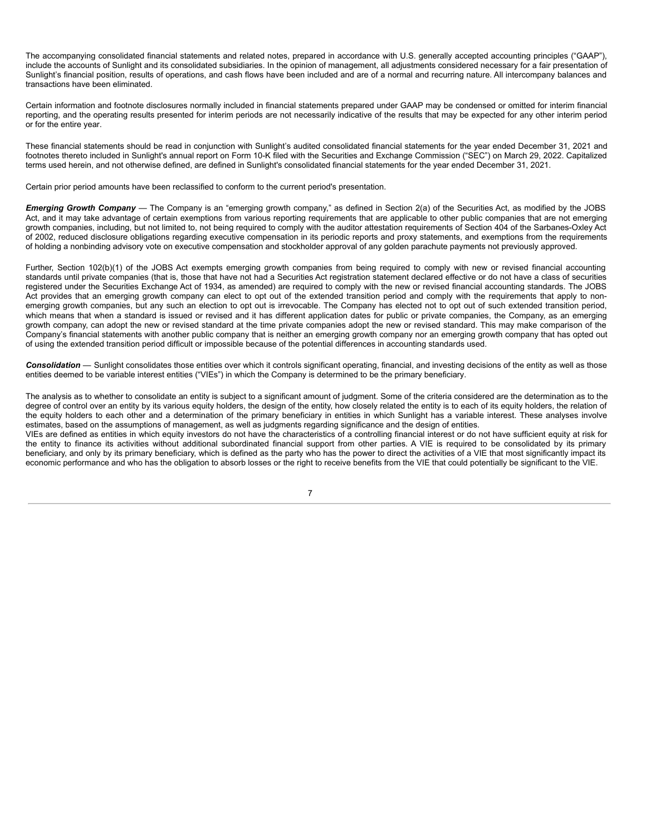The accompanying consolidated financial statements and related notes, prepared in accordance with U.S. generally accepted accounting principles ("GAAP"), include the accounts of Sunlight and its consolidated subsidiaries. In the opinion of management, all adjustments considered necessary for a fair presentation of Sunlight's financial position, results of operations, and cash flows have been included and are of a normal and recurring nature. All intercompany balances and transactions have been eliminated.

Certain information and footnote disclosures normally included in financial statements prepared under GAAP may be condensed or omitted for interim financial reporting, and the operating results presented for interim periods are not necessarily indicative of the results that may be expected for any other interim period or for the entire year.

These financial statements should be read in conjunction with Sunlight's audited consolidated financial statements for the year ended December 31, 2021 and footnotes thereto included in Sunlight's annual report on Form 10-K filed with the Securities and Exchange Commission ("SEC") on March 29, 2022. Capitalized terms used herein, and not otherwise defined, are defined in Sunlight's consolidated financial statements for the year ended December 31, 2021.

Certain prior period amounts have been reclassified to conform to the current period's presentation.

*Emerging Growth Company* — The Company is an "emerging growth company," as defined in Section 2(a) of the Securities Act, as modified by the JOBS Act, and it may take advantage of certain exemptions from various reporting requirements that are applicable to other public companies that are not emerging growth companies, including, but not limited to, not being required to comply with the auditor attestation requirements of Section 404 of the Sarbanes-Oxley Act of 2002, reduced disclosure obligations regarding executive compensation in its periodic reports and proxy statements, and exemptions from the requirements of holding a nonbinding advisory vote on executive compensation and stockholder approval of any golden parachute payments not previously approved.

Further, Section 102(b)(1) of the JOBS Act exempts emerging growth companies from being required to comply with new or revised financial accounting standards until private companies (that is, those that have not had a Securities Act registration statement declared effective or do not have a class of securities registered under the Securities Exchange Act of 1934, as amended) are required to comply with the new or revised financial accounting standards. The JOBS Act provides that an emerging growth company can elect to opt out of the extended transition period and comply with the requirements that apply to nonemerging growth companies, but any such an election to opt out is irrevocable. The Company has elected not to opt out of such extended transition period, which means that when a standard is issued or revised and it has different application dates for public or private companies, the Company, as an emerging growth company, can adopt the new or revised standard at the time private companies adopt the new or revised standard. This may make comparison of the Company's financial statements with another public company that is neither an emerging growth company nor an emerging growth company that has opted out of using the extended transition period difficult or impossible because of the potential differences in accounting standards used.

*Consolidation* — Sunlight consolidates those entities over which it controls significant operating, financial, and investing decisions of the entity as well as those entities deemed to be variable interest entities ("VIEs") in which the Company is determined to be the primary beneficiary.

The analysis as to whether to consolidate an entity is subject to a significant amount of judgment. Some of the criteria considered are the determination as to the degree of control over an entity by its various equity holders, the design of the entity, how closely related the entity is to each of its equity holders, the relation of the equity holders to each other and a determination of the primary beneficiary in entities in which Sunlight has a variable interest. These analyses involve estimates, based on the assumptions of management, as well as judgments regarding significance and the design of entities.

VIEs are defined as entities in which equity investors do not have the characteristics of a controlling financial interest or do not have sufficient equity at risk for the entity to finance its activities without additional subordinated financial support from other parties. A VIE is required to be consolidated by its primary beneficiary, and only by its primary beneficiary, which is defined as the party who has the power to direct the activities of a VIE that most significantly impact its economic performance and who has the obligation to absorb losses or the right to receive benefits from the VIE that could potentially be significant to the VIE.

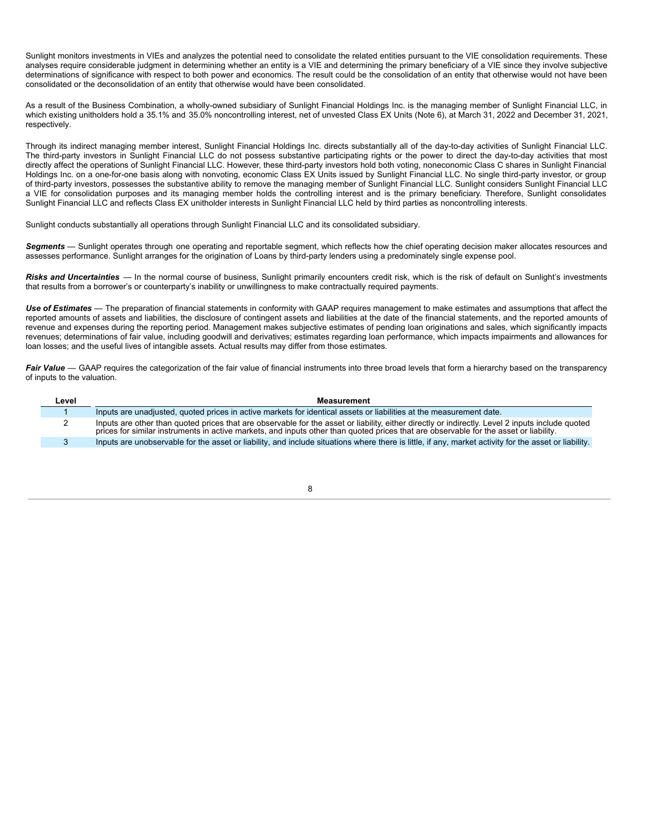Sunlight monitors investments in VIEs and analyzes the potential need to consolidate the related entities pursuant to the VIE consolidation requirements. These analyses require considerable judgment in determining whether an entity is a VIE and determining the primary beneficiary of a VIE since they involve subjective determinations of significance with respect to both power and economics. The result could be the consolidation of an entity that otherwise would not have been consolidated or the deconsolidation of an entity that otherwise would have been consolidated.

As a result of the Business Combination, a wholly-owned subsidiary of Sunlight Financial Holdings Inc. is the managing member of Sunlight Financial LLC, in which existing unitholders hold a 35.1% and 35.0% noncontrolling interest, net of unvested Class EX Units (Note 6), at March 31, 2022 and December 31, 2021, respectively.

Through its indirect managing member interest, Sunlight Financial Holdings Inc. directs substantially all of the day-to-day activities of Sunlight Financial LLC. The third-party investors in Sunlight Financial LLC do not possess substantive participating rights or the power to direct the day-to-day activities that most directly affect the operations of Sunlight Financial LLC. However, these third-party investors hold both voting, noneconomic Class C shares in Sunlight Financial Holdings Inc. on a one-for-one basis along with nonvoting, economic Class EX Units issued by Sunlight Financial LLC. No single third-party investor, or group of third-party investors, possesses the substantive ability to remove the managing member of Sunlight Financial LLC. Sunlight considers Sunlight Financial LLC a VIE for consolidation purposes and its managing member holds the controlling interest and is the primary beneficiary. Therefore, Sunlight consolidates Sunlight Financial LLC and reflects Class EX unitholder interests in Sunlight Financial LLC held by third parties as noncontrolling interests.

Sunlight conducts substantially all operations through Sunlight Financial LLC and its consolidated subsidiary.

*Segments* — Sunlight operates through one operating and reportable segment, which reflects how the chief operating decision maker allocates resources and assesses performance. Sunlight arranges for the origination of Loans by third-party lenders using a predominately single expense pool.

*Risks and Uncertainties* — In the normal course of business, Sunlight primarily encounters credit risk, which is the risk of default on Sunlight's investments that results from a borrower's or counterparty's inability or unwillingness to make contractually required payments.

*Use of Estimates* — The preparation of financial statements in conformity with GAAP requires management to make estimates and assumptions that affect the reported amounts of assets and liabilities, the disclosure of contingent assets and liabilities at the date of the financial statements, and the reported amounts of revenue and expenses during the reporting period. Management makes subjective estimates of pending loan originations and sales, which significantly impacts revenues; determinations of fair value, including goodwill and derivatives; estimates regarding loan performance, which impacts impairments and allowances for loan losses; and the useful lives of intangible assets. Actual results may differ from those estimates.

Fair Value — GAAP requires the categorization of the fair value of financial instruments into three broad levels that form a hierarchy based on the transparency of inputs to the valuation.

| Level | Measurement                                                                                                                                                                                                                                                                               |
|-------|-------------------------------------------------------------------------------------------------------------------------------------------------------------------------------------------------------------------------------------------------------------------------------------------|
|       | Inputs are unadjusted, quoted prices in active markets for identical assets or liabilities at the measurement date.                                                                                                                                                                       |
|       | Inputs are other than quoted prices that are observable for the asset or liability, either directly or indirectly. Level 2 inputs include quoted<br>prices for similar instruments in active markets, and inputs other than quoted prices that are observable for the asset or liability. |
|       | Inputs are unobservable for the asset or liability, and include situations where there is little, if any, market activity for the asset or liability.                                                                                                                                     |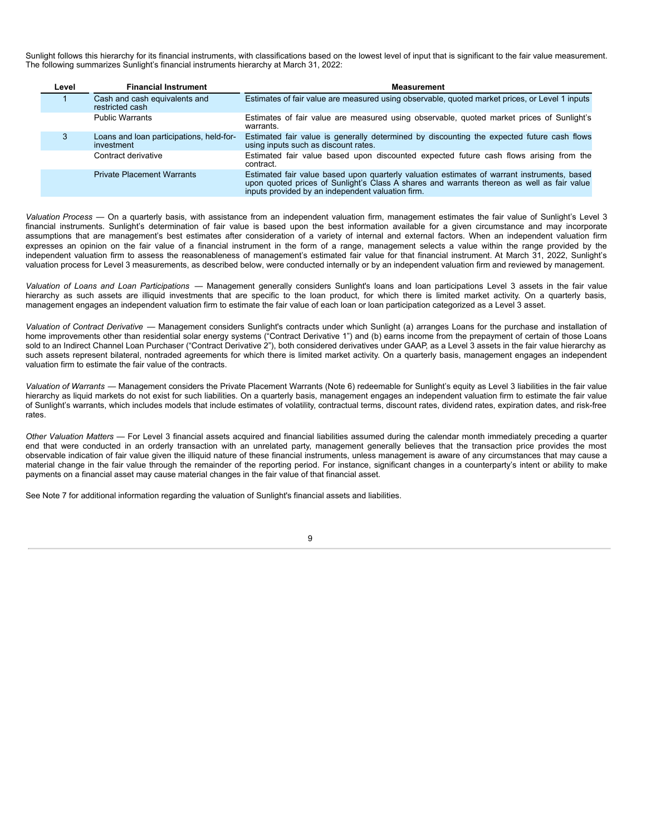Sunlight follows this hierarchy for its financial instruments, with classifications based on the lowest level of input that is significant to the fair value measurement. The following summarizes Sunlight's financial instruments hierarchy at March 31, 2022:

| Level | <b>Financial Instrument</b>                            | <b>Measurement</b>                                                                                                                                                                                                                             |
|-------|--------------------------------------------------------|------------------------------------------------------------------------------------------------------------------------------------------------------------------------------------------------------------------------------------------------|
|       | Cash and cash equivalents and<br>restricted cash       | Estimates of fair value are measured using observable, quoted market prices, or Level 1 inputs                                                                                                                                                 |
|       | <b>Public Warrants</b>                                 | Estimates of fair value are measured using observable, quoted market prices of Sunlight's<br>warrants.                                                                                                                                         |
|       | Loans and loan participations, held-for-<br>investment | Estimated fair value is generally determined by discounting the expected future cash flows<br>using inputs such as discount rates.                                                                                                             |
|       | Contract derivative                                    | Estimated fair value based upon discounted expected future cash flows arising from the<br>contract.                                                                                                                                            |
|       | <b>Private Placement Warrants</b>                      | Estimated fair value based upon quarterly valuation estimates of warrant instruments, based<br>upon quoted prices of Sunlight's Class A shares and warrants thereon as well as fair value<br>inputs provided by an independent valuation firm. |

*Valuation Process* — On a quarterly basis, with assistance from an independent valuation firm, management estimates the fair value of Sunlight's Level 3 financial instruments. Sunlight's determination of fair value is based upon the best information available for a given circumstance and may incorporate assumptions that are management's best estimates after consideration of a variety of internal and external factors. When an independent valuation firm expresses an opinion on the fair value of a financial instrument in the form of a range, management selects a value within the range provided by the independent valuation firm to assess the reasonableness of management's estimated fair value for that financial instrument. At March 31, 2022, Sunlight's valuation process for Level 3 measurements, as described below, were conducted internally or by an independent valuation firm and reviewed by management.

*Valuation of Loans and Loan Participations* — Management generally considers Sunlight's loans and loan participations Level 3 assets in the fair value hierarchy as such assets are illiquid investments that are specific to the loan product, for which there is limited market activity. On a quarterly basis, management engages an independent valuation firm to estimate the fair value of each loan or loan participation categorized as a Level 3 asset.

*Valuation of Contract Derivative* — Management considers Sunlight's contracts under which Sunlight (a) arranges Loans for the purchase and installation of home improvements other than residential solar energy systems ("Contract Derivative 1") and (b) earns income from the prepayment of certain of those Loans sold to an Indirect Channel Loan Purchaser ("Contract Derivative 2"), both considered derivatives under GAAP, as a Level 3 assets in the fair value hierarchy as such assets represent bilateral, nontraded agreements for which there is limited market activity. On a quarterly basis, management engages an independent valuation firm to estimate the fair value of the contracts.

*Valuation of Warrants* — Management considers the Private Placement Warrants (Note 6) redeemable for Sunlight's equity as Level 3 liabilities in the fair value hierarchy as liquid markets do not exist for such liabilities. On a quarterly basis, management engages an independent valuation firm to estimate the fair value of Sunlight's warrants, which includes models that include estimates of volatility, contractual terms, discount rates, dividend rates, expiration dates, and risk-free rates.

*Other Valuation Matters* — For Level 3 financial assets acquired and financial liabilities assumed during the calendar month immediately preceding a quarter end that were conducted in an orderly transaction with an unrelated party, management generally believes that the transaction price provides the most observable indication of fair value given the illiquid nature of these financial instruments, unless management is aware of any circumstances that may cause a material change in the fair value through the remainder of the reporting period. For instance, significant changes in a counterparty's intent or ability to make payments on a financial asset may cause material changes in the fair value of that financial asset.

See Note 7 for additional information regarding the valuation of Sunlight's financial assets and liabilities.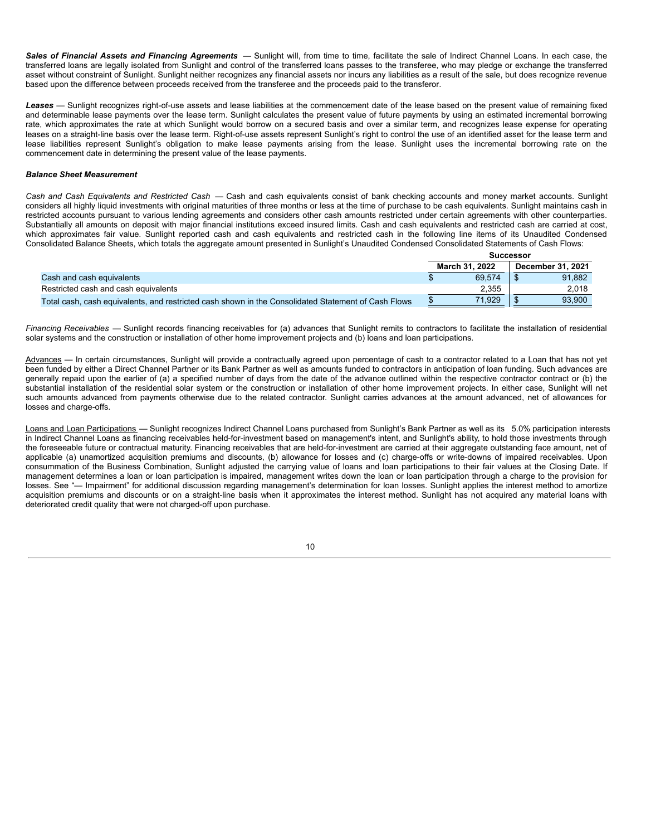*Sales of Financial Assets and Financing Agreements* — Sunlight will, from time to time, facilitate the sale of Indirect Channel Loans. In each case, the transferred loans are legally isolated from Sunlight and control of the transferred loans passes to the transferee, who may pledge or exchange the transferred asset without constraint of Sunlight. Sunlight neither recognizes any financial assets nor incurs any liabilities as a result of the sale, but does recognize revenue based upon the difference between proceeds received from the transferee and the proceeds paid to the transferor.

Leases - Sunlight recognizes right-of-use assets and lease liabilities at the commencement date of the lease based on the present value of remaining fixed and determinable lease payments over the lease term. Sunlight calculates the present value of future payments by using an estimated incremental borrowing rate, which approximates the rate at which Sunlight would borrow on a secured basis and over a similar term, and recognizes lease expense for operating leases on a straight-line basis over the lease term. Right-of-use assets represent Sunlight's right to control the use of an identified asset for the lease term and lease liabilities represent Sunlight's obligation to make lease payments arising from the lease. Sunlight uses the incremental borrowing rate on the commencement date in determining the present value of the lease payments.

## *Balance Sheet Measurement*

*Cash and Cash Equivalents and Restricted Cash* — Cash and cash equivalents consist of bank checking accounts and money market accounts. Sunlight considers all highly liquid investments with original maturities of three months or less at the time of purchase to be cash equivalents. Sunlight maintains cash in restricted accounts pursuant to various lending agreements and considers other cash amounts restricted under certain agreements with other counterparties. Substantially all amounts on deposit with major financial institutions exceed insured limits. Cash and cash equivalents and restricted cash are carried at cost, which approximates fair value. Sunlight reported cash and cash equivalents and restricted cash in the following line items of its Unaudited Condensed Consolidated Balance Sheets, which totals the aggregate amount presented in Sunlight's Unaudited Condensed Consolidated Statements of Cash Flows:

|                                                                                                     | Successor |                |  |                   |  |
|-----------------------------------------------------------------------------------------------------|-----------|----------------|--|-------------------|--|
|                                                                                                     |           | March 31, 2022 |  | December 31, 2021 |  |
| Cash and cash equivalents                                                                           |           | 69.574         |  | 91.882            |  |
| Restricted cash and cash equivalents                                                                |           | 2.355          |  | 2.018             |  |
| Total cash, cash equivalents, and restricted cash shown in the Consolidated Statement of Cash Flows |           | 71.929         |  | 93.900            |  |

*Financing Receivables* — Sunlight records financing receivables for (a) advances that Sunlight remits to contractors to facilitate the installation of residential solar systems and the construction or installation of other home improvement projects and (b) loans and loan participations.

Advances — In certain circumstances, Sunlight will provide a contractually agreed upon percentage of cash to a contractor related to a Loan that has not yet been funded by either a Direct Channel Partner or its Bank Partner as well as amounts funded to contractors in anticipation of loan funding. Such advances are generally repaid upon the earlier of (a) a specified number of days from the date of the advance outlined within the respective contractor contract or (b) the substantial installation of the residential solar system or the construction or installation of other home improvement projects. In either case, Sunlight will net such amounts advanced from payments otherwise due to the related contractor. Sunlight carries advances at the amount advanced, net of allowances for losses and charge-offs.

Loans and Loan Participations — Sunlight recognizes Indirect Channel Loans purchased from Sunlight's Bank Partner as well as its 5.0% participation interests in Indirect Channel Loans as financing receivables held-for-investment based on management's intent, and Sunlight's ability, to hold those investments through the foreseeable future or contractual maturity. Financing receivables that are held-for-investment are carried at their aggregate outstanding face amount, net of applicable (a) unamortized acquisition premiums and discounts, (b) allowance for losses and (c) charge-offs or write-downs of impaired receivables. Upon consummation of the Business Combination, Sunlight adjusted the carrying value of loans and loan participations to their fair values at the Closing Date. If management determines a loan or loan participation is impaired, management writes down the loan or loan participation through a charge to the provision for losses. See "— Impairment" for additional discussion regarding management's determination for loan losses. Sunlight applies the interest method to amortize acquisition premiums and discounts or on a straight-line basis when it approximates the interest method. Sunlight has not acquired any material loans with deteriorated credit quality that were not charged-off upon purchase.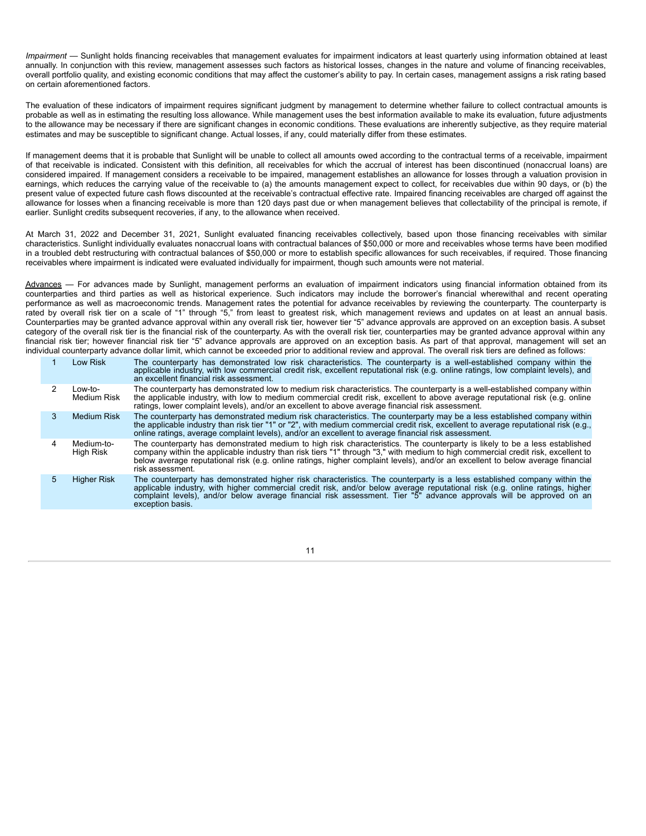*Impairment* — Sunlight holds financing receivables that management evaluates for impairment indicators at least quarterly using information obtained at least annually. In conjunction with this review, management assesses such factors as historical losses, changes in the nature and volume of financing receivables, overall portfolio quality, and existing economic conditions that may affect the customer's ability to pay. In certain cases, management assigns a risk rating based on certain aforementioned factors.

The evaluation of these indicators of impairment requires significant judgment by management to determine whether failure to collect contractual amounts is probable as well as in estimating the resulting loss allowance. While management uses the best information available to make its evaluation, future adjustments to the allowance may be necessary if there are significant changes in economic conditions. These evaluations are inherently subjective, as they require material estimates and may be susceptible to significant change. Actual losses, if any, could materially differ from these estimates.

If management deems that it is probable that Sunlight will be unable to collect all amounts owed according to the contractual terms of a receivable, impairment of that receivable is indicated. Consistent with this definition, all receivables for which the accrual of interest has been discontinued (nonaccrual loans) are considered impaired. If management considers a receivable to be impaired, management establishes an allowance for losses through a valuation provision in earnings, which reduces the carrying value of the receivable to (a) the amounts management expect to collect, for receivables due within 90 days, or (b) the present value of expected future cash flows discounted at the receivable's contractual effective rate. Impaired financing receivables are charged off against the allowance for losses when a financing receivable is more than 120 days past due or when management believes that collectability of the principal is remote, if earlier. Sunlight credits subsequent recoveries, if any, to the allowance when received.

At March 31, 2022 and December 31, 2021, Sunlight evaluated financing receivables collectively, based upon those financing receivables with similar characteristics. Sunlight individually evaluates nonaccrual loans with contractual balances of \$50,000 or more and receivables whose terms have been modified in a troubled debt restructuring with contractual balances of \$50,000 or more to establish specific allowances for such receivables, if required. Those financing receivables where impairment is indicated were evaluated individually for impairment, though such amounts were not material.

Advances — For advances made by Sunlight, management performs an evaluation of impairment indicators using financial information obtained from its counterparties and third parties as well as historical experience. Such indicators may include the borrower's financial wherewithal and recent operating performance as well as macroeconomic trends. Management rates the potential for advance receivables by reviewing the counterparty. The counterparty is rated by overall risk tier on a scale of "1" through "5," from least to greatest risk, which management reviews and updates on at least an annual basis. Counterparties may be granted advance approval within any overall risk tier, however tier "5" advance approvals are approved on an exception basis. A subset category of the overall risk tier is the financial risk of the counterparty. As with the overall risk tier, counterparties may be granted advance approval within any financial risk tier; however financial risk tier "5" advance approvals are approved on an exception basis. As part of that approval, management will set an individual counterparty advance dollar limit, which cannot be exceeded prior to additional review and approval. The overall risk tiers are defined as follows:

| Low Risk                | The counterparty has demonstrated low risk characteristics. The counterparty is a well-established company within the<br>applicable industry, with low commercial credit risk, excellent reputational risk (e.g. online ratings, low complaint levels), and<br>an excellent financial risk assessment.                                                                                               |
|-------------------------|------------------------------------------------------------------------------------------------------------------------------------------------------------------------------------------------------------------------------------------------------------------------------------------------------------------------------------------------------------------------------------------------------|
| Low-to-<br>Medium Risk  | The counterparty has demonstrated low to medium risk characteristics. The counterparty is a well-established company within<br>the applicable industry, with low to medium commercial credit risk, excellent to above average reputational risk (e.g. online<br>ratings, lower complaint levels), and/or an excellent to above average financial risk assessment.                                    |
| Medium Risk             | The counterparty has demonstrated medium risk characteristics. The counterparty may be a less established company within<br>the applicable industry than risk tier "1" or "2", with medium commercial credit risk, excellent to average reputational risk (e.g.,<br>online ratings, average complaint levels), and/or an excellent to average financial risk assessment.                             |
| Medium-to-<br>High Risk | The counterparty has demonstrated medium to high risk characteristics. The counterparty is likely to be a less established<br>company within the applicable industry than risk tiers "1" through "3," with medium to high commercial credit risk, excellent to below average reputational risk (e.g. online ratings, higher complaint levels), and/or an exc<br>risk assessment.                     |
| <b>Higher Risk</b>      | The counterparty has demonstrated higher risk characteristics. The counterparty is a less established company within the<br>applicable industry, with higher commercial credit risk, and/or below average reputational risk (e.g. online ratings, higher<br>complaint levels), and/or below average financial risk assessment. Tier "5" advance approvals will be approved on an<br>exception basis. |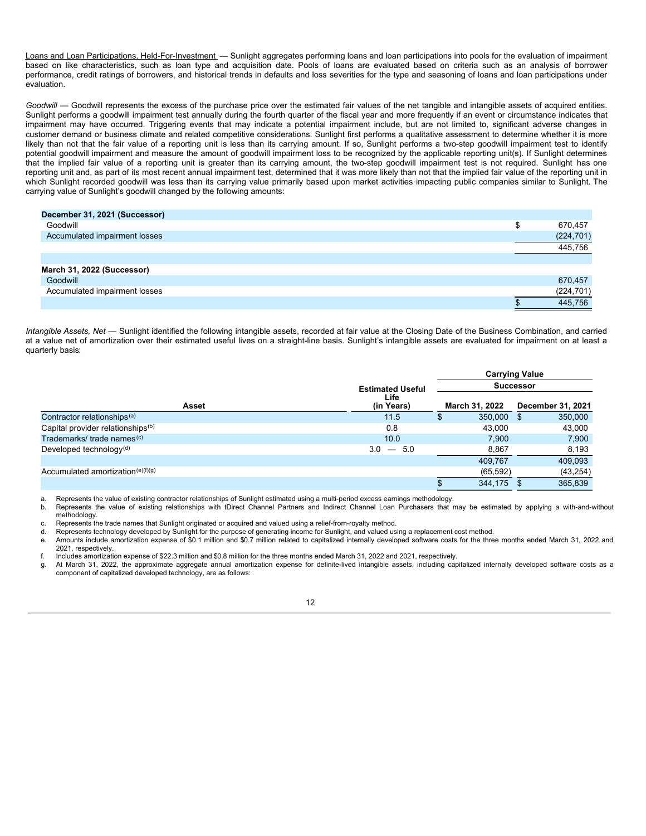Loans and Loan Participations, Held-For-Investment — Sunlight aggregates performing loans and loan participations into pools for the evaluation of impairment based on like characteristics, such as loan type and acquisition date. Pools of loans are evaluated based on criteria such as an analysis of borrower performance, credit ratings of borrowers, and historical trends in defaults and loss severities for the type and seasoning of loans and loan participations under evaluation.

*Goodwill* — Goodwill represents the excess of the purchase price over the estimated fair values of the net tangible and intangible assets of acquired entities. Sunlight performs a goodwill impairment test annually during the fourth quarter of the fiscal year and more frequently if an event or circumstance indicates that impairment may have occurred. Triggering events that may indicate a potential impairment include, but are not limited to, significant adverse changes in customer demand or business climate and related competitive considerations. Sunlight first performs a qualitative assessment to determine whether it is more likely than not that the fair value of a reporting unit is less than its carrying amount. If so, Sunlight performs a two-step goodwill impairment test to identify potential goodwill impairment and measure the amount of goodwill impairment loss to be recognized by the applicable reporting unit(s). If Sunlight determines that the implied fair value of a reporting unit is greater than its carrying amount, the two-step goodwill impairment test is not required. Sunlight has one reporting unit and, as part of its most recent annual impairment test, determined that it was more likely than not that the implied fair value of the reporting unit in which Sunlight recorded goodwill was less than its carrying value primarily based upon market activities impacting public companies similar to Sunlight. The carrying value of Sunlight's goodwill changed by the following amounts:

| December 31, 2021 (Successor) |        |            |
|-------------------------------|--------|------------|
| Goodwill                      | ጦ<br>◡ | 670,457    |
| Accumulated impairment losses |        | (224, 701) |
|                               |        | 445,756    |
|                               |        |            |
| March 31, 2022 (Successor)    |        |            |
| Goodwill                      |        | 670,457    |
| Accumulated impairment losses |        | (224, 701) |
|                               |        | 445.756    |

*Intangible Assets, Net* — Sunlight identified the following intangible assets, recorded at fair value at the Closing Date of the Business Combination, and carried at a value net of amortization over their estimated useful lives on a straight-line basis. Sunlight's intangible assets are evaluated for impairment on at least a quarterly basis:

|                                               |                         |    |                |                  | <b>Carrying Value</b>    |  |  |
|-----------------------------------------------|-------------------------|----|----------------|------------------|--------------------------|--|--|
|                                               | <b>Estimated Useful</b> |    |                | <b>Successor</b> |                          |  |  |
| Asset                                         | Life<br>(in Years)      |    | March 31, 2022 |                  | <b>December 31, 2021</b> |  |  |
| Contractor relationships <sup>(a)</sup>       | 11.5                    | \$ | 350,000 \$     |                  | 350,000                  |  |  |
| Capital provider relationships <sup>(b)</sup> | 0.8                     |    | 43.000         |                  | 43,000                   |  |  |
| Trademarks/ trade names <sup>(c)</sup>        | 10.0                    |    | 7,900          |                  | 7,900                    |  |  |
| Developed technology $(d)$                    | 3.0<br>$-5.0$           |    | 8,867          |                  | 8,193                    |  |  |
|                                               |                         |    | 409,767        |                  | 409,093                  |  |  |
| Accumulated amortization $(e)(f)(g)$          |                         |    | (65, 592)      |                  | (43, 254)                |  |  |
|                                               |                         |    | 344,175 \$     |                  | 365,839                  |  |  |

a. Represents the value of existing contractor relationships of Sunlight estimated using a multi-period excess earnings methodology.

b. Represents the value of existing relationships with tDirect Channel Partners and Indirect Channel Loan Purchasers that may be estimated by applying a with-and-without methodology.

c. Represents the trade names that Sunlight originated or acquired and valued using a relief-from-royalty method.

Represents technology developed by Sunlight for the purpose of generating income for Sunlight, and valued using a replacement cost method.

e. Amounts include amortization expense of \$0.1 million and \$0.7 million related to capitalized internally developed software costs for the three months ended March 31, 2022 and 2021, respectively.

f. Includes amortization expense of \$22.3 million and \$0.8 million for the three months ended March 31, 2022 and 2021, respectively.

g. At March 31, 2022, the approximate aggregate annual amortization expense for definite-lived intangible assets, including capitalized internally developed software costs as a component of capitalized developed technology, are as follows: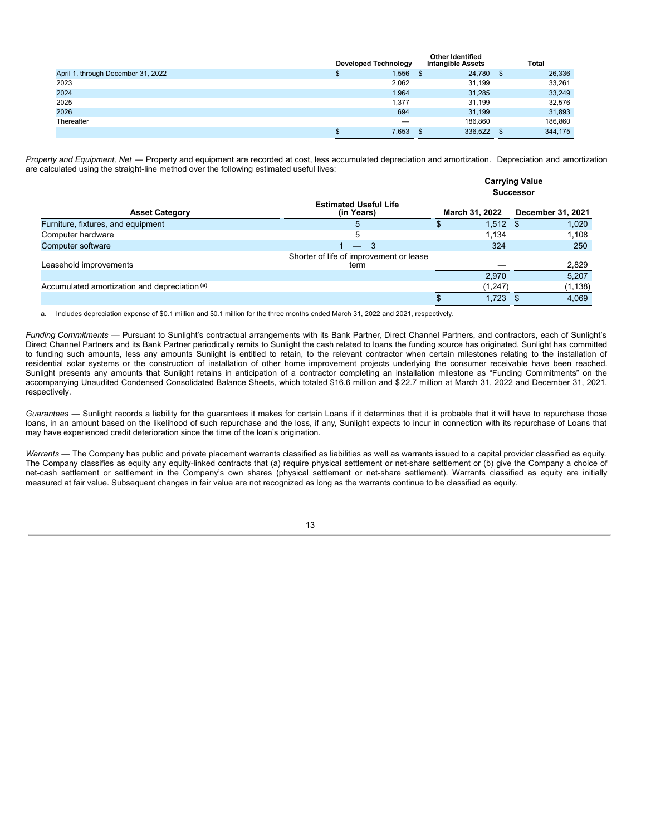|                                    | <b>Developed Technology</b> | Other Identified<br><b>Intangible Assets</b> |     | Total   |
|------------------------------------|-----------------------------|----------------------------------------------|-----|---------|
| April 1, through December 31, 2022 | 1,556                       | 24,780                                       | - 5 | 26,336  |
| 2023                               | 2,062                       | 31.199                                       |     | 33,261  |
| 2024                               | 1.964                       | 31,285                                       |     | 33,249  |
| 2025                               | 1.377                       | 31.199                                       |     | 32,576  |
| 2026                               | 694                         | 31.199                                       |     | 31,893  |
| Thereafter                         |                             | 186.860                                      |     | 186,860 |
|                                    | 7,653                       | 336,522                                      |     | 344,175 |

**Other Identified**

*Property and Equipment, Net* — Property and equipment are recorded at cost, less accumulated depreciation and amortization. Depreciation and amortization are calculated using the straight-line method over the following estimated useful lives:

|                                               |                                                 |                | <b>Carrying Value</b>    |
|-----------------------------------------------|-------------------------------------------------|----------------|--------------------------|
|                                               |                                                 |                | <b>Successor</b>         |
| <b>Asset Category</b>                         | <b>Estimated Useful Life</b><br>(in Years)      | March 31, 2022 | <b>December 31, 2021</b> |
| Furniture, fixtures, and equipment            |                                                 | $1,512$ \$     | 1,020                    |
| Computer hardware                             | 5                                               | 1.134          | 1,108                    |
| Computer software                             | $-3$                                            | 324            | 250                      |
| Leasehold improvements                        | Shorter of life of improvement or lease<br>term |                | 2,829                    |
|                                               |                                                 | 2,970          | 5,207                    |
| Accumulated amortization and depreciation (a) |                                                 | (1,247)        | (1, 138)                 |
|                                               |                                                 | 1.723          | 4.069                    |

a. Includes depreciation expense of \$0.1 million and \$0.1 million for the three months ended March 31, 2022 and 2021, respectively.

*Funding Commitments* — Pursuant to Sunlight's contractual arrangements with its Bank Partner, Direct Channel Partners, and contractors, each of Sunlight's Direct Channel Partners and its Bank Partner periodically remits to Sunlight the cash related to loans the funding source has originated. Sunlight has committed to funding such amounts, less any amounts Sunlight is entitled to retain, to the relevant contractor when certain milestones relating to the installation of residential solar systems or the construction of installation of other home improvement projects underlying the consumer receivable have been reached. Sunlight presents any amounts that Sunlight retains in anticipation of a contractor completing an installation milestone as "Funding Commitments" on the accompanying Unaudited Condensed Consolidated Balance Sheets, which totaled \$16.6 million and \$22.7 million at March 31, 2022 and December 31, 2021, respectively.

*Guarantees* — Sunlight records a liability for the guarantees it makes for certain Loans if it determines that it is probable that it will have to repurchase those loans, in an amount based on the likelihood of such repurchase and the loss, if any, Sunlight expects to incur in connection with its repurchase of Loans that may have experienced credit deterioration since the time of the loan's origination.

Warrants - The Company has public and private placement warrants classified as liabilities as well as warrants issued to a capital provider classified as equity. The Company classifies as equity any equity-linked contracts that (a) require physical settlement or net-share settlement or (b) give the Company a choice of net-cash settlement or settlement in the Company's own shares (physical settlement or net-share settlement). Warrants classified as equity are initially measured at fair value. Subsequent changes in fair value are not recognized as long as the warrants continue to be classified as equity.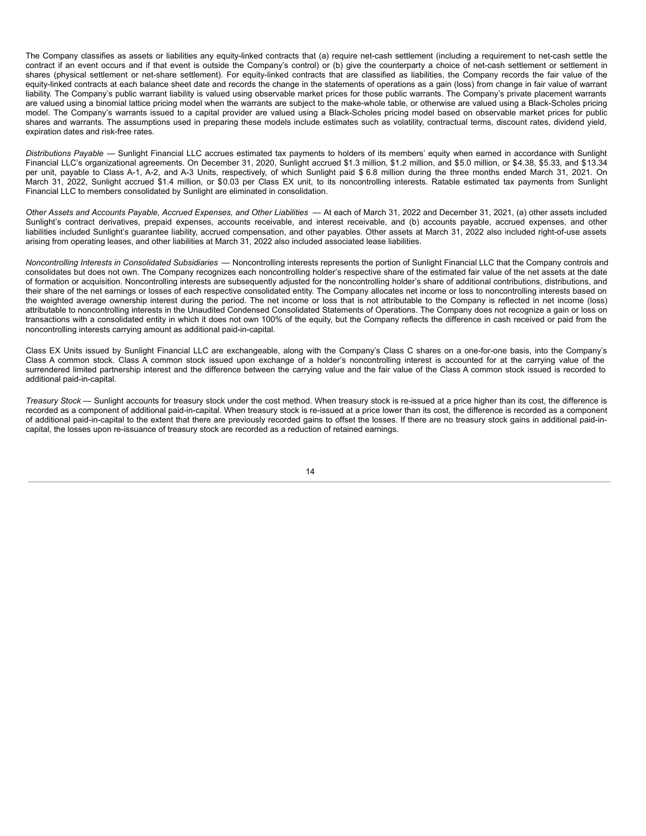The Company classifies as assets or liabilities any equity-linked contracts that (a) require net-cash settlement (including a requirement to net-cash settle the contract if an event occurs and if that event is outside the Company's control) or (b) give the counterparty a choice of net-cash settlement or settlement in shares (physical settlement or net-share settlement). For equity-linked contracts that are classified as liabilities, the Company records the fair value of the equity-linked contracts at each balance sheet date and records the change in the statements of operations as a gain (loss) from change in fair value of warrant liability. The Company's public warrant liability is valued using observable market prices for those public warrants. The Company's private placement warrants are valued using a binomial lattice pricing model when the warrants are subject to the make-whole table, or otherwise are valued using a Black-Scholes pricing model. The Company's warrants issued to a capital provider are valued using a Black-Scholes pricing model based on observable market prices for public shares and warrants. The assumptions used in preparing these models include estimates such as volatility, contractual terms, discount rates, dividend yield, expiration dates and risk-free rates.

*Distributions Payable* — Sunlight Financial LLC accrues estimated tax payments to holders of its members' equity when earned in accordance with Sunlight Financial LLC's organizational agreements. On December 31, 2020, Sunlight accrued \$1.3 million, \$1.2 million, and \$5.0 million, or \$4.38, \$5.33, and \$13.34 per unit, payable to Class A-1, A-2, and A-3 Units, respectively, of which Sunlight paid \$ 6.8 million during the three months ended March 31, 2021. On March 31, 2022, Sunlight accrued \$1.4 million, or \$0.03 per Class EX unit, to its noncontrolling interests. Ratable estimated tax payments from Sunlight Financial LLC to members consolidated by Sunlight are eliminated in consolidation.

*Other Assets and Accounts Payable, Accrued Expenses, and Other Liabilities* — At each of March 31, 2022 and December 31, 2021, (a) other assets included Sunlight's contract derivatives, prepaid expenses, accounts receivable, and interest receivable, and (b) accounts payable, accrued expenses, and other liabilities included Sunlight's guarantee liability, accrued compensation, and other payables. Other assets at March 31, 2022 also included right-of-use assets arising from operating leases, and other liabilities at March 31, 2022 also included associated lease liabilities.

*Noncontrolling Interests in Consolidated Subsidiaries* — Noncontrolling interests represents the portion of Sunlight Financial LLC that the Company controls and consolidates but does not own. The Company recognizes each noncontrolling holder's respective share of the estimated fair value of the net assets at the date of formation or acquisition. Noncontrolling interests are subsequently adjusted for the noncontrolling holder's share of additional contributions, distributions, and their share of the net earnings or losses of each respective consolidated entity. The Company allocates net income or loss to noncontrolling interests based on the weighted average ownership interest during the period. The net income or loss that is not attributable to the Company is reflected in net income (loss) attributable to noncontrolling interests in the Unaudited Condensed Consolidated Statements of Operations. The Company does not recognize a gain or loss on transactions with a consolidated entity in which it does not own 100% of the equity, but the Company reflects the difference in cash received or paid from the noncontrolling interests carrying amount as additional paid-in-capital.

Class EX Units issued by Sunlight Financial LLC are exchangeable, along with the Company's Class C shares on a one-for-one basis, into the Company's Class A common stock. Class A common stock issued upon exchange of a holder's noncontrolling interest is accounted for at the carrying value of the surrendered limited partnership interest and the difference between the carrying value and the fair value of the Class A common stock issued is recorded to additional paid-in-capital.

*Treasury Stock* — Sunlight accounts for treasury stock under the cost method. When treasury stock is re-issued at a price higher than its cost, the difference is recorded as a component of additional paid-in-capital. When treasury stock is re-issued at a price lower than its cost, the difference is recorded as a component of additional paid-in-capital to the extent that there are previously recorded gains to offset the losses. If there are no treasury stock gains in additional paid-incapital, the losses upon re-issuance of treasury stock are recorded as a reduction of retained earnings.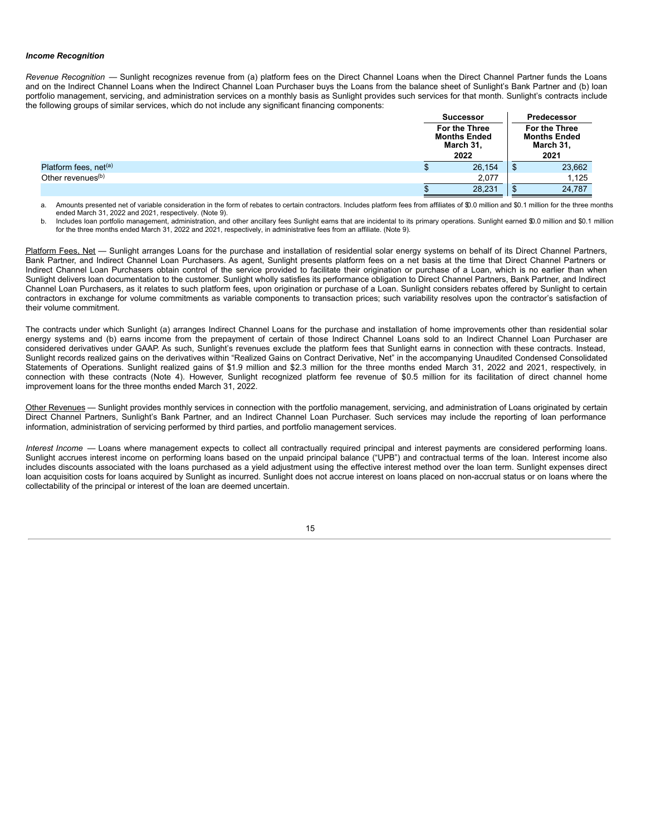#### *Income Recognition*

*Revenue Recognition* — Sunlight recognizes revenue from (a) platform fees on the Direct Channel Loans when the Direct Channel Partner funds the Loans and on the Indirect Channel Loans when the Indirect Channel Loan Purchaser buys the Loans from the balance sheet of Sunlight's Bank Partner and (b) loan portfolio management, servicing, and administration services on a monthly basis as Sunlight provides such services for that month. Sunlight's contracts include the following groups of similar services, which do not include any significant financing components:

|                                   | <b>Successor</b>                                          |                                                           | Predecessor |
|-----------------------------------|-----------------------------------------------------------|-----------------------------------------------------------|-------------|
|                                   | For the Three<br><b>Months Ended</b><br>March 31,<br>2022 | For the Three<br><b>Months Ended</b><br>March 31,<br>2021 |             |
| Platform fees, net <sup>(a)</sup> | 26,154                                                    | จ                                                         | 23,662      |
| Other revenues <sup>(b)</sup>     | 2,077                                                     |                                                           | 1,125       |
|                                   | 28,231                                                    |                                                           | 24,787      |

a. Amounts presented net of variable consideration in the form of rebates to certain contractors. Includes platform fees from affiliates of \$0.0 million and \$0.1 million for the three months ended March 31, 2022 and 2021, respectively. (Note 9).

b. Includes loan portfolio management, administration, and other ancillary fees Sunlight earns that are incidental to its primary operations. Sunlight earned \$0.0 million and \$0.1 million for the three months ended March 31, 2022 and 2021, respectively, in administrative fees from an affiliate. (Note 9).

Platform Fees, Net - Sunlight arranges Loans for the purchase and installation of residential solar energy systems on behalf of its Direct Channel Partners, Bank Partner, and Indirect Channel Loan Purchasers. As agent, Sunlight presents platform fees on a net basis at the time that Direct Channel Partners or Indirect Channel Loan Purchasers obtain control of the service provided to facilitate their origination or purchase of a Loan, which is no earlier than when Sunlight delivers loan documentation to the customer. Sunlight wholly satisfies its performance obligation to Direct Channel Partners, Bank Partner, and Indirect Channel Loan Purchasers, as it relates to such platform fees, upon origination or purchase of a Loan. Sunlight considers rebates offered by Sunlight to certain contractors in exchange for volume commitments as variable components to transaction prices; such variability resolves upon the contractor's satisfaction of their volume commitment.

The contracts under which Sunlight (a) arranges Indirect Channel Loans for the purchase and installation of home improvements other than residential solar energy systems and (b) earns income from the prepayment of certain of those Indirect Channel Loans sold to an Indirect Channel Loan Purchaser are considered derivatives under GAAP. As such, Sunlight's revenues exclude the platform fees that Sunlight earns in connection with these contracts. Instead, Sunlight records realized gains on the derivatives within "Realized Gains on Contract Derivative, Net" in the accompanying Unaudited Condensed Consolidated Statements of Operations. Sunlight realized gains of \$1.9 million and \$2.3 million for the three months ended March 31, 2022 and 2021, respectively, in connection with these contracts (Note 4). However, Sunlight recognized platform fee revenue of \$0.5 million for its facilitation of direct channel home improvement loans for the three months ended March 31, 2022.

Other Revenues — Sunlight provides monthly services in connection with the portfolio management, servicing, and administration of Loans originated by certain Direct Channel Partners, Sunlight's Bank Partner, and an Indirect Channel Loan Purchaser. Such services may include the reporting of loan performance information, administration of servicing performed by third parties, and portfolio management services.

*Interest Income* — Loans where management expects to collect all contractually required principal and interest payments are considered performing loans. Sunlight accrues interest income on performing loans based on the unpaid principal balance ("UPB") and contractual terms of the loan. Interest income also includes discounts associated with the loans purchased as a yield adjustment using the effective interest method over the loan term. Sunlight expenses direct loan acquisition costs for loans acquired by Sunlight as incurred. Sunlight does not accrue interest on loans placed on non-accrual status or on loans where the collectability of the principal or interest of the loan are deemed uncertain.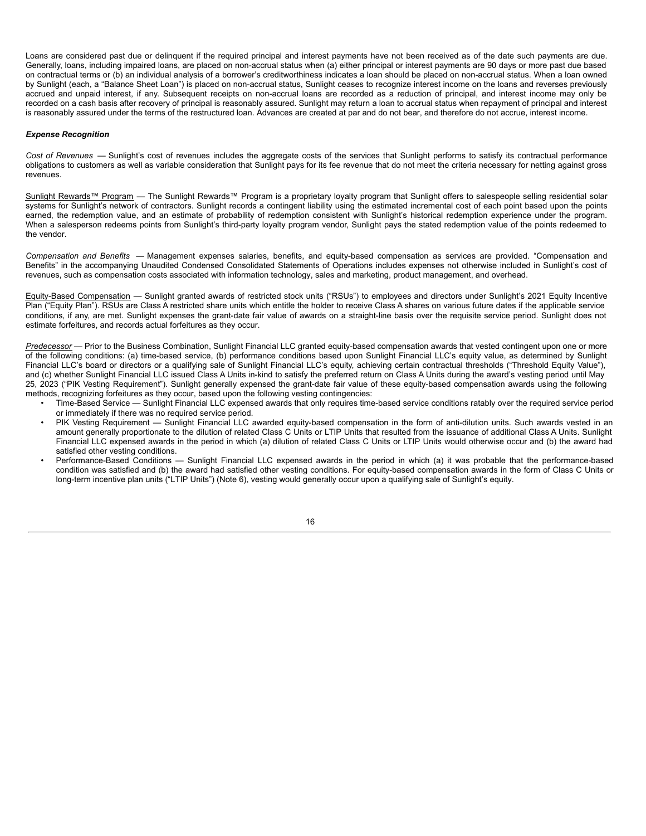Loans are considered past due or delinquent if the required principal and interest payments have not been received as of the date such payments are due. Generally, loans, including impaired loans, are placed on non-accrual status when (a) either principal or interest payments are 90 days or more past due based on contractual terms or (b) an individual analysis of a borrower's creditworthiness indicates a loan should be placed on non-accrual status. When a loan owned by Sunlight (each, a "Balance Sheet Loan") is placed on non-accrual status, Sunlight ceases to recognize interest income on the loans and reverses previously accrued and unpaid interest, if any. Subsequent receipts on non-accrual loans are recorded as a reduction of principal, and interest income may only be recorded on a cash basis after recovery of principal is reasonably assured. Sunlight may return a loan to accrual status when repayment of principal and interest is reasonably assured under the terms of the restructured loan. Advances are created at par and do not bear, and therefore do not accrue, interest income.

#### *Expense Recognition*

*Cost of Revenues* — Sunlight's cost of revenues includes the aggregate costs of the services that Sunlight performs to satisfy its contractual performance obligations to customers as well as variable consideration that Sunlight pays for its fee revenue that do not meet the criteria necessary for netting against gross revenues.

Sunlight Rewards™ Program - The Sunlight Rewards™ Program is a proprietary loyalty program that Sunlight offers to salespeople selling residential solar systems for Sunlight's network of contractors. Sunlight records a contingent liability using the estimated incremental cost of each point based upon the points earned, the redemption value, and an estimate of probability of redemption consistent with Sunlight's historical redemption experience under the program. When a salesperson redeems points from Sunlight's third-party loyalty program vendor, Sunlight pays the stated redemption value of the points redeemed to the vendor.

*Compensation and Benefits* — Management expenses salaries, benefits, and equity-based compensation as services are provided. "Compensation and Benefits" in the accompanying Unaudited Condensed Consolidated Statements of Operations includes expenses not otherwise included in Sunlight's cost of revenues, such as compensation costs associated with information technology, sales and marketing, product management, and overhead.

Equity-Based Compensation - Sunlight granted awards of restricted stock units ("RSUs") to employees and directors under Sunlight's 2021 Equity Incentive Plan ("Equity Plan"). RSUs are Class A restricted share units which entitle the holder to receive Class A shares on various future dates if the applicable service conditions, if any, are met. Sunlight expenses the grant-date fair value of awards on a straight-line basis over the requisite service period. Sunlight does not estimate forfeitures, and records actual forfeitures as they occur.

*Predecessor* — Prior to the Business Combination, Sunlight Financial LLC granted equity-based compensation awards that vested contingent upon one or more of the following conditions: (a) time-based service, (b) performance conditions based upon Sunlight Financial LLC's equity value, as determined by Sunlight Financial LLC's board or directors or a qualifying sale of Sunlight Financial LLC's equity, achieving certain contractual thresholds ("Threshold Equity Value"), and (c) whether Sunlight Financial LLC issued Class A Units in-kind to satisfy the preferred return on Class A Units during the award's vesting period until May 25, 2023 ("PIK Vesting Requirement"). Sunlight generally expensed the grant-date fair value of these equity-based compensation awards using the following methods, recognizing forfeitures as they occur, based upon the following vesting contingencies:

- Time-Based Service Sunlight Financial LLC expensed awards that only requires time-based service conditions ratably over the required service period or immediately if there was no required service period.
- PIK Vesting Requirement Sunlight Financial LLC awarded equity-based compensation in the form of anti-dilution units. Such awards vested in an amount generally proportionate to the dilution of related Class C Units or LTIP Units that resulted from the issuance of additional Class A Units. Sunlight Financial LLC expensed awards in the period in which (a) dilution of related Class C Units or LTIP Units would otherwise occur and (b) the award had satisfied other vesting conditions.
- Performance-Based Conditions Sunlight Financial LLC expensed awards in the period in which (a) it was probable that the performance-based condition was satisfied and (b) the award had satisfied other vesting conditions. For equity-based compensation awards in the form of Class C Units or long-term incentive plan units ("LTIP Units") (Note 6), vesting would generally occur upon a qualifying sale of Sunlight's equity.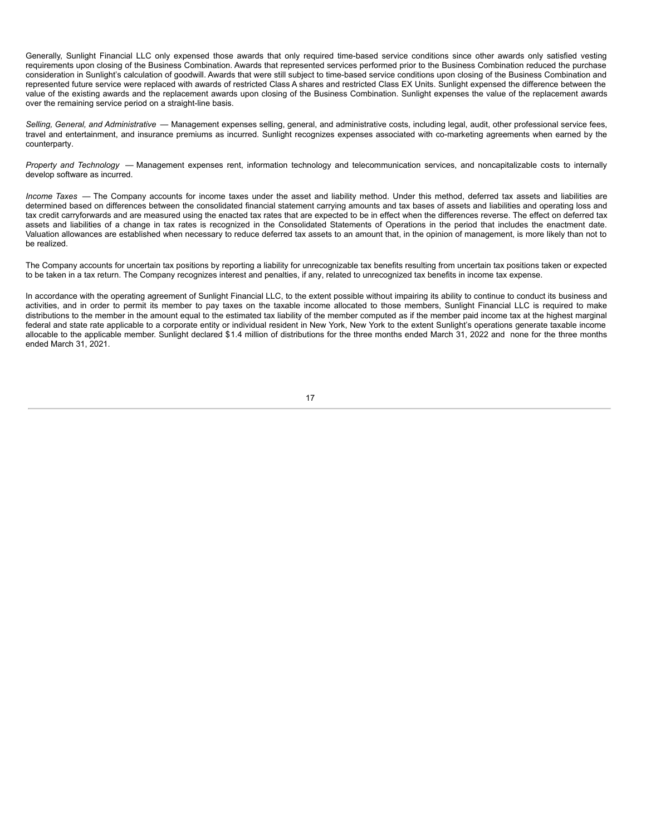Generally, Sunlight Financial LLC only expensed those awards that only required time-based service conditions since other awards only satisfied vesting requirements upon closing of the Business Combination. Awards that represented services performed prior to the Business Combination reduced the purchase consideration in Sunlight's calculation of goodwill. Awards that were still subject to time-based service conditions upon closing of the Business Combination and represented future service were replaced with awards of restricted Class A shares and restricted Class EX Units. Sunlight expensed the difference between the value of the existing awards and the replacement awards upon closing of the Business Combination. Sunlight expenses the value of the replacement awards over the remaining service period on a straight-line basis.

*Selling, General, and Administrative* — Management expenses selling, general, and administrative costs, including legal, audit, other professional service fees, travel and entertainment, and insurance premiums as incurred. Sunlight recognizes expenses associated with co-marketing agreements when earned by the counterparty.

*Property and Technology* — Management expenses rent, information technology and telecommunication services, and noncapitalizable costs to internally develop software as incurred.

*Income Taxes* — The Company accounts for income taxes under the asset and liability method. Under this method, deferred tax assets and liabilities are determined based on differences between the consolidated financial statement carrying amounts and tax bases of assets and liabilities and operating loss and tax credit carryforwards and are measured using the enacted tax rates that are expected to be in effect when the differences reverse. The effect on deferred tax assets and liabilities of a change in tax rates is recognized in the Consolidated Statements of Operations in the period that includes the enactment date. Valuation allowances are established when necessary to reduce deferred tax assets to an amount that, in the opinion of management, is more likely than not to be realized.

The Company accounts for uncertain tax positions by reporting a liability for unrecognizable tax benefits resulting from uncertain tax positions taken or expected to be taken in a tax return. The Company recognizes interest and penalties, if any, related to unrecognized tax benefits in income tax expense.

In accordance with the operating agreement of Sunlight Financial LLC, to the extent possible without impairing its ability to continue to conduct its business and activities, and in order to permit its member to pay taxes on the taxable income allocated to those members, Sunlight Financial LLC is required to make distributions to the member in the amount equal to the estimated tax liability of the member computed as if the member paid income tax at the highest marginal federal and state rate applicable to a corporate entity or individual resident in New York, New York to the extent Sunlight's operations generate taxable income allocable to the applicable member. Sunlight declared \$1.4 million of distributions for the three months ended March 31, 2022 and none for the three months ended March 31, 2021.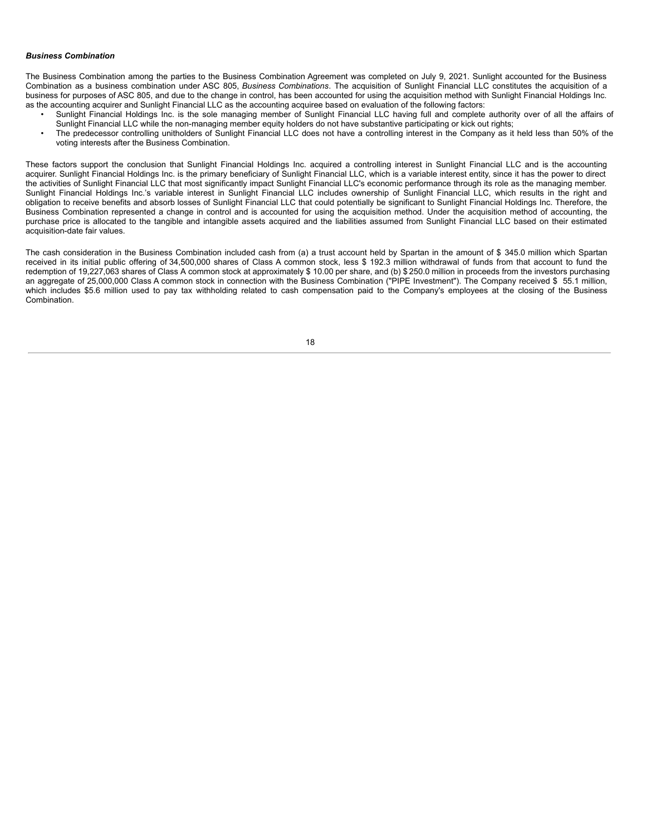#### *Business Combination*

The Business Combination among the parties to the Business Combination Agreement was completed on July 9, 2021. Sunlight accounted for the Business Combination as a business combination under ASC 805, *Business Combinations*. The acquisition of Sunlight Financial LLC constitutes the acquisition of a business for purposes of ASC 805, and due to the change in control, has been accounted for using the acquisition method with Sunlight Financial Holdings Inc. as the accounting acquirer and Sunlight Financial LLC as the accounting acquiree based on evaluation of the following factors:

- Sunlight Financial Holdings Inc. is the sole managing member of Sunlight Financial LLC having full and complete authority over of all the affairs of Sunlight Financial LLC while the non-managing member equity holders do not have substantive participating or kick out rights;
- The predecessor controlling unitholders of Sunlight Financial LLC does not have a controlling interest in the Company as it held less than 50% of the voting interests after the Business Combination.

These factors support the conclusion that Sunlight Financial Holdings Inc. acquired a controlling interest in Sunlight Financial LLC and is the accounting acquirer. Sunlight Financial Holdings Inc. is the primary beneficiary of Sunlight Financial LLC, which is a variable interest entity, since it has the power to direct the activities of Sunlight Financial LLC that most significantly impact Sunlight Financial LLC's economic performance through its role as the managing member. Sunlight Financial Holdings Inc.'s variable interest in Sunlight Financial LLC includes ownership of Sunlight Financial LLC, which results in the right and obligation to receive benefits and absorb losses of Sunlight Financial LLC that could potentially be significant to Sunlight Financial Holdings Inc. Therefore, the Business Combination represented a change in control and is accounted for using the acquisition method. Under the acquisition method of accounting, the purchase price is allocated to the tangible and intangible assets acquired and the liabilities assumed from Sunlight Financial LLC based on their estimated acquisition-date fair values.

The cash consideration in the Business Combination included cash from (a) a trust account held by Spartan in the amount of \$ 345.0 million which Spartan received in its initial public offering of 34,500,000 shares of Class A common stock, less \$ 192.3 million withdrawal of funds from that account to fund the redemption of 19,227,063 shares of Class A common stock at approximately \$ 10.00 per share, and (b) \$ 250.0 million in proceeds from the investors purchasing an aggregate of 25,000,000 Class A common stock in connection with the Business Combination ("PIPE Investment"). The Company received \$ 55.1 million, which includes \$5.6 million used to pay tax withholding related to cash compensation paid to the Company's employees at the closing of the Business Combination.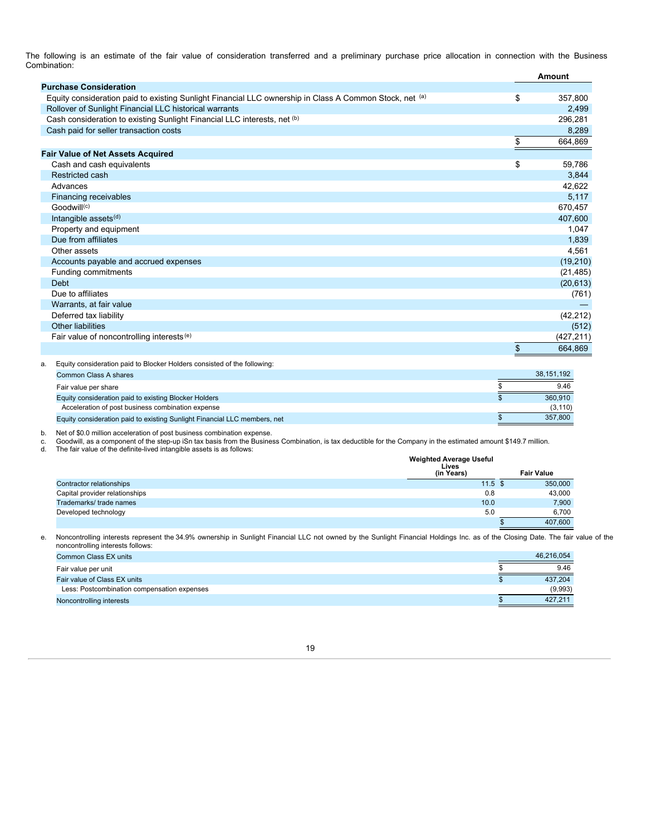The following is an estimate of the fair value of consideration transferred and a preliminary purchase price allocation in connection with the Business Combination:

|                                                                                                         | Amount        |
|---------------------------------------------------------------------------------------------------------|---------------|
| <b>Purchase Consideration</b>                                                                           |               |
| Equity consideration paid to existing Sunlight Financial LLC ownership in Class A Common Stock, net (a) | \$<br>357,800 |
| Rollover of Sunlight Financial LLC historical warrants                                                  | 2,499         |
| Cash consideration to existing Sunlight Financial LLC interests, net (b)                                | 296,281       |
| Cash paid for seller transaction costs                                                                  | 8,289         |
|                                                                                                         | \$<br>664,869 |
| <b>Fair Value of Net Assets Acquired</b>                                                                |               |
| Cash and cash equivalents                                                                               | \$<br>59,786  |
| Restricted cash                                                                                         | 3,844         |
| Advances                                                                                                | 42,622        |
| Financing receivables                                                                                   | 5,117         |
| Goodwill <sup>(c)</sup>                                                                                 | 670,457       |
| Intangible assets <sup>(d)</sup>                                                                        | 407,600       |
| Property and equipment                                                                                  | 1,047         |
| Due from affiliates                                                                                     | 1,839         |
| Other assets                                                                                            | 4,561         |
| Accounts payable and accrued expenses                                                                   | (19, 210)     |
| Funding commitments                                                                                     | (21, 485)     |
| <b>Debt</b>                                                                                             | (20, 613)     |
| Due to affiliates                                                                                       | (761)         |
| Warrants, at fair value                                                                                 |               |
| Deferred tax liability                                                                                  | (42, 212)     |
| <b>Other liabilities</b>                                                                                | (512)         |
| Fair value of noncontrolling interests <sup>(e)</sup>                                                   | (427, 211)    |
|                                                                                                         | \$<br>664.869 |

| а. | Equity consideration paid to Blocker Holders consisted of the following:  |            |
|----|---------------------------------------------------------------------------|------------|
|    | Common Class A shares                                                     | 38.151.192 |
|    | Fair value per share                                                      | 9.46       |
|    | Equity consideration paid to existing Blocker Holders                     | 360,910    |
|    | Acceleration of post business combination expense                         | (3, 110)   |
|    | Equity consideration paid to existing Sunlight Financial LLC members, net | 357,800    |

b. Net of \$0.0 million acceleration of post business combination expense.<br>c. Goodwill, as a component of the step-up iSn tax basis from the Business Combination, is tax deductible for the Company in the estimated amount \$1

d. The fair value of the definite-lived intangible assets is as follows:

|                                | <b>Weighted Average Useful</b><br>Lives |                   |
|--------------------------------|-----------------------------------------|-------------------|
|                                | (in Years)                              | <b>Fair Value</b> |
| Contractor relationships       | $11.5$ \$                               | 350,000           |
| Capital provider relationships | 0.8                                     | 43,000            |
| Trademarks/trade names         | 10.0                                    | 7,900             |
| Developed technology           | 5.0                                     | 6,700             |
|                                |                                         | 407,600           |

e. Noncontrolling interests represent the 34.9% ownership in Sunlight Financial LLC not owned by the Sunlight Financial Holdings Inc. as of the Closing Date. The fair value of the noncontrolling interests follows:

| Common Class EX units                       | 46.216.054 |
|---------------------------------------------|------------|
| Fair value per unit                         | 9.46       |
| Fair value of Class EX units                | 437.204    |
| Less: Postcombination compensation expenses | (9,993)    |
| Noncontrolling interests                    | 427.211    |

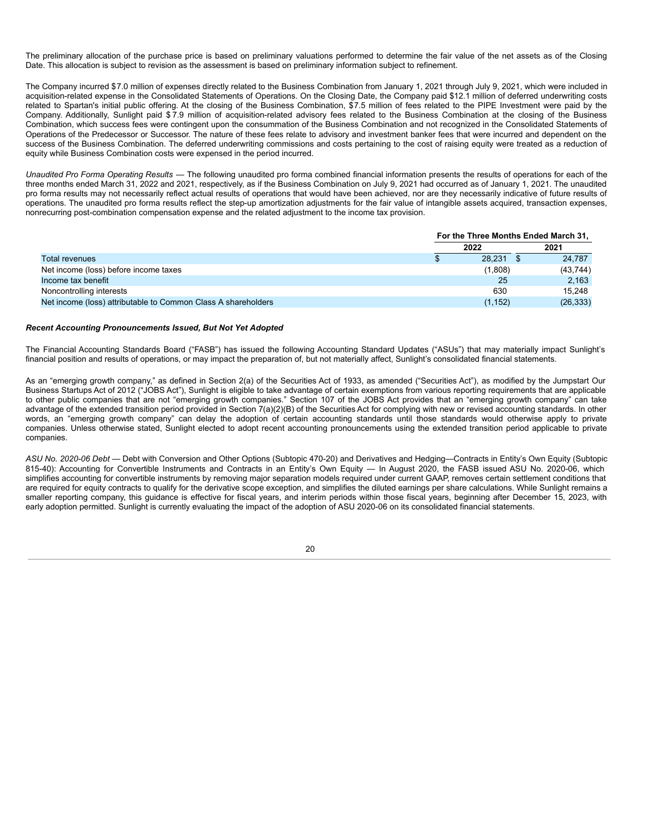The preliminary allocation of the purchase price is based on preliminary valuations performed to determine the fair value of the net assets as of the Closing Date. This allocation is subject to revision as the assessment is based on preliminary information subject to refinement.

The Company incurred \$7.0 million of expenses directly related to the Business Combination from January 1, 2021 through July 9, 2021, which were included in acquisition-related expense in the Consolidated Statements of Operations. On the Closing Date, the Company paid \$12.1 million of deferred underwriting costs related to Spartan's initial public offering. At the closing of the Business Combination, \$7.5 million of fees related to the PIPE Investment were paid by the Company. Additionally, Sunlight paid \$ 7.9 million of acquisition-related advisory fees related to the Business Combination at the closing of the Business Combination, which success fees were contingent upon the consummation of the Business Combination and not recognized in the Consolidated Statements of Operations of the Predecessor or Successor. The nature of these fees relate to advisory and investment banker fees that were incurred and dependent on the success of the Business Combination. The deferred underwriting commissions and costs pertaining to the cost of raising equity were treated as a reduction of equity while Business Combination costs were expensed in the period incurred.

*Unaudited Pro Forma Operating Results* — The following unaudited pro forma combined financial information presents the results of operations for each of the three months ended March 31, 2022 and 2021, respectively, as if the Business Combination on July 9, 2021 had occurred as of January 1, 2021. The unaudited pro forma results may not necessarily reflect actual results of operations that would have been achieved, nor are they necessarily indicative of future results of operations. The unaudited pro forma results reflect the step-up amortization adjustments for the fair value of intangible assets acquired, transaction expenses, nonrecurring post-combination compensation expense and the related adjustment to the income tax provision.

|                                                               | For the Three Months Ended March 31, |          |  |           |
|---------------------------------------------------------------|--------------------------------------|----------|--|-----------|
|                                                               |                                      | 2022     |  | 2021      |
| Total revenues                                                |                                      | 28.231   |  | 24.787    |
| Net income (loss) before income taxes                         |                                      | (1,808)  |  | (43, 744) |
| Income tax benefit                                            |                                      | 25       |  | 2.163     |
| Noncontrolling interests                                      |                                      | 630      |  | 15.248    |
| Net income (loss) attributable to Common Class A shareholders |                                      | (1, 152) |  | (26, 333) |

#### *Recent Accounting Pronouncements Issued, But Not Yet Adopted*

The Financial Accounting Standards Board ("FASB") has issued the following Accounting Standard Updates ("ASUs") that may materially impact Sunlight's financial position and results of operations, or may impact the preparation of, but not materially affect, Sunlight's consolidated financial statements.

As an "emerging growth company," as defined in Section 2(a) of the Securities Act of 1933, as amended ("Securities Act"), as modified by the Jumpstart Our Business Startups Act of 2012 ("JOBS Act"), Sunlight is eligible to take advantage of certain exemptions from various reporting requirements that are applicable to other public companies that are not "emerging growth companies." Section 107 of the JOBS Act provides that an "emerging growth company" can take advantage of the extended transition period provided in Section 7(a)(2)(B) of the Securities Act for complying with new or revised accounting standards. In other words, an "emerging growth company" can delay the adoption of certain accounting standards until those standards would otherwise apply to private companies. Unless otherwise stated, Sunlight elected to adopt recent accounting pronouncements using the extended transition period applicable to private companies.

*ASU No. 2020-06 Debt* — Debt with Conversion and Other Options (Subtopic 470-20) and Derivatives and Hedging—Contracts in Entity's Own Equity (Subtopic 815-40): Accounting for Convertible Instruments and Contracts in an Entity's Own Equity — In August 2020, the FASB issued ASU No. 2020-06, which simplifies accounting for convertible instruments by removing major separation models required under current GAAP, removes certain settlement conditions that are required for equity contracts to qualify for the derivative scope exception, and simplifies the diluted earnings per share calculations. While Sunlight remains a smaller reporting company, this guidance is effective for fiscal years, and interim periods within those fiscal years, beginning after December 15, 2023, with early adoption permitted. Sunlight is currently evaluating the impact of the adoption of ASU 2020-06 on its consolidated financial statements.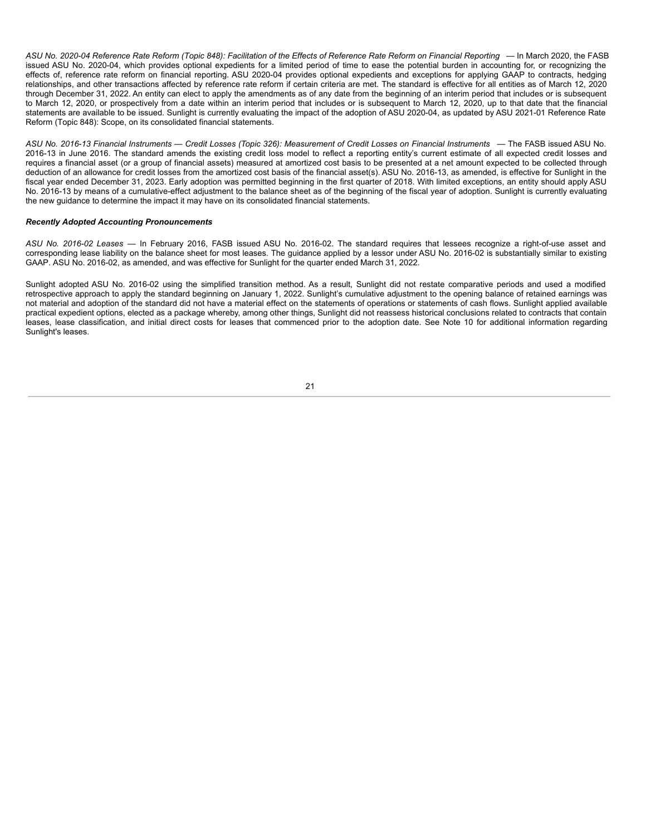ASU No. 2020-04 Reference Rate Reform (Topic 848): Facilitation of the Effects of Reference Rate Reform on Financial Reporting - In March 2020, the FASB issued ASU No. 2020-04, which provides optional expedients for a limited period of time to ease the potential burden in accounting for, or recognizing the effects of, reference rate reform on financial reporting. ASU 2020-04 provides optional expedients and exceptions for applying GAAP to contracts, hedging relationships, and other transactions affected by reference rate reform if certain criteria are met. The standard is effective for all entities as of March 12, 2020 through December 31, 2022. An entity can elect to apply the amendments as of any date from the beginning of an interim period that includes or is subsequent to March 12, 2020, or prospectively from a date within an interim period that includes or is subsequent to March 12, 2020, up to that date that the financial statements are available to be issued. Sunlight is currently evaluating the impact of the adoption of ASU 2020-04, as updated by ASU 2021-01 Reference Rate Reform (Topic 848): Scope, on its consolidated financial statements.

ASU No. 2016-13 Financial Instruments - Credit Losses (Topic 326): Measurement of Credit Losses on Financial Instruments - The FASB issued ASU No. 2016-13 in June 2016. The standard amends the existing credit loss model to reflect a reporting entity's current estimate of all expected credit losses and requires a financial asset (or a group of financial assets) measured at amortized cost basis to be presented at a net amount expected to be collected through deduction of an allowance for credit losses from the amortized cost basis of the financial asset(s). ASU No. 2016-13, as amended, is effective for Sunlight in the fiscal year ended December 31, 2023. Early adoption was permitted beginning in the first quarter of 2018. With limited exceptions, an entity should apply ASU No. 2016-13 by means of a cumulative-effect adjustment to the balance sheet as of the beginning of the fiscal year of adoption. Sunlight is currently evaluating the new guidance to determine the impact it may have on its consolidated financial statements.

## *Recently Adopted Accounting Pronouncements*

*ASU No. 2016-02 Leases* — In February 2016, FASB issued ASU No. 2016-02. The standard requires that lessees recognize a right-of-use asset and corresponding lease liability on the balance sheet for most leases. The guidance applied by a lessor under ASU No. 2016-02 is substantially similar to existing GAAP. ASU No. 2016-02, as amended, and was effective for Sunlight for the quarter ended March 31, 2022.

<span id="page-22-0"></span>Sunlight adopted ASU No. 2016-02 using the simplified transition method. As a result, Sunlight did not restate comparative periods and used a modified retrospective approach to apply the standard beginning on January 1, 2022. Sunlight's cumulative adjustment to the opening balance of retained earnings was not material and adoption of the standard did not have a material effect on the statements of operations or statements of cash flows. Sunlight applied available practical expedient options, elected as a package whereby, among other things, Sunlight did not reassess historical conclusions related to contracts that contain leases, lease classification, and initial direct costs for leases that commenced prior to the adoption date. See Note 10 for additional information regarding Sunlight's leases.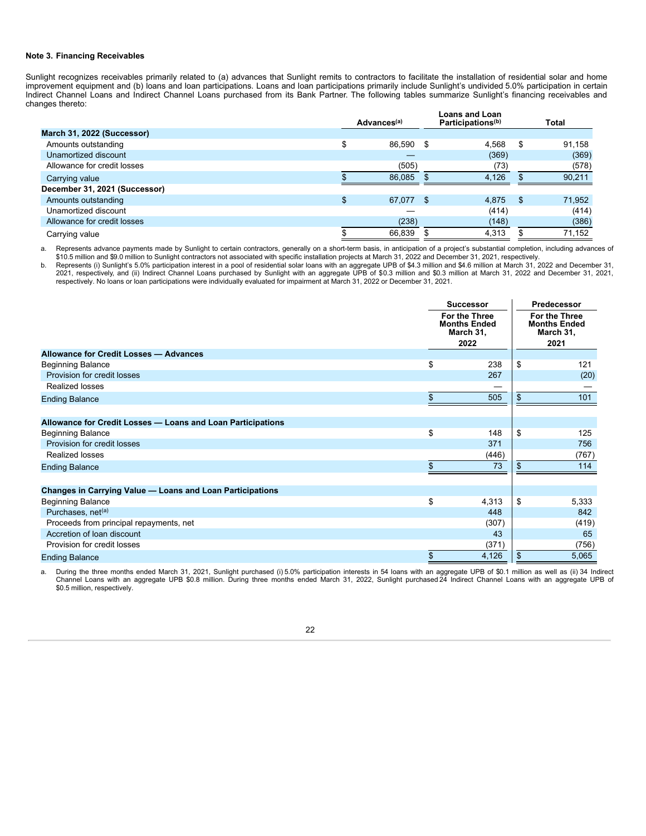## **Note 3. Financing Receivables**

Sunlight recognizes receivables primarily related to (a) advances that Sunlight remits to contractors to facilitate the installation of residential solar and home improvement equipment and (b) loans and loan participations. Loans and loan participations primarily include Sunlight's undivided 5.0% participation in certain Indirect Channel Loans and Indirect Channel Loans purchased from its Bank Partner. The following tables summarize Sunlight's financing receivables and changes thereto:

|                               |   | Advances <sup>(a)</sup> |     | <b>Loans and Loan</b><br>Participations <sup>(b)</sup> |      | Total  |  |
|-------------------------------|---|-------------------------|-----|--------------------------------------------------------|------|--------|--|
| March 31, 2022 (Successor)    |   |                         |     |                                                        |      |        |  |
| Amounts outstanding           | æ | 86,590                  | \$  | 4,568                                                  | - \$ | 91,158 |  |
| Unamortized discount          |   |                         |     | (369)                                                  |      | (369)  |  |
| Allowance for credit losses   |   | (505)                   |     | (73)                                                   |      | (578)  |  |
| Carrying value                |   | 86.085                  |     | 4.126                                                  |      | 90,211 |  |
| December 31, 2021 (Successor) |   |                         |     |                                                        |      |        |  |
| Amounts outstanding           |   | 67,077                  | -\$ | 4.875                                                  | -S   | 71,952 |  |
| Unamortized discount          |   |                         |     | (414)                                                  |      | (414)  |  |
| Allowance for credit losses   |   | (238)                   |     | (148)                                                  |      | (386)  |  |
| Carrying value                |   | 66.839                  |     | 4.313                                                  |      | 71.152 |  |

a. Represents advance payments made by Sunlight to certain contractors, generally on a short-term basis, in anticipation of a project's substantial completion, including advances of \$10.5 million and \$9.0 million to Sunlight contractors not associated with specific installation projects at March 31, 2022 and December 31, 2021, respectively.

b. Represents (i) Sunlight's 5.0% participation interest in a pool of residential solar loans with an aggregate UPB of \$4.3 million and \$4.6 million at March 31, 2022 and December 31, 2021, respectively, and (ii) Indirect Channel Loans purchased by Sunlight with an aggregate UPB of \$0.3 million and \$0.3 million at March 31, 2022 and December 31, 2021, respectively. No loans or loan participations were individually evaluated for impairment at March 31, 2022 or December 31, 2021.

|                                                             | <b>Successor</b>                                                 | Predecessor                                               |       |  |
|-------------------------------------------------------------|------------------------------------------------------------------|-----------------------------------------------------------|-------|--|
|                                                             | <b>For the Three</b><br><b>Months Ended</b><br>March 31,<br>2022 | For the Three<br><b>Months Ended</b><br>March 31,<br>2021 |       |  |
| Allowance for Credit Losses - Advances                      |                                                                  |                                                           |       |  |
| <b>Beginning Balance</b>                                    | \$<br>238                                                        | \$                                                        | 121   |  |
| Provision for credit losses                                 | 267                                                              |                                                           | (20)  |  |
| Realized losses                                             |                                                                  |                                                           |       |  |
| <b>Ending Balance</b>                                       | \$<br>505                                                        | \$                                                        | 101   |  |
| Allowance for Credit Losses - Loans and Loan Participations |                                                                  |                                                           |       |  |
| <b>Beginning Balance</b>                                    | \$<br>148                                                        | \$                                                        | 125   |  |
| Provision for credit losses                                 | 371                                                              |                                                           | 756   |  |
| Realized losses                                             | (446)                                                            |                                                           | (767) |  |
| <b>Ending Balance</b>                                       | \$<br>73                                                         |                                                           | 114   |  |
| Changes in Carrying Value - Loans and Loan Participations   |                                                                  |                                                           |       |  |
| <b>Beginning Balance</b>                                    | \$<br>4,313                                                      | \$                                                        | 5,333 |  |
| Purchases, net <sup>(a)</sup>                               | 448                                                              |                                                           | 842   |  |
| Proceeds from principal repayments, net                     | (307)                                                            |                                                           | (419) |  |
| Accretion of loan discount                                  | 43                                                               |                                                           | 65    |  |
| Provision for credit losses                                 | (371)                                                            |                                                           | (756) |  |
| <b>Ending Balance</b>                                       | \$<br>4,126                                                      | \$                                                        | 5,065 |  |

a. During the three months ended March 31, 2021, Sunlight purchased (i) 5.0% participation interests in 54 loans with an aggregate UPB of \$0.1 million as well as (ii) 34 Indirect Channel Loans with an aggregate UPB \$0.8 million. During three months ended March 31, 2022, Sunlight purchased 24 Indirect Channel Loans with an aggregate UPB of \$0.5 million, respectively.

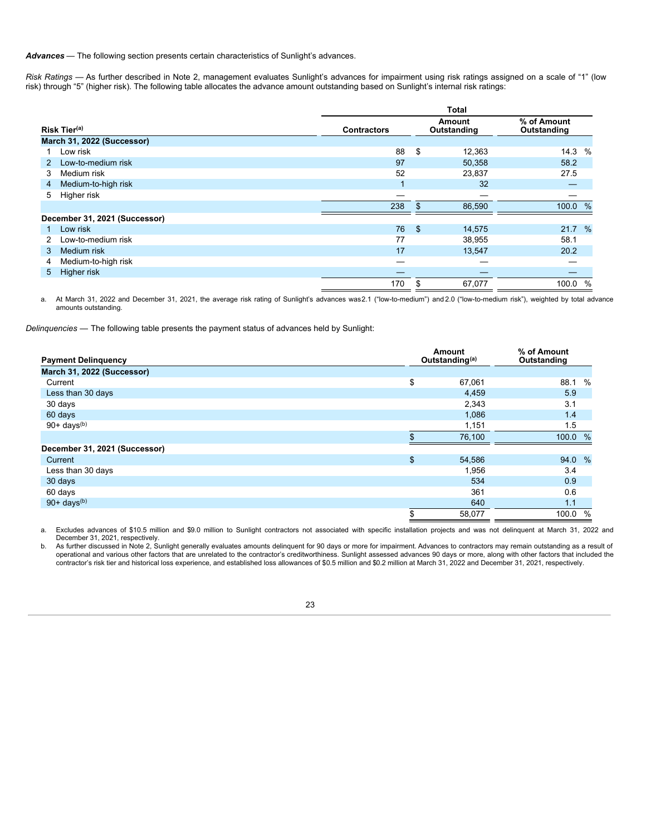*Advances* — The following section presents certain characteristics of Sunlight's advances.

*Risk Ratings* — As further described in Note 2, management evaluates Sunlight's advances for impairment using risk ratings assigned on a scale of "1" (low risk) through "5" (higher risk). The following table allocates the advance amount outstanding based on Sunlight's internal risk ratings:

|    |                               | <b>Total</b>                                |              |                            |         |      |  |
|----|-------------------------------|---------------------------------------------|--------------|----------------------------|---------|------|--|
|    | Risk Tier <sup>(a)</sup>      | Amount<br>Outstanding<br><b>Contractors</b> |              | % of Amount<br>Outstanding |         |      |  |
|    | March 31, 2022 (Successor)    |                                             |              |                            |         |      |  |
|    | Low risk                      | 88                                          | \$           | 12,363                     | 14.3    | $\%$ |  |
| 2  | Low-to-medium risk            | 97                                          |              | 50,358                     | 58.2    |      |  |
| 3  | Medium risk                   | 52                                          |              | 23,837                     | 27.5    |      |  |
| 4  | Medium-to-high risk           |                                             |              | 32                         |         |      |  |
| 5. | Higher risk                   |                                             |              |                            |         |      |  |
|    |                               | 238                                         | $\mathbf{f}$ | 86,590                     | 100.0 % |      |  |
|    | December 31, 2021 (Successor) |                                             |              |                            |         |      |  |
|    | Low risk                      | 76                                          | \$           | 14,575                     | 21.7 %  |      |  |
|    | Low-to-medium risk            | 77                                          |              | 38,955                     | 58.1    |      |  |
| 3. | Medium risk                   | 17                                          |              | 13,547                     | 20.2    |      |  |
| 4  | Medium-to-high risk           | –                                           |              |                            |         |      |  |
| 5  | Higher risk                   |                                             |              |                            |         |      |  |
|    |                               | 170                                         | \$           | 67,077                     | 100.0   | $\%$ |  |

a. At March 31, 2022 and December 31, 2021, the average risk rating of Sunlight's advances was2.1 ("low-to-medium") and 2.0 ("low-to-medium risk"), weighted by total advance amounts outstanding.

*Delinquencies* — The following table presents the payment status of advances held by Sunlight:

| <b>Payment Delinquency</b>    |    | Amount<br>Outstanding <sup>(a)</sup> | % of Amount<br>Outstanding |
|-------------------------------|----|--------------------------------------|----------------------------|
| March 31, 2022 (Successor)    |    |                                      |                            |
| Current                       | \$ | 67,061                               | 88.1<br>$\%$               |
| Less than 30 days             |    | 4,459                                | 5.9                        |
| 30 days                       |    | 2,343                                | 3.1                        |
| 60 days                       |    | 1,086                                | 1.4                        |
| $90+ days^{(b)}$              |    | 1,151                                | 1.5                        |
|                               |    | 76,100                               | 100.0 %                    |
| December 31, 2021 (Successor) |    |                                      |                            |
| Current                       | \$ | 54,586                               | 94.0 %                     |
| Less than 30 days             |    | 1,956                                | 3.4                        |
| 30 days                       |    | 534                                  | 0.9                        |
| 60 days                       |    | 361                                  | 0.6                        |
| $90+ days^{(b)}$              |    | 640                                  | 1.1                        |
|                               | \$ | 58,077                               | 100.0<br>$\%$              |

a. Excludes advances of \$10.5 million and \$9.0 million to Sunlight contractors not associated with specific installation projects and was not delinquent at March 31, 2022 and December 31, 2021, respectively.

b. As further discussed in Note 2, Sunlight generally evaluates amounts delinquent for 90 days or more for impairment. Advances to contractors may remain outstanding as a result of operational and various other factors that are unrelated to the contractor's creditworthiness. Sunlight assessed advances 90 days or more, along with other factors that included the contractor's risk tier and historical loss experience, and established loss allowances of \$0.5 million and \$0.2 million at March 31, 2022 and December 31, 2021, respectively.

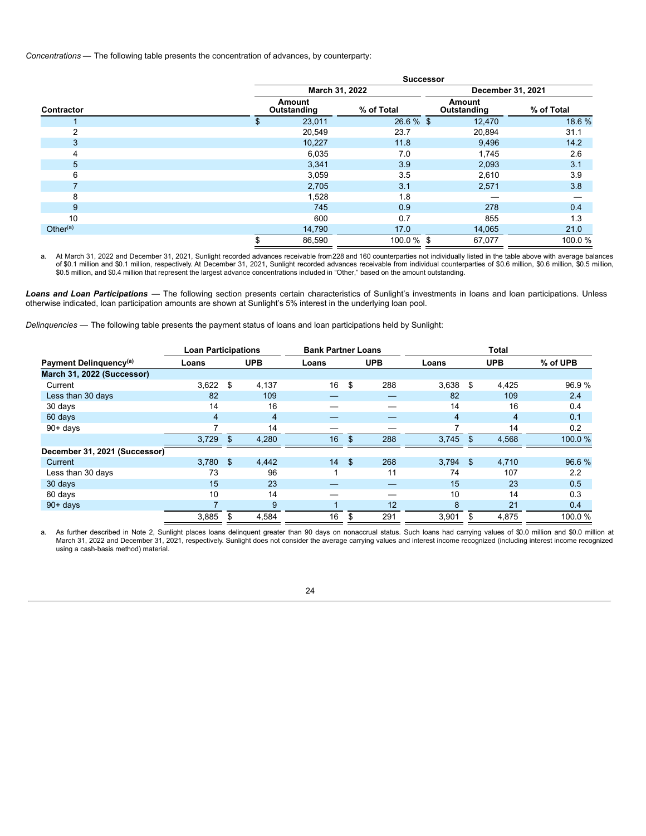*Concentrations* — The following table presents the concentration of advances, by counterparty:

|             | <b>Successor</b>      |               |                       |            |  |  |  |  |
|-------------|-----------------------|---------------|-----------------------|------------|--|--|--|--|
|             | March 31, 2022        |               | December 31, 2021     |            |  |  |  |  |
| Contractor  | Amount<br>Outstanding | % of Total    | Amount<br>Outstanding | % of Total |  |  |  |  |
|             | 23,011<br>æ           | $26.6\%$ \$   | 12,470                | 18.6%      |  |  |  |  |
| 2           | 20,549                | 23.7          | 20,894                | 31.1       |  |  |  |  |
| 3           | 10,227                | 11.8          | 9,496                 | 14.2       |  |  |  |  |
| 4           | 6,035                 | 7.0           | 1,745                 | 2.6        |  |  |  |  |
| 5           | 3,341                 | 3.9           | 2,093                 | 3.1        |  |  |  |  |
| 6           | 3,059                 | 3.5           | 2,610                 | 3.9        |  |  |  |  |
|             | 2,705                 | 3.1           | 2,571                 | 3.8        |  |  |  |  |
| 8           | 1,528                 | 1.8           |                       |            |  |  |  |  |
| 9           | 745                   | 0.9           | 278                   | 0.4        |  |  |  |  |
| 10          | 600                   | 0.7           | 855                   | 1.3        |  |  |  |  |
| Other $(a)$ | 14,790                | 17.0          | 14,065                | 21.0       |  |  |  |  |
|             | 86,590                | $100.0 \%$ \$ | 67,077                | 100.0%     |  |  |  |  |

a. At March 31, 2022 and December 31, 2021, Sunlight recorded advances receivable from228 and 160 counterparties not individually listed in the table above with average balances of \$0.1 million and \$0.1 million, respectively. At December 31, 2021, Sunlight recorded advances receivable from individual counterparties of \$0.6 million, \$0.6 million, \$0.5 million, \$0.5 million, and \$0.4 million that represent the largest advance concentrations included in "Other," based on the amount outstanding.

*Loans and Loan Participations* — The following section presents certain characteristics of Sunlight's investments in loans and loan participations. Unless otherwise indicated, loan participation amounts are shown at Sunlight's 5% interest in the underlying loan pool.

*Delinquencies* — The following table presents the payment status of loans and loan participations held by Sunlight:

|                                    | <b>Loan Participations</b> |     |                | <b>Bank Partner Loans</b> |                |            | <b>Total</b>   |    |            |          |  |
|------------------------------------|----------------------------|-----|----------------|---------------------------|----------------|------------|----------------|----|------------|----------|--|
| Payment Delinguency <sup>(a)</sup> | Loans                      |     | <b>UPB</b>     | Loans                     |                | <b>UPB</b> | Loans          |    | <b>UPB</b> | % of UPB |  |
| March 31, 2022 (Successor)         |                            |     |                |                           |                |            |                |    |            |          |  |
| Current                            | 3,622                      | \$  | 4,137          | 16                        | \$             | 288        | 3,638          | \$ | 4,425      | 96.9%    |  |
| Less than 30 days                  | 82                         |     | 109            |                           |                |            | 82             |    | 109        | 2.4      |  |
| 30 days                            | 14                         |     | 16             |                           |                |            | 14             |    | 16         | 0.4      |  |
| 60 days                            | $\overline{4}$             |     | $\overline{4}$ |                           |                |            | $\overline{4}$ |    | 4          | 0.1      |  |
| $90 + days$                        |                            |     | 14             |                           |                |            | 7              |    | 14         | 0.2      |  |
|                                    | 3,729                      | \$. | 4,280          | 16                        | $\mathfrak{L}$ | 288        | 3,745          |    | 4,568      | 100.0%   |  |
| December 31, 2021 (Successor)      |                            |     |                |                           |                |            |                |    |            |          |  |
| Current                            | 3,780                      | -\$ | 4.442          | 14                        | - \$           | 268        | $3,794$ \$     |    | 4,710      | 96.6 %   |  |
| Less than 30 days                  | 73                         |     | 96             |                           |                | 11         | 74             |    | 107        | 2.2      |  |
| 30 days                            | 15                         |     | 23             |                           |                |            | 15             |    | 23         | 0.5      |  |
| 60 days                            | 10                         |     | 14             |                           |                |            | 10             |    | 14         | 0.3      |  |
| $90 + days$                        |                            |     | 9              |                           |                | 12         | 8              |    | 21         | 0.4      |  |
|                                    | 3,885                      | \$  | 4,584          | 16                        | \$             | 291        | 3,901          | \$ | 4,875      | 100.0%   |  |

a. As further described in Note 2, Sunlight places loans delinquent greater than 90 days on nonaccrual status. Such loans had carrying values of \$0.0 million and \$0.0 million at March 31, 2022 and December 31, 2021, respectively. Sunlight does not consider the average carrying values and interest income recognized (including interest income recognized using a cash-basis method) material.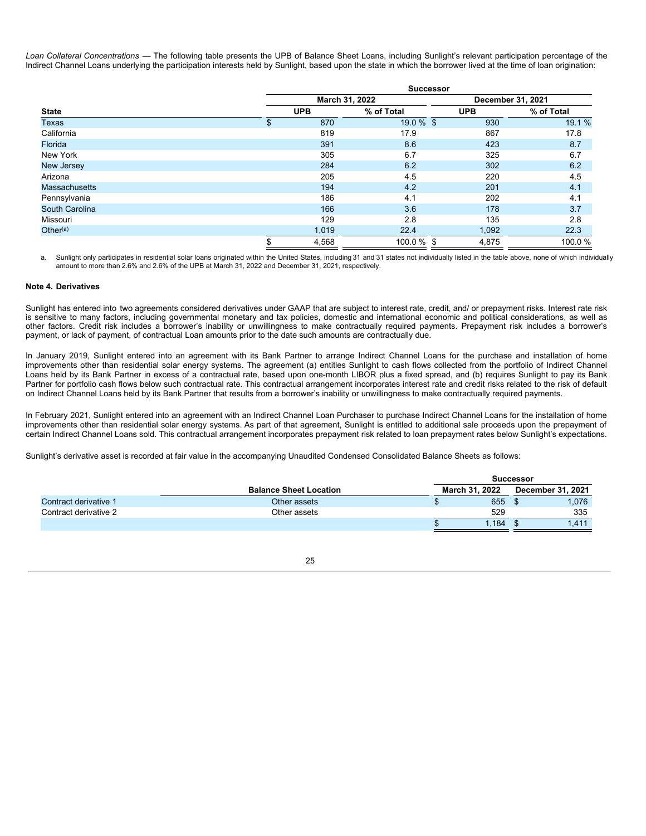*Loan Collateral Concentrations* — The following table presents the UPB of Balance Sheet Loans, including Sunlight's relevant participation percentage of the Indirect Channel Loans underlying the participation interests held by Sunlight, based upon the state in which the borrower lived at the time of loan origination:

|                      | <b>Successor</b> |                |            |                   |  |  |  |  |
|----------------------|------------------|----------------|------------|-------------------|--|--|--|--|
|                      |                  | March 31, 2022 |            | December 31, 2021 |  |  |  |  |
| <b>State</b>         | <b>UPB</b>       | % of Total     | <b>UPB</b> | % of Total        |  |  |  |  |
| <b>Texas</b>         | \$<br>870        | $19.0 \%$ \$   | 930        | 19.1 %            |  |  |  |  |
| California           | 819              | 17.9           | 867        | 17.8              |  |  |  |  |
| Florida              | 391              | 8.6            | 423        | 8.7               |  |  |  |  |
| New York             | 305              | 6.7            | 325        | 6.7               |  |  |  |  |
| <b>New Jersey</b>    | 284              | 6.2            | 302        | 6.2               |  |  |  |  |
| Arizona              | 205              | 4.5            | 220        | 4.5               |  |  |  |  |
| <b>Massachusetts</b> | 194              | 4.2            | 201        | 4.1               |  |  |  |  |
| Pennsylvania         | 186              | 4.1            | 202        | 4.1               |  |  |  |  |
| South Carolina       | 166              | 3.6            | 178        | 3.7               |  |  |  |  |
| Missouri             | 129              | 2.8            | 135        | 2.8               |  |  |  |  |
| Other $(a)$          | 1,019            | 22.4           | 1,092      | 22.3              |  |  |  |  |
|                      | \$<br>4,568      | $100.0 \%$ \$  | 4,875      | 100.0%            |  |  |  |  |

a. Sunlight only participates in residential solar loans originated within the United States, including 31 and 31 states not individually listed in the table above, none of which individually amount to more than 2.6% and 2.6% of the UPB at March 31, 2022 and December 31, 2021, respectively.

### <span id="page-26-0"></span>**Note 4. Derivatives**

Sunlight has entered into two agreements considered derivatives under GAAP that are subject to interest rate, credit, and/ or prepayment risks. Interest rate risk is sensitive to many factors, including governmental monetary and tax policies, domestic and international economic and political considerations, as well as other factors. Credit risk includes a borrower's inability or unwillingness to make contractually required payments. Prepayment risk includes a borrower's payment, or lack of payment, of contractual Loan amounts prior to the date such amounts are contractually due.

In January 2019, Sunlight entered into an agreement with its Bank Partner to arrange Indirect Channel Loans for the purchase and installation of home improvements other than residential solar energy systems. The agreement (a) entitles Sunlight to cash flows collected from the portfolio of Indirect Channel Loans held by its Bank Partner in excess of a contractual rate, based upon one-month LIBOR plus a fixed spread, and (b) requires Sunlight to pay its Bank Partner for portfolio cash flows below such contractual rate. This contractual arrangement incorporates interest rate and credit risks related to the risk of default on Indirect Channel Loans held by its Bank Partner that results from a borrower's inability or unwillingness to make contractually required payments.

In February 2021, Sunlight entered into an agreement with an Indirect Channel Loan Purchaser to purchase Indirect Channel Loans for the installation of home improvements other than residential solar energy systems. As part of that agreement, Sunlight is entitled to additional sale proceeds upon the prepayment of certain Indirect Channel Loans sold. This contractual arrangement incorporates prepayment risk related to loan prepayment rates below Sunlight's expectations.

Sunlight's derivative asset is recorded at fair value in the accompanying Unaudited Condensed Consolidated Balance Sheets as follows:

|                       |                               | Successor             |       |  |                   |
|-----------------------|-------------------------------|-----------------------|-------|--|-------------------|
|                       | <b>Balance Sheet Location</b> | <b>March 31, 2022</b> |       |  | December 31, 2021 |
| Contract derivative 1 | Other assets                  |                       | 655   |  | 1.076             |
| Contract derivative 2 | Other assets                  |                       | 529   |  | 335               |
|                       |                               |                       | 1.184 |  | .411              |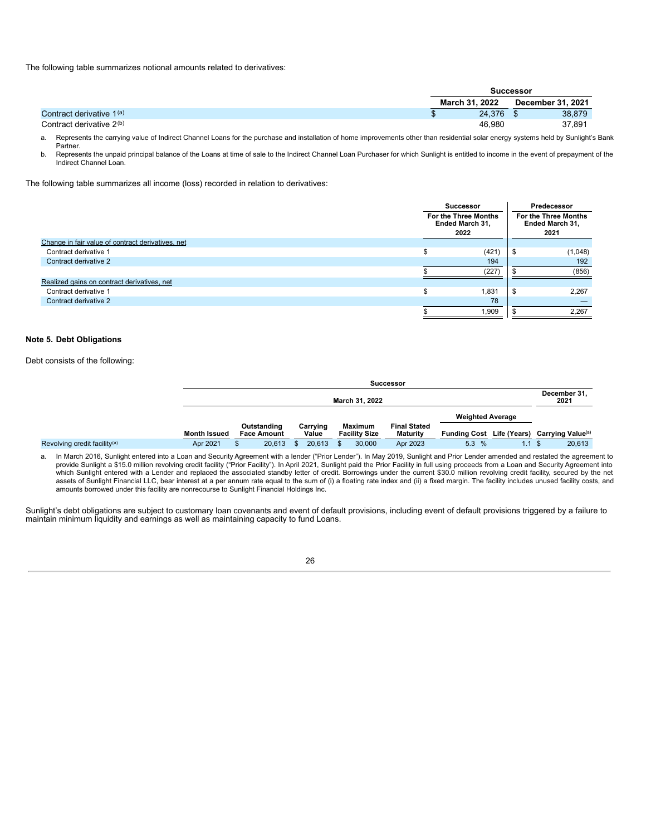The following table summarizes notional amounts related to derivatives:

|                                      | Successor      |        |  |                          |
|--------------------------------------|----------------|--------|--|--------------------------|
|                                      | March 31, 2022 |        |  | <b>December 31, 2021</b> |
| Contract derivative 1 <sup>(a)</sup> |                | 24.376 |  | 38,879                   |
| Contract derivative 2 <sup>(b)</sup> |                | 46.980 |  | 37,891                   |

a. Represents the carrying value of Indirect Channel Loans for the purchase and installation of home improvements other than residential solar energy systems held by Sunlight's Bank Partner.

b. Represents the unpaid principal balance of the Loans at time of sale to the Indirect Channel Loan Purchaser for which Sunlight is entitled to income in the event of prepayment of the Indirect Channel Loan.

The following table summarizes all income (loss) recorded in relation to derivatives:

|                                                   |   | <b>Successor</b>                                |                                                 | Predecessor |  |
|---------------------------------------------------|---|-------------------------------------------------|-------------------------------------------------|-------------|--|
|                                                   |   | For the Three Months<br>Ended March 31,<br>2022 | For the Three Months<br>Ended March 31,<br>2021 |             |  |
| Change in fair value of contract derivatives, net |   |                                                 |                                                 |             |  |
| Contract derivative 1                             | S | (421)                                           | S                                               | (1,048)     |  |
| Contract derivative 2                             |   | 194                                             |                                                 | 192         |  |
|                                                   |   | (227)                                           |                                                 | (856)       |  |
| Realized gains on contract derivatives, net       |   |                                                 |                                                 |             |  |
| Contract derivative 1                             | œ | 1.831                                           | \$                                              | 2.267       |  |
| Contract derivative 2                             |   | 78                                              |                                                 |             |  |
|                                                   |   | 1,909                                           |                                                 | 2.267       |  |

#### <span id="page-27-0"></span>**Note 5. Debt Obligations**

Debt consists of the following:

|                                          |                     |                                   |                   |                                 | <b>Successor</b>                       |                                  |                      |
|------------------------------------------|---------------------|-----------------------------------|-------------------|---------------------------------|----------------------------------------|----------------------------------|----------------------|
|                                          |                     |                                   |                   | March 31, 2022                  |                                        |                                  | December 31,<br>2021 |
|                                          |                     |                                   |                   |                                 |                                        | <b>Weighted Average</b>          |                      |
|                                          | <b>Month Issued</b> | Outstanding<br><b>Face Amount</b> | Carrying<br>Value | Maximum<br><b>Facility Size</b> | <b>Final Stated</b><br><b>Maturity</b> | <b>Funding Cost Life (Years)</b> | Carrving Value(a)    |
| Revolving credit facility <sup>(a)</sup> | Apr 2021            | 20.613                            | 20.613            | 30,000                          | Apr 2023                               | 5.3%                             | 20.613               |

a. In March 2016, Sunlight entered into a Loan and Security Agreement with a lender ("Prior Lender"). In May 2019, Sunlight and Prior Lender amended and restated the agreement to provide Sunlight a \$15.0 million revolving credit facility ("Prior Facility"). In April 2021, Sunlight paid the Prior Facility in full using proceeds from a Loan and Security Agreement into<br>which Sunlight entered with a Le assets of Sunlight Financial LLC, bear interest at a per annum rate equal to the sum of (i) a floating rate index and (ii) a fixed margin. The facility includes unused facility costs, and amounts borrowed under this facility are nonrecourse to Sunlight Financial Holdings Inc.

Sunlight's debt obligations are subject to customary loan covenants and event of default provisions, including event of default provisions triggered by a failure to maintain minimum liquidity and earnings as well as maintaining capacity to fund Loans.

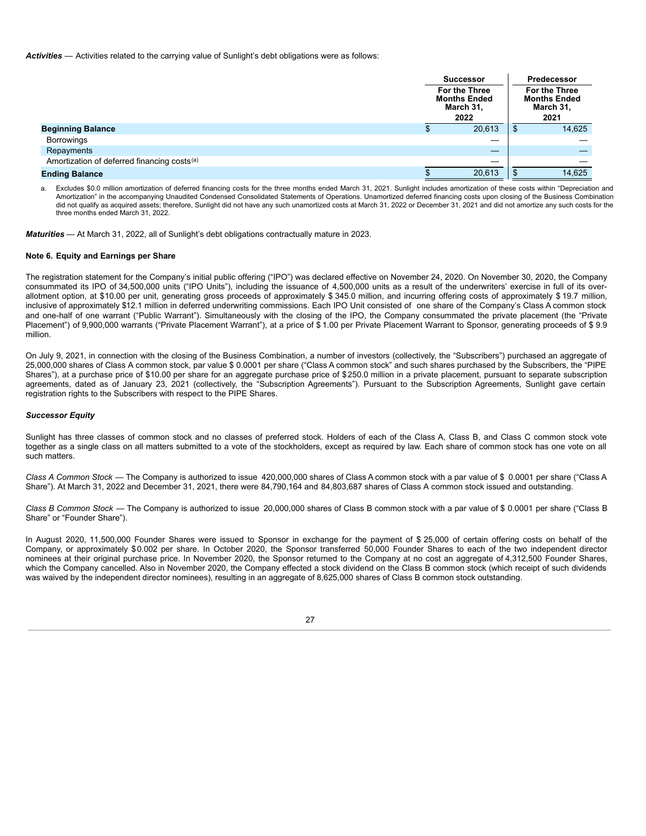*Activities* — Activities related to the carrying value of Sunlight's debt obligations were as follows:

|                                                         |                                                           | <b>Successor</b> | Predecessor                                               |        |  |
|---------------------------------------------------------|-----------------------------------------------------------|------------------|-----------------------------------------------------------|--------|--|
|                                                         | For the Three<br><b>Months Ended</b><br>March 31,<br>2022 |                  | For the Three<br><b>Months Ended</b><br>March 31,<br>2021 |        |  |
| <b>Beginning Balance</b>                                | D                                                         | 20,613           | \$                                                        | 14,625 |  |
| <b>Borrowings</b>                                       |                                                           | —                |                                                           |        |  |
| Repayments                                              |                                                           |                  |                                                           |        |  |
| Amortization of deferred financing costs <sup>(a)</sup> |                                                           | __               |                                                           |        |  |
| <b>Ending Balance</b>                                   |                                                           | 20,613           | \$                                                        | 14,625 |  |

a. Excludes \$0.0 million amortization of deferred financing costs for the three months ended March 31, 2021. Sunlight includes amortization of these costs within "Depreciation and Amortization" in the accompanying Unaudited Condensed Consolidated Statements of Operations. Unamortized deferred financing costs upon closing of the Business Combination did not qualify as acquired assets; therefore, Sunlight did not have any such unamortized costs at March 31, 2022 or December 31, 2021 and did not amortize any such costs for the three months ended March 31, 2022.

*Maturities* — At March 31, 2022, all of Sunlight's debt obligations contractually mature in 2023.

#### <span id="page-28-0"></span>**Note 6. Equity and Earnings per Share**

The registration statement for the Company's initial public offering ("IPO") was declared effective on November 24, 2020. On November 30, 2020, the Company consummated its IPO of 34,500,000 units ("IPO Units"), including the issuance of 4,500,000 units as a result of the underwriters' exercise in full of its overallotment option, at \$10.00 per unit, generating gross proceeds of approximately \$ 345.0 million, and incurring offering costs of approximately \$ 19.7 million, inclusive of approximately \$12.1 million in deferred underwriting commissions. Each IPO Unit consisted of one share of the Company's Class A common stock and one-half of one warrant ("Public Warrant"). Simultaneously with the closing of the IPO, the Company consummated the private placement (the "Private Placement") of 9,900,000 warrants ("Private Placement Warrant"), at a price of \$1.00 per Private Placement Warrant to Sponsor, generating proceeds of \$9.9 million.

On July 9, 2021, in connection with the closing of the Business Combination, a number of investors (collectively, the "Subscribers") purchased an aggregate of 25,000,000 shares of Class A common stock, par value \$ 0.0001 per share ("Class A common stock" and such shares purchased by the Subscribers, the "PIPE Shares"), at a purchase price of \$10.00 per share for an aggregate purchase price of \$250.0 million in a private placement, pursuant to separate subscription agreements, dated as of January 23, 2021 (collectively, the "Subscription Agreements"). Pursuant to the Subscription Agreements, Sunlight gave certain registration rights to the Subscribers with respect to the PIPE Shares.

#### *Successor Equity*

Sunlight has three classes of common stock and no classes of preferred stock. Holders of each of the Class A, Class B, and Class C common stock vote together as a single class on all matters submitted to a vote of the stockholders, except as required by law. Each share of common stock has one vote on all such matters.

*Class A Common Stock* — The Company is authorized to issue 420,000,000 shares of Class A common stock with a par value of \$ 0.0001 per share ("Class A Share"). At March 31, 2022 and December 31, 2021, there were 84,790,164 and 84,803,687 shares of Class A common stock issued and outstanding.

*Class B Common Stock* — The Company is authorized to issue 20,000,000 shares of Class B common stock with a par value of \$ 0.0001 per share ("Class B Share" or "Founder Share").

In August 2020, 11,500,000 Founder Shares were issued to Sponsor in exchange for the payment of \$ 25,000 of certain offering costs on behalf of the Company, or approximately \$0.002 per share. In October 2020, the Sponsor transferred 50,000 Founder Shares to each of the two independent director nominees at their original purchase price. In November 2020, the Sponsor returned to the Company at no cost an aggregate of 4,312,500 Founder Shares, which the Company cancelled. Also in November 2020, the Company effected a stock dividend on the Class B common stock (which receipt of such dividends was waived by the independent director nominees), resulting in an aggregate of 8,625,000 shares of Class B common stock outstanding.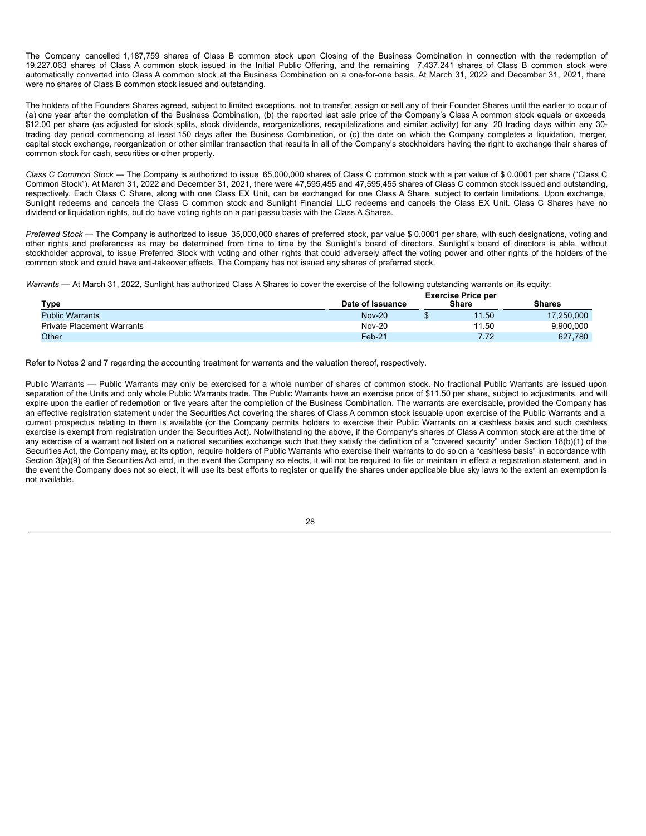The Company cancelled 1,187,759 shares of Class B common stock upon Closing of the Business Combination in connection with the redemption of 19,227,063 shares of Class A common stock issued in the Initial Public Offering, and the remaining 7,437,241 shares of Class B common stock were automatically converted into Class A common stock at the Business Combination on a one-for-one basis. At March 31, 2022 and December 31, 2021, there were no shares of Class B common stock issued and outstanding.

The holders of the Founders Shares agreed, subject to limited exceptions, not to transfer, assign or sell any of their Founder Shares until the earlier to occur of (a) one year after the completion of the Business Combination, (b) the reported last sale price of the Company's Class A common stock equals or exceeds \$12.00 per share (as adjusted for stock splits, stock dividends, reorganizations, recapitalizations and similar activity) for any 20 trading days within any 30trading day period commencing at least 150 days after the Business Combination, or (c) the date on which the Company completes a liquidation, merger, capital stock exchange, reorganization or other similar transaction that results in all of the Company's stockholders having the right to exchange their shares of common stock for cash, securities or other property.

*Class C Common Stock* — The Company is authorized to issue 65,000,000 shares of Class C common stock with a par value of \$ 0.0001 per share ("Class C Common Stock"). At March 31, 2022 and December 31, 2021, there were 47,595,455 and 47,595,455 shares of Class C common stock issued and outstanding, respectively. Each Class C Share, along with one Class EX Unit, can be exchanged for one Class A Share, subject to certain limitations. Upon exchange, Sunlight redeems and cancels the Class C common stock and Sunlight Financial LLC redeems and cancels the Class EX Unit. Class C Shares have no dividend or liquidation rights, but do have voting rights on a pari passu basis with the Class A Shares.

*Preferred Stock* — The Company is authorized to issue 35,000,000 shares of preferred stock, par value \$ 0.0001 per share, with such designations, voting and other rights and preferences as may be determined from time to time by the Sunlight's board of directors. Sunlight's board of directors is able, without stockholder approval, to issue Preferred Stock with voting and other rights that could adversely affect the voting power and other rights of the holders of the common stock and could have anti-takeover effects. The Company has not issued any shares of preferred stock.

*Warrants* — At March 31, 2022, Sunlight has authorized Class A Shares to cover the exercise of the following outstanding warrants on its equity:

|                                   | <b>Exercise Price per</b> |  |              |               |  |  |
|-----------------------------------|---------------------------|--|--------------|---------------|--|--|
| Type                              | Date of Issuance          |  | <b>Share</b> | <b>Shares</b> |  |  |
| <b>Public Warrants</b>            | <b>Nov-20</b>             |  | 11.50        | 17,250,000    |  |  |
| <b>Private Placement Warrants</b> | <b>Nov-20</b>             |  | 11.50        | 9.900.000     |  |  |
| Other                             | $Feb-21$                  |  | 7.72         | 627.780       |  |  |

Refer to Notes 2 and 7 regarding the accounting treatment for warrants and the valuation thereof, respectively.

Public Warrants - Public Warrants may only be exercised for a whole number of shares of common stock. No fractional Public Warrants are issued upon separation of the Units and only whole Public Warrants trade. The Public Warrants have an exercise price of \$11.50 per share, subject to adjustments, and will expire upon the earlier of redemption or five years after the completion of the Business Combination. The warrants are exercisable, provided the Company has an effective registration statement under the Securities Act covering the shares of Class A common stock issuable upon exercise of the Public Warrants and a current prospectus relating to them is available (or the Company permits holders to exercise their Public Warrants on a cashless basis and such cashless exercise is exempt from registration under the Securities Act). Notwithstanding the above, if the Company's shares of Class A common stock are at the time of any exercise of a warrant not listed on a national securities exchange such that they satisfy the definition of a "covered security" under Section 18(b)(1) of the Securities Act, the Company may, at its option, require holders of Public Warrants who exercise their warrants to do so on a "cashless basis" in accordance with Section 3(a)(9) of the Securities Act and, in the event the Company so elects, it will not be required to file or maintain in effect a registration statement, and in the event the Company does not so elect, it will use its best efforts to register or qualify the shares under applicable blue sky laws to the extent an exemption is not available.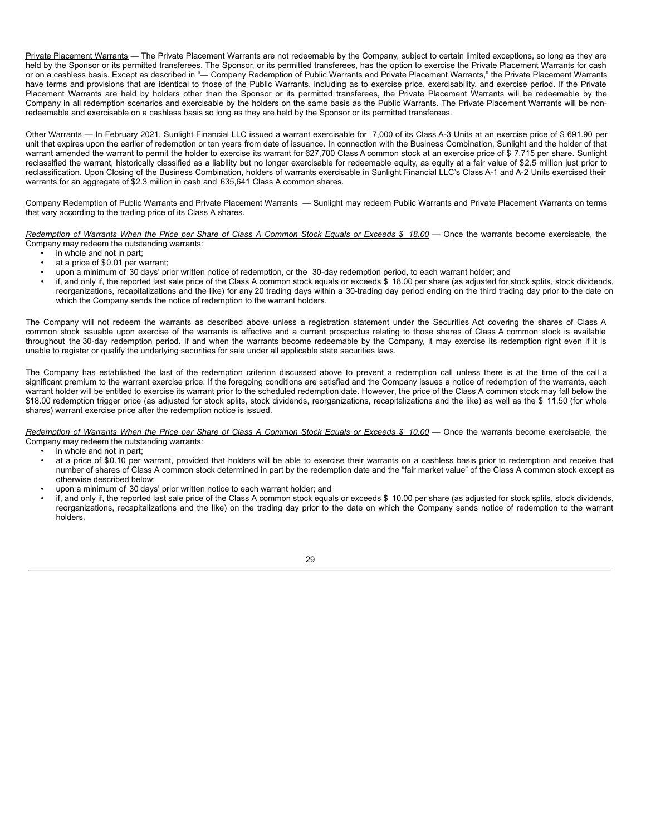Private Placement Warrants — The Private Placement Warrants are not redeemable by the Company, subject to certain limited exceptions, so long as they are held by the Sponsor or its permitted transferees. The Sponsor, or its permitted transferees, has the option to exercise the Private Placement Warrants for cash or on a cashless basis. Except as described in "- Company Redemption of Public Warrants and Private Placement Warrants," the Private Placement Warrants have terms and provisions that are identical to those of the Public Warrants, including as to exercise price, exercisability, and exercise period. If the Private Placement Warrants are held by holders other than the Sponsor or its permitted transferees, the Private Placement Warrants will be redeemable by the Company in all redemption scenarios and exercisable by the holders on the same basis as the Public Warrants. The Private Placement Warrants will be nonredeemable and exercisable on a cashless basis so long as they are held by the Sponsor or its permitted transferees.

Other Warrants — In February 2021, Sunlight Financial LLC issued a warrant exercisable for 7,000 of its Class A-3 Units at an exercise price of \$ 691.90 per unit that expires upon the earlier of redemption or ten years from date of issuance. In connection with the Business Combination, Sunlight and the holder of that warrant amended the warrant to permit the holder to exercise its warrant for 627,700 Class A common stock at an exercise price of \$ 7.715 per share. Sunlight reclassified the warrant, historically classified as a liability but no longer exercisable for redeemable equity, as equity at a fair value of \$2.5 million just prior to reclassification. Upon Closing of the Business Combination, holders of warrants exercisable in Sunlight Financial LLC's Class A-1 and A-2 Units exercised their warrants for an aggregate of \$2.3 million in cash and 635,641 Class A common shares.

Company Redemption of Public Warrants and Private Placement Warrants — Sunlight may redeem Public Warrants and Private Placement Warrants on terms that vary according to the trading price of its Class A shares.

Redemption of Warrants When the Price per Share of Class A Common Stock Equals or Exceeds \$ 18.00 - Once the warrants become exercisable, the Company may redeem the outstanding warrants:

- in whole and not in part;
- at a price of \$0.01 per warrant;
- upon a minimum of 30 days' prior written notice of redemption, or the 30-day redemption period, to each warrant holder; and
- if, and only if, the reported last sale price of the Class A common stock equals or exceeds \$ 18.00 per share (as adjusted for stock splits, stock dividends, reorganizations, recapitalizations and the like) for any 20 trading days within a 30-trading day period ending on the third trading day prior to the date on which the Company sends the notice of redemption to the warrant holders.

The Company will not redeem the warrants as described above unless a registration statement under the Securities Act covering the shares of Class A common stock issuable upon exercise of the warrants is effective and a current prospectus relating to those shares of Class A common stock is available throughout the 30-day redemption period. If and when the warrants become redeemable by the Company, it may exercise its redemption right even if it is unable to register or qualify the underlying securities for sale under all applicable state securities laws.

The Company has established the last of the redemption criterion discussed above to prevent a redemption call unless there is at the time of the call a significant premium to the warrant exercise price. If the foregoing conditions are satisfied and the Company issues a notice of redemption of the warrants, each warrant holder will be entitled to exercise its warrant prior to the scheduled redemption date. However, the price of the Class A common stock may fall below the \$18.00 redemption trigger price (as adjusted for stock splits, stock dividends, reorganizations, recapitalizations and the like) as well as the \$ 11.50 (for whole shares) warrant exercise price after the redemption notice is issued.

Redemption of Warrants When the Price per Share of Class A Common Stock Equals or Exceeds \$ 10.00 - Once the warrants become exercisable, the Company may redeem the outstanding warrants:

- in whole and not in part;
- at a price of \$0.10 per warrant, provided that holders will be able to exercise their warrants on a cashless basis prior to redemption and receive that number of shares of Class A common stock determined in part by the redemption date and the "fair market value" of the Class A common stock except as otherwise described below;
- upon a minimum of 30 days' prior written notice to each warrant holder; and
- if, and only if, the reported last sale price of the Class A common stock equals or exceeds \$ 10.00 per share (as adjusted for stock splits, stock dividends, reorganizations, recapitalizations and the like) on the trading day prior to the date on which the Company sends notice of redemption to the warrant holders.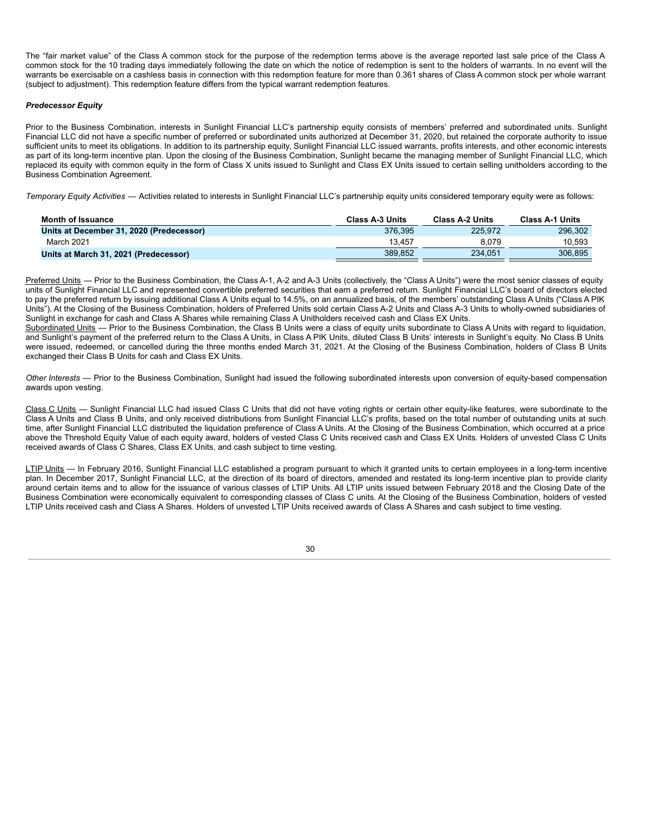The "fair market value" of the Class A common stock for the purpose of the redemption terms above is the average reported last sale price of the Class A common stock for the 10 trading days immediately following the date on which the notice of redemption is sent to the holders of warrants. In no event will the warrants be exercisable on a cashless basis in connection with this redemption feature for more than 0.361 shares of Class A common stock per whole warrant (subject to adjustment). This redemption feature differs from the typical warrant redemption features.

## *Predecessor Equity*

Prior to the Business Combination, interests in Sunlight Financial LLC's partnership equity consists of members' preferred and subordinated units. Sunlight Financial LLC did not have a specific number of preferred or subordinated units authorized at December 31, 2020, but retained the corporate authority to issue sufficient units to meet its obligations. In addition to its partnership equity, Sunlight Financial LLC issued warrants, profits interests, and other economic interests as part of its long-term incentive plan. Upon the closing of the Business Combination, Sunlight became the managing member of Sunlight Financial LLC, which replaced its equity with common equity in the form of Class X units issued to Sunlight and Class EX Units issued to certain selling unitholders according to the Business Combination Agreement.

*Temporary Equity Activities* — Activities related to interests in Sunlight Financial LLC's partnership equity units considered temporary equity were as follows:

| Month of Issuance                        | <b>Class A-3 Units</b> | <b>Class A-2 Units</b> | <b>Class A-1 Units</b> |
|------------------------------------------|------------------------|------------------------|------------------------|
| Units at December 31, 2020 (Predecessor) | 376.395                | 225.972                | 296.302                |
| March 2021                               | 13.457                 | 8.079                  | 10.593                 |
| Units at March 31, 2021 (Predecessor)    | 389.852                | 234.051                | 306,895                |

Preferred Units — Prior to the Business Combination, the Class A-1, A-2 and A-3 Units (collectively, the "Class A Units") were the most senior classes of equity units of Sunlight Financial LLC and represented convertible preferred securities that earn a preferred return. Sunlight Financial LLC's board of directors elected to pay the preferred return by issuing additional Class A Units equal to 14.5%, on an annualized basis, of the members' outstanding Class A Units ("Class A PIK Units"). At the Closing of the Business Combination, holders of Preferred Units sold certain Class A-2 Units and Class A-3 Units to wholly-owned subsidiaries of Sunlight in exchange for cash and Class A Shares while remaining Class A Unitholders received cash and Class EX Units.

Subordinated Units — Prior to the Business Combination, the Class B Units were a class of equity units subordinate to Class A Units with regard to liquidation, and Sunlight's payment of the preferred return to the Class A Units, in Class A PIK Units, diluted Class B Units' interests in Sunlight's equity. No Class B Units were issued, redeemed, or cancelled during the three months ended March 31, 2021. At the Closing of the Business Combination, holders of Class B Units exchanged their Class B Units for cash and Class EX Units.

*Other Interests* — Prior to the Business Combination, Sunlight had issued the following subordinated interests upon conversion of equity-based compensation awards upon vesting.

Class C Units - Sunlight Financial LLC had issued Class C Units that did not have voting rights or certain other equity-like features, were subordinate to the Class A Units and Class B Units, and only received distributions from Sunlight Financial LLC's profits, based on the total number of outstanding units at such time, after Sunlight Financial LLC distributed the liquidation preference of Class A Units. At the Closing of the Business Combination, which occurred at a price above the Threshold Equity Value of each equity award, holders of vested Class C Units received cash and Class EX Units. Holders of unvested Class C Units received awards of Class C Shares, Class EX Units, and cash subject to time vesting.

LTIP Units - In February 2016, Sunlight Financial LLC established a program pursuant to which it granted units to certain employees in a long-term incentive plan. In December 2017, Sunlight Financial LLC, at the direction of its board of directors, amended and restated its long-term incentive plan to provide clarity around certain items and to allow for the issuance of various classes of LTIP Units. All LTIP units issued between February 2018 and the Closing Date of the Business Combination were economically equivalent to corresponding classes of Class C units. At the Closing of the Business Combination, holders of vested LTIP Units received cash and Class A Shares. Holders of unvested LTIP Units received awards of Class A Shares and cash subject to time vesting.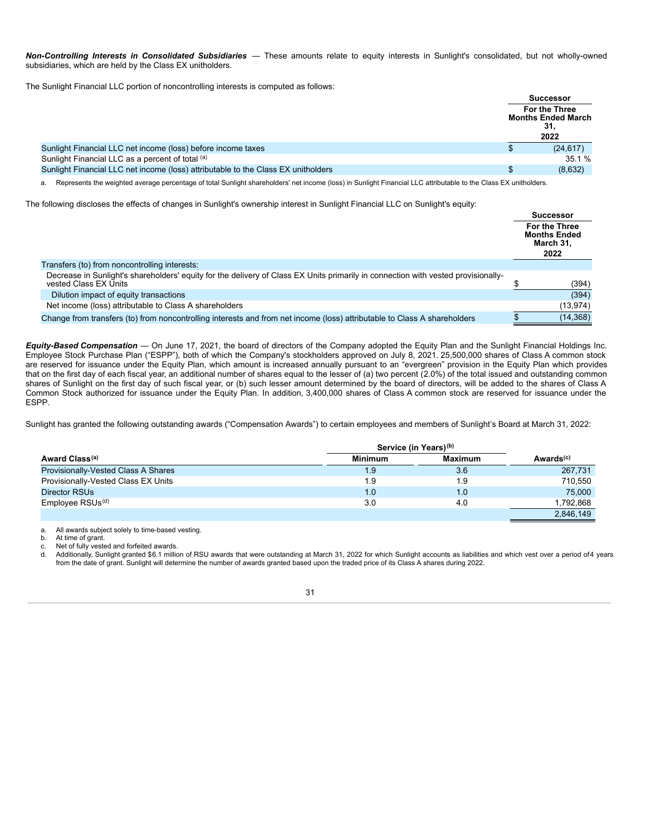*Non-Controlling Interests in Consolidated Subsidiaries* — These amounts relate to equity interests in Sunlight's consolidated, but not wholly-owned subsidiaries, which are held by the Class EX unitholders.

The Sunlight Financial LLC portion of noncontrolling interests is computed as follows:

|                                                                                   | <b>Successor</b>                                                 |
|-----------------------------------------------------------------------------------|------------------------------------------------------------------|
|                                                                                   | <b>For the Three</b><br><b>Months Ended March</b><br>31.<br>2022 |
| Sunlight Financial LLC net income (loss) before income taxes                      | (24, 617)                                                        |
| Sunlight Financial LLC as a percent of total (a)                                  | 35.1%                                                            |
| Sunlight Financial LLC net income (loss) attributable to the Class EX unitholders | (8,632)                                                          |

a. Represents the weighted average percentage of total Sunlight shareholders' net income (loss) in Sunlight Financial LLC attributable to the Class EX unitholders.

The following discloses the effects of changes in Sunlight's ownership interest in Sunlight Financial LLC on Sunlight's equity:

|                                                                                                                                                            | <b>Successor</b>                                          |
|------------------------------------------------------------------------------------------------------------------------------------------------------------|-----------------------------------------------------------|
|                                                                                                                                                            | For the Three<br><b>Months Ended</b><br>March 31.<br>2022 |
| Transfers (to) from noncontrolling interests:                                                                                                              |                                                           |
| Decrease in Sunlight's shareholders' equity for the delivery of Class EX Units primarily in connection with vested provisionally-<br>vested Class EX Units | (394)                                                     |
| Dilution impact of equity transactions                                                                                                                     | (394)                                                     |
| Net income (loss) attributable to Class A shareholders                                                                                                     | (13, 974)                                                 |
| Change from transfers (to) from noncontrolling interests and from net income (loss) attributable to Class A shareholders                                   | (14, 368)                                                 |

*Equity-Based Compensation* — On June 17, 2021, the board of directors of the Company adopted the Equity Plan and the Sunlight Financial Holdings Inc. Employee Stock Purchase Plan ("ESPP"), both of which the Company's stockholders approved on July 8, 2021. 25,500,000 shares of Class A common stock are reserved for issuance under the Equity Plan, which amount is increased annually pursuant to an "evergreen" provision in the Equity Plan which provides that on the first day of each fiscal year, an additional number of shares equal to the lesser of (a) two percent (2.0%) of the total issued and outstanding common shares of Sunlight on the first day of such fiscal year, or (b) such lesser amount determined by the board of directors, will be added to the shares of Class A Common Stock authorized for issuance under the Equity Plan. In addition, 3,400,000 shares of Class A common stock are reserved for issuance under the ESPP.

Sunlight has granted the following outstanding awards ("Compensation Awards") to certain employees and members of Sunlight's Board at March 31, 2022:

|                                     | Service (in Years) <sup>(b)</sup> |                |                       |
|-------------------------------------|-----------------------------------|----------------|-----------------------|
| Award Class <sup>(a)</sup>          | <b>Minimum</b>                    | <b>Maximum</b> | Awards <sup>(c)</sup> |
| Provisionally-Vested Class A Shares | 1.9                               | 3.6            | 267,731               |
| Provisionally-Vested Class EX Units | 1.9                               | 1.9            | 710,550               |
| Director RSUs                       | 1.0                               | 1.0            | 75,000                |
| Employee RSUs <sup>(d)</sup>        | 3.0                               | 4.0            | 1.792.868             |
|                                     |                                   |                | 2.846.149             |

a. All awards subject solely to time-based vesting.

At time of grant.

c. Net of fully vested and forfeited awards.

d. Additionally, Sunlight granted \$6.1 million of RSU awards that were outstanding at March 31, 2022 for which Sunlight accounts as liabilities and which vest over a period of4 years from the date of grant. Sunlight will determine the number of awards granted based upon the traded price of its Class A shares during 2022.

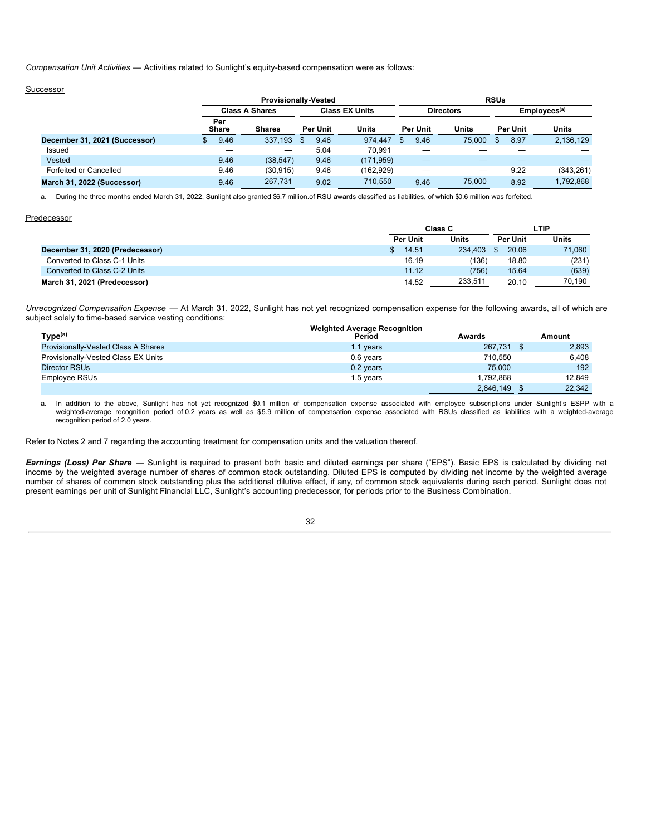*Compensation Unit Activities* — Activities related to Sunlight's equity-based compensation were as follows:

# Successor

|                               |                     |                       | <b>Provisionally-Vested</b> |                       |                 |                  | <b>RSUs</b> |                          |
|-------------------------------|---------------------|-----------------------|-----------------------------|-----------------------|-----------------|------------------|-------------|--------------------------|
|                               |                     | <b>Class A Shares</b> |                             | <b>Class EX Units</b> |                 | <b>Directors</b> |             | Employees <sup>(a)</sup> |
|                               | Per<br><b>Share</b> | <b>Shares</b>         | Per Unit                    | <b>Units</b>          | <b>Per Unit</b> | Units            | Per Unit    | Units                    |
| December 31, 2021 (Successor) | 9.46                | 337.193               | 9.46<br>- \$                | 974.447               | 9.46            | 75.000           | 8.97        | 2,136,129                |
| Issued                        |                     |                       | 5.04                        | 70.991                |                 |                  |             |                          |
| Vested                        | 9.46                | (38, 547)             | 9.46                        | (171, 959)            |                 |                  |             |                          |
| Forfeited or Cancelled        | 9.46                | (30, 915)             | 9.46                        | (162, 929)            |                 |                  | 9.22        | (343, 261)               |
| March 31, 2022 (Successor)    | 9.46                | 267,731               | 9.02                        | 710,550               | 9.46            | 75,000           | 8.92        | 1.792.868                |

a. During the three months ended March 31, 2022, Sunlight also granted \$6.7 million.of RSU awards classified as liabilities, of which \$0.6 million was forfeited.

#### **Predecessor**

|                                 |                 | Class C      | LTIP            |              |
|---------------------------------|-----------------|--------------|-----------------|--------------|
|                                 | <b>Per Unit</b> | <b>Units</b> | <b>Per Unit</b> | <b>Units</b> |
| December 31, 2020 (Predecessor) | 14.51           | 234.403      | 20.06           | 71,060       |
| Converted to Class C-1 Units    | 16.19           | (136)        | 18.80           | (231)        |
| Converted to Class C-2 Units    | 11.12           | (756)        | 15.64           | (639)        |
| March 31, 2021 (Predecessor)    | 14.52           | 233,511      | 20.10           | 70.190       |

*Unrecognized Compensation Expense* — At March 31, 2022, Sunlight has not yet recognized compensation expense for the following awards, all of which are subject solely to time-based service vesting conditions:

| Type <sup>(a)</sup>                 | <b>Weighted Average Recognition</b><br>Period | Awards    | Amount |
|-------------------------------------|-----------------------------------------------|-----------|--------|
| Provisionally-Vested Class A Shares | 1.1 years                                     | 267.731   | 2,893  |
| Provisionally-Vested Class EX Units | 0.6 years                                     | 710.550   | 6.408  |
| Director RSUs                       | 0.2 years                                     | 75,000    | 192    |
| Employee RSUs                       | 1.5 years                                     | 1.792.868 | 12.849 |
|                                     |                                               | 2,846,149 | 22.342 |

a. In addition to the above, Sunlight has not yet recognized \$0.1 million of compensation expense associated with employee subscriptions under Sunlight's ESPP with a weighted-average recognition period of 0.2 years as well as \$5.9 million of compensation expense associated with RSUs classified as liabilities with a weighted-average recognition period of 2.0 years.

Refer to Notes 2 and 7 regarding the accounting treatment for compensation units and the valuation thereof.

*Earnings (Loss) Per Share* — Sunlight is required to present both basic and diluted earnings per share ("EPS"). Basic EPS is calculated by dividing net income by the weighted average number of shares of common stock outstanding. Diluted EPS is computed by dividing net income by the weighted average number of shares of common stock outstanding plus the additional dilutive effect, if any, of common stock equivalents during each period. Sunlight does not present earnings per unit of Sunlight Financial LLC, Sunlight's accounting predecessor, for periods prior to the Business Combination.

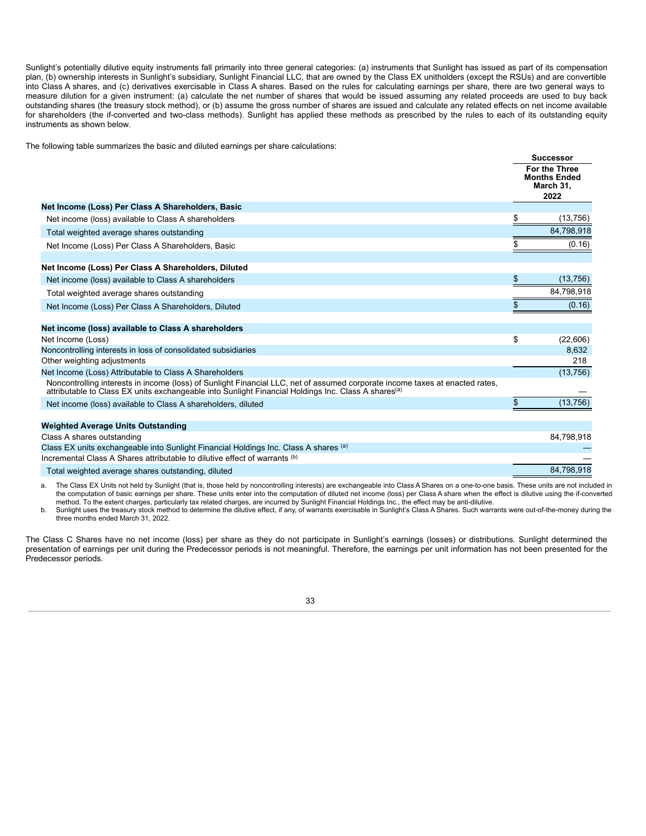Sunlight's potentially dilutive equity instruments fall primarily into three general categories: (a) instruments that Sunlight has issued as part of its compensation plan, (b) ownership interests in Sunlight's subsidiary, Sunlight Financial LLC, that are owned by the Class EX unitholders (except the RSUs) and are convertible into Class A shares, and (c) derivatives exercisable in Class A shares. Based on the rules for calculating earnings per share, there are two general ways to measure dilution for a given instrument: (a) calculate the net number of shares that would be issued assuming any related proceeds are used to buy back outstanding shares (the treasury stock method), or (b) assume the gross number of shares are issued and calculate any related effects on net income available for shareholders (the if-converted and two-class methods). Sunlight has applied these methods as prescribed by the rules to each of its outstanding equity instruments as shown below.

**Successor**

The following table summarizes the basic and diluted earnings per share calculations:

|                                                                                                                                                                                                                                                 | <b>SUCCESSOF</b> |                                                                  |
|-------------------------------------------------------------------------------------------------------------------------------------------------------------------------------------------------------------------------------------------------|------------------|------------------------------------------------------------------|
|                                                                                                                                                                                                                                                 |                  | <b>For the Three</b><br><b>Months Ended</b><br>March 31,<br>2022 |
| Net Income (Loss) Per Class A Shareholders, Basic                                                                                                                                                                                               |                  |                                                                  |
| Net income (loss) available to Class A shareholders                                                                                                                                                                                             | \$               | (13, 756)                                                        |
| Total weighted average shares outstanding                                                                                                                                                                                                       |                  | 84,798,918                                                       |
| Net Income (Loss) Per Class A Shareholders, Basic                                                                                                                                                                                               | \$               | (0.16)                                                           |
|                                                                                                                                                                                                                                                 |                  |                                                                  |
| Net Income (Loss) Per Class A Shareholders, Diluted                                                                                                                                                                                             |                  |                                                                  |
| Net income (loss) available to Class A shareholders                                                                                                                                                                                             | \$               | (13, 756)                                                        |
| Total weighted average shares outstanding                                                                                                                                                                                                       |                  | 84,798,918                                                       |
| Net Income (Loss) Per Class A Shareholders, Diluted                                                                                                                                                                                             | \$               | (0.16)                                                           |
| Net income (loss) available to Class A shareholders                                                                                                                                                                                             |                  |                                                                  |
| Net Income (Loss)                                                                                                                                                                                                                               | \$               | (22,606)                                                         |
| Noncontrolling interests in loss of consolidated subsidiaries                                                                                                                                                                                   |                  | 8,632                                                            |
| Other weighting adjustments                                                                                                                                                                                                                     |                  | 218                                                              |
| Net Income (Loss) Attributable to Class A Shareholders                                                                                                                                                                                          |                  | (13, 756)                                                        |
| Noncontrolling interests in income (loss) of Sunlight Financial LLC, net of assumed corporate income taxes at enacted rates,<br>attributable to Class EX units exchangeable into Sunlight Financial Holdings Inc. Class A shares <sup>(a)</sup> |                  |                                                                  |
| Net income (loss) available to Class A shareholders, diluted                                                                                                                                                                                    | \$               | (13, 756)                                                        |
|                                                                                                                                                                                                                                                 |                  |                                                                  |
| <b>Weighted Average Units Outstanding</b>                                                                                                                                                                                                       |                  |                                                                  |
| Class A shares outstanding                                                                                                                                                                                                                      |                  | 84,798,918                                                       |
| Class EX units exchangeable into Sunlight Financial Holdings Inc. Class A shares (a)                                                                                                                                                            |                  |                                                                  |
| Incremental Class A Shares attributable to dilutive effect of warrants (b)                                                                                                                                                                      |                  |                                                                  |
| Total weighted average shares outstanding, diluted                                                                                                                                                                                              |                  | 84.798.918                                                       |

a. The Class EX Units not held by Sunlight (that is, those held by noncontrolling interests) are exchangeable into Class A Shares on a one-to-one basis. These units are not included in the computation of basic earnings per share. These units enter into the computation of diluted net income (loss) per Class A share when the effect is dilutive using the if-converted method. To the extent charges, particularly tax related charges, are incurred by Sunlight Financial Holdings Inc., the effect may be anti-dilutive.

b. Sunlight uses the treasury stock method to determine the dilutive effect, if any, of warrants exercisable in Sunlight's Class A Shares. Such warrants were out-of-the-money during the three months ended March 31, 2022.

The Class C Shares have no net income (loss) per share as they do not participate in Sunlight's earnings (losses) or distributions. Sunlight determined the presentation of earnings per unit during the Predecessor periods is not meaningful. Therefore, the earnings per unit information has not been presented for the Predecessor periods.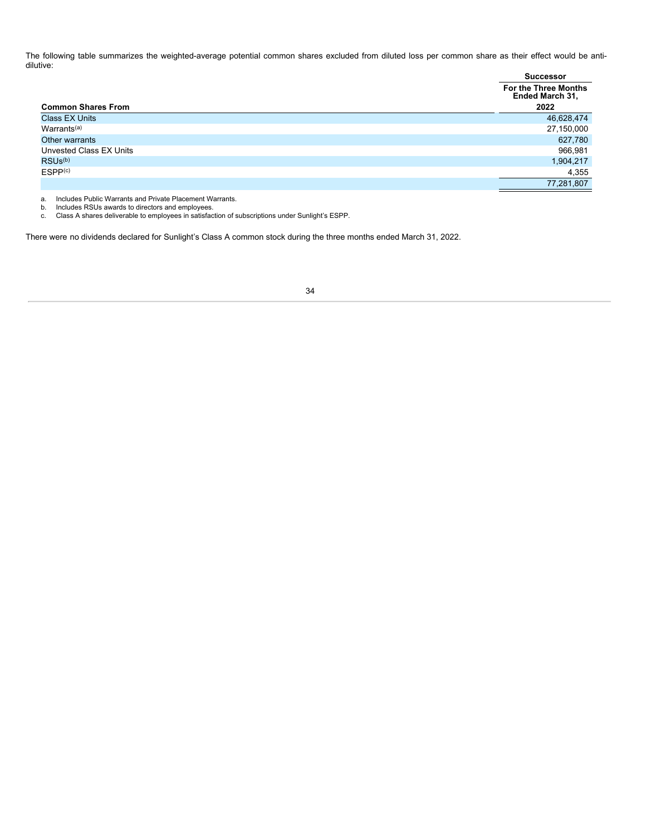The following table summarizes the weighted-average potential common shares excluded from diluted loss per common share as their effect would be antidilutive:

|                                 | <b>Successor</b>                               |
|---------------------------------|------------------------------------------------|
|                                 | <b>For the Three Months</b><br>Ended March 31, |
| <b>Common Shares From</b>       | 2022                                           |
| <b>Class EX Units</b>           | 46,628,474                                     |
| Warrants <sup>(a)</sup>         | 27,150,000                                     |
| Other warrants                  | 627,780                                        |
| Unvested Class EX Units         | 966,981                                        |
| RSU <sub>s</sub> <sup>(b)</sup> | 1,904,217                                      |
| ESPP <sub>(c)</sub>             | 4,355                                          |
|                                 | 77,281,807                                     |

a. Includes Public Warrants and Private Placement Warrants. b. Includes RSUs awards to directors and employees. c. Class A shares deliverable to employees in satisfaction of subscriptions under Sunlight's ESPP.

<span id="page-35-0"></span>There were no dividends declared for Sunlight's Class A common stock during the three months ended March 31, 2022.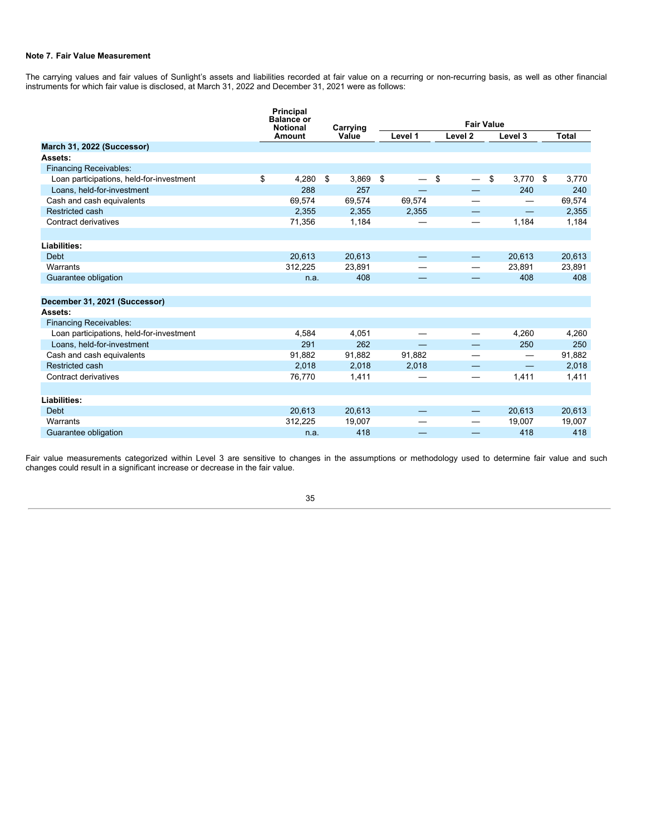# **Note 7. Fair Value Measurement**

The carrying values and fair values of Sunlight's assets and liabilities recorded at fair value on a recurring or non-recurring basis, as well as other financial instruments for which fair value is disclosed, at March 31, 2022 and December 31, 2021 were as follows:

|                                          | Principal<br><b>Balance or</b> |             |         |                                |                   |             |
|------------------------------------------|--------------------------------|-------------|---------|--------------------------------|-------------------|-------------|
|                                          | <b>Notional</b>                | Carrying    |         | <b>Fair Value</b>              |                   |             |
|                                          | Amount                         | Value       | Level 1 | Level <sub>2</sub>             | Level 3           | Total       |
| March 31, 2022 (Successor)               |                                |             |         |                                |                   |             |
| Assets:                                  |                                |             |         |                                |                   |             |
| <b>Financing Receivables:</b>            |                                |             |         |                                |                   |             |
| Loan participations, held-for-investment | \$<br>4,280                    | \$<br>3,869 | \$      | \$<br>$\overline{\phantom{0}}$ | \$<br>3,770       | \$<br>3,770 |
| Loans, held-for-investment               | 288                            | 257         |         |                                | 240               | 240         |
| Cash and cash equivalents                | 69,574                         | 69,574      | 69,574  |                                |                   | 69,574      |
| Restricted cash                          | 2,355                          | 2,355       | 2,355   | —                              | $\qquad \qquad -$ | 2,355       |
| Contract derivatives                     | 71,356                         | 1,184       |         | $\overline{\phantom{0}}$       | 1,184             | 1,184       |
|                                          |                                |             |         |                                |                   |             |
| Liabilities:                             |                                |             |         |                                |                   |             |
| <b>Debt</b>                              | 20,613                         | 20,613      |         |                                | 20,613            | 20,613      |
| Warrants                                 | 312,225                        | 23,891      |         |                                | 23,891            | 23,891      |
| Guarantee obligation                     | n.a.                           | 408         |         |                                | 408               | 408         |
|                                          |                                |             |         |                                |                   |             |
| December 31, 2021 (Successor)            |                                |             |         |                                |                   |             |
| Assets:                                  |                                |             |         |                                |                   |             |
| <b>Financing Receivables:</b>            |                                |             |         |                                |                   |             |
| Loan participations, held-for-investment | 4.584                          | 4,051       |         |                                | 4,260             | 4,260       |
| Loans, held-for-investment               | 291                            | 262         |         |                                | 250               | 250         |
| Cash and cash equivalents                | 91.882                         | 91,882      | 91,882  |                                | —                 | 91,882      |
| Restricted cash                          | 2,018                          | 2,018       | 2,018   |                                |                   | 2,018       |
| Contract derivatives                     | 76,770                         | 1,411       |         | $\overline{\phantom{0}}$       | 1,411             | 1,411       |
|                                          |                                |             |         |                                |                   |             |
| Liabilities:                             |                                |             |         |                                |                   |             |
| <b>Debt</b>                              | 20,613                         | 20,613      |         |                                | 20,613            | 20,613      |
| Warrants                                 | 312,225                        | 19,007      |         | —                              | 19,007            | 19,007      |
| Guarantee obligation                     | n.a.                           | 418         |         |                                | 418               | 418         |

Fair value measurements categorized within Level 3 are sensitive to changes in the assumptions or methodology used to determine fair value and such changes could result in a significant increase or decrease in the fair value.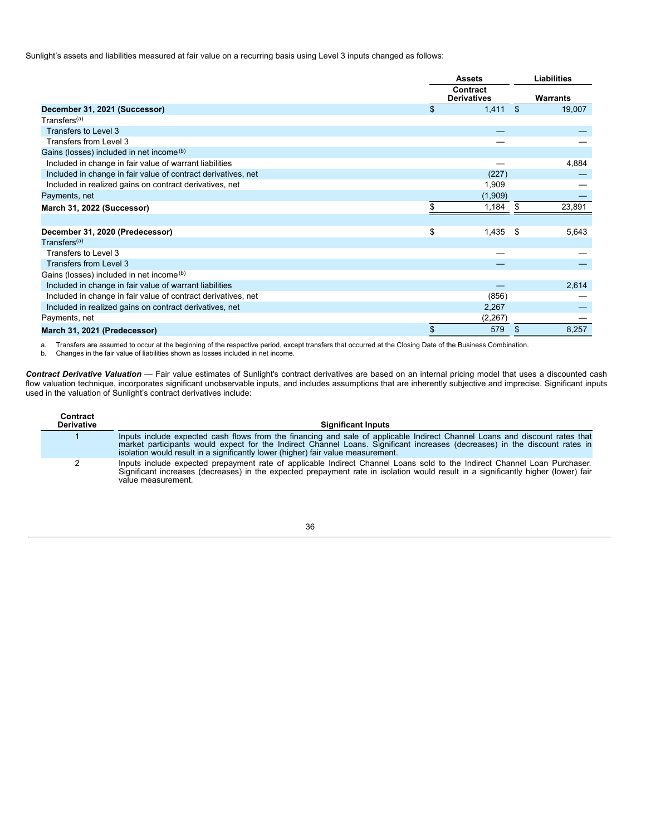Sunlight's assets and liabilities measured at fair value on a recurring basis using Level 3 inputs changed as follows:

|                                                               | <b>Assets</b> |                                |      | <b>Liabilities</b> |
|---------------------------------------------------------------|---------------|--------------------------------|------|--------------------|
|                                                               |               | Contract<br><b>Derivatives</b> |      | <b>Warrants</b>    |
| December 31, 2021 (Successor)                                 | \$            | 1,411                          | \$   | 19,007             |
| Transfers <sup>(a)</sup>                                      |               |                                |      |                    |
| Transfers to Level 3                                          |               |                                |      |                    |
| Transfers from Level 3                                        |               |                                |      |                    |
| Gains (losses) included in net income (b)                     |               |                                |      |                    |
| Included in change in fair value of warrant liabilities       |               |                                |      | 4,884              |
| Included in change in fair value of contract derivatives, net |               | (227)                          |      |                    |
| Included in realized gains on contract derivatives, net       |               | 1,909                          |      |                    |
| Payments, net                                                 |               | (1,909)                        |      |                    |
| March 31, 2022 (Successor)                                    | \$.           | 1,184                          | -S   | 23,891             |
|                                                               |               |                                |      |                    |
| December 31, 2020 (Predecessor)                               | \$            | 1,435                          | - \$ | 5,643              |
| Transfers <sup>(a)</sup>                                      |               |                                |      |                    |
| Transfers to Level 3                                          |               |                                |      |                    |
| Transfers from Level 3                                        |               |                                |      |                    |
| Gains (losses) included in net income (b)                     |               |                                |      |                    |
| Included in change in fair value of warrant liabilities       |               |                                |      | 2,614              |
| Included in change in fair value of contract derivatives, net |               | (856)                          |      |                    |
| Included in realized gains on contract derivatives, net       |               | 2,267                          |      |                    |
| Payments, net                                                 |               | (2, 267)                       |      |                    |
| March 31, 2021 (Predecessor)                                  | \$            | 579                            | \$   | 8,257              |

a. Transfers are assumed to occur at the beginning of the respective period, except transfers that occurred at the Closing Date of the Business Combination.<br>b. Changes in the fair value of liabilities shown as losses inc

*Contract Derivative Valuation* — Fair value estimates of Sunlight's contract derivatives are based on an internal pricing model that uses a discounted cash flow valuation technique, incorporates significant unobservable inputs, and includes assumptions that are inherently subjective and imprecise. Significant inputs used in the valuation of Sunlight's contract derivatives include:

| Contract<br><b>Derivative</b> | <b>Significant Inputs</b>                                                                                                                                                                                                                                                                                                                      |
|-------------------------------|------------------------------------------------------------------------------------------------------------------------------------------------------------------------------------------------------------------------------------------------------------------------------------------------------------------------------------------------|
|                               | Inputs include expected cash flows from the financing and sale of applicable Indirect Channel Loans and discount rates that<br>market participants would expect for the Indirect Channel Loans. Significant increases (decreases) in the discount rates in<br>isolation would result in a significantly lower (higher) fair value measurement. |
|                               | Inputs include expected prepayment rate of applicable Indirect Channel Loans sold to the Indirect Channel Loan Purchaser.<br>Significant increases (decreases) in the expected prepayment rate in isolation would result in a significantly higher (lower) fair<br>value measurement.                                                          |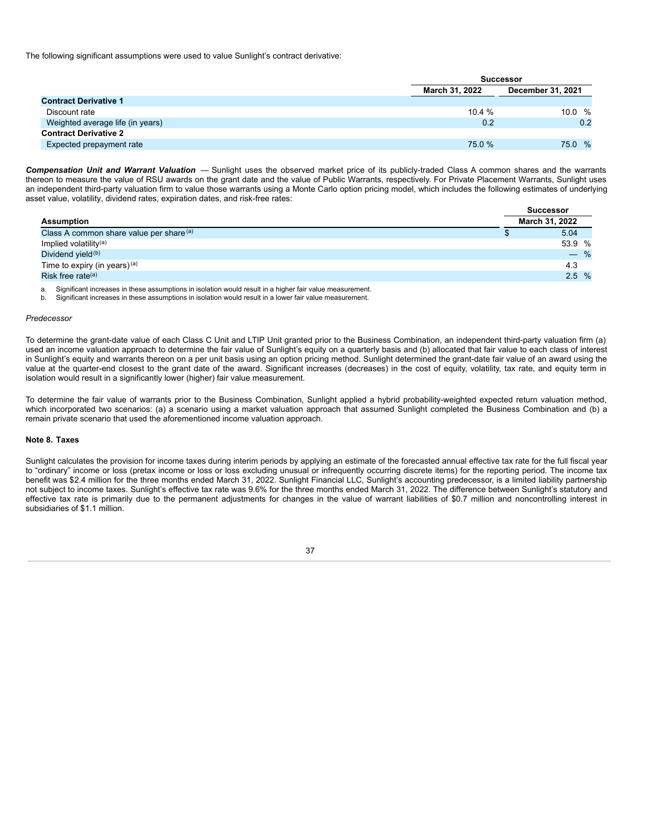The following significant assumptions were used to value Sunlight's contract derivative:

|                                  |                | <b>Successor</b>         |
|----------------------------------|----------------|--------------------------|
|                                  | March 31, 2022 | <b>December 31, 2021</b> |
| <b>Contract Derivative 1</b>     |                |                          |
| Discount rate                    | 10.4%          | 10.0 $%$                 |
| Weighted average life (in years) | 0.2            | 0.2                      |
| <b>Contract Derivative 2</b>     |                |                          |
| Expected prepayment rate         | 75.0 %         | %<br>75.0                |

*Compensation Unit and Warrant Valuation* — Sunlight uses the observed market price of its publicly-traded Class A common shares and the warrants thereon to measure the value of RSU awards on the grant date and the value of Public Warrants, respectively. For Private Placement Warrants, Sunlight uses an independent third-party valuation firm to value those warrants using a Monte Carlo option pricing model, which includes the following estimates of underlying asset value, volatility, dividend rates, expiration dates, and risk-free rates:

|                                          | <b>Successor</b> |
|------------------------------------------|------------------|
| <b>Assumption</b>                        | March 31, 2022   |
| Class A common share value per share (a) | 5.04             |
| Implied volatility <sup>(a)</sup>        | 53.9 %           |
| Dividend yield <sup>(b)</sup>            | $-$ %            |
| Time to expiry (in years) <sup>(a)</sup> | 4.3              |
| Risk free rate <sup>(a)</sup>            | 2.5%             |

a. Significant increases in these assumptions in isolation would result in a higher fair value measurement.

b. Significant increases in these assumptions in isolation would result in a lower fair value measurement.

#### *Predecessor*

To determine the grant-date value of each Class C Unit and LTIP Unit granted prior to the Business Combination, an independent third-party valuation firm (a) used an income valuation approach to determine the fair value of Sunlight's equity on a quarterly basis and (b) allocated that fair value to each class of interest in Sunlight's equity and warrants thereon on a per unit basis using an option pricing method. Sunlight determined the grant-date fair value of an award using the value at the quarter-end closest to the grant date of the award. Significant increases (decreases) in the cost of equity, volatility, tax rate, and equity term in isolation would result in a significantly lower (higher) fair value measurement.

To determine the fair value of warrants prior to the Business Combination, Sunlight applied a hybrid probability-weighted expected return valuation method, which incorporated two scenarios: (a) a scenario using a market valuation approach that assumed Sunlight completed the Business Combination and (b) a remain private scenario that used the aforementioned income valuation approach.

# **Note 8. Taxes**

Sunlight calculates the provision for income taxes during interim periods by applying an estimate of the forecasted annual effective tax rate for the full fiscal year to "ordinary" income or loss (pretax income or loss or loss excluding unusual or infrequently occurring discrete items) for the reporting period. The income tax benefit was \$2.4 million for the three months ended March 31, 2022. Sunlight Financial LLC, Sunlight's accounting predecessor, is a limited liability partnership not subject to income taxes. Sunlight's effective tax rate was 9.6% for the three months ended March 31, 2022. The difference between Sunlight's statutory and effective tax rate is primarily due to the permanent adjustments for changes in the value of warrant liabilities of \$0.7 million and noncontrolling interest in subsidiaries of \$1.1 million.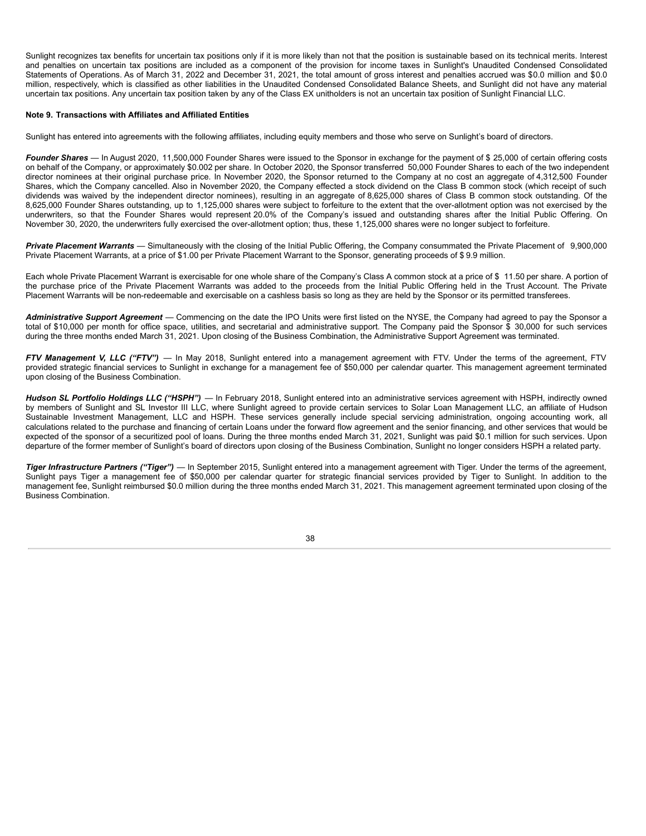Sunlight recognizes tax benefits for uncertain tax positions only if it is more likely than not that the position is sustainable based on its technical merits. Interest and penalties on uncertain tax positions are included as a component of the provision for income taxes in Sunlight's Unaudited Condensed Consolidated Statements of Operations. As of March 31, 2022 and December 31, 2021, the total amount of gross interest and penalties accrued was \$0.0 million and \$0.0 million, respectively, which is classified as other liabilities in the Unaudited Condensed Consolidated Balance Sheets, and Sunlight did not have any material uncertain tax positions. Any uncertain tax position taken by any of the Class EX unitholders is not an uncertain tax position of Sunlight Financial LLC.

# **Note 9. Transactions with Affiliates and Affiliated Entities**

Sunlight has entered into agreements with the following affiliates, including equity members and those who serve on Sunlight's board of directors.

Founder Shares — In August 2020, 11,500,000 Founder Shares were issued to the Sponsor in exchange for the payment of \$ 25,000 of certain offering costs on behalf of the Company, or approximately \$0.002 per share. In October 2020, the Sponsor transferred 50,000 Founder Shares to each of the two independent director nominees at their original purchase price. In November 2020, the Sponsor returned to the Company at no cost an aggregate of 4,312,500 Founder Shares, which the Company cancelled. Also in November 2020, the Company effected a stock dividend on the Class B common stock (which receipt of such dividends was waived by the independent director nominees), resulting in an aggregate of 8,625,000 shares of Class B common stock outstanding. Of the 8,625,000 Founder Shares outstanding, up to 1,125,000 shares were subject to forfeiture to the extent that the over-allotment option was not exercised by the underwriters, so that the Founder Shares would represent 20.0% of the Company's issued and outstanding shares after the Initial Public Offering. On November 30, 2020, the underwriters fully exercised the over-allotment option; thus, these 1,125,000 shares were no longer subject to forfeiture.

*Private Placement Warrants* — Simultaneously with the closing of the Initial Public Offering, the Company consummated the Private Placement of 9,900,000 Private Placement Warrants, at a price of \$1.00 per Private Placement Warrant to the Sponsor, generating proceeds of \$ 9.9 million.

Each whole Private Placement Warrant is exercisable for one whole share of the Company's Class A common stock at a price of \$ 11.50 per share. A portion of the purchase price of the Private Placement Warrants was added to the proceeds from the Initial Public Offering held in the Trust Account. The Private Placement Warrants will be non-redeemable and exercisable on a cashless basis so long as they are held by the Sponsor or its permitted transferees.

*Administrative Support Agreement* — Commencing on the date the IPO Units were first listed on the NYSE, the Company had agreed to pay the Sponsor a total of \$10,000 per month for office space, utilities, and secretarial and administrative support. The Company paid the Sponsor \$ 30,000 for such services during the three months ended March 31, 2021. Upon closing of the Business Combination, the Administrative Support Agreement was terminated.

*FTV Management V, LLC ("FTV")* — In May 2018, Sunlight entered into a management agreement with FTV. Under the terms of the agreement, FTV provided strategic financial services to Sunlight in exchange for a management fee of \$50,000 per calendar quarter. This management agreement terminated upon closing of the Business Combination.

*Hudson SL Portfolio Holdings LLC ("HSPH")* — In February 2018, Sunlight entered into an administrative services agreement with HSPH, indirectly owned by members of Sunlight and SL Investor III LLC, where Sunlight agreed to provide certain services to Solar Loan Management LLC, an affiliate of Hudson Sustainable Investment Management, LLC and HSPH. These services generally include special servicing administration, ongoing accounting work, all calculations related to the purchase and financing of certain Loans under the forward flow agreement and the senior financing, and other services that would be expected of the sponsor of a securitized pool of loans. During the three months ended March 31, 2021, Sunlight was paid \$0.1 million for such services. Upon departure of the former member of Sunlight's board of directors upon closing of the Business Combination, Sunlight no longer considers HSPH a related party.

*Tiger Infrastructure Partners ("Tiger")* — In September 2015, Sunlight entered into a management agreement with Tiger. Under the terms of the agreement, Sunlight pays Tiger a management fee of \$50,000 per calendar quarter for strategic financial services provided by Tiger to Sunlight. In addition to the management fee, Sunlight reimbursed \$0.0 million during the three months ended March 31, 2021. This management agreement terminated upon closing of the Business Combination.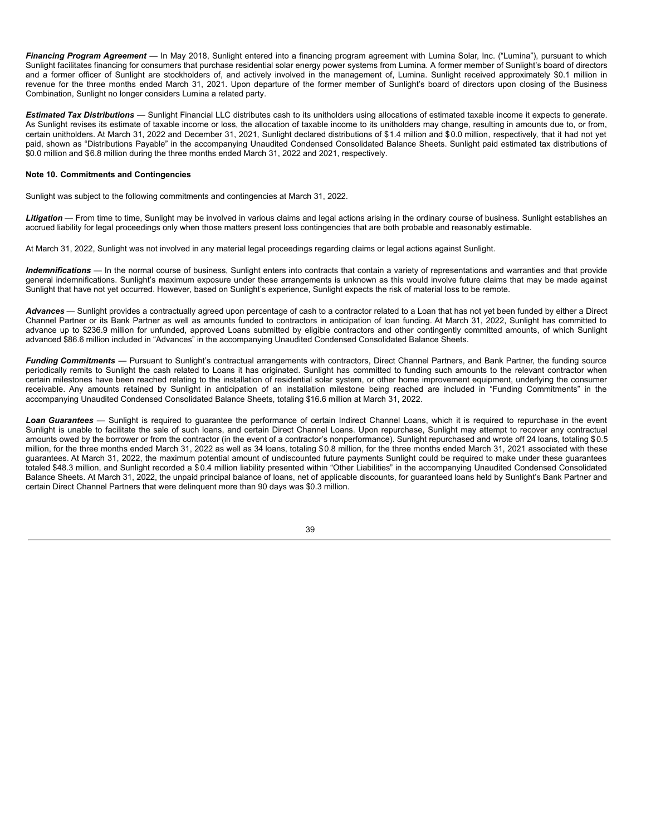*Financing Program Agreement* — In May 2018, Sunlight entered into a financing program agreement with Lumina Solar, Inc. ("Lumina"), pursuant to which Sunlight facilitates financing for consumers that purchase residential solar energy power systems from Lumina. A former member of Sunlight's board of directors and a former officer of Sunlight are stockholders of, and actively involved in the management of, Lumina. Sunlight received approximately \$0.1 million in revenue for the three months ended March 31, 2021. Upon departure of the former member of Sunlight's board of directors upon closing of the Business Combination, Sunlight no longer considers Lumina a related party.

*Estimated Tax Distributions* — Sunlight Financial LLC distributes cash to its unitholders using allocations of estimated taxable income it expects to generate. As Sunlight revises its estimate of taxable income or loss, the allocation of taxable income to its unitholders may change, resulting in amounts due to, or from, certain unitholders. At March 31, 2022 and December 31, 2021, Sunlight declared distributions of \$1.4 million and \$0.0 million, respectively, that it had not yet paid, shown as "Distributions Payable" in the accompanying Unaudited Condensed Consolidated Balance Sheets. Sunlight paid estimated tax distributions of \$0.0 million and \$6.8 million during the three months ended March 31, 2022 and 2021, respectively.

# **Note 10. Commitments and Contingencies**

Sunlight was subject to the following commitments and contingencies at March 31, 2022.

Litigation — From time to time, Sunlight may be involved in various claims and legal actions arising in the ordinary course of business. Sunlight establishes an accrued liability for legal proceedings only when those matters present loss contingencies that are both probable and reasonably estimable.

At March 31, 2022, Sunlight was not involved in any material legal proceedings regarding claims or legal actions against Sunlight.

Indemnifications - In the normal course of business, Sunlight enters into contracts that contain a variety of representations and warranties and that provide general indemnifications. Sunlight's maximum exposure under these arrangements is unknown as this would involve future claims that may be made against Sunlight that have not yet occurred. However, based on Sunlight's experience, Sunlight expects the risk of material loss to be remote.

*Advances* — Sunlight provides a contractually agreed upon percentage of cash to a contractor related to a Loan that has not yet been funded by either a Direct Channel Partner or its Bank Partner as well as amounts funded to contractors in anticipation of loan funding. At March 31, 2022, Sunlight has committed to advance up to \$236.9 million for unfunded, approved Loans submitted by eligible contractors and other contingently committed amounts, of which Sunlight advanced \$86.6 million included in "Advances" in the accompanying Unaudited Condensed Consolidated Balance Sheets.

*Funding Commitments* — Pursuant to Sunlight's contractual arrangements with contractors, Direct Channel Partners, and Bank Partner, the funding source periodically remits to Sunlight the cash related to Loans it has originated. Sunlight has committed to funding such amounts to the relevant contractor when certain milestones have been reached relating to the installation of residential solar system, or other home improvement equipment, underlying the consumer receivable. Any amounts retained by Sunlight in anticipation of an installation milestone being reached are included in "Funding Commitments" in the accompanying Unaudited Condensed Consolidated Balance Sheets, totaling \$16.6 million at March 31, 2022.

*Loan Guarantees* — Sunlight is required to guarantee the performance of certain Indirect Channel Loans, which it is required to repurchase in the event Sunlight is unable to facilitate the sale of such loans, and certain Direct Channel Loans. Upon repurchase, Sunlight may attempt to recover any contractual amounts owed by the borrower or from the contractor (in the event of a contractor's nonperformance). Sunlight repurchased and wrote off 24 loans, totaling \$0.5 million, for the three months ended March 31, 2022 as well as 34 loans, totaling \$0.8 million, for the three months ended March 31, 2021 associated with these guarantees. At March 31, 2022, the maximum potential amount of undiscounted future payments Sunlight could be required to make under these guarantees totaled \$48.3 million, and Sunlight recorded a \$0.4 million liability presented within "Other Liabilities" in the accompanying Unaudited Condensed Consolidated Balance Sheets. At March 31, 2022, the unpaid principal balance of loans, net of applicable discounts, for guaranteed loans held by Sunlight's Bank Partner and certain Direct Channel Partners that were delinquent more than 90 days was \$0.3 million.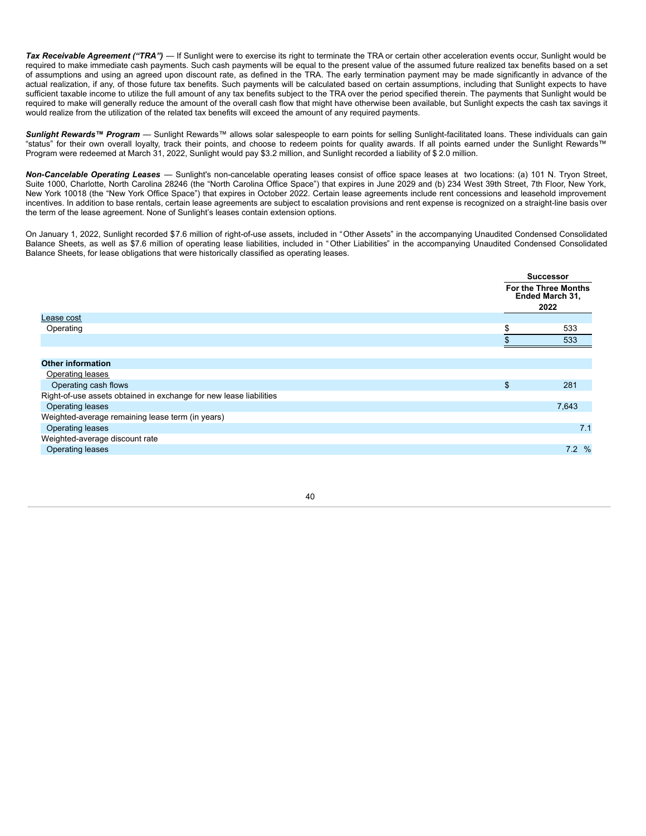*Tax Receivable Agreement ("TRA")* — If Sunlight were to exercise its right to terminate the TRA or certain other acceleration events occur, Sunlight would be required to make immediate cash payments. Such cash payments will be equal to the present value of the assumed future realized tax benefits based on a set of assumptions and using an agreed upon discount rate, as defined in the TRA. The early termination payment may be made significantly in advance of the actual realization, if any, of those future tax benefits. Such payments will be calculated based on certain assumptions, including that Sunlight expects to have sufficient taxable income to utilize the full amount of any tax benefits subject to the TRA over the period specified therein. The payments that Sunlight would be required to make will generally reduce the amount of the overall cash flow that might have otherwise been available, but Sunlight expects the cash tax savings it would realize from the utilization of the related tax benefits will exceed the amount of any required payments.

*Sunlight Rewards™ Program* — Sunlight Rewards™ allows solar salespeople to earn points for selling Sunlight-facilitated loans. These individuals can gain "status" for their own overall loyalty, track their points, and choose to redeem points for quality awards. If all points earned under the Sunlight Rewards™ Program were redeemed at March 31, 2022, Sunlight would pay \$3.2 million, and Sunlight recorded a liability of \$ 2.0 million.

*Non-Cancelable Operating Leases* — Sunlight's non-cancelable operating leases consist of office space leases at two locations: (a) 101 N. Tryon Street, Suite 1000, Charlotte, North Carolina 28246 (the "North Carolina Office Space") that expires in June 2029 and (b) 234 West 39th Street, 7th Floor, New York, New York 10018 (the "New York Office Space") that expires in October 2022. Certain lease agreements include rent concessions and leasehold improvement incentives. In addition to base rentals, certain lease agreements are subject to escalation provisions and rent expense is recognized on a straight-line basis over the term of the lease agreement. None of Sunlight's leases contain extension options.

On January 1, 2022, Sunlight recorded \$7.6 million of right-of-use assets, included in "Other Assets" in the accompanying Unaudited Condensed Consolidated Balance Sheets, as well as \$7.6 million of operating lease liabilities, included in " Other Liabilities" in the accompanying Unaudited Condensed Consolidated Balance Sheets, for lease obligations that were historically classified as operating leases.

|                                                                    | <b>Successor</b>                                       |
|--------------------------------------------------------------------|--------------------------------------------------------|
|                                                                    | <b>For the Three Months</b><br>Ended March 31,<br>2022 |
| Lease cost                                                         |                                                        |
| Operating                                                          | \$<br>533                                              |
|                                                                    | 533                                                    |
|                                                                    |                                                        |
| <b>Other information</b>                                           |                                                        |
| Operating leases                                                   |                                                        |
| Operating cash flows                                               | \$<br>281                                              |
| Right-of-use assets obtained in exchange for new lease liabilities |                                                        |
| <b>Operating leases</b>                                            | 7,643                                                  |
| Weighted-average remaining lease term (in years)                   |                                                        |
| <b>Operating leases</b>                                            | 7.1                                                    |
| Weighted-average discount rate                                     |                                                        |
| <b>Operating leases</b>                                            | 7.2%                                                   |
|                                                                    |                                                        |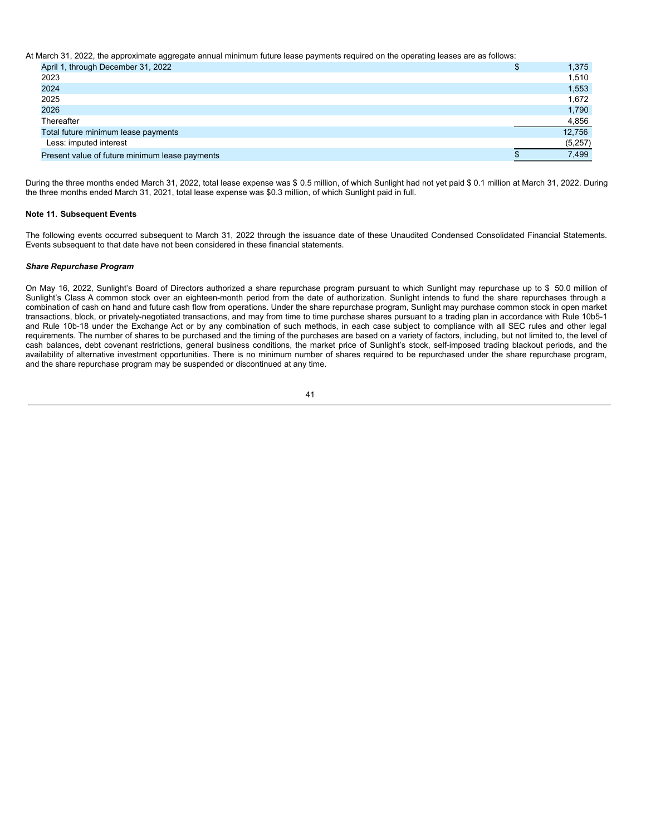At March 31, 2022, the approximate aggregate annual minimum future lease payments required on the operating leases are as follows:

| April 1, through December 31, 2022             | \$<br>1,375 |
|------------------------------------------------|-------------|
| 2023                                           | 1,510       |
| 2024                                           | 1,553       |
| 2025                                           | 1,672       |
| 2026                                           | 1,790       |
| Thereafter                                     | 4,856       |
| Total future minimum lease payments            | 12,756      |
| Less: imputed interest                         | (5,257)     |
| Present value of future minimum lease payments | 7,499       |

During the three months ended March 31, 2022, total lease expense was \$ 0.5 million, of which Sunlight had not yet paid \$ 0.1 million at March 31, 2022. During the three months ended March 31, 2021, total lease expense was \$0.3 million, of which Sunlight paid in full.

# **Note 11. Subsequent Events**

The following events occurred subsequent to March 31, 2022 through the issuance date of these Unaudited Condensed Consolidated Financial Statements. Events subsequent to that date have not been considered in these financial statements.

# *Share Repurchase Program*

On May 16, 2022, Sunlight's Board of Directors authorized a share repurchase program pursuant to which Sunlight may repurchase up to \$ 50.0 million of Sunlight's Class A common stock over an eighteen-month period from the date of authorization. Sunlight intends to fund the share repurchases through a combination of cash on hand and future cash flow from operations. Under the share repurchase program, Sunlight may purchase common stock in open market transactions, block, or privately-negotiated transactions, and may from time to time purchase shares pursuant to a trading plan in accordance with Rule 10b5-1 and Rule 10b-18 under the Exchange Act or by any combination of such methods, in each case subject to compliance with all SEC rules and other legal requirements. The number of shares to be purchased and the timing of the purchases are based on a variety of factors, including, but not limited to, the level of cash balances, debt covenant restrictions, general business conditions, the market price of Sunlight's stock, self-imposed trading blackout periods, and the availability of alternative investment opportunities. There is no minimum number of shares required to be repurchased under the share repurchase program, and the share repurchase program may be suspended or discontinued at any time.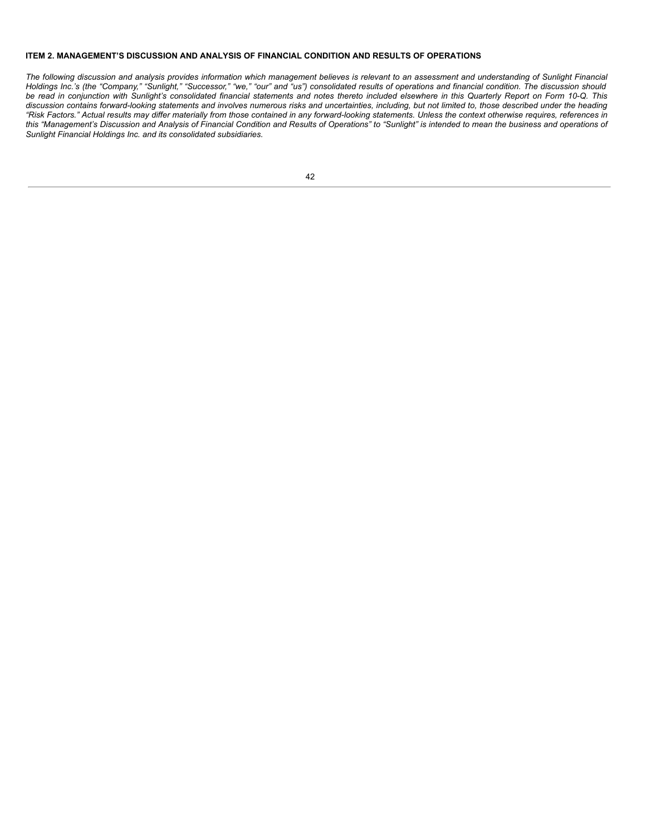# **ITEM 2. MANAGEMENT'S DISCUSSION AND ANALYSIS OF FINANCIAL CONDITION AND RESULTS OF OPERATIONS**

The following discussion and analysis provides information which management believes is relevant to an assessment and understanding of Sunlight Financial Holdings Inc.'s (the "Company," "Sunlight," "Successor," "we," "our" and "us") consolidated results of operations and financial condition. The discussion should be read in conjunction with Sunlight's consolidated financial statements and notes thereto included elsewhere in this Quarterly Report on Form 10-Q. This discussion contains forward-looking statements and involves numerous risks and uncertainties, including, but not limited to, those described under the heading "Risk Factors." Actual results may differ materially from those contained in any forward-looking statements. Unless the context otherwise requires, references in this "Management's Discussion and Analysis of Financial Condition and Results of Operations" to "Sunlight" is intended to mean the business and operations of *Sunlight Financial Holdings Inc. and its consolidated subsidiaries.*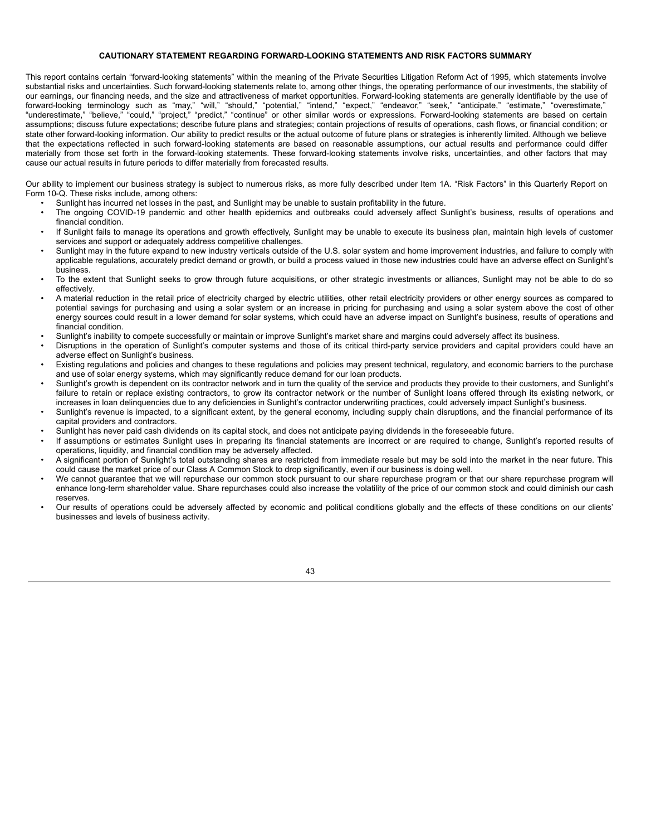# **CAUTIONARY STATEMENT REGARDING FORWARD-LOOKING STATEMENTS AND RISK FACTORS SUMMARY**

This report contains certain "forward-looking statements" within the meaning of the Private Securities Litigation Reform Act of 1995, which statements involve substantial risks and uncertainties. Such forward-looking statements relate to, among other things, the operating performance of our investments, the stability of our earnings, our financing needs, and the size and attractiveness of market opportunities. Forward-looking statements are generally identifiable by the use of forward-looking terminology such as "may," "will," "should," "potential," "intend," "expect," "endeavor," "seek," "anticipate," "estimate," "overestimate," "underestimate," "believe," "could," "project," "predict," "continue" or other similar words or expressions. Forward-looking statements are based on certain assumptions; discuss future expectations; describe future plans and strategies; contain projections of results of operations, cash flows, or financial condition; or state other forward-looking information. Our ability to predict results or the actual outcome of future plans or strategies is inherently limited. Although we believe that the expectations reflected in such forward-looking statements are based on reasonable assumptions, our actual results and performance could differ materially from those set forth in the forward-looking statements. These forward-looking statements involve risks, uncertainties, and other factors that may cause our actual results in future periods to differ materially from forecasted results.

Our ability to implement our business strategy is subject to numerous risks, as more fully described under Item 1A. "Risk Factors" in this Quarterly Report on Form 10-Q. These risks include, among others:

- Sunlight has incurred net losses in the past, and Sunlight may be unable to sustain profitability in the future.
- The ongoing COVID-19 pandemic and other health epidemics and outbreaks could adversely affect Sunlight's business, results of operations and financial condition.
- If Sunlight fails to manage its operations and growth effectively, Sunlight may be unable to execute its business plan, maintain high levels of customer services and support or adequately address competitive challenges.
- Sunlight may in the future expand to new industry verticals outside of the U.S. solar system and home improvement industries, and failure to comply with applicable regulations, accurately predict demand or growth, or build a process valued in those new industries could have an adverse effect on Sunlight's business.
- To the extent that Sunlight seeks to grow through future acquisitions, or other strategic investments or alliances, Sunlight may not be able to do so effectively.
- A material reduction in the retail price of electricity charged by electric utilities, other retail electricity providers or other energy sources as compared to potential savings for purchasing and using a solar system or an increase in pricing for purchasing and using a solar system above the cost of other energy sources could result in a lower demand for solar systems, which could have an adverse impact on Sunlight's business, results of operations and financial condition.
- Sunlight's inability to compete successfully or maintain or improve Sunlight's market share and margins could adversely affect its business.
- Disruptions in the operation of Sunlight's computer systems and those of its critical third-party service providers and capital providers could have an adverse effect on Sunlight's business.
- Existing regulations and policies and changes to these regulations and policies may present technical, regulatory, and economic barriers to the purchase and use of solar energy systems, which may significantly reduce demand for our loan products.
- Sunlight's growth is dependent on its contractor network and in turn the quality of the service and products they provide to their customers, and Sunlight's failure to retain or replace existing contractors, to grow its contractor network or the number of Sunlight loans offered through its existing network, or increases in loan delinquencies due to any deficiencies in Sunlight's contractor underwriting practices, could adversely impact Sunlight's business.
- Sunlight's revenue is impacted, to a significant extent, by the general economy, including supply chain disruptions, and the financial performance of its capital providers and contractors.
- Sunlight has never paid cash dividends on its capital stock, and does not anticipate paying dividends in the foreseeable future.
- If assumptions or estimates Sunlight uses in preparing its financial statements are incorrect or are required to change, Sunlight's reported results of operations, liquidity, and financial condition may be adversely affected.
- A significant portion of Sunlight's total outstanding shares are restricted from immediate resale but may be sold into the market in the near future. This could cause the market price of our Class A Common Stock to drop significantly, even if our business is doing well.
- We cannot guarantee that we will repurchase our common stock pursuant to our share repurchase program or that our share repurchase program will enhance long-term shareholder value. Share repurchases could also increase the volatility of the price of our common stock and could diminish our cash reserves.
- Our results of operations could be adversely affected by economic and political conditions globally and the effects of these conditions on our clients' businesses and levels of business activity.

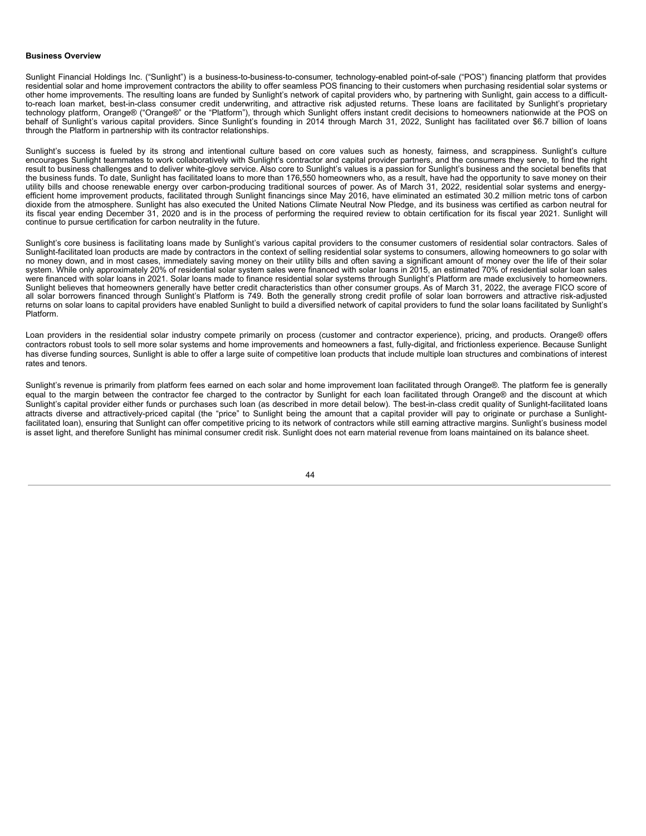## **Business Overview**

Sunlight Financial Holdings Inc. ("Sunlight") is a business-to-business-to-consumer, technology-enabled point-of-sale ("POS") financing platform that provides residential solar and home improvement contractors the ability to offer seamless POS financing to their customers when purchasing residential solar systems or other home improvements. The resulting loans are funded by Sunlight's network of capital providers who, by partnering with Sunlight, gain access to a difficultto-reach loan market, best-in-class consumer credit underwriting, and attractive risk adjusted returns. These loans are facilitated by Sunlight's proprietary technology platform, Orange® ("Orange®" or the "Platform"), through which Sunlight offers instant credit decisions to homeowners nationwide at the POS on behalf of Sunlight's various capital providers. Since Sunlight's founding in 2014 through March 31, 2022, Sunlight has facilitated over \$6.7 billion of loans through the Platform in partnership with its contractor relationships.

Sunlight's success is fueled by its strong and intentional culture based on core values such as honesty, fairness, and scrappiness. Sunlight's culture encourages Sunlight teammates to work collaboratively with Sunlight's contractor and capital provider partners, and the consumers they serve, to find the right result to business challenges and to deliver white-glove service. Also core to Sunlight's values is a passion for Sunlight's business and the societal benefits that the business funds. To date, Sunlight has facilitated loans to more than 176,550 homeowners who, as a result, have had the opportunity to save money on their utility bills and choose renewable energy over carbon-producing traditional sources of power. As of March 31, 2022, residential solar systems and energyefficient home improvement products, facilitated through Sunlight financings since May 2016, have eliminated an estimated 30.2 million metric tons of carbon dioxide from the atmosphere. Sunlight has also executed the United Nations Climate Neutral Now Pledge, and its business was certified as carbon neutral for its fiscal year ending December 31, 2020 and is in the process of performing the required review to obtain certification for its fiscal year 2021. Sunlight will continue to pursue certification for carbon neutrality in the future.

Sunlight's core business is facilitating loans made by Sunlight's various capital providers to the consumer customers of residential solar contractors. Sales of Sunlight-facilitated loan products are made by contractors in the context of selling residential solar systems to consumers, allowing homeowners to go solar with no money down, and in most cases, immediately saving money on their utility bills and often saving a significant amount of money over the life of their solar system. While only approximately 20% of residential solar system sales were financed with solar loans in 2015, an estimated 70% of residential solar loan sales were financed with solar loans in 2021. Solar loans made to finance residential solar systems through Sunlight's Platform are made exclusively to homeowners. Sunlight believes that homeowners generally have better credit characteristics than other consumer groups. As of March 31, 2022, the average FICO score of all solar borrowers financed through Sunlight's Platform is 749. Both the generally strong credit profile of solar loan borrowers and attractive risk-adjusted returns on solar loans to capital providers have enabled Sunlight to build a diversified network of capital providers to fund the solar loans facilitated by Sunlight's Platform.

Loan providers in the residential solar industry compete primarily on process (customer and contractor experience), pricing, and products. Orange® offers contractors robust tools to sell more solar systems and home improvements and homeowners a fast, fully-digital, and frictionless experience. Because Sunlight has diverse funding sources, Sunlight is able to offer a large suite of competitive loan products that include multiple loan structures and combinations of interest rates and tenors.

Sunlight's revenue is primarily from platform fees earned on each solar and home improvement loan facilitated through Orange®. The platform fee is generally equal to the margin between the contractor fee charged to the contractor by Sunlight for each loan facilitated through Orange® and the discount at which Sunlight's capital provider either funds or purchases such loan (as described in more detail below). The best-in-class credit quality of Sunlight-facilitated loans attracts diverse and attractively-priced capital (the "price" to Sunlight being the amount that a capital provider will pay to originate or purchase a Sunlightfacilitated loan), ensuring that Sunlight can offer competitive pricing to its network of contractors while still earning attractive margins. Sunlight's business model is asset light, and therefore Sunlight has minimal consumer credit risk. Sunlight does not earn material revenue from loans maintained on its balance sheet.

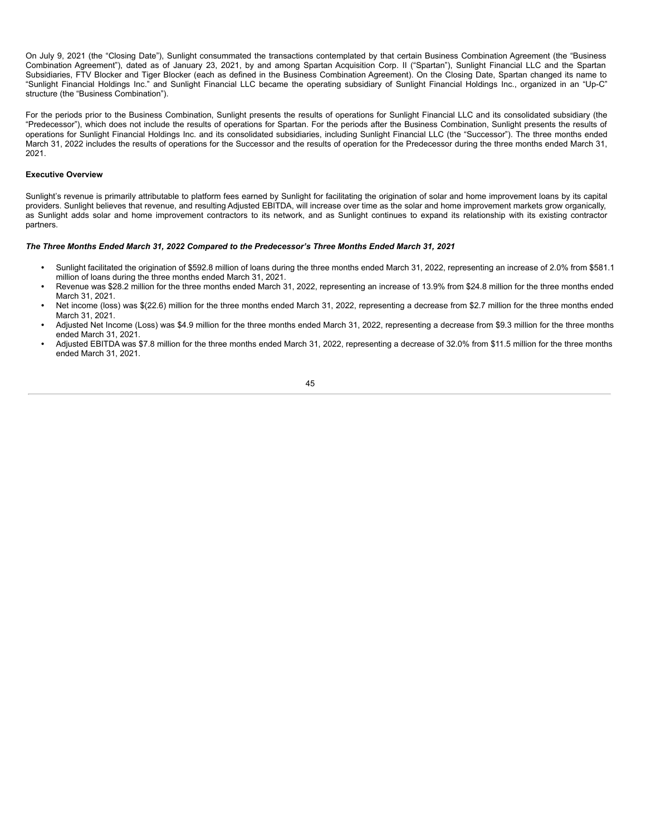On July 9, 2021 (the "Closing Date"), Sunlight consummated the transactions contemplated by that certain Business Combination Agreement (the "Business Combination Agreement"), dated as of January 23, 2021, by and among Spartan Acquisition Corp. II ("Spartan"), Sunlight Financial LLC and the Spartan Subsidiaries, FTV Blocker and Tiger Blocker (each as defined in the Business Combination Agreement). On the Closing Date, Spartan changed its name to "Sunlight Financial Holdings Inc." and Sunlight Financial LLC became the operating subsidiary of Sunlight Financial Holdings Inc., organized in an "Up-C" structure (the "Business Combination").

For the periods prior to the Business Combination, Sunlight presents the results of operations for Sunlight Financial LLC and its consolidated subsidiary (the "Predecessor"), which does not include the results of operations for Spartan. For the periods after the Business Combination, Sunlight presents the results of operations for Sunlight Financial Holdings Inc. and its consolidated subsidiaries, including Sunlight Financial LLC (the "Successor"). The three months ended March 31, 2022 includes the results of operations for the Successor and the results of operation for the Predecessor during the three months ended March 31, 2021.

# **Executive Overview**

Sunlight's revenue is primarily attributable to platform fees earned by Sunlight for facilitating the origination of solar and home improvement loans by its capital providers. Sunlight believes that revenue, and resulting Adjusted EBITDA, will increase over time as the solar and home improvement markets grow organically, as Sunlight adds solar and home improvement contractors to its network, and as Sunlight continues to expand its relationship with its existing contractor partners.

# *The Three Months Ended March 31, 2022 Compared to the Predecessor's Three Months Ended March 31, 2021*

- *•* Sunlight facilitated the origination of \$592.8 million of loans during the three months ended March 31, 2022, representing an increase of 2.0% from \$581.1 million of loans during the three months ended March 31, 2021.
- *•* Revenue was \$28.2 million for the three months ended March 31, 2022, representing an increase of 13.9% from \$24.8 million for the three months ended March 31, 2021.
- Net income (loss) was \$(22.6) million for the three months ended March 31, 2022, representing a decrease from \$2.7 million for the three months ended March 31, 2021.
- *•* Adjusted Net Income (Loss) was \$4.9 million for the three months ended March 31, 2022, representing a decrease from \$9.3 million for the three months ended March 31, 2021.
- *•* Adjusted EBITDA was \$7.8 million for the three months ended March 31, 2022, representing a decrease of 32.0% from \$11.5 million for the three months ended March 31, 2021.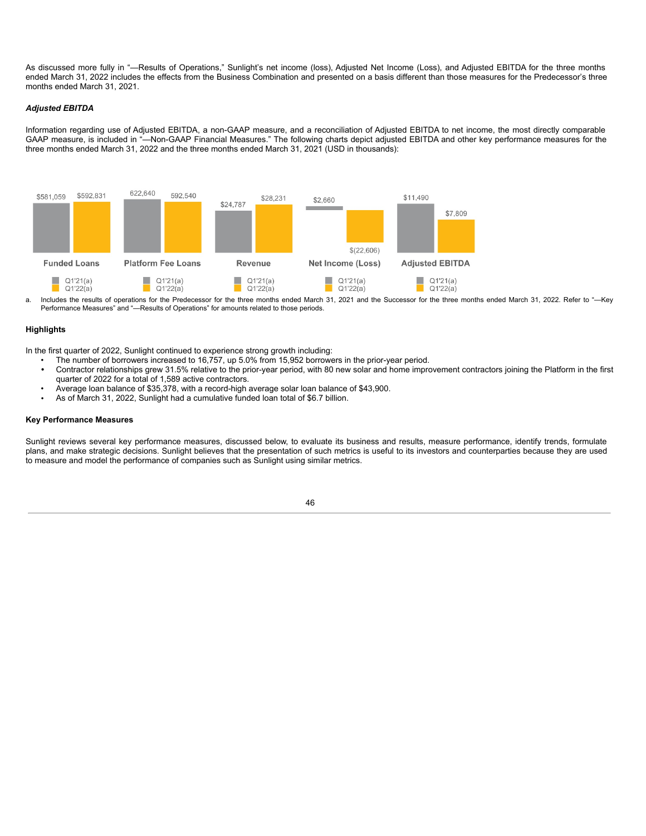As discussed more fully in "—Results of Operations," Sunlight's net income (loss), Adjusted Net Income (Loss), and Adjusted EBITDA for the three months ended March 31, 2022 includes the effects from the Business Combination and presented on a basis different than those measures for the Predecessor's three months ended March 31, 2021.

# *Adjusted EBITDA*

Information regarding use of Adjusted EBITDA, a non-GAAP measure, and a reconciliation of Adjusted EBITDA to net income, the most directly comparable GAAP measure, is included in "—Non-GAAP Financial Measures." The following charts depict adjusted EBITDA and other key performance measures for the three months ended March 31, 2022 and the three months ended March 31, 2021 (USD in thousands):



a. Includes the results of operations for the Predecessor for the three months ended March 31, 2021 and the Successor for the three months ended March 31, 2022. Refer to "—Key Performance Measures" and "—Results of Operations" for amounts related to those periods.

# **Highlights**

In the first quarter of 2022, Sunlight continued to experience strong growth including:

- The number of borrowers increased to 16,757, up 5.0% from 15,952 borrowers in the prior-year period.
- *•* Contractor relationships grew 31.5% relative to the prior-year period, with 80 new solar and home improvement contractors joining the Platform in the first quarter of 2022 for a total of 1,589 active contractors.
- Average loan balance of \$35,378, with a record-high average solar loan balance of \$43,900.
- *•* As of March 31, 2022, Sunlight had a cumulative funded loan total of \$6.7 billion.

### **Key Performance Measures**

Sunlight reviews several key performance measures, discussed below, to evaluate its business and results, measure performance, identify trends, formulate plans, and make strategic decisions. Sunlight believes that the presentation of such metrics is useful to its investors and counterparties because they are used to measure and model the performance of companies such as Sunlight using similar metrics.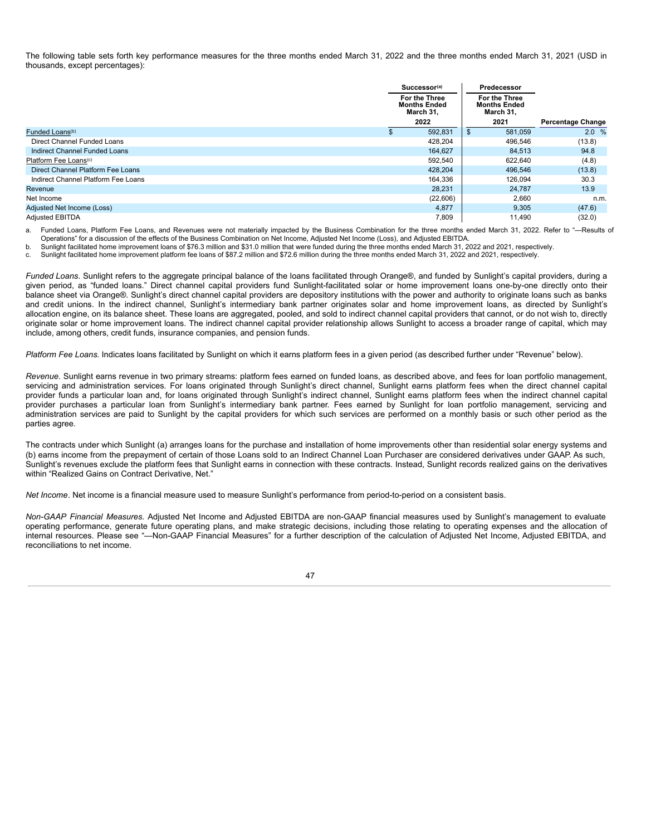The following table sets forth key performance measures for the three months ended March 31, 2022 and the three months ended March 31, 2021 (USD in thousands, except percentages):

|                                     | Successor <sup>(a)</sup>                          |    | Predecessor                                       |                          |
|-------------------------------------|---------------------------------------------------|----|---------------------------------------------------|--------------------------|
|                                     | For the Three<br><b>Months Ended</b><br>March 31. |    | For the Three<br><b>Months Ended</b><br>March 31, |                          |
|                                     | 2022                                              |    | 2021                                              | <b>Percentage Change</b> |
| Funded Loans <sup>(b)</sup>         | 592,831                                           | \$ | 581.059                                           | 2.0%                     |
| Direct Channel Funded Loans         | 428,204                                           |    | 496,546                                           | (13.8)                   |
| Indirect Channel Funded Loans       | 164.627                                           |    | 84,513                                            | 94.8                     |
| Platform Fee Loans <sup>(c)</sup>   | 592,540                                           |    | 622.640                                           | (4.8)                    |
| Direct Channel Platform Fee Loans   | 428,204                                           |    | 496,546                                           | (13.8)                   |
| Indirect Channel Platform Fee Loans | 164.336                                           |    | 126.094                                           | 30.3                     |
| Revenue                             | 28,231                                            |    | 24.787                                            | 13.9                     |
| Net Income                          | (22,606)                                          |    | 2,660                                             | n.m.                     |
| Adjusted Net Income (Loss)          | 4,877                                             |    | 9,305                                             | (47.6)                   |
| <b>Adiusted EBITDA</b>              | 7,809                                             |    | 11.490                                            | (32.0)                   |

a. Funded Loans, Platform Fee Loans, and Revenues were not materially impacted by the Business Combination for the three months ended March 31, 2022. Refer to "--Results of Operations" for a discussion of the effects of the Business Combination on Net Income, Adjusted Net Income (Loss), and Adjusted EBITDA.

b. Sunlight facilitated home improvement loans of \$76.3 million and \$31.0 million that were funded during the three months ended March 31, 2022 and 2021, respectively.

c. Sunlight facilitated home improvement platform fee loans of \$87.2 million and \$72.6 million during the three months ended March 31, 2022 and 2021, respectively.

*Funded Loans*. Sunlight refers to the aggregate principal balance of the loans facilitated through Orange®, and funded by Sunlight's capital providers, during a given period, as "funded loans." Direct channel capital providers fund Sunlight-facilitated solar or home improvement loans one-by-one directly onto their balance sheet via Orange®. Sunlight's direct channel capital providers are depository institutions with the power and authority to originate loans such as banks and credit unions. In the indirect channel, Sunlight's intermediary bank partner originates solar and home improvement loans, as directed by Sunlight's allocation engine, on its balance sheet. These loans are aggregated, pooled, and sold to indirect channel capital providers that cannot, or do not wish to, directly originate solar or home improvement loans. The indirect channel capital provider relationship allows Sunlight to access a broader range of capital, which may include, among others, credit funds, insurance companies, and pension funds.

*Platform Fee Loans*. Indicates loans facilitated by Sunlight on which it earns platform fees in a given period (as described further under "Revenue" below).

*Revenue*. Sunlight earns revenue in two primary streams: platform fees earned on funded loans, as described above, and fees for loan portfolio management, servicing and administration services. For loans originated through Sunlight's direct channel, Sunlight earns platform fees when the direct channel capital provider funds a particular loan and, for loans originated through Sunlight's indirect channel, Sunlight earns platform fees when the indirect channel capital provider purchases a particular loan from Sunlight's intermediary bank partner. Fees earned by Sunlight for loan portfolio management, servicing and administration services are paid to Sunlight by the capital providers for which such services are performed on a monthly basis or such other period as the parties agree.

The contracts under which Sunlight (a) arranges loans for the purchase and installation of home improvements other than residential solar energy systems and (b) earns income from the prepayment of certain of those Loans sold to an Indirect Channel Loan Purchaser are considered derivatives under GAAP. As such, Sunlight's revenues exclude the platform fees that Sunlight earns in connection with these contracts. Instead, Sunlight records realized gains on the derivatives within "Realized Gains on Contract Derivative, Net."

*Net Income*. Net income is a financial measure used to measure Sunlight's performance from period-to-period on a consistent basis.

*Non-GAAP Financial Measures.* Adjusted Net Income and Adjusted EBITDA are non-GAAP financial measures used by Sunlight's management to evaluate operating performance, generate future operating plans, and make strategic decisions, including those relating to operating expenses and the allocation of internal resources. Please see "—Non-GAAP Financial Measures" for a further description of the calculation of Adjusted Net Income, Adjusted EBITDA, and reconciliations to net income.

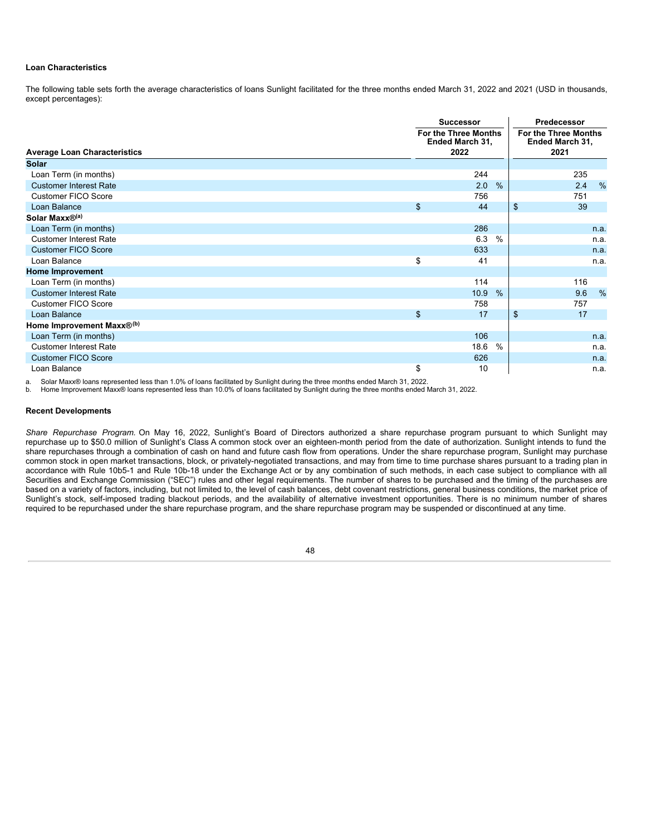# **Loan Characteristics**

The following table sets forth the average characteristics of loans Sunlight facilitated for the three months ended March 31, 2022 and 2021 (USD in thousands, except percentages):

|                                       |    | <b>Successor</b>                                       |      | Predecessor                                     |      |  |
|---------------------------------------|----|--------------------------------------------------------|------|-------------------------------------------------|------|--|
| <b>Average Loan Characteristics</b>   |    | <b>For the Three Months</b><br>Ended March 31,<br>2022 |      | For the Three Months<br>Ended March 31,<br>2021 |      |  |
| <b>Solar</b>                          |    |                                                        |      |                                                 |      |  |
| Loan Term (in months)                 |    | 244                                                    |      | 235                                             |      |  |
| <b>Customer Interest Rate</b>         |    | 2.0                                                    | $\%$ | 2.4                                             | $\%$ |  |
| <b>Customer FICO Score</b>            |    | 756                                                    |      | 751                                             |      |  |
| Loan Balance                          | \$ | 44                                                     |      | $\mathfrak{S}$<br>39                            |      |  |
| Solar Maxx®(a)                        |    |                                                        |      |                                                 |      |  |
| Loan Term (in months)                 |    | 286                                                    |      |                                                 | n.a. |  |
| <b>Customer Interest Rate</b>         |    | 6.3                                                    | $\%$ |                                                 | n.a. |  |
| <b>Customer FICO Score</b>            |    | 633                                                    |      |                                                 | n.a. |  |
| Loan Balance                          | \$ | 41                                                     |      |                                                 | n.a. |  |
| <b>Home Improvement</b>               |    |                                                        |      |                                                 |      |  |
| Loan Term (in months)                 |    | 114                                                    |      | 116                                             |      |  |
| <b>Customer Interest Rate</b>         |    | 10.9                                                   | $\%$ | 9.6                                             | %    |  |
| <b>Customer FICO Score</b>            |    | 758                                                    |      | 757                                             |      |  |
| Loan Balance                          | \$ | 17                                                     |      | \$<br>17                                        |      |  |
| Home Improvement Maxx® <sup>(b)</sup> |    |                                                        |      |                                                 |      |  |
| Loan Term (in months)                 |    | 106                                                    |      |                                                 | n.a. |  |
| <b>Customer Interest Rate</b>         |    | 18.6                                                   | $\%$ |                                                 | n.a. |  |
| <b>Customer FICO Score</b>            |    | 626                                                    |      |                                                 | n.a. |  |
| Loan Balance                          | \$ | 10                                                     |      |                                                 | n.a. |  |

a. Solar Maxx® loans represented less than 1.0% of loans facilitated by Sunlight during the three months ended March 31, 2022.

b. Home Improvement Maxx® loans represented less than 10.0% of loans facilitated by Sunlight during the three months ended March 31, 2022.

# **Recent Developments**

*Share Repurchase Program.* On May 16, 2022, Sunlight's Board of Directors authorized a share repurchase program pursuant to which Sunlight may repurchase up to \$50.0 million of Sunlight's Class A common stock over an eighteen-month period from the date of authorization. Sunlight intends to fund the share repurchases through a combination of cash on hand and future cash flow from operations. Under the share repurchase program, Sunlight may purchase common stock in open market transactions, block, or privately-negotiated transactions, and may from time to time purchase shares pursuant to a trading plan in accordance with Rule 10b5-1 and Rule 10b-18 under the Exchange Act or by any combination of such methods, in each case subject to compliance with all Securities and Exchange Commission ("SEC") rules and other legal requirements. The number of shares to be purchased and the timing of the purchases are based on a variety of factors, including, but not limited to, the level of cash balances, debt covenant restrictions, general business conditions, the market price of Sunlight's stock, self-imposed trading blackout periods, and the availability of alternative investment opportunities. There is no minimum number of shares required to be repurchased under the share repurchase program, and the share repurchase program may be suspended or discontinued at any time.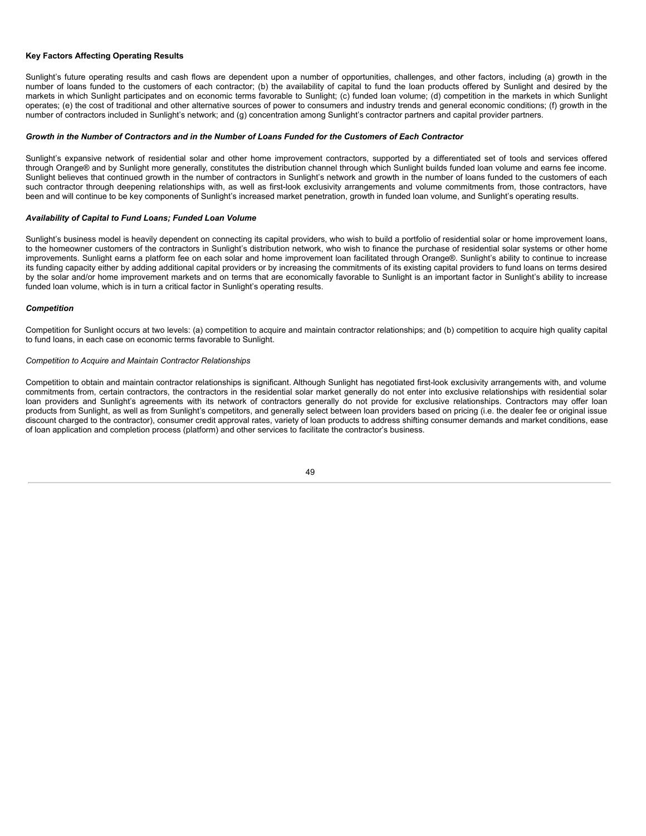# **Key Factors Affecting Operating Results**

Sunlight's future operating results and cash flows are dependent upon a number of opportunities, challenges, and other factors, including (a) growth in the number of loans funded to the customers of each contractor; (b) the availability of capital to fund the loan products offered by Sunlight and desired by the markets in which Sunlight participates and on economic terms favorable to Sunlight; (c) funded loan volume; (d) competition in the markets in which Sunlight operates; (e) the cost of traditional and other alternative sources of power to consumers and industry trends and general economic conditions; (f) growth in the number of contractors included in Sunlight's network; and (g) concentration among Sunlight's contractor partners and capital provider partners.

# Growth in the Number of Contractors and in the Number of Loans Funded for the Customers of Each Contractor

Sunlight's expansive network of residential solar and other home improvement contractors, supported by a differentiated set of tools and services offered through Orange® and by Sunlight more generally, constitutes the distribution channel through which Sunlight builds funded loan volume and earns fee income. Sunlight believes that continued growth in the number of contractors in Sunlight's network and growth in the number of loans funded to the customers of each such contractor through deepening relationships with, as well as first-look exclusivity arrangements and volume commitments from, those contractors, have been and will continue to be key components of Sunlight's increased market penetration, growth in funded loan volume, and Sunlight's operating results.

## *Availability of Capital to Fund Loans; Funded Loan Volume*

Sunlight's business model is heavily dependent on connecting its capital providers, who wish to build a portfolio of residential solar or home improvement loans, to the homeowner customers of the contractors in Sunlight's distribution network, who wish to finance the purchase of residential solar systems or other home improvements. Sunlight earns a platform fee on each solar and home improvement loan facilitated through Orange®. Sunlight's ability to continue to increase its funding capacity either by adding additional capital providers or by increasing the commitments of its existing capital providers to fund loans on terms desired by the solar and/or home improvement markets and on terms that are economically favorable to Sunlight is an important factor in Sunlight's ability to increase funded loan volume, which is in turn a critical factor in Sunlight's operating results.

# *Competition*

Competition for Sunlight occurs at two levels: (a) competition to acquire and maintain contractor relationships; and (b) competition to acquire high quality capital to fund loans, in each case on economic terms favorable to Sunlight.

#### *Competition to Acquire and Maintain Contractor Relationships*

Competition to obtain and maintain contractor relationships is significant. Although Sunlight has negotiated first-look exclusivity arrangements with, and volume commitments from, certain contractors, the contractors in the residential solar market generally do not enter into exclusive relationships with residential solar loan providers and Sunlight's agreements with its network of contractors generally do not provide for exclusive relationships. Contractors may offer loan products from Sunlight, as well as from Sunlight's competitors, and generally select between loan providers based on pricing (i.e. the dealer fee or original issue discount charged to the contractor), consumer credit approval rates, variety of loan products to address shifting consumer demands and market conditions, ease of loan application and completion process (platform) and other services to facilitate the contractor's business.

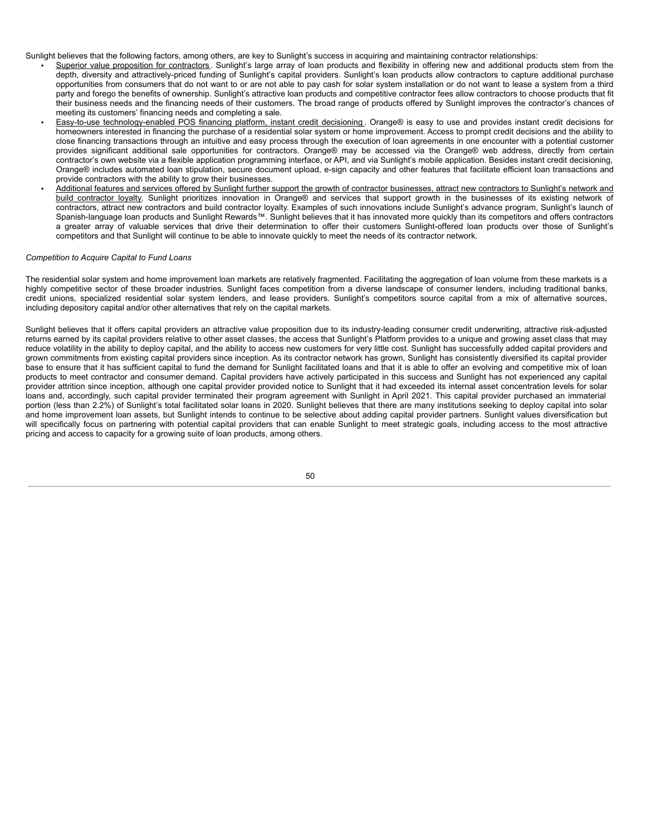Sunlight believes that the following factors, among others, are key to Sunlight's success in acquiring and maintaining contractor relationships:

- Superior value proposition for contractors. Sunlight's large array of loan products and flexibility in offering new and additional products stem from the depth, diversity and attractively-priced funding of Sunlight's capital providers. Sunlight's loan products allow contractors to capture additional purchase opportunities from consumers that do not want to or are not able to pay cash for solar system installation or do not want to lease a system from a third party and forego the benefits of ownership. Sunlight's attractive loan products and competitive contractor fees allow contractors to choose products that fit their business needs and the financing needs of their customers. The broad range of products offered by Sunlight improves the contractor's chances of meeting its customers' financing needs and completing a sale.
- *•* Easy-to-use technology-enabled POS financing platform, instant credit decisioning . Orange® is easy to use and provides instant credit decisions for homeowners interested in financing the purchase of a residential solar system or home improvement. Access to prompt credit decisions and the ability to close financing transactions through an intuitive and easy process through the execution of loan agreements in one encounter with a potential customer provides significant additional sale opportunities for contractors. Orange® may be accessed via the Orange® web address, directly from certain contractor's own website via a flexible application programming interface, or API, and via Sunlight's mobile application. Besides instant credit decisioning, Orange® includes automated loan stipulation, secure document upload, e-sign capacity and other features that facilitate efficient loan transactions and provide contractors with the ability to grow their businesses.
- *•* Additional features and services offered by Sunlight further support the growth of contractor businesses, attract new contractors to Sunlight's network and build contractor loyalty. Sunlight prioritizes innovation in Orange® and services that support growth in the businesses of its existing network of contractors, attract new contractors and build contractor loyalty. Examples of such innovations include Sunlight's advance program, Sunlight's launch of Spanish-language loan products and Sunlight Rewards™. Sunlight believes that it has innovated more quickly than its competitors and offers contractors a greater array of valuable services that drive their determination to offer their customers Sunlight-offered loan products over those of Sunlight's competitors and that Sunlight will continue to be able to innovate quickly to meet the needs of its contractor network.

# *Competition to Acquire Capital to Fund Loans*

The residential solar system and home improvement loan markets are relatively fragmented. Facilitating the aggregation of loan volume from these markets is a highly competitive sector of these broader industries. Sunlight faces competition from a diverse landscape of consumer lenders, including traditional banks, credit unions, specialized residential solar system lenders, and lease providers. Sunlight's competitors source capital from a mix of alternative sources, including depository capital and/or other alternatives that rely on the capital markets.

Sunlight believes that it offers capital providers an attractive value proposition due to its industry-leading consumer credit underwriting, attractive risk-adjusted returns earned by its capital providers relative to other asset classes, the access that Sunlight's Platform provides to a unique and growing asset class that may reduce volatility in the ability to deploy capital, and the ability to access new customers for very little cost. Sunlight has successfully added capital providers and grown commitments from existing capital providers since inception. As its contractor network has grown, Sunlight has consistently diversified its capital provider base to ensure that it has sufficient capital to fund the demand for Sunlight facilitated loans and that it is able to offer an evolving and competitive mix of loan products to meet contractor and consumer demand. Capital providers have actively participated in this success and Sunlight has not experienced any capital provider attrition since inception, although one capital provider provided notice to Sunlight that it had exceeded its internal asset concentration levels for solar loans and, accordingly, such capital provider terminated their program agreement with Sunlight in April 2021. This capital provider purchased an immaterial portion (less than 2.2%) of Sunlight's total facilitated solar loans in 2020. Sunlight believes that there are many institutions seeking to deploy capital into solar and home improvement loan assets, but Sunlight intends to continue to be selective about adding capital provider partners. Sunlight values diversification but will specifically focus on partnering with potential capital providers that can enable Sunlight to meet strategic goals, including access to the most attractive pricing and access to capacity for a growing suite of loan products, among others.

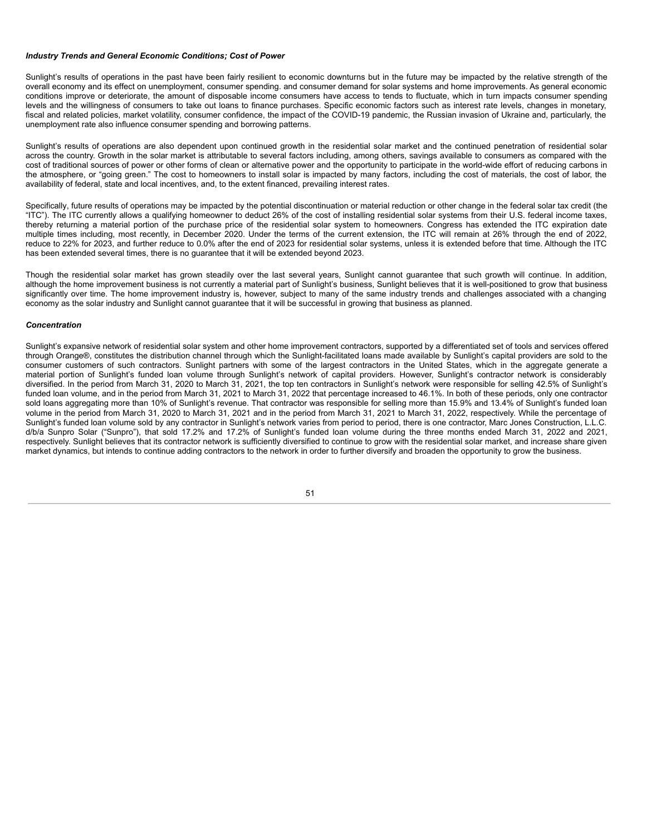# *Industry Trends and General Economic Conditions; Cost of Power*

Sunlight's results of operations in the past have been fairly resilient to economic downturns but in the future may be impacted by the relative strength of the overall economy and its effect on unemployment, consumer spending. and consumer demand for solar systems and home improvements. As general economic conditions improve or deteriorate, the amount of disposable income consumers have access to tends to fluctuate, which in turn impacts consumer spending levels and the willingness of consumers to take out loans to finance purchases. Specific economic factors such as interest rate levels, changes in monetary, fiscal and related policies, market volatility, consumer confidence, the impact of the COVID-19 pandemic, the Russian invasion of Ukraine and, particularly, the unemployment rate also influence consumer spending and borrowing patterns.

Sunlight's results of operations are also dependent upon continued growth in the residential solar market and the continued penetration of residential solar across the country. Growth in the solar market is attributable to several factors including, among others, savings available to consumers as compared with the cost of traditional sources of power or other forms of clean or alternative power and the opportunity to participate in the world-wide effort of reducing carbons in the atmosphere, or "going green." The cost to homeowners to install solar is impacted by many factors, including the cost of materials, the cost of labor, the availability of federal, state and local incentives, and, to the extent financed, prevailing interest rates.

Specifically, future results of operations may be impacted by the potential discontinuation or material reduction or other change in the federal solar tax credit (the "ITC"). The ITC currently allows a qualifying homeowner to deduct 26% of the cost of installing residential solar systems from their U.S. federal income taxes, thereby returning a material portion of the purchase price of the residential solar system to homeowners. Congress has extended the ITC expiration date multiple times including, most recently, in December 2020. Under the terms of the current extension, the ITC will remain at 26% through the end of 2022, reduce to 22% for 2023, and further reduce to 0.0% after the end of 2023 for residential solar systems, unless it is extended before that time. Although the ITC has been extended several times, there is no guarantee that it will be extended beyond 2023.

Though the residential solar market has grown steadily over the last several years, Sunlight cannot guarantee that such growth will continue. In addition, although the home improvement business is not currently a material part of Sunlight's business, Sunlight believes that it is well-positioned to grow that business significantly over time. The home improvement industry is, however, subject to many of the same industry trends and challenges associated with a changing economy as the solar industry and Sunlight cannot guarantee that it will be successful in growing that business as planned.

#### *Concentration*

Sunlight's expansive network of residential solar system and other home improvement contractors, supported by a differentiated set of tools and services offered through Orange®, constitutes the distribution channel through which the Sunlight-facilitated loans made available by Sunlight's capital providers are sold to the consumer customers of such contractors. Sunlight partners with some of the largest contractors in the United States, which in the aggregate generate a material portion of Sunlight's funded loan volume through Sunlight's network of capital providers. However, Sunlight's contractor network is considerably diversified. In the period from March 31, 2020 to March 31, 2021, the top ten contractors in Sunlight's network were responsible for selling 42.5% of Sunlight's funded loan volume, and in the period from March 31, 2021 to March 31, 2022 that percentage increased to 46.1%. In both of these periods, only one contractor sold loans aggregating more than 10% of Sunlight's revenue. That contractor was responsible for selling more than 15.9% and 13.4% of Sunlight's funded loan volume in the period from March 31, 2020 to March 31, 2021 and in the period from March 31, 2021 to March 31, 2022, respectively. While the percentage of Sunlight's funded loan volume sold by any contractor in Sunlight's network varies from period to period, there is one contractor, Marc Jones Construction, L.L.C. d/b/a Sunpro Solar ("Sunpro"), that sold 17.2% and 17.2% of Sunlight's funded loan volume during the three months ended March 31, 2022 and 2021, respectively. Sunlight believes that its contractor network is sufficiently diversified to continue to grow with the residential solar market, and increase share given market dynamics, but intends to continue adding contractors to the network in order to further diversify and broaden the opportunity to grow the business.

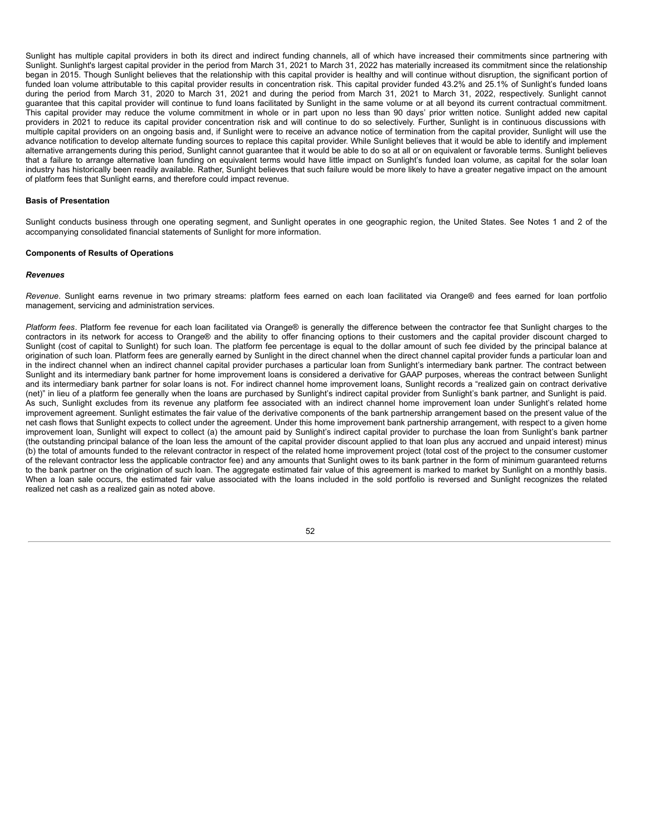Sunlight has multiple capital providers in both its direct and indirect funding channels, all of which have increased their commitments since partnering with Sunlight. Sunlight's largest capital provider in the period from March 31, 2021 to March 31, 2022 has materially increased its commitment since the relationship began in 2015. Though Sunlight believes that the relationship with this capital provider is healthy and will continue without disruption, the significant portion of funded loan volume attributable to this capital provider results in concentration risk. This capital provider funded 43.2% and 25.1% of Sunlight's funded loans during the period from March 31, 2020 to March 31, 2021 and during the period from March 31, 2021 to March 31, 2022, respectively. Sunlight cannot guarantee that this capital provider will continue to fund loans facilitated by Sunlight in the same volume or at all beyond its current contractual commitment. This capital provider may reduce the volume commitment in whole or in part upon no less than 90 days' prior written notice. Sunlight added new capital providers in 2021 to reduce its capital provider concentration risk and will continue to do so selectively. Further, Sunlight is in continuous discussions with multiple capital providers on an ongoing basis and, if Sunlight were to receive an advance notice of termination from the capital provider, Sunlight will use the advance notification to develop alternate funding sources to replace this capital provider. While Sunlight believes that it would be able to identify and implement alternative arrangements during this period, Sunlight cannot guarantee that it would be able to do so at all or on equivalent or favorable terms. Sunlight believes that a failure to arrange alternative loan funding on equivalent terms would have little impact on Sunlight's funded loan volume, as capital for the solar loan industry has historically been readily available. Rather, Sunlight believes that such failure would be more likely to have a greater negative impact on the amount of platform fees that Sunlight earns, and therefore could impact revenue.

### **Basis of Presentation**

Sunlight conducts business through one operating segment, and Sunlight operates in one geographic region, the United States. See Notes 1 and 2 of the accompanying consolidated financial statements of Sunlight for more information.

# **Components of Results of Operations**

#### *Revenues*

*Revenue*. Sunlight earns revenue in two primary streams: platform fees earned on each loan facilitated via Orange® and fees earned for loan portfolio management, servicing and administration services.

*Platform fees*. Platform fee revenue for each loan facilitated via Orange® is generally the difference between the contractor fee that Sunlight charges to the contractors in its network for access to Orange® and the ability to offer financing options to their customers and the capital provider discount charged to Sunlight (cost of capital to Sunlight) for such loan. The platform fee percentage is equal to the dollar amount of such fee divided by the principal balance at origination of such loan. Platform fees are generally earned by Sunlight in the direct channel when the direct channel capital provider funds a particular loan and in the indirect channel when an indirect channel capital provider purchases a particular loan from Sunlight's intermediary bank partner. The contract between Sunlight and its intermediary bank partner for home improvement loans is considered a derivative for GAAP purposes, whereas the contract between Sunlight and its intermediary bank partner for solar loans is not. For indirect channel home improvement loans, Sunlight records a "realized gain on contract derivative (net)" in lieu of a platform fee generally when the loans are purchased by Sunlight's indirect capital provider from Sunlight's bank partner, and Sunlight is paid. As such, Sunlight excludes from its revenue any platform fee associated with an indirect channel home improvement loan under Sunlight's related home improvement agreement. Sunlight estimates the fair value of the derivative components of the bank partnership arrangement based on the present value of the net cash flows that Sunlight expects to collect under the agreement. Under this home improvement bank partnership arrangement, with respect to a given home improvement loan, Sunlight will expect to collect (a) the amount paid by Sunlight's indirect capital provider to purchase the loan from Sunlight's bank partner (the outstanding principal balance of the loan less the amount of the capital provider discount applied to that loan plus any accrued and unpaid interest) minus (b) the total of amounts funded to the relevant contractor in respect of the related home improvement project (total cost of the project to the consumer customer of the relevant contractor less the applicable contractor fee) and any amounts that Sunlight owes to its bank partner in the form of minimum guaranteed returns to the bank partner on the origination of such loan. The aggregate estimated fair value of this agreement is marked to market by Sunlight on a monthly basis. When a loan sale occurs, the estimated fair value associated with the loans included in the sold portfolio is reversed and Sunlight recognizes the related realized net cash as a realized gain as noted above.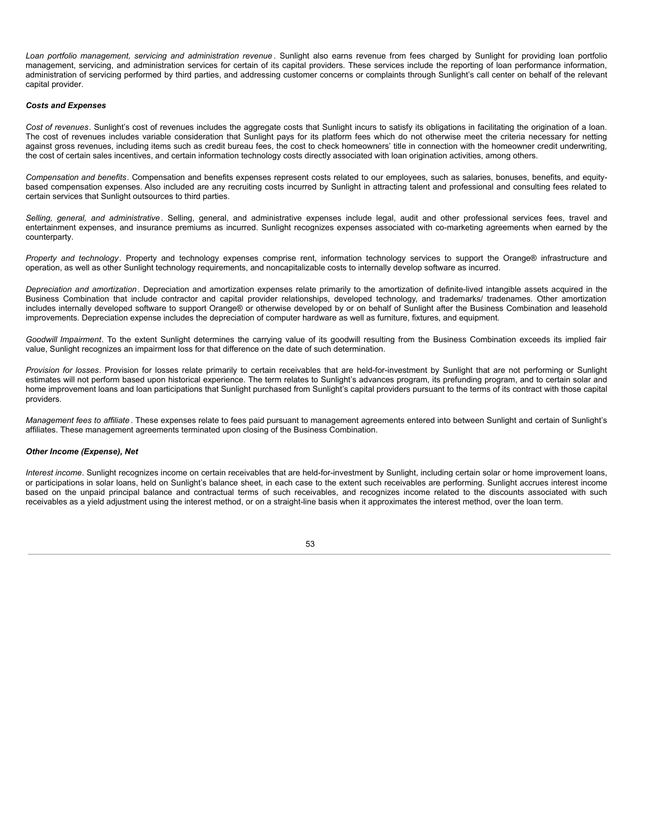*Loan portfolio management, servicing and administration revenue* . Sunlight also earns revenue from fees charged by Sunlight for providing loan portfolio management, servicing, and administration services for certain of its capital providers. These services include the reporting of loan performance information, administration of servicing performed by third parties, and addressing customer concerns or complaints through Sunlight's call center on behalf of the relevant capital provider.

# *Costs and Expenses*

*Cost of revenues*. Sunlight's cost of revenues includes the aggregate costs that Sunlight incurs to satisfy its obligations in facilitating the origination of a loan. The cost of revenues includes variable consideration that Sunlight pays for its platform fees which do not otherwise meet the criteria necessary for netting against gross revenues, including items such as credit bureau fees, the cost to check homeowners' title in connection with the homeowner credit underwriting, the cost of certain sales incentives, and certain information technology costs directly associated with loan origination activities, among others.

*Compensation and benefits*. Compensation and benefits expenses represent costs related to our employees, such as salaries, bonuses, benefits, and equitybased compensation expenses. Also included are any recruiting costs incurred by Sunlight in attracting talent and professional and consulting fees related to certain services that Sunlight outsources to third parties.

*Selling, general, and administrative* . Selling, general, and administrative expenses include legal, audit and other professional services fees, travel and entertainment expenses, and insurance premiums as incurred. Sunlight recognizes expenses associated with co-marketing agreements when earned by the counterparty.

*Property and technology*. Property and technology expenses comprise rent, information technology services to support the Orange® infrastructure and operation, as well as other Sunlight technology requirements, and noncapitalizable costs to internally develop software as incurred.

*Depreciation and amortization*. Depreciation and amortization expenses relate primarily to the amortization of definite-lived intangible assets acquired in the Business Combination that include contractor and capital provider relationships, developed technology, and trademarks/ tradenames. Other amortization includes internally developed software to support Orange® or otherwise developed by or on behalf of Sunlight after the Business Combination and leasehold improvements. Depreciation expense includes the depreciation of computer hardware as well as furniture, fixtures, and equipment.

*Goodwill Impairment*. To the extent Sunlight determines the carrying value of its goodwill resulting from the Business Combination exceeds its implied fair value, Sunlight recognizes an impairment loss for that difference on the date of such determination.

*Provision for losses*. Provision for losses relate primarily to certain receivables that are held-for-investment by Sunlight that are not performing or Sunlight estimates will not perform based upon historical experience. The term relates to Sunlight's advances program, its prefunding program, and to certain solar and home improvement loans and loan participations that Sunlight purchased from Sunlight's capital providers pursuant to the terms of its contract with those capital providers.

*Management fees to affiliate* . These expenses relate to fees paid pursuant to management agreements entered into between Sunlight and certain of Sunlight's affiliates. These management agreements terminated upon closing of the Business Combination.

# *Other Income (Expense), Net*

*Interest income*. Sunlight recognizes income on certain receivables that are held-for-investment by Sunlight, including certain solar or home improvement loans, or participations in solar loans, held on Sunlight's balance sheet, in each case to the extent such receivables are performing. Sunlight accrues interest income based on the unpaid principal balance and contractual terms of such receivables, and recognizes income related to the discounts associated with such receivables as a yield adjustment using the interest method, or on a straight-line basis when it approximates the interest method, over the loan term.

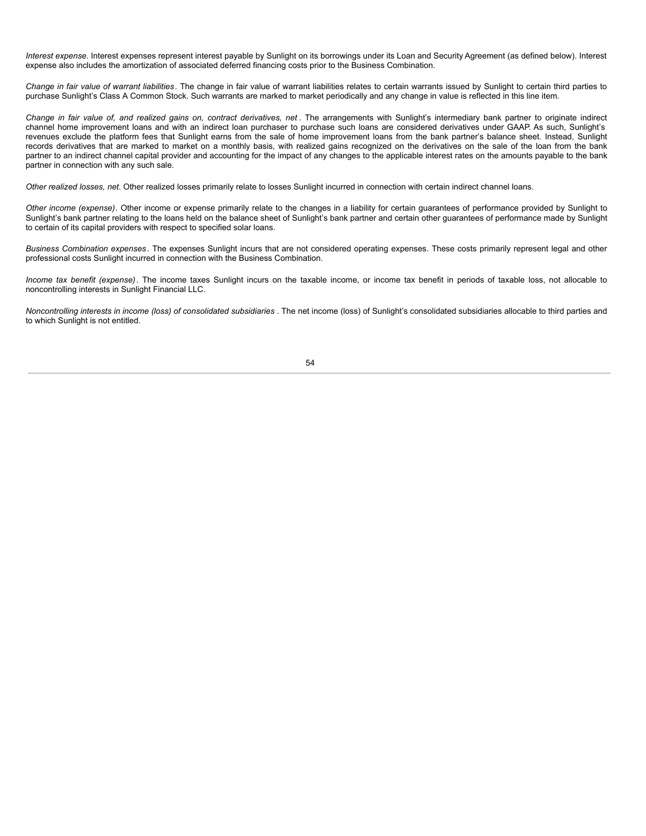*Interest expense*. Interest expenses represent interest payable by Sunlight on its borrowings under its Loan and Security Agreement (as defined below). Interest expense also includes the amortization of associated deferred financing costs prior to the Business Combination.

*Change in fair value of warrant liabilities* . The change in fair value of warrant liabilities relates to certain warrants issued by Sunlight to certain third parties to purchase Sunlight's Class A Common Stock. Such warrants are marked to market periodically and any change in value is reflected in this line item.

Change in fair value of, and realized gains on, contract derivatives, net. The arrangements with Sunlight's intermediary bank partner to originate indirect channel home improvement loans and with an indirect loan purchaser to purchase such loans are considered derivatives under GAAP. As such, Sunlight's revenues exclude the platform fees that Sunlight earns from the sale of home improvement loans from the bank partner's balance sheet. Instead, Sunlight records derivatives that are marked to market on a monthly basis, with realized gains recognized on the derivatives on the sale of the loan from the bank partner to an indirect channel capital provider and accounting for the impact of any changes to the applicable interest rates on the amounts payable to the bank partner in connection with any such sale.

*Other realized losses, net*. Other realized losses primarily relate to losses Sunlight incurred in connection with certain indirect channel loans.

*Other income (expense)*. Other income or expense primarily relate to the changes in a liability for certain guarantees of performance provided by Sunlight to Sunlight's bank partner relating to the loans held on the balance sheet of Sunlight's bank partner and certain other guarantees of performance made by Sunlight to certain of its capital providers with respect to specified solar loans.

*Business Combination expenses* . The expenses Sunlight incurs that are not considered operating expenses. These costs primarily represent legal and other professional costs Sunlight incurred in connection with the Business Combination.

*Income tax benefit (expense)*. The income taxes Sunlight incurs on the taxable income, or income tax benefit in periods of taxable loss, not allocable to noncontrolling interests in Sunlight Financial LLC.

*Noncontrolling interests in income (loss) of consolidated subsidiaries* . The net income (loss) of Sunlight's consolidated subsidiaries allocable to third parties and to which Sunlight is not entitled.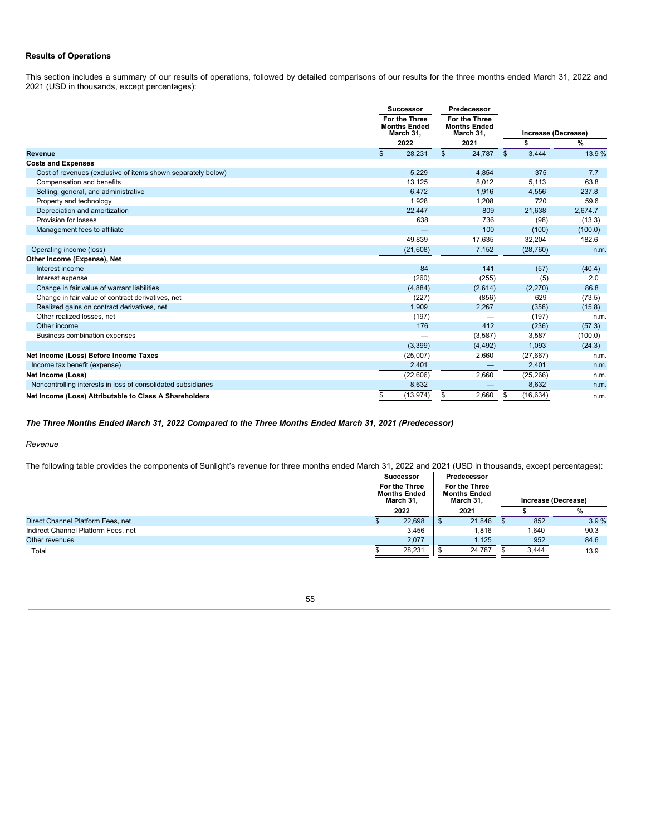# **Results of Operations**

This section includes a summary of our results of operations, followed by detailed comparisons of our results for the three months ended March 31, 2022 and 2021 (USD in thousands, except percentages):

|                                                               | <b>Successor</b>                                  | Predecessor                                              |                       |                     |
|---------------------------------------------------------------|---------------------------------------------------|----------------------------------------------------------|-----------------------|---------------------|
|                                                               | For the Three<br><b>Months Ended</b><br>March 31, | <b>For the Three</b><br><b>Months Ended</b><br>March 31. |                       | Increase (Decrease) |
|                                                               | 2022                                              | 2021                                                     |                       | %                   |
| <b>Revenue</b>                                                | $\mathsf{\$}$<br>28.231                           | 24.787<br>$\mathfrak{S}$                                 | 3.444<br>$\mathbb{S}$ | 13.9%               |
| <b>Costs and Expenses</b>                                     |                                                   |                                                          |                       |                     |
| Cost of revenues (exclusive of items shown separately below)  | 5,229                                             | 4,854                                                    | 375                   | 7.7                 |
| Compensation and benefits                                     | 13,125                                            | 8,012                                                    | 5,113                 | 63.8                |
| Selling, general, and administrative                          | 6,472                                             | 1,916                                                    | 4,556                 | 237.8               |
| Property and technology                                       | 1,928                                             | 1,208                                                    | 720                   | 59.6                |
| Depreciation and amortization                                 | 22,447                                            | 809                                                      | 21,638                | 2,674.7             |
| Provision for losses                                          | 638                                               | 736                                                      | (98)                  | (13.3)              |
| Management fees to affiliate                                  |                                                   | 100                                                      | (100)                 | (100.0)             |
|                                                               | 49,839                                            | 17,635                                                   | 32,204                | 182.6               |
| Operating income (loss)                                       | (21,608)                                          | 7,152                                                    | (28, 760)             | n.m.                |
| Other Income (Expense), Net                                   |                                                   |                                                          |                       |                     |
| Interest income                                               | 84                                                | 141                                                      | (57)                  | (40.4)              |
| Interest expense                                              | (260)                                             | (255)                                                    | (5)                   | 2.0                 |
| Change in fair value of warrant liabilities                   | (4,884)                                           | (2,614)                                                  | (2,270)               | 86.8                |
| Change in fair value of contract derivatives, net             | (227)                                             | (856)                                                    | 629                   | (73.5)              |
| Realized gains on contract derivatives, net                   | 1,909                                             | 2,267                                                    | (358)                 | (15.8)              |
| Other realized losses, net                                    | (197)                                             |                                                          | (197)                 | n.m.                |
| Other income                                                  | 176                                               | 412                                                      | (236)                 | (57.3)              |
| <b>Business combination expenses</b>                          |                                                   | (3, 587)                                                 | 3,587                 | (100.0)             |
|                                                               | (3, 399)                                          | (4, 492)                                                 | 1,093                 | (24.3)              |
| Net Income (Loss) Before Income Taxes                         | (25,007)                                          | 2,660                                                    | (27, 667)             | n.m.                |
| Income tax benefit (expense)                                  | 2,401                                             | $\overline{\phantom{0}}$                                 | 2,401                 | n.m.                |
| Net Income (Loss)                                             | (22,606)                                          | 2,660                                                    | (25, 266)             | n.m.                |
| Noncontrolling interests in loss of consolidated subsidiaries | 8,632                                             |                                                          | 8,632                 | n.m.                |
| Net Income (Loss) Attributable to Class A Shareholders        | \$<br>(13, 974)                                   | 2,660<br>\$                                              | (16, 634)<br>\$       | n.m.                |

# *The Three Months Ended March 31, 2022 Compared to the Three Months Ended March 31, 2021 (Predecessor)*

# *Revenue*

The following table provides the components of Sunlight's revenue for three months ended March 31, 2022 and 2021 (USD in thousands, except percentages):

|                                     | <b>Successor</b>                                  |                                                   | Predecessor |  |                     |      |
|-------------------------------------|---------------------------------------------------|---------------------------------------------------|-------------|--|---------------------|------|
|                                     | For the Three<br><b>Months Ended</b><br>March 31, | For the Three<br><b>Months Ended</b><br>March 31, |             |  | Increase (Decrease) |      |
|                                     | 2022                                              |                                                   | 2021        |  |                     | %    |
| Direct Channel Platform Fees, net   | 22.698                                            |                                                   | 21.846      |  | 852                 | 3.9% |
| Indirect Channel Platform Fees, net | 3.456                                             |                                                   | 1,816       |  | 1,640               | 90.3 |
| Other revenues                      | 2.077                                             |                                                   | 1.125       |  | 952                 | 84.6 |
| Total                               | 28,231                                            |                                                   | 24.787      |  | 3.444               | 13.9 |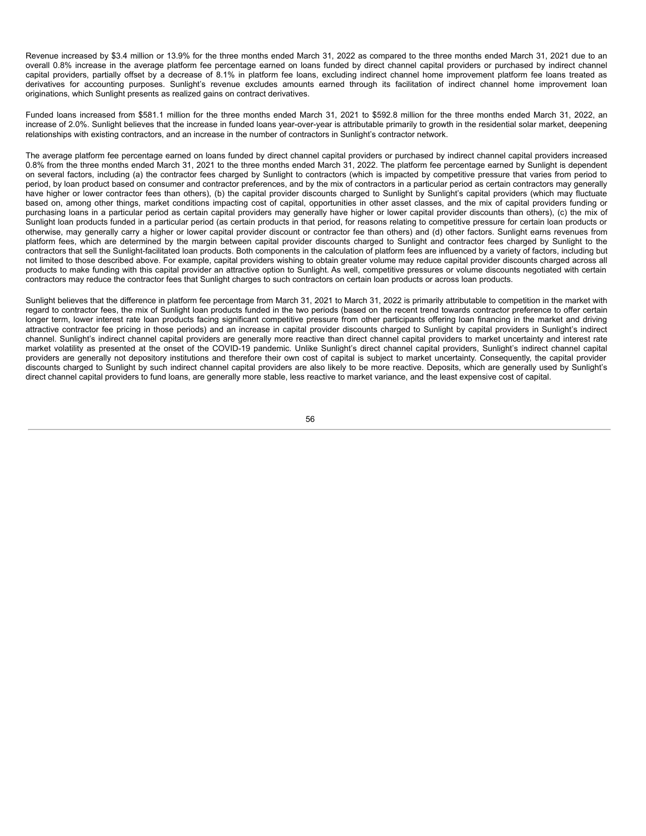Revenue increased by \$3.4 million or 13.9% for the three months ended March 31, 2022 as compared to the three months ended March 31, 2021 due to an overall 0.8% increase in the average platform fee percentage earned on loans funded by direct channel capital providers or purchased by indirect channel capital providers, partially offset by a decrease of 8.1% in platform fee loans, excluding indirect channel home improvement platform fee loans treated as derivatives for accounting purposes. Sunlight's revenue excludes amounts earned through its facilitation of indirect channel home improvement loan originations, which Sunlight presents as realized gains on contract derivatives.

Funded loans increased from \$581.1 million for the three months ended March 31, 2021 to \$592.8 million for the three months ended March 31, 2022, an increase of 2.0%. Sunlight believes that the increase in funded loans year-over-year is attributable primarily to growth in the residential solar market, deepening relationships with existing contractors, and an increase in the number of contractors in Sunlight's contractor network.

The average platform fee percentage earned on loans funded by direct channel capital providers or purchased by indirect channel capital providers increased 0.8% from the three months ended March 31, 2021 to the three months ended March 31, 2022. The platform fee percentage earned by Sunlight is dependent on several factors, including (a) the contractor fees charged by Sunlight to contractors (which is impacted by competitive pressure that varies from period to period, by loan product based on consumer and contractor preferences, and by the mix of contractors in a particular period as certain contractors may generally have higher or lower contractor fees than others), (b) the capital provider discounts charged to Sunlight by Sunlight's capital providers (which may fluctuate based on, among other things, market conditions impacting cost of capital, opportunities in other asset classes, and the mix of capital providers funding or purchasing loans in a particular period as certain capital providers may generally have higher or lower capital provider discounts than others), (c) the mix of Sunlight loan products funded in a particular period (as certain products in that period, for reasons relating to competitive pressure for certain loan products or otherwise, may generally carry a higher or lower capital provider discount or contractor fee than others) and (d) other factors. Sunlight earns revenues from platform fees, which are determined by the margin between capital provider discounts charged to Sunlight and contractor fees charged by Sunlight to the contractors that sell the Sunlight-facilitated loan products. Both components in the calculation of platform fees are influenced by a variety of factors, including but not limited to those described above. For example, capital providers wishing to obtain greater volume may reduce capital provider discounts charged across all products to make funding with this capital provider an attractive option to Sunlight. As well, competitive pressures or volume discounts negotiated with certain contractors may reduce the contractor fees that Sunlight charges to such contractors on certain loan products or across loan products.

Sunlight believes that the difference in platform fee percentage from March 31, 2021 to March 31, 2022 is primarily attributable to competition in the market with regard to contractor fees, the mix of Sunlight loan products funded in the two periods (based on the recent trend towards contractor preference to offer certain longer term, lower interest rate loan products facing significant competitive pressure from other participants offering loan financing in the market and driving attractive contractor fee pricing in those periods) and an increase in capital provider discounts charged to Sunlight by capital providers in Sunlight's indirect channel. Sunlight's indirect channel capital providers are generally more reactive than direct channel capital providers to market uncertainty and interest rate market volatility as presented at the onset of the COVID-19 pandemic. Unlike Sunlight's direct channel capital providers, Sunlight's indirect channel capital providers are generally not depository institutions and therefore their own cost of capital is subject to market uncertainty. Consequently, the capital provider discounts charged to Sunlight by such indirect channel capital providers are also likely to be more reactive. Deposits, which are generally used by Sunlight's direct channel capital providers to fund loans, are generally more stable, less reactive to market variance, and the least expensive cost of capital.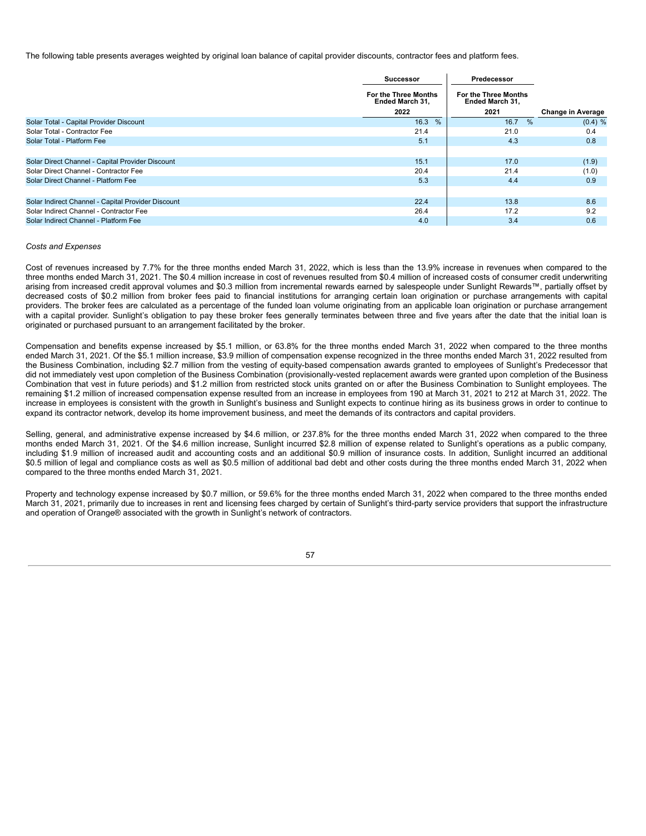The following table presents averages weighted by original loan balance of capital provider discounts, contractor fees and platform fees.

|                                                    | Successor                                             | Predecessor                                    |                          |
|----------------------------------------------------|-------------------------------------------------------|------------------------------------------------|--------------------------|
|                                                    | <b>For the Three Months</b><br><b>Ended March 31.</b> | <b>For the Three Months</b><br>Ended March 31. |                          |
|                                                    | 2022                                                  | 2021                                           | <b>Change in Average</b> |
| Solar Total - Capital Provider Discount            | 16.3%                                                 | $\%$<br>16.7                                   | (0.4) %                  |
| Solar Total - Contractor Fee                       | 21.4                                                  | 21.0                                           | 0.4                      |
| Solar Total - Platform Fee                         | 5.1                                                   | 4.3                                            | 0.8                      |
|                                                    |                                                       |                                                |                          |
| Solar Direct Channel - Capital Provider Discount   | 15.1                                                  | 17.0                                           | (1.9)                    |
| Solar Direct Channel - Contractor Fee              | 20.4                                                  | 21.4                                           | (1.0)                    |
| Solar Direct Channel - Platform Fee                | 5.3                                                   | 4.4                                            | 0.9                      |
|                                                    |                                                       |                                                |                          |
| Solar Indirect Channel - Capital Provider Discount | 22.4                                                  | 13.8                                           | 8.6                      |
| Solar Indirect Channel - Contractor Fee            | 26.4                                                  | 17.2                                           | 9.2                      |
| Solar Indirect Channel - Platform Fee              | 4.0                                                   | 3.4                                            | 0.6                      |

# *Costs and Expenses*

Cost of revenues increased by 7.7% for the three months ended March 31, 2022, which is less than the 13.9% increase in revenues when compared to the three months ended March 31, 2021. The \$0.4 million increase in cost of revenues resulted from \$0.4 million of increased costs of consumer credit underwriting arising from increased credit approval volumes and \$0.3 million from incremental rewards earned by salespeople under Sunlight Rewards™, partially offset by decreased costs of \$0.2 million from broker fees paid to financial institutions for arranging certain loan origination or purchase arrangements with capital providers. The broker fees are calculated as a percentage of the funded loan volume originating from an applicable loan origination or purchase arrangement with a capital provider. Sunlight's obligation to pay these broker fees generally terminates between three and five years after the date that the initial loan is originated or purchased pursuant to an arrangement facilitated by the broker.

Compensation and benefits expense increased by \$5.1 million, or 63.8% for the three months ended March 31, 2022 when compared to the three months ended March 31, 2021. Of the \$5.1 million increase, \$3.9 million of compensation expense recognized in the three months ended March 31, 2022 resulted from the Business Combination, including \$2.7 million from the vesting of equity-based compensation awards granted to employees of Sunlight's Predecessor that did not immediately vest upon completion of the Business Combination (provisionally-vested replacement awards were granted upon completion of the Business Combination that vest in future periods) and \$1.2 million from restricted stock units granted on or after the Business Combination to Sunlight employees. The remaining \$1.2 million of increased compensation expense resulted from an increase in employees from 190 at March 31, 2021 to 212 at March 31, 2022. The increase in employees is consistent with the growth in Sunlight's business and Sunlight expects to continue hiring as its business grows in order to continue to expand its contractor network, develop its home improvement business, and meet the demands of its contractors and capital providers.

Selling, general, and administrative expense increased by \$4.6 million, or 237.8% for the three months ended March 31, 2022 when compared to the three months ended March 31, 2021. Of the \$4.6 million increase. Sunlight incurred \$2.8 million of expense related to Sunlight's operations as a public company, including \$1.9 million of increased audit and accounting costs and an additional \$0.9 million of insurance costs. In addition, Sunlight incurred an additional \$0.5 million of legal and compliance costs as well as \$0.5 million of additional bad debt and other costs during the three months ended March 31, 2022 when compared to the three months ended March 31, 2021.

Property and technology expense increased by \$0.7 million, or 59.6% for the three months ended March 31, 2022 when compared to the three months ended March 31, 2021, primarily due to increases in rent and licensing fees charged by certain of Sunlight's third-party service providers that support the infrastructure and operation of Orange® associated with the growth in Sunlight's network of contractors.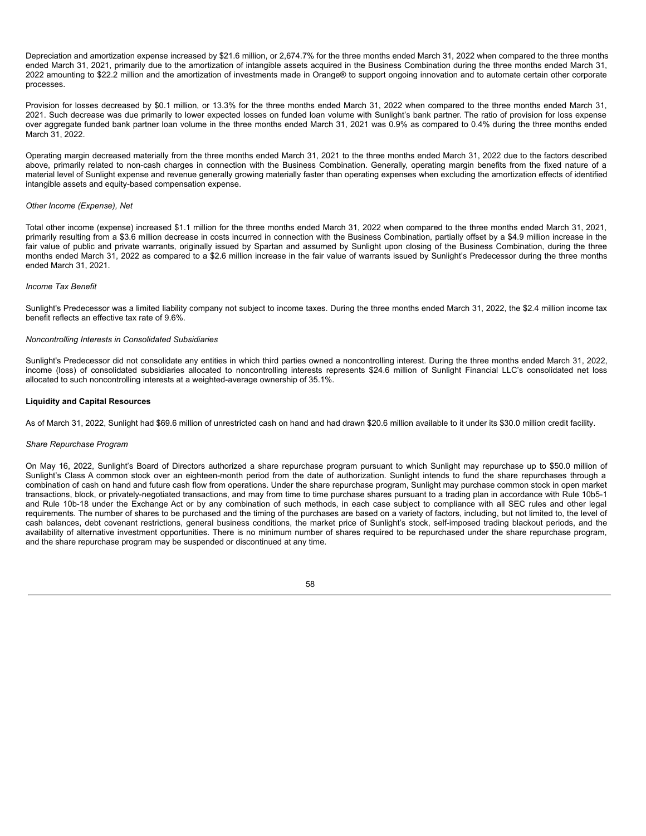Depreciation and amortization expense increased by \$21.6 million, or 2,674.7% for the three months ended March 31, 2022 when compared to the three months ended March 31, 2021, primarily due to the amortization of intangible assets acquired in the Business Combination during the three months ended March 31, 2022 amounting to \$22.2 million and the amortization of investments made in Orange® to support ongoing innovation and to automate certain other corporate processes.

Provision for losses decreased by \$0.1 million, or 13.3% for the three months ended March 31, 2022 when compared to the three months ended March 31, 2021. Such decrease was due primarily to lower expected losses on funded loan volume with Sunlight's bank partner. The ratio of provision for loss expense over aggregate funded bank partner loan volume in the three months ended March 31, 2021 was 0.9% as compared to 0.4% during the three months ended March 31, 2022.

Operating margin decreased materially from the three months ended March 31, 2021 to the three months ended March 31, 2022 due to the factors described above, primarily related to non-cash charges in connection with the Business Combination. Generally, operating margin benefits from the fixed nature of a material level of Sunlight expense and revenue generally growing materially faster than operating expenses when excluding the amortization effects of identified intangible assets and equity-based compensation expense.

# *Other Income (Expense), Net*

Total other income (expense) increased \$1.1 million for the three months ended March 31, 2022 when compared to the three months ended March 31, 2021, primarily resulting from a \$3.6 million decrease in costs incurred in connection with the Business Combination, partially offset by a \$4.9 million increase in the fair value of public and private warrants, originally issued by Spartan and assumed by Sunlight upon closing of the Business Combination, during the three months ended March 31, 2022 as compared to a \$2.6 million increase in the fair value of warrants issued by Sunlight's Predecessor during the three months ended March 31, 2021.

### *Income Tax Benefit*

Sunlight's Predecessor was a limited liability company not subject to income taxes. During the three months ended March 31, 2022, the \$2.4 million income tax benefit reflects an effective tax rate of 9.6%.

### *Noncontrolling Interests in Consolidated Subsidiaries*

Sunlight's Predecessor did not consolidate any entities in which third parties owned a noncontrolling interest. During the three months ended March 31, 2022, income (loss) of consolidated subsidiaries allocated to noncontrolling interests represents \$24.6 million of Sunlight Financial LLC's consolidated net loss allocated to such noncontrolling interests at a weighted-average ownership of 35.1%.

# **Liquidity and Capital Resources**

As of March 31, 2022, Sunlight had \$69.6 million of unrestricted cash on hand and had drawn \$20.6 million available to it under its \$30.0 million credit facility.

#### *Share Repurchase Program*

On May 16, 2022, Sunlight's Board of Directors authorized a share repurchase program pursuant to which Sunlight may repurchase up to \$50.0 million of Sunlight's Class A common stock over an eighteen-month period from the date of authorization. Sunlight intends to fund the share repurchases through a combination of cash on hand and future cash flow from operations. Under the share repurchase program, Sunlight may purchase common stock in open market transactions, block, or privately-negotiated transactions, and may from time to time purchase shares pursuant to a trading plan in accordance with Rule 10b5-1 and Rule 10b-18 under the Exchange Act or by any combination of such methods, in each case subject to compliance with all SEC rules and other legal requirements. The number of shares to be purchased and the timing of the purchases are based on a variety of factors, including, but not limited to, the level of cash balances, debt covenant restrictions, general business conditions, the market price of Sunlight's stock, self-imposed trading blackout periods, and the availability of alternative investment opportunities. There is no minimum number of shares required to be repurchased under the share repurchase program, and the share repurchase program may be suspended or discontinued at any time.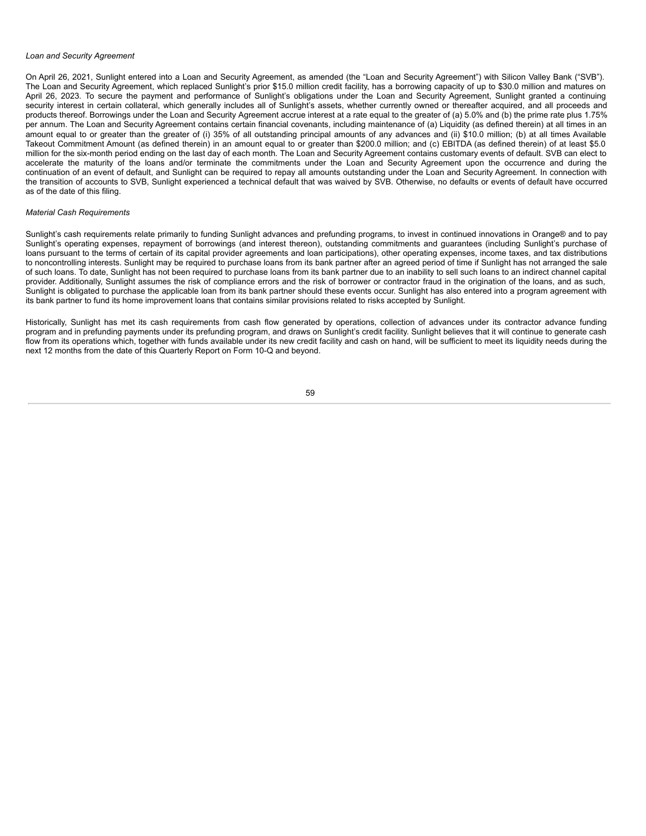#### *Loan and Security Agreement*

On April 26, 2021, Sunlight entered into a Loan and Security Agreement, as amended (the "Loan and Security Agreement") with Silicon Valley Bank ("SVB"). The Loan and Security Agreement, which replaced Sunlight's prior \$15.0 million credit facility, has a borrowing capacity of up to \$30.0 million and matures on April 26, 2023. To secure the payment and performance of Sunlight's obligations under the Loan and Security Agreement, Sunlight granted a continuing security interest in certain collateral, which generally includes all of Sunlight's assets, whether currently owned or thereafter acquired, and all proceeds and products thereof. Borrowings under the Loan and Security Agreement accrue interest at a rate equal to the greater of (a) 5.0% and (b) the prime rate plus 1.75% per annum. The Loan and Security Agreement contains certain financial covenants, including maintenance of (a) Liquidity (as defined therein) at all times in an amount equal to or greater than the greater of (i) 35% of all outstanding principal amounts of any advances and (ii) \$10.0 million; (b) at all times Available Takeout Commitment Amount (as defined therein) in an amount equal to or greater than \$200.0 million; and (c) EBITDA (as defined therein) of at least \$5.0 million for the six-month period ending on the last day of each month. The Loan and Security Agreement contains customary events of default. SVB can elect to accelerate the maturity of the loans and/or terminate the commitments under the Loan and Security Agreement upon the occurrence and during the continuation of an event of default, and Sunlight can be required to repay all amounts outstanding under the Loan and Security Agreement. In connection with the transition of accounts to SVB, Sunlight experienced a technical default that was waived by SVB. Otherwise, no defaults or events of default have occurred as of the date of this filing.

## *Material Cash Requirements*

Sunlight's cash requirements relate primarily to funding Sunlight advances and prefunding programs, to invest in continued innovations in Orange® and to pay Sunlight's operating expenses, repayment of borrowings (and interest thereon), outstanding commitments and guarantees (including Sunlight's purchase of loans pursuant to the terms of certain of its capital provider agreements and loan participations), other operating expenses, income taxes, and tax distributions to noncontrolling interests. Sunlight may be required to purchase loans from its bank partner after an agreed period of time if Sunlight has not arranged the sale of such loans. To date, Sunlight has not been required to purchase loans from its bank partner due to an inability to sell such loans to an indirect channel capital provider. Additionally, Sunlight assumes the risk of compliance errors and the risk of borrower or contractor fraud in the origination of the loans, and as such, Sunlight is obligated to purchase the applicable loan from its bank partner should these events occur. Sunlight has also entered into a program agreement with its bank partner to fund its home improvement loans that contains similar provisions related to risks accepted by Sunlight.

Historically, Sunlight has met its cash requirements from cash flow generated by operations, collection of advances under its contractor advance funding program and in prefunding payments under its prefunding program, and draws on Sunlight's credit facility. Sunlight believes that it will continue to generate cash flow from its operations which, together with funds available under its new credit facility and cash on hand, will be sufficient to meet its liquidity needs during the next 12 months from the date of this Quarterly Report on Form 10-Q and beyond.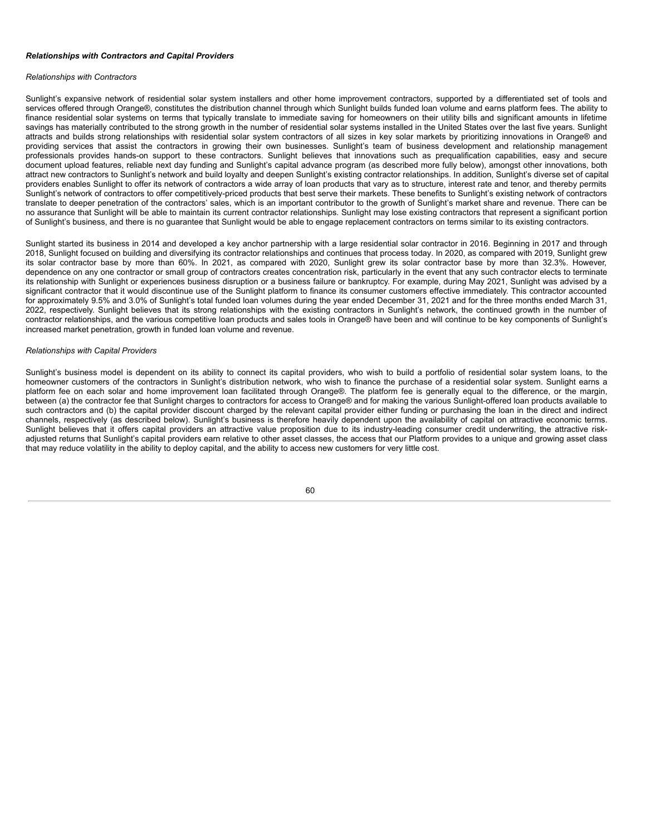### *Relationships with Contractors and Capital Providers*

#### *Relationships with Contractors*

Sunlight's expansive network of residential solar system installers and other home improvement contractors, supported by a differentiated set of tools and services offered through Orange®, constitutes the distribution channel through which Sunlight builds funded loan volume and earns platform fees. The ability to finance residential solar systems on terms that typically translate to immediate saving for homeowners on their utility bills and significant amounts in lifetime savings has materially contributed to the strong growth in the number of residential solar systems installed in the United States over the last five years. Sunlight attracts and builds strong relationships with residential solar system contractors of all sizes in key solar markets by prioritizing innovations in Orange® and providing services that assist the contractors in growing their own businesses. Sunlight's team of business development and relationship management professionals provides hands-on support to these contractors. Sunlight believes that innovations such as prequalification capabilities, easy and secure document upload features, reliable next day funding and Sunlight's capital advance program (as described more fully below), amongst other innovations, both attract new contractors to Sunlight's network and build loyalty and deepen Sunlight's existing contractor relationships. In addition, Sunlight's diverse set of capital providers enables Sunlight to offer its network of contractors a wide array of loan products that vary as to structure, interest rate and tenor, and thereby permits Sunlight's network of contractors to offer competitively-priced products that best serve their markets. These benefits to Sunlight's existing network of contractors translate to deeper penetration of the contractors' sales, which is an important contributor to the growth of Sunlight's market share and revenue. There can be no assurance that Sunlight will be able to maintain its current contractor relationships. Sunlight may lose existing contractors that represent a significant portion of Sunlight's business, and there is no guarantee that Sunlight would be able to engage replacement contractors on terms similar to its existing contractors.

Sunlight started its business in 2014 and developed a key anchor partnership with a large residential solar contractor in 2016. Beginning in 2017 and through 2018, Sunlight focused on building and diversifying its contractor relationships and continues that process today. In 2020, as compared with 2019, Sunlight grew its solar contractor base by more than 60%. In 2021, as compared with 2020, Sunlight grew its solar contractor base by more than 32.3%. However, dependence on any one contractor or small group of contractors creates concentration risk, particularly in the event that any such contractor elects to terminate its relationship with Sunlight or experiences business disruption or a business failure or bankruptcy. For example, during May 2021, Sunlight was advised by a significant contractor that it would discontinue use of the Sunlight platform to finance its consumer customers effective immediately. This contractor accounted for approximately 9.5% and 3.0% of Sunlight's total funded loan volumes during the year ended December 31, 2021 and for the three months ended March 31, 2022, respectively. Sunlight believes that its strong relationships with the existing contractors in Sunlight's network, the continued growth in the number of contractor relationships, and the various competitive loan products and sales tools in Orange® have been and will continue to be key components of Sunlight's increased market penetration, growth in funded loan volume and revenue.

#### *Relationships with Capital Providers*

Sunlight's business model is dependent on its ability to connect its capital providers, who wish to build a portfolio of residential solar system loans, to the homeowner customers of the contractors in Sunlight's distribution network, who wish to finance the purchase of a residential solar system. Sunlight earns a platform fee on each solar and home improvement loan facilitated through Orange®. The platform fee is generally equal to the difference, or the margin, between (a) the contractor fee that Sunlight charges to contractors for access to Orange® and for making the various Sunlight-offered loan products available to such contractors and (b) the capital provider discount charged by the relevant capital provider either funding or purchasing the loan in the direct and indirect channels, respectively (as described below). Sunlight's business is therefore heavily dependent upon the availability of capital on attractive economic terms. Sunlight believes that it offers capital providers an attractive value proposition due to its industry-leading consumer credit underwriting, the attractive riskadjusted returns that Sunlight's capital providers earn relative to other asset classes, the access that our Platform provides to a unique and growing asset class that may reduce volatility in the ability to deploy capital, and the ability to access new customers for very little cost.

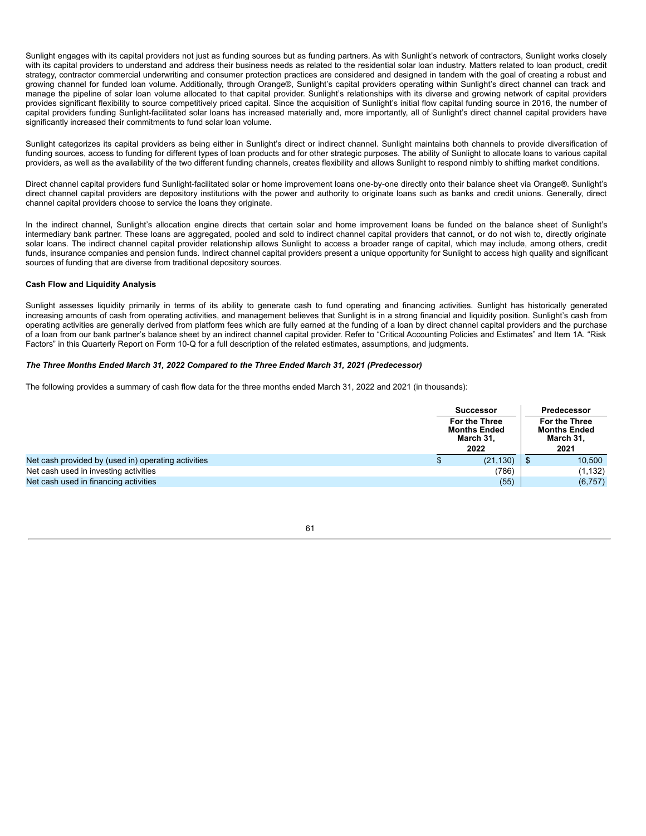Sunlight engages with its capital providers not just as funding sources but as funding partners. As with Sunlight's network of contractors, Sunlight works closely with its capital providers to understand and address their business needs as related to the residential solar loan industry. Matters related to loan product, credit strategy, contractor commercial underwriting and consumer protection practices are considered and designed in tandem with the goal of creating a robust and growing channel for funded loan volume. Additionally, through Orange®, Sunlight's capital providers operating within Sunlight's direct channel can track and manage the pipeline of solar loan volume allocated to that capital provider. Sunlight's relationships with its diverse and growing network of capital providers provides significant flexibility to source competitively priced capital. Since the acquisition of Sunlight's initial flow capital funding source in 2016, the number of capital providers funding Sunlight-facilitated solar loans has increased materially and, more importantly, all of Sunlight's direct channel capital providers have significantly increased their commitments to fund solar loan volume.

Sunlight categorizes its capital providers as being either in Sunlight's direct or indirect channel. Sunlight maintains both channels to provide diversification of funding sources, access to funding for different types of loan products and for other strategic purposes. The ability of Sunlight to allocate loans to various capital providers, as well as the availability of the two different funding channels, creates flexibility and allows Sunlight to respond nimbly to shifting market conditions.

Direct channel capital providers fund Sunlight-facilitated solar or home improvement loans one-by-one directly onto their balance sheet via Orange®. Sunlight's direct channel capital providers are depository institutions with the power and authority to originate loans such as banks and credit unions. Generally, direct channel capital providers choose to service the loans they originate.

In the indirect channel, Sunlight's allocation engine directs that certain solar and home improvement loans be funded on the balance sheet of Sunlight's intermediary bank partner. These loans are aggregated, pooled and sold to indirect channel capital providers that cannot, or do not wish to, directly originate solar loans. The indirect channel capital provider relationship allows Sunlight to access a broader range of capital, which may include, among others, credit funds, insurance companies and pension funds. Indirect channel capital providers present a unique opportunity for Sunlight to access high quality and significant sources of funding that are diverse from traditional depository sources.

# **Cash Flow and Liquidity Analysis**

Sunlight assesses liquidity primarily in terms of its ability to generate cash to fund operating and financing activities. Sunlight has historically generated increasing amounts of cash from operating activities, and management believes that Sunlight is in a strong financial and liquidity position. Sunlight's cash from operating activities are generally derived from platform fees which are fully earned at the funding of a loan by direct channel capital providers and the purchase of a loan from our bank partner's balance sheet by an indirect channel capital provider. Refer to "Critical Accounting Policies and Estimates" and Item 1A. "Risk Factors" in this Quarterly Report on Form 10-Q for a full description of the related estimates, assumptions, and judgments.

# *The Three Months Ended March 31, 2022 Compared to the Three Ended March 31, 2021 (Predecessor)*

The following provides a summary of cash flow data for the three months ended March 31, 2022 and 2021 (in thousands):

|                                                     | <b>Successor</b><br><b>For the Three</b><br><b>Months Ended</b><br>March 31, |           |                                                          | Predecessor |
|-----------------------------------------------------|------------------------------------------------------------------------------|-----------|----------------------------------------------------------|-------------|
|                                                     |                                                                              |           | <b>For the Three</b><br><b>Months Ended</b><br>March 31, |             |
|                                                     |                                                                              | 2022      |                                                          | 2021        |
| Net cash provided by (used in) operating activities |                                                                              | (21, 130) |                                                          | 10,500      |
| Net cash used in investing activities               |                                                                              | (786)     |                                                          | (1, 132)    |
| Net cash used in financing activities               |                                                                              | (55)      |                                                          | (6, 757)    |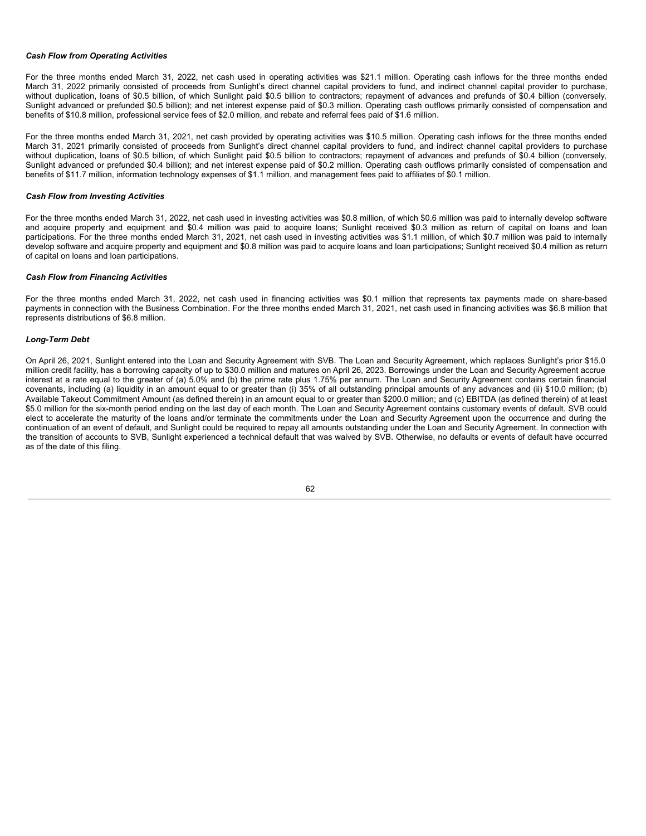# *Cash Flow from Operating Activities*

For the three months ended March 31, 2022, net cash used in operating activities was \$21.1 million. Operating cash inflows for the three months ended March 31, 2022 primarily consisted of proceeds from Sunlight's direct channel capital providers to fund, and indirect channel capital provider to purchase, without duplication, loans of \$0.5 billion, of which Sunlight paid \$0.5 billion to contractors; repayment of advances and prefunds of \$0.4 billion (conversely, Sunlight advanced or prefunded \$0.5 billion); and net interest expense paid of \$0.3 million. Operating cash outflows primarily consisted of compensation and benefits of \$10.8 million, professional service fees of \$2.0 million, and rebate and referral fees paid of \$1.6 million.

For the three months ended March 31, 2021, net cash provided by operating activities was \$10.5 million. Operating cash inflows for the three months ended March 31, 2021 primarily consisted of proceeds from Sunlight's direct channel capital providers to fund, and indirect channel capital providers to purchase without duplication, loans of \$0.5 billion, of which Sunlight paid \$0.5 billion to contractors; repayment of advances and prefunds of \$0.4 billion (conversely, Sunlight advanced or prefunded \$0.4 billion); and net interest expense paid of \$0.2 million. Operating cash outflows primarily consisted of compensation and benefits of \$11.7 million, information technology expenses of \$1.1 million, and management fees paid to affiliates of \$0.1 million.

# *Cash Flow from Investing Activities*

For the three months ended March 31, 2022, net cash used in investing activities was \$0.8 million, of which \$0.6 million was paid to internally develop software and acquire property and equipment and \$0.4 million was paid to acquire loans; Sunlight received \$0.3 million as return of capital on loans and loan participations. For the three months ended March 31, 2021, net cash used in investing activities was \$1.1 million, of which \$0.7 million was paid to internally develop software and acquire property and equipment and \$0.8 million was paid to acquire loans and loan participations; Sunlight received \$0.4 million as return of capital on loans and loan participations.

## *Cash Flow from Financing Activities*

For the three months ended March 31, 2022, net cash used in financing activities was \$0.1 million that represents tax payments made on share-based payments in connection with the Business Combination. For the three months ended March 31, 2021, net cash used in financing activities was \$6.8 million that represents distributions of \$6.8 million.

### *Long-Term Debt*

On April 26, 2021, Sunlight entered into the Loan and Security Agreement with SVB. The Loan and Security Agreement, which replaces Sunlight's prior \$15.0 million credit facility, has a borrowing capacity of up to \$30.0 million and matures on April 26, 2023. Borrowings under the Loan and Security Agreement accrue interest at a rate equal to the greater of (a) 5.0% and (b) the prime rate plus 1.75% per annum. The Loan and Security Agreement contains certain financial covenants, including (a) liquidity in an amount equal to or greater than (i) 35% of all outstanding principal amounts of any advances and (ii) \$10.0 million; (b) Available Takeout Commitment Amount (as defined therein) in an amount equal to or greater than \$200.0 million; and (c) EBITDA (as defined therein) of at least \$5.0 million for the six-month period ending on the last day of each month. The Loan and Security Agreement contains customary events of default. SVB could elect to accelerate the maturity of the loans and/or terminate the commitments under the Loan and Security Agreement upon the occurrence and during the continuation of an event of default, and Sunlight could be required to repay all amounts outstanding under the Loan and Security Agreement. In connection with the transition of accounts to SVB, Sunlight experienced a technical default that was waived by SVB. Otherwise, no defaults or events of default have occurred as of the date of this filing.

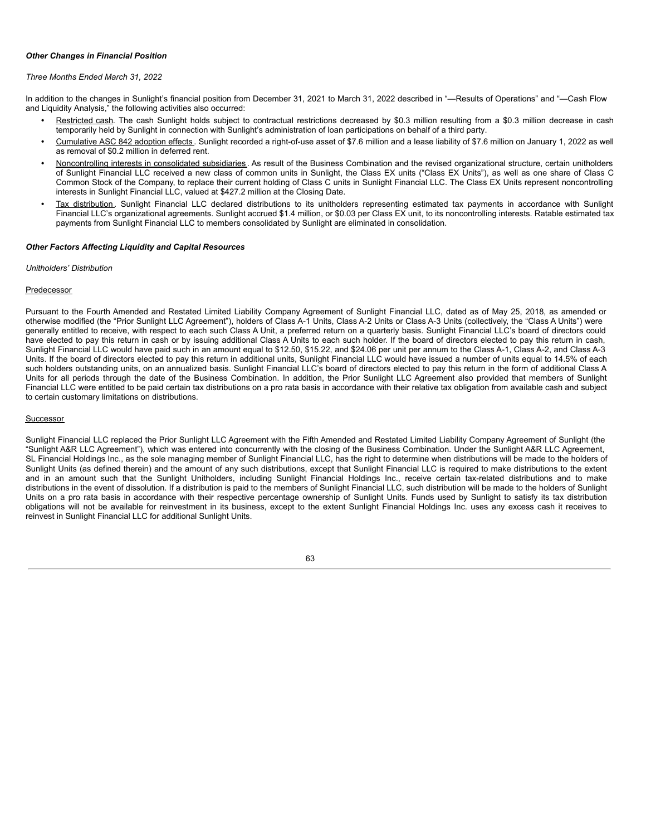# *Other Changes in Financial Position*

# *Three Months Ended March 31, 2022*

In addition to the changes in Sunlight's financial position from December 31, 2021 to March 31, 2022 described in "—Results of Operations" and "—Cash Flow and Liquidity Analysis," the following activities also occurred:

- Restricted cash. The cash Sunlight holds subject to contractual restrictions decreased by \$0.3 million resulting from a \$0.3 million decrease in cash temporarily held by Sunlight in connection with Sunlight's administration of loan participations on behalf of a third party.
- *•* Cumulative ASC 842 adoption effects . Sunlight recorded a right-of-use asset of \$7.6 million and a lease liability of \$7.6 million on January 1, 2022 as well as removal of \$0.2 million in deferred rent.
- *•* Noncontrolling interests in consolidated subsidiaries . As result of the Business Combination and the revised organizational structure, certain unitholders of Sunlight Financial LLC received a new class of common units in Sunlight, the Class EX units ("Class EX Units"), as well as one share of Class C Common Stock of the Company, to replace their current holding of Class C units in Sunlight Financial LLC. The Class EX Units represent noncontrolling interests in Sunlight Financial LLC, valued at \$427.2 million at the Closing Date.
- *•* Tax distribution . Sunlight Financial LLC declared distributions to its unitholders representing estimated tax payments in accordance with Sunlight Financial LLC's organizational agreements. Sunlight accrued \$1.4 million, or \$0.03 per Class EX unit, to its noncontrolling interests. Ratable estimated tax payments from Sunlight Financial LLC to members consolidated by Sunlight are eliminated in consolidation.

# *Other Factors Affecting Liquidity and Capital Resources*

# *Unitholders' Distribution*

# Predecessor

Pursuant to the Fourth Amended and Restated Limited Liability Company Agreement of Sunlight Financial LLC, dated as of May 25, 2018, as amended or otherwise modified (the "Prior Sunlight LLC Agreement"), holders of Class A-1 Units, Class A-2 Units or Class A-3 Units (collectively, the "Class A Units") were generally entitled to receive, with respect to each such Class A Unit, a preferred return on a quarterly basis. Sunlight Financial LLC's board of directors could have elected to pay this return in cash or by issuing additional Class A Units to each such holder. If the board of directors elected to pay this return in cash, Sunlight Financial LLC would have paid such in an amount equal to \$12.50, \$15.22, and \$24.06 per unit per annum to the Class A-1, Class A-2, and Class A-3 Units. If the board of directors elected to pay this return in additional units, Sunlight Financial LLC would have issued a number of units equal to 14.5% of each such holders outstanding units, on an annualized basis. Sunlight Financial LLC's board of directors elected to pay this return in the form of additional Class A Units for all periods through the date of the Business Combination. In addition, the Prior Sunlight LLC Agreement also provided that members of Sunlight Financial LLC were entitled to be paid certain tax distributions on a pro rata basis in accordance with their relative tax obligation from available cash and subject to certain customary limitations on distributions.

# Successor

Sunlight Financial LLC replaced the Prior Sunlight LLC Agreement with the Fifth Amended and Restated Limited Liability Company Agreement of Sunlight (the "Sunlight A&R LLC Agreement"), which was entered into concurrently with the closing of the Business Combination. Under the Sunlight A&R LLC Agreement, SL Financial Holdings Inc., as the sole managing member of Sunlight Financial LLC, has the right to determine when distributions will be made to the holders of Sunlight Units (as defined therein) and the amount of any such distributions, except that Sunlight Financial LLC is required to make distributions to the extent and in an amount such that the Sunlight Unitholders, including Sunlight Financial Holdings Inc., receive certain tax-related distributions and to make distributions in the event of dissolution. If a distribution is paid to the members of Sunlight Financial LLC, such distribution will be made to the holders of Sunlight Units on a pro rata basis in accordance with their respective percentage ownership of Sunlight Units. Funds used by Sunlight to satisfy its tax distribution obligations will not be available for reinvestment in its business, except to the extent Sunlight Financial Holdings Inc. uses any excess cash it receives to reinvest in Sunlight Financial LLC for additional Sunlight Units.

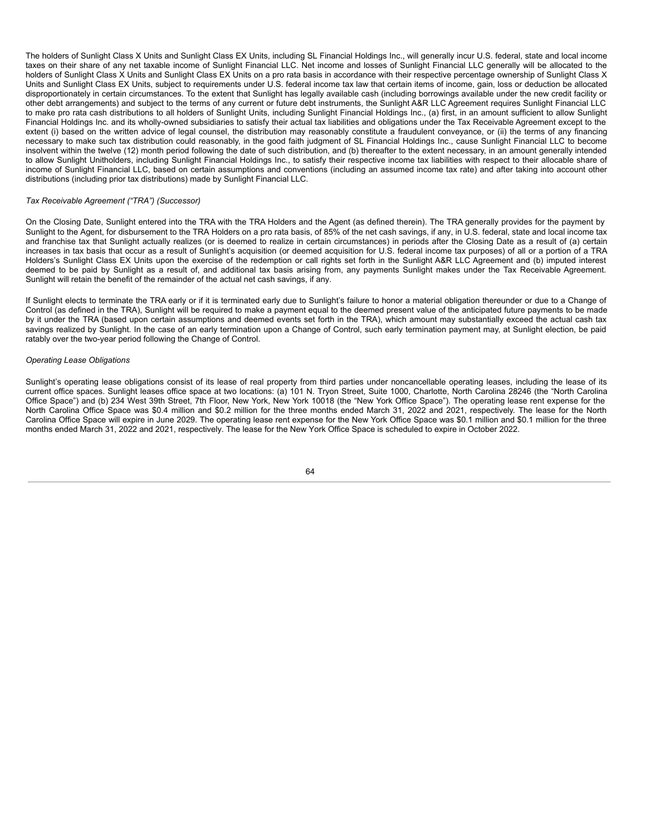The holders of Sunlight Class X Units and Sunlight Class EX Units, including SL Financial Holdings Inc., will generally incur U.S. federal, state and local income taxes on their share of any net taxable income of Sunlight Financial LLC. Net income and losses of Sunlight Financial LLC generally will be allocated to the holders of Sunlight Class X Units and Sunlight Class EX Units on a pro rata basis in accordance with their respective percentage ownership of Sunlight Class X Units and Sunlight Class EX Units, subject to requirements under U.S. federal income tax law that certain items of income, gain, loss or deduction be allocated disproportionately in certain circumstances. To the extent that Sunlight has legally available cash (including borrowings available under the new credit facility or other debt arrangements) and subject to the terms of any current or future debt instruments, the Sunlight A&R LLC Agreement requires Sunlight Financial LLC to make pro rata cash distributions to all holders of Sunlight Units, including Sunlight Financial Holdings Inc., (a) first, in an amount sufficient to allow Sunlight Financial Holdings Inc. and its wholly-owned subsidiaries to satisfy their actual tax liabilities and obligations under the Tax Receivable Agreement except to the extent (i) based on the written advice of legal counsel, the distribution may reasonably constitute a fraudulent conveyance, or (ii) the terms of any financing necessary to make such tax distribution could reasonably, in the good faith judgment of SL Financial Holdings Inc., cause Sunlight Financial LLC to become insolvent within the twelve (12) month period following the date of such distribution, and (b) thereafter to the extent necessary, in an amount generally intended to allow Sunlight Unitholders, including Sunlight Financial Holdings Inc., to satisfy their respective income tax liabilities with respect to their allocable share of income of Sunlight Financial LLC, based on certain assumptions and conventions (including an assumed income tax rate) and after taking into account other distributions (including prior tax distributions) made by Sunlight Financial LLC.

# *Tax Receivable Agreement ("TRA") (Successor)*

On the Closing Date, Sunlight entered into the TRA with the TRA Holders and the Agent (as defined therein). The TRA generally provides for the payment by Sunlight to the Agent, for disbursement to the TRA Holders on a pro rata basis, of 85% of the net cash savings, if any, in U.S. federal, state and local income tax and franchise tax that Sunlight actually realizes (or is deemed to realize in certain circumstances) in periods after the Closing Date as a result of (a) certain increases in tax basis that occur as a result of Sunlight's acquisition (or deemed acquisition for U.S. federal income tax purposes) of all or a portion of a TRA Holders's Sunlight Class EX Units upon the exercise of the redemption or call rights set forth in the Sunlight A&R LLC Agreement and (b) imputed interest deemed to be paid by Sunlight as a result of, and additional tax basis arising from, any payments Sunlight makes under the Tax Receivable Agreement. Sunlight will retain the benefit of the remainder of the actual net cash savings, if any.

If Sunlight elects to terminate the TRA early or if it is terminated early due to Sunlight's failure to honor a material obligation thereunder or due to a Change of Control (as defined in the TRA), Sunlight will be required to make a payment equal to the deemed present value of the anticipated future payments to be made by it under the TRA (based upon certain assumptions and deemed events set forth in the TRA), which amount may substantially exceed the actual cash tax savings realized by Sunlight. In the case of an early termination upon a Change of Control, such early termination payment may, at Sunlight election, be paid ratably over the two-year period following the Change of Control.

# *Operating Lease Obligations*

Sunlight's operating lease obligations consist of its lease of real property from third parties under noncancellable operating leases, including the lease of its current office spaces. Sunlight leases office space at two locations: (a) 101 N. Tryon Street, Suite 1000, Charlotte, North Carolina 28246 (the "North Carolina Office Space") and (b) 234 West 39th Street, 7th Floor, New York, New York 10018 (the "New York Office Space"). The operating lease rent expense for the North Carolina Office Space was \$0.4 million and \$0.2 million for the three months ended March 31, 2022 and 2021, respectively. The lease for the North Carolina Office Space will expire in June 2029. The operating lease rent expense for the New York Office Space was \$0.1 million and \$0.1 million for the three months ended March 31, 2022 and 2021, respectively. The lease for the New York Office Space is scheduled to expire in October 2022.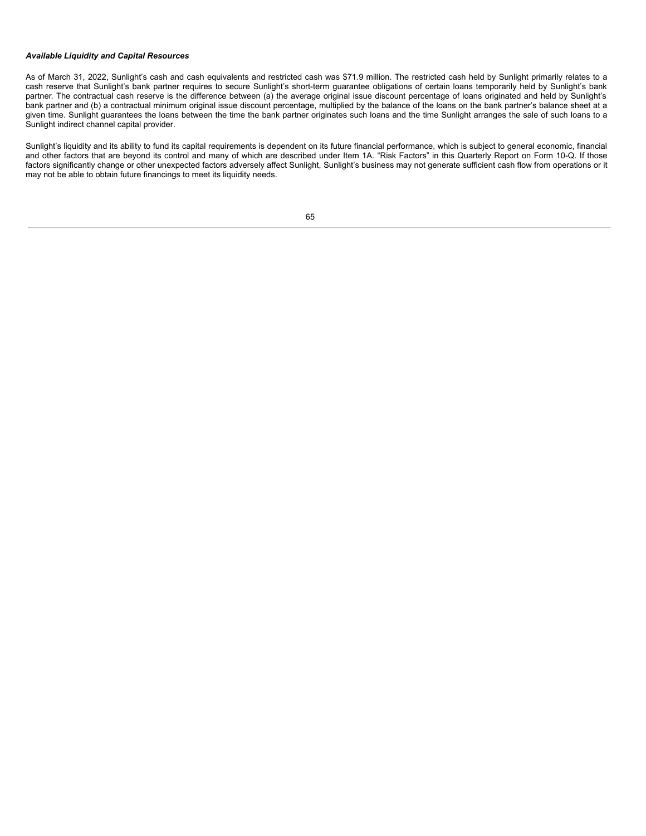# *Available Liquidity and Capital Resources*

As of March 31, 2022, Sunlight's cash and cash equivalents and restricted cash was \$71.9 million. The restricted cash held by Sunlight primarily relates to a cash reserve that Sunlight's bank partner requires to secure Sunlight's short-term guarantee obligations of certain loans temporarily held by Sunlight's bank partner. The contractual cash reserve is the difference between (a) the average original issue discount percentage of loans originated and held by Sunlight's bank partner and (b) a contractual minimum original issue discount percentage, multiplied by the balance of the loans on the bank partner's balance sheet at a given time. Sunlight guarantees the loans between the time the bank partner originates such loans and the time Sunlight arranges the sale of such loans to a Sunlight indirect channel capital provider.

Sunlight's liquidity and its ability to fund its capital requirements is dependent on its future financial performance, which is subject to general economic, financial and other factors that are beyond its control and many of which are described under Item 1A. "Risk Factors" in this Quarterly Report on Form 10-Q. If those factors significantly change or other unexpected factors adversely affect Sunlight, Sunlight's business may not generate sufficient cash flow from operations or it may not be able to obtain future financings to meet its liquidity needs.

|        |    | v      |   |
|--------|----|--------|---|
|        | ۰. |        | I |
| $\sim$ |    | $\sim$ |   |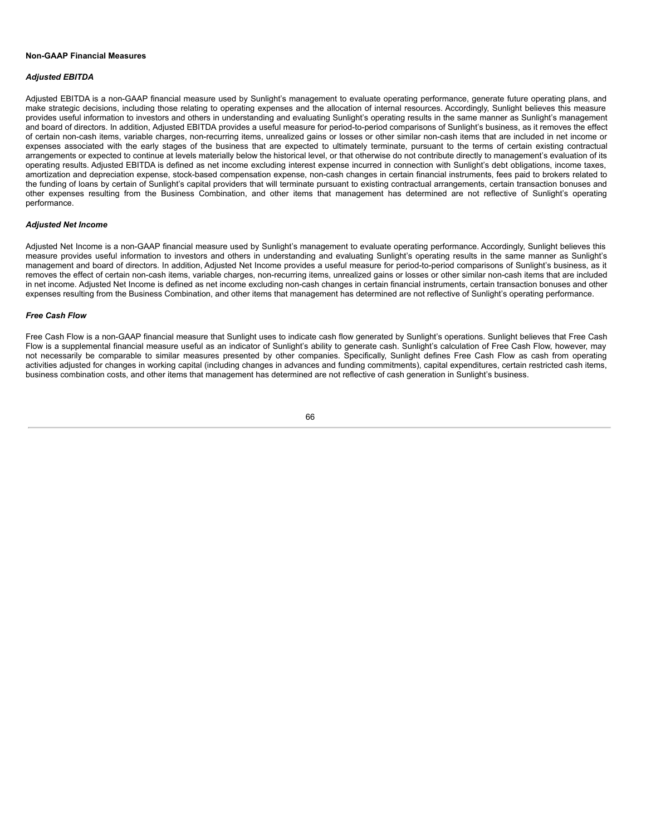### **Non-GAAP Financial Measures**

#### *Adjusted EBITDA*

Adjusted EBITDA is a non-GAAP financial measure used by Sunlight's management to evaluate operating performance, generate future operating plans, and make strategic decisions, including those relating to operating expenses and the allocation of internal resources. Accordingly, Sunlight believes this measure provides useful information to investors and others in understanding and evaluating Sunlight's operating results in the same manner as Sunlight's management and board of directors. In addition, Adjusted EBITDA provides a useful measure for period-to-period comparisons of Sunlight's business, as it removes the effect of certain non-cash items, variable charges, non-recurring items, unrealized gains or losses or other similar non-cash items that are included in net income or expenses associated with the early stages of the business that are expected to ultimately terminate, pursuant to the terms of certain existing contractual arrangements or expected to continue at levels materially below the historical level, or that otherwise do not contribute directly to management's evaluation of its operating results. Adjusted EBITDA is defined as net income excluding interest expense incurred in connection with Sunlight's debt obligations, income taxes, amortization and depreciation expense, stock-based compensation expense, non-cash changes in certain financial instruments, fees paid to brokers related to the funding of loans by certain of Sunlight's capital providers that will terminate pursuant to existing contractual arrangements, certain transaction bonuses and other expenses resulting from the Business Combination, and other items that management has determined are not reflective of Sunlight's operating performance.

# *Adjusted Net Income*

Adjusted Net Income is a non-GAAP financial measure used by Sunlight's management to evaluate operating performance. Accordingly, Sunlight believes this measure provides useful information to investors and others in understanding and evaluating Sunlight's operating results in the same manner as Sunlight's management and board of directors. In addition, Adjusted Net Income provides a useful measure for period-to-period comparisons of Sunlight's business, as it removes the effect of certain non-cash items, variable charges, non-recurring items, unrealized gains or losses or other similar non-cash items that are included in net income. Adjusted Net Income is defined as net income excluding non-cash changes in certain financial instruments, certain transaction bonuses and other expenses resulting from the Business Combination, and other items that management has determined are not reflective of Sunlight's operating performance.

# *Free Cash Flow*

Free Cash Flow is a non-GAAP financial measure that Sunlight uses to indicate cash flow generated by Sunlight's operations. Sunlight believes that Free Cash Flow is a supplemental financial measure useful as an indicator of Sunlight's ability to generate cash. Sunlight's calculation of Free Cash Flow, however, may not necessarily be comparable to similar measures presented by other companies. Specifically, Sunlight defines Free Cash Flow as cash from operating activities adjusted for changes in working capital (including changes in advances and funding commitments), capital expenditures, certain restricted cash items, business combination costs, and other items that management has determined are not reflective of cash generation in Sunlight's business.

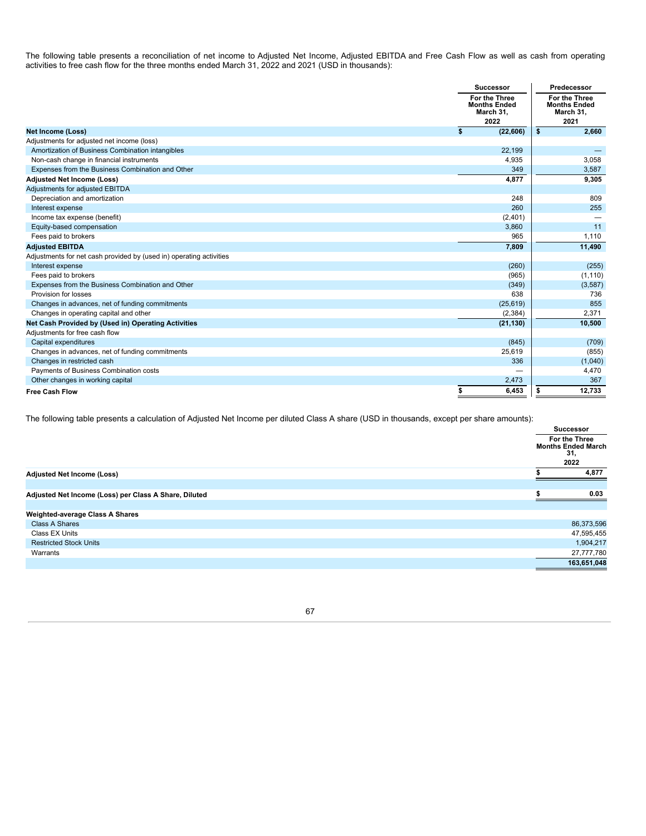The following table presents a reconciliation of net income to Adjusted Net Income, Adjusted EBITDA and Free Cash Flow as well as cash from operating activities to free cash flow for the three months ended March 31, 2022 and 2021 (USD in thousands):

|                                                                     | <b>Successor</b>                                          | Predecessor                                               |  |
|---------------------------------------------------------------------|-----------------------------------------------------------|-----------------------------------------------------------|--|
|                                                                     | For the Three<br><b>Months Ended</b><br>March 31,<br>2022 | For the Three<br><b>Months Ended</b><br>March 31,<br>2021 |  |
| <b>Net Income (Loss)</b>                                            | \$<br>(22, 606)                                           | 2,660<br>\$                                               |  |
| Adjustments for adjusted net income (loss)                          |                                                           |                                                           |  |
| Amortization of Business Combination intangibles                    | 22,199                                                    |                                                           |  |
| Non-cash change in financial instruments                            | 4,935                                                     | 3,058                                                     |  |
| Expenses from the Business Combination and Other                    | 349                                                       | 3,587                                                     |  |
| <b>Adjusted Net Income (Loss)</b>                                   | 4,877                                                     | 9,305                                                     |  |
| Adjustments for adjusted EBITDA                                     |                                                           |                                                           |  |
| Depreciation and amortization                                       | 248                                                       | 809                                                       |  |
| Interest expense                                                    | 260                                                       | 255                                                       |  |
| Income tax expense (benefit)                                        | (2,401)                                                   |                                                           |  |
| Equity-based compensation                                           | 3,860                                                     | 11                                                        |  |
| Fees paid to brokers                                                | 965                                                       | 1,110                                                     |  |
| <b>Adjusted EBITDA</b>                                              | 7,809                                                     | 11,490                                                    |  |
| Adjustments for net cash provided by (used in) operating activities |                                                           |                                                           |  |
| Interest expense                                                    | (260)                                                     | (255)                                                     |  |
| Fees paid to brokers                                                | (965)                                                     | (1, 110)                                                  |  |
| Expenses from the Business Combination and Other                    | (349)                                                     | (3, 587)                                                  |  |
| Provision for losses                                                | 638                                                       | 736                                                       |  |
| Changes in advances, net of funding commitments                     | (25, 619)                                                 | 855                                                       |  |
| Changes in operating capital and other                              | (2, 384)                                                  | 2,371                                                     |  |
| Net Cash Provided by (Used in) Operating Activities                 | (21, 130)                                                 | 10,500                                                    |  |
| Adjustments for free cash flow                                      |                                                           |                                                           |  |
| Capital expenditures                                                | (845)                                                     | (709)                                                     |  |
| Changes in advances, net of funding commitments                     | 25,619                                                    | (855)                                                     |  |
| Changes in restricted cash                                          | 336                                                       | (1,040)                                                   |  |
| Payments of Business Combination costs                              |                                                           | 4,470                                                     |  |
| Other changes in working capital                                    | 2,473                                                     | 367                                                       |  |
| <b>Free Cash Flow</b>                                               | \$<br>6,453                                               | 12,733<br>\$                                              |  |

The following table presents a calculation of Adjusted Net Income per diluted Class A share (USD in thousands, except per share amounts):

|                                                       |  | Successor<br>For the Three<br><b>Months Ended March</b><br>31,<br>2022 |  |
|-------------------------------------------------------|--|------------------------------------------------------------------------|--|
|                                                       |  |                                                                        |  |
|                                                       |  |                                                                        |  |
| <b>Adjusted Net Income (Loss)</b>                     |  | 4,877                                                                  |  |
|                                                       |  |                                                                        |  |
| Adjusted Net Income (Loss) per Class A Share, Diluted |  | 0.03                                                                   |  |
|                                                       |  |                                                                        |  |
| <b>Weighted-average Class A Shares</b>                |  |                                                                        |  |
| <b>Class A Shares</b>                                 |  | 86,373,596                                                             |  |
| Class EX Units                                        |  | 47,595,455                                                             |  |
| <b>Restricted Stock Units</b>                         |  | 1,904,217                                                              |  |
| Warrants                                              |  | 27,777,780                                                             |  |
|                                                       |  | 163,651,048                                                            |  |
|                                                       |  |                                                                        |  |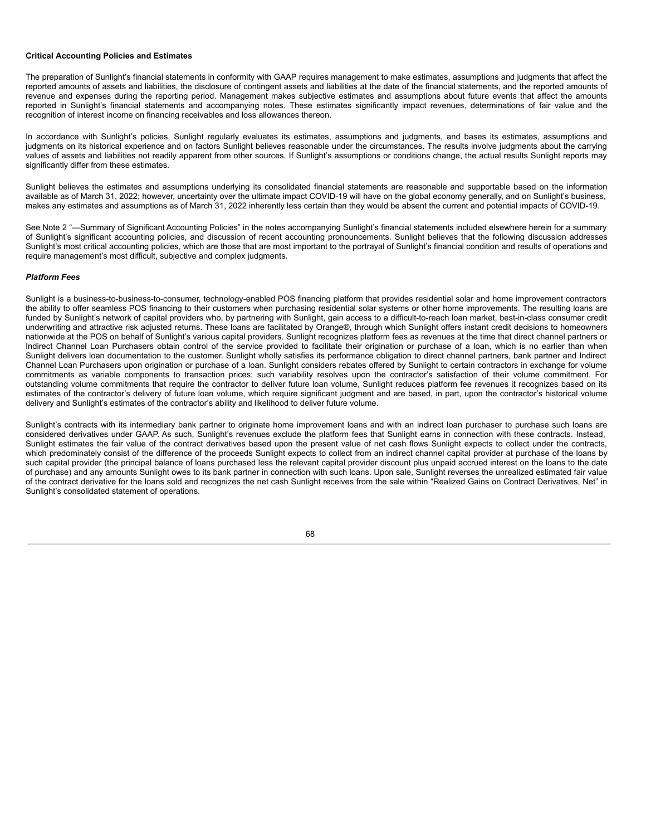## **Critical Accounting Policies and Estimates**

The preparation of Sunlight's financial statements in conformity with GAAP requires management to make estimates, assumptions and judgments that affect the reported amounts of assets and liabilities, the disclosure of contingent assets and liabilities at the date of the financial statements, and the reported amounts of revenue and expenses during the reporting period. Management makes subjective estimates and assumptions about future events that affect the amounts reported in Sunlight's financial statements and accompanying notes. These estimates significantly impact revenues, determinations of fair value and the recognition of interest income on financing receivables and loss allowances thereon.

In accordance with Sunlight's policies, Sunlight regularly evaluates its estimates, assumptions and judgments, and bases its estimates, assumptions and judgments on its historical experience and on factors Sunlight believes reasonable under the circumstances. The results involve judgments about the carrying values of assets and liabilities not readily apparent from other sources. If Sunlight's assumptions or conditions change, the actual results Sunlight reports may significantly differ from these estimates.

Sunlight believes the estimates and assumptions underlying its consolidated financial statements are reasonable and supportable based on the information available as of March 31, 2022; however, uncertainty over the ultimate impact COVID-19 will have on the global economy generally, and on Sunlight's business, makes any estimates and assumptions as of March 31, 2022 inherently less certain than they would be absent the current and potential impacts of COVID-19.

See Note 2 "—Summary of Significant Accounting Policies" in the notes accompanying Sunlight's financial statements included elsewhere herein for a summary of Sunlight's significant accounting policies, and discussion of recent accounting pronouncements. Sunlight believes that the following discussion addresses Sunlight's most critical accounting policies, which are those that are most important to the portrayal of Sunlight's financial condition and results of operations and require management's most difficult, subjective and complex judgments.

# *Platform Fees*

Sunlight is a business-to-business-to-consumer, technology-enabled POS financing platform that provides residential solar and home improvement contractors the ability to offer seamless POS financing to their customers when purchasing residential solar systems or other home improvements. The resulting loans are funded by Sunlight's network of capital providers who, by partnering with Sunlight, gain access to a difficult-to-reach loan market, best-in-class consumer credit underwriting and attractive risk adjusted returns. These loans are facilitated by Orange®, through which Sunlight offers instant credit decisions to homeowners nationwide at the POS on behalf of Sunlight's various capital providers. Sunlight recognizes platform fees as revenues at the time that direct channel partners or Indirect Channel Loan Purchasers obtain control of the service provided to facilitate their origination or purchase of a loan, which is no earlier than when Sunlight delivers loan documentation to the customer. Sunlight wholly satisfies its performance obligation to direct channel partners, bank partner and Indirect Channel Loan Purchasers upon origination or purchase of a loan. Sunlight considers rebates offered by Sunlight to certain contractors in exchange for volume commitments as variable components to transaction prices; such variability resolves upon the contractor's satisfaction of their volume commitment. For outstanding volume commitments that require the contractor to deliver future loan volume, Sunlight reduces platform fee revenues it recognizes based on its estimates of the contractor's delivery of future loan volume, which require significant judgment and are based, in part, upon the contractor's historical volume delivery and Sunlight's estimates of the contractor's ability and likelihood to deliver future volume.

Sunlight's contracts with its intermediary bank partner to originate home improvement loans and with an indirect loan purchaser to purchase such loans are considered derivatives under GAAP. As such, Sunlight's revenues exclude the platform fees that Sunlight earns in connection with these contracts. Instead, Sunlight estimates the fair value of the contract derivatives based upon the present value of net cash flows Sunlight expects to collect under the contracts. which predominately consist of the difference of the proceeds Sunlight expects to collect from an indirect channel capital provider at purchase of the loans by such capital provider (the principal balance of loans purchased less the relevant capital provider discount plus unpaid accrued interest on the loans to the date of purchase) and any amounts Sunlight owes to its bank partner in connection with such loans. Upon sale, Sunlight reverses the unrealized estimated fair value of the contract derivative for the loans sold and recognizes the net cash Sunlight receives from the sale within "Realized Gains on Contract Derivatives, Net" in Sunlight's consolidated statement of operations.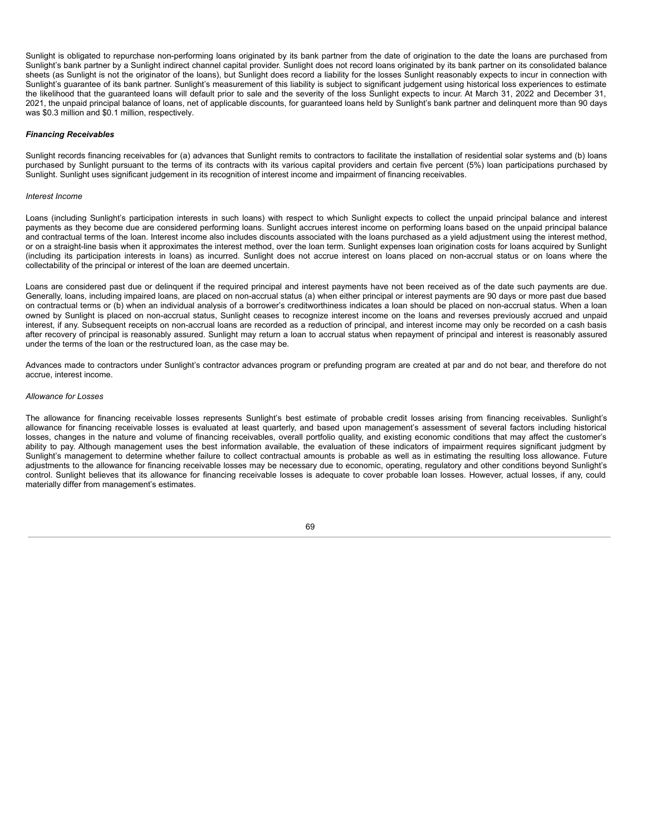Sunlight is obligated to repurchase non-performing loans originated by its bank partner from the date of origination to the date the loans are purchased from Sunlight's bank partner by a Sunlight indirect channel capital provider. Sunlight does not record loans originated by its bank partner on its consolidated balance sheets (as Sunlight is not the originator of the loans), but Sunlight does record a liability for the losses Sunlight reasonably expects to incur in connection with Sunlight's guarantee of its bank partner. Sunlight's measurement of this liability is subject to significant judgement using historical loss experiences to estimate the likelihood that the guaranteed loans will default prior to sale and the severity of the loss Sunlight expects to incur. At March 31, 2022 and December 31, 2021, the unpaid principal balance of loans, net of applicable discounts, for guaranteed loans held by Sunlight's bank partner and delinquent more than 90 days was \$0.3 million and \$0.1 million, respectively.

### *Financing Receivables*

Sunlight records financing receivables for (a) advances that Sunlight remits to contractors to facilitate the installation of residential solar systems and (b) loans purchased by Sunlight pursuant to the terms of its contracts with its various capital providers and certain five percent (5%) loan participations purchased by Sunlight. Sunlight uses significant judgement in its recognition of interest income and impairment of financing receivables.

### *Interest Income*

Loans (including Sunlight's participation interests in such loans) with respect to which Sunlight expects to collect the unpaid principal balance and interest payments as they become due are considered performing loans. Sunlight accrues interest income on performing loans based on the unpaid principal balance and contractual terms of the loan. Interest income also includes discounts associated with the loans purchased as a yield adjustment using the interest method, or on a straight-line basis when it approximates the interest method, over the loan term. Sunlight expenses loan origination costs for loans acquired by Sunlight (including its participation interests in loans) as incurred. Sunlight does not accrue interest on loans placed on non-accrual status or on loans where the collectability of the principal or interest of the loan are deemed uncertain.

Loans are considered past due or delinquent if the required principal and interest payments have not been received as of the date such payments are due. Generally, loans, including impaired loans, are placed on non-accrual status (a) when either principal or interest payments are 90 days or more past due based on contractual terms or (b) when an individual analysis of a borrower's creditworthiness indicates a loan should be placed on non-accrual status. When a loan owned by Sunlight is placed on non-accrual status, Sunlight ceases to recognize interest income on the loans and reverses previously accrued and unpaid interest, if any. Subsequent receipts on non-accrual loans are recorded as a reduction of principal, and interest income may only be recorded on a cash basis after recovery of principal is reasonably assured. Sunlight may return a loan to accrual status when repayment of principal and interest is reasonably assured under the terms of the loan or the restructured loan, as the case may be.

Advances made to contractors under Sunlight's contractor advances program or prefunding program are created at par and do not bear, and therefore do not accrue, interest income.

### *Allowance for Losses*

The allowance for financing receivable losses represents Sunlight's best estimate of probable credit losses arising from financing receivables. Sunlight's allowance for financing receivable losses is evaluated at least quarterly, and based upon management's assessment of several factors including historical losses, changes in the nature and volume of financing receivables, overall portfolio quality, and existing economic conditions that may affect the customer's ability to pay. Although management uses the best information available, the evaluation of these indicators of impairment requires significant judgment by Sunlight's management to determine whether failure to collect contractual amounts is probable as well as in estimating the resulting loss allowance. Future adjustments to the allowance for financing receivable losses may be necessary due to economic, operating, regulatory and other conditions beyond Sunlight's control. Sunlight believes that its allowance for financing receivable losses is adequate to cover probable loan losses. However, actual losses, if any, could materially differ from management's estimates.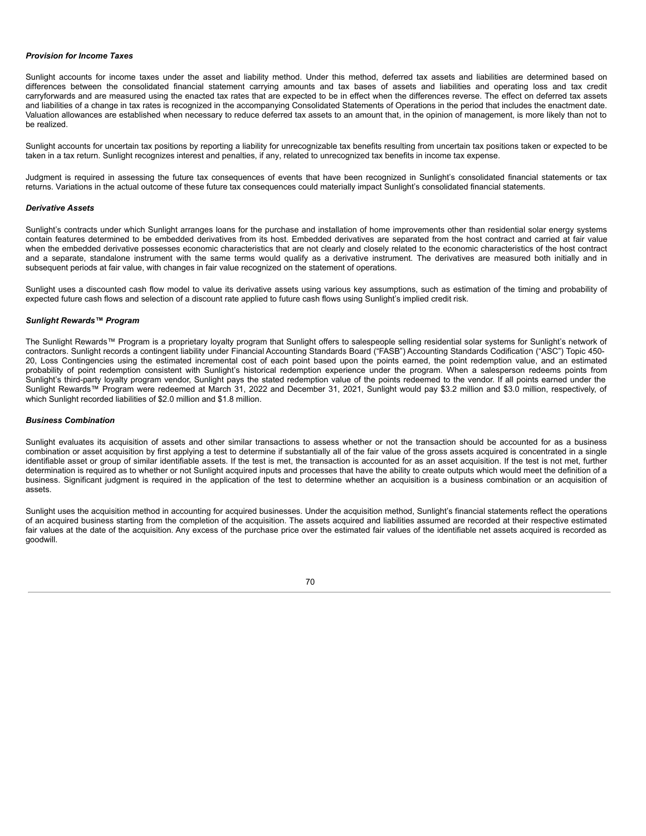# *Provision for Income Taxes*

Sunlight accounts for income taxes under the asset and liability method. Under this method, deferred tax assets and liabilities are determined based on differences between the consolidated financial statement carrying amounts and tax bases of assets and liabilities and operating loss and tax credit carryforwards and are measured using the enacted tax rates that are expected to be in effect when the differences reverse. The effect on deferred tax assets and liabilities of a change in tax rates is recognized in the accompanying Consolidated Statements of Operations in the period that includes the enactment date. Valuation allowances are established when necessary to reduce deferred tax assets to an amount that, in the opinion of management, is more likely than not to be realized.

Sunlight accounts for uncertain tax positions by reporting a liability for unrecognizable tax benefits resulting from uncertain tax positions taken or expected to be taken in a tax return. Sunlight recognizes interest and penalties, if any, related to unrecognized tax benefits in income tax expense.

Judgment is required in assessing the future tax consequences of events that have been recognized in Sunlight's consolidated financial statements or tax returns. Variations in the actual outcome of these future tax consequences could materially impact Sunlight's consolidated financial statements.

### *Derivative Assets*

Sunlight's contracts under which Sunlight arranges loans for the purchase and installation of home improvements other than residential solar energy systems contain features determined to be embedded derivatives from its host. Embedded derivatives are separated from the host contract and carried at fair value when the embedded derivative possesses economic characteristics that are not clearly and closely related to the economic characteristics of the host contract and a separate, standalone instrument with the same terms would qualify as a derivative instrument. The derivatives are measured both initially and in subsequent periods at fair value, with changes in fair value recognized on the statement of operations.

Sunlight uses a discounted cash flow model to value its derivative assets using various key assumptions, such as estimation of the timing and probability of expected future cash flows and selection of a discount rate applied to future cash flows using Sunlight's implied credit risk.

# *Sunlight Rewards™ Program*

The Sunlight Rewards™ Program is a proprietary loyalty program that Sunlight offers to salespeople selling residential solar systems for Sunlight's network of contractors. Sunlight records a contingent liability under Financial Accounting Standards Board ("FASB") Accounting Standards Codification ("ASC") Topic 450- 20, Loss Contingencies using the estimated incremental cost of each point based upon the points earned, the point redemption value, and an estimated probability of point redemption consistent with Sunlight's historical redemption experience under the program. When a salesperson redeems points from Sunlight's third-party loyalty program vendor, Sunlight pays the stated redemption value of the points redeemed to the vendor. If all points earned under the Sunlight Rewards™ Program were redeemed at March 31, 2022 and December 31, 2021, Sunlight would pay \$3.2 million and \$3.0 million, respectively, of which Sunlight recorded liabilities of \$2.0 million and \$1.8 million.

### *Business Combination*

Sunlight evaluates its acquisition of assets and other similar transactions to assess whether or not the transaction should be accounted for as a business combination or asset acquisition by first applying a test to determine if substantially all of the fair value of the gross assets acquired is concentrated in a single identifiable asset or group of similar identifiable assets. If the test is met, the transaction is accounted for as an asset acquisition. If the test is not met, further determination is required as to whether or not Sunlight acquired inputs and processes that have the ability to create outputs which would meet the definition of a business. Significant judgment is required in the application of the test to determine whether an acquisition is a business combination or an acquisition of assets.

Sunlight uses the acquisition method in accounting for acquired businesses. Under the acquisition method, Sunlight's financial statements reflect the operations of an acquired business starting from the completion of the acquisition. The assets acquired and liabilities assumed are recorded at their respective estimated fair values at the date of the acquisition. Any excess of the purchase price over the estimated fair values of the identifiable net assets acquired is recorded as goodwill.

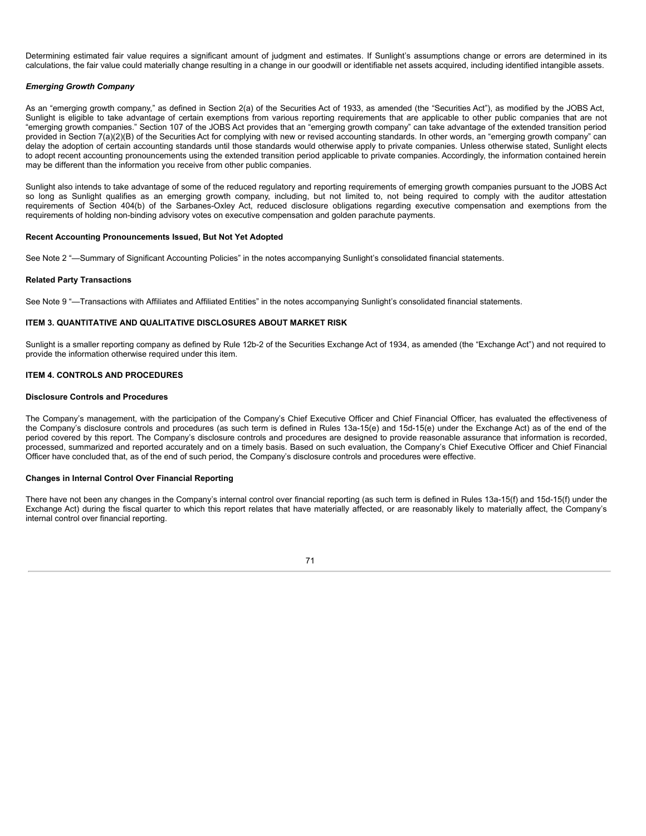Determining estimated fair value requires a significant amount of judgment and estimates. If Sunlight's assumptions change or errors are determined in its calculations, the fair value could materially change resulting in a change in our goodwill or identifiable net assets acquired, including identified intangible assets.

### *Emerging Growth Company*

As an "emerging growth company," as defined in Section 2(a) of the Securities Act of 1933, as amended (the "Securities Act"), as modified by the JOBS Act, Sunlight is eligible to take advantage of certain exemptions from various reporting requirements that are applicable to other public companies that are not "emerging growth companies." Section 107 of the JOBS Act provides that an "emerging growth company" can take advantage of the extended transition period provided in Section 7(a)(2)(B) of the Securities Act for complying with new or revised accounting standards. In other words, an "emerging growth company" can delay the adoption of certain accounting standards until those standards would otherwise apply to private companies. Unless otherwise stated, Sunlight elects to adopt recent accounting pronouncements using the extended transition period applicable to private companies. Accordingly, the information contained herein may be different than the information you receive from other public companies.

Sunlight also intends to take advantage of some of the reduced regulatory and reporting requirements of emerging growth companies pursuant to the JOBS Act so long as Sunlight qualifies as an emerging growth company, including, but not limited to, not being required to comply with the auditor attestation requirements of Section 404(b) of the Sarbanes-Oxley Act, reduced disclosure obligations regarding executive compensation and exemptions from the requirements of holding non-binding advisory votes on executive compensation and golden parachute payments.

### **Recent Accounting Pronouncements Issued, But Not Yet Adopted**

See Note 2 "—Summary of Significant Accounting Policies" in the notes accompanying Sunlight's consolidated financial statements.

#### **Related Party Transactions**

See Note 9 "—Transactions with Affiliates and Affiliated Entities" in the notes accompanying Sunlight's consolidated financial statements.

### **ITEM 3. QUANTITATIVE AND QUALITATIVE DISCLOSURES ABOUT MARKET RISK**

Sunlight is a smaller reporting company as defined by Rule 12b-2 of the Securities Exchange Act of 1934, as amended (the "Exchange Act") and not required to provide the information otherwise required under this item.

## **ITEM 4. CONTROLS AND PROCEDURES**

#### **Disclosure Controls and Procedures**

The Company's management, with the participation of the Company's Chief Executive Officer and Chief Financial Officer, has evaluated the effectiveness of the Company's disclosure controls and procedures (as such term is defined in Rules 13a-15(e) and 15d-15(e) under the Exchange Act) as of the end of the period covered by this report. The Company's disclosure controls and procedures are designed to provide reasonable assurance that information is recorded, processed, summarized and reported accurately and on a timely basis. Based on such evaluation, the Company's Chief Executive Officer and Chief Financial Officer have concluded that, as of the end of such period, the Company's disclosure controls and procedures were effective.

### **Changes in Internal Control Over Financial Reporting**

There have not been any changes in the Company's internal control over financial reporting (as such term is defined in Rules 13a-15(f) and 15d-15(f) under the Exchange Act) during the fiscal quarter to which this report relates that have materially affected, or are reasonably likely to materially affect, the Company's internal control over financial reporting.

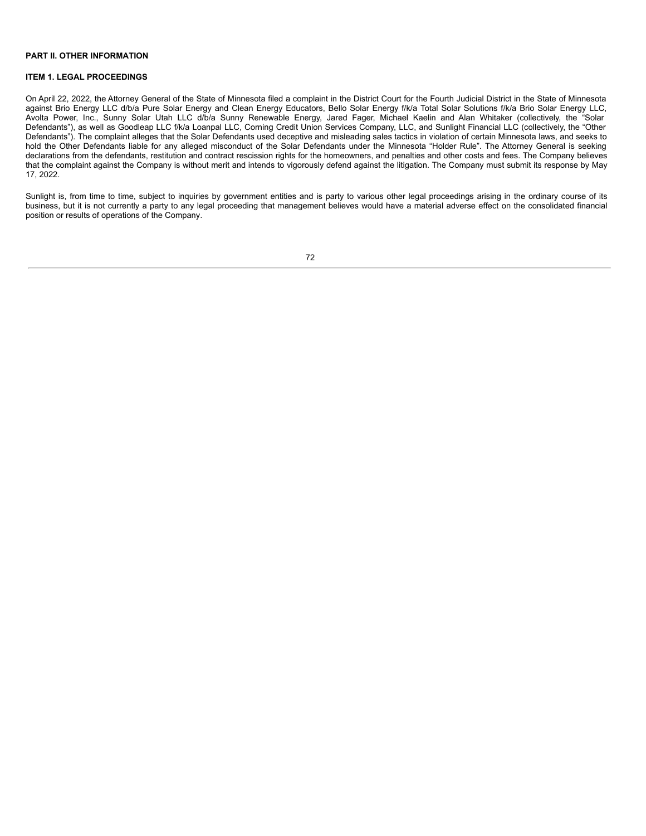#### **PART II. OTHER INFORMATION**

## **ITEM 1. LEGAL PROCEEDINGS**

On April 22, 2022, the Attorney General of the State of Minnesota filed a complaint in the District Court for the Fourth Judicial District in the State of Minnesota against Brio Energy LLC d/b/a Pure Solar Energy and Clean Energy Educators, Bello Solar Energy f/k/a Total Solar Solutions f/k/a Brio Solar Energy LLC, Avolta Power, Inc., Sunny Solar Utah LLC d/b/a Sunny Renewable Energy, Jared Fager, Michael Kaelin and Alan Whitaker (collectively, the "Solar Defendants"), as well as Goodleap LLC f/k/a Loanpal LLC, Corning Credit Union Services Company, LLC, and Sunlight Financial LLC (collectively, the "Other Defendants"). The complaint alleges that the Solar Defendants used deceptive and misleading sales tactics in violation of certain Minnesota laws, and seeks to hold the Other Defendants liable for any alleged misconduct of the Solar Defendants under the Minnesota "Holder Rule". The Attorney General is seeking declarations from the defendants, restitution and contract rescission rights for the homeowners, and penalties and other costs and fees. The Company believes that the complaint against the Company is without merit and intends to vigorously defend against the litigation. The Company must submit its response by May 17, 2022.

Sunlight is, from time to time, subject to inquiries by government entities and is party to various other legal proceedings arising in the ordinary course of its business, but it is not currently a party to any legal proceeding that management believes would have a material adverse effect on the consolidated financial position or results of operations of the Company.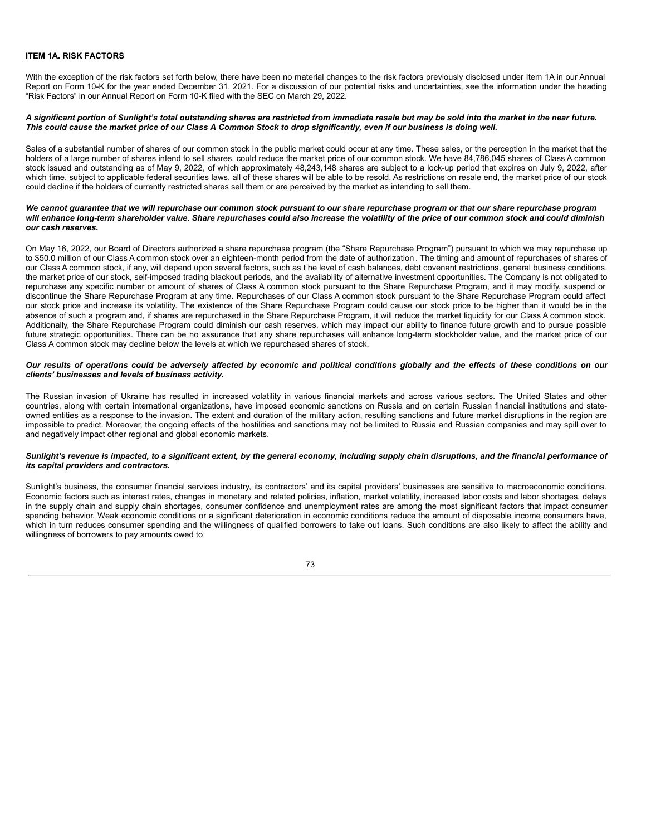### **ITEM 1A. RISK FACTORS**

With the exception of the risk factors set forth below, there have been no material changes to the risk factors previously disclosed under Item 1A in our Annual Report on Form 10-K for the year ended December 31, 2021. For a discussion of our potential risks and uncertainties, see the information under the heading "Risk Factors" in our Annual Report on Form 10-K filed with the SEC on March 29, 2022.

#### A significant portion of Sunlight's total outstanding shares are restricted from immediate resale but may be sold into the market in the near future. This could cause the market price of our Class A Common Stock to drop significantly, even if our business is doing well.

Sales of a substantial number of shares of our common stock in the public market could occur at any time. These sales, or the perception in the market that the holders of a large number of shares intend to sell shares, could reduce the market price of our common stock. We have 84,786,045 shares of Class A common stock issued and outstanding as of May 9, 2022, of which approximately 48,243,148 shares are subject to a lock-up period that expires on July 9, 2022, after which time, subject to applicable federal securities laws, all of these shares will be able to be resold. As restrictions on resale end, the market price of our stock could decline if the holders of currently restricted shares sell them or are perceived by the market as intending to sell them.

#### We cannot guarantee that we will repurchase our common stock pursuant to our share repurchase program or that our share repurchase program will enhance long-term shareholder value. Share repurchases could also increase the volatility of the price of our common stock and could diminish *our cash reserves.*

On May 16, 2022, our Board of Directors authorized a share repurchase program (the "Share Repurchase Program") pursuant to which we may repurchase up to \$50.0 million of our Class A common stock over an eighteen-month period from the date of authorization . The timing and amount of repurchases of shares of our Class A common stock, if any, will depend upon several factors, such as t he level of cash balances, debt covenant restrictions, general business conditions, the market price of our stock, self-imposed trading blackout periods, and the availability of alternative investment opportunities. The Company is not obligated to repurchase any specific number or amount of shares of Class A common stock pursuant to the Share Repurchase Program, and it may modify, suspend or discontinue the Share Repurchase Program at any time. Repurchases of our Class A common stock pursuant to the Share Repurchase Program could affect our stock price and increase its volatility. The existence of the Share Repurchase Program could cause our stock price to be higher than it would be in the absence of such a program and, if shares are repurchased in the Share Repurchase Program, it will reduce the market liquidity for our Class A common stock. Additionally, the Share Repurchase Program could diminish our cash reserves, which may impact our ability to finance future growth and to pursue possible future strategic opportunities. There can be no assurance that any share repurchases will enhance long-term stockholder value, and the market price of our Class A common stock may decline below the levels at which we repurchased shares of stock.

### Our results of operations could be adversely affected by economic and political conditions globally and the effects of these conditions on our *clients' businesses and levels of business activity.*

The Russian invasion of Ukraine has resulted in increased volatility in various financial markets and across various sectors. The United States and other countries, along with certain international organizations, have imposed economic sanctions on Russia and on certain Russian financial institutions and stateowned entities as a response to the invasion. The extent and duration of the military action, resulting sanctions and future market disruptions in the region are impossible to predict. Moreover, the ongoing effects of the hostilities and sanctions may not be limited to Russia and Russian companies and may spill over to and negatively impact other regional and global economic markets.

#### Sunlight's revenue is impacted, to a significant extent, by the general economy, including supply chain disruptions, and the financial performance of *its capital providers and contractors.*

Sunlight's business, the consumer financial services industry, its contractors' and its capital providers' businesses are sensitive to macroeconomic conditions. Economic factors such as interest rates, changes in monetary and related policies, inflation, market volatility, increased labor costs and labor shortages, delays in the supply chain and supply chain shortages, consumer confidence and unemployment rates are among the most significant factors that impact consumer spending behavior. Weak economic conditions or a significant deterioration in economic conditions reduce the amount of disposable income consumers have, which in turn reduces consumer spending and the willingness of qualified borrowers to take out loans. Such conditions are also likely to affect the ability and willingness of borrowers to pay amounts owed to

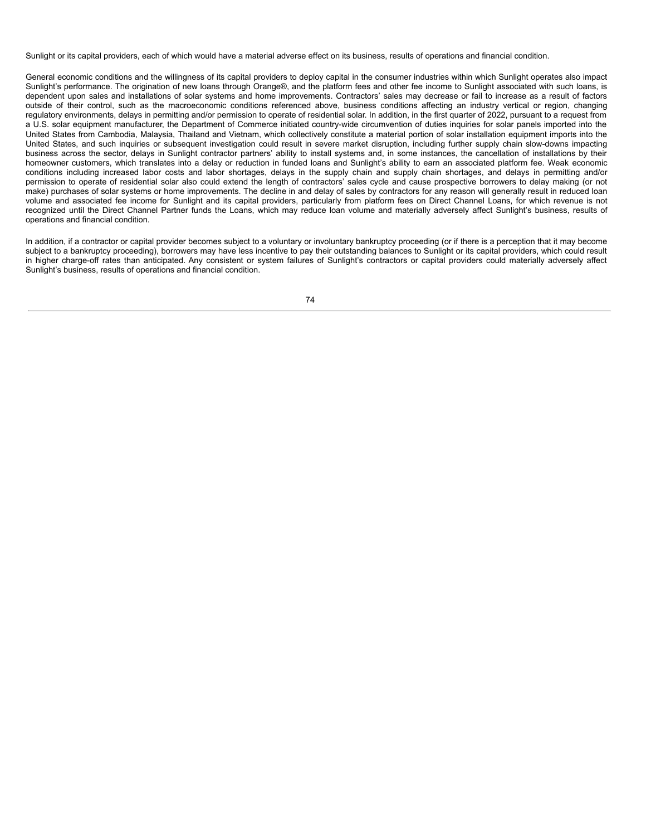Sunlight or its capital providers, each of which would have a material adverse effect on its business, results of operations and financial condition.

General economic conditions and the willingness of its capital providers to deploy capital in the consumer industries within which Sunlight operates also impact Sunlight's performance. The origination of new loans through Orange®, and the platform fees and other fee income to Sunlight associated with such loans, is dependent upon sales and installations of solar systems and home improvements. Contractors' sales may decrease or fail to increase as a result of factors outside of their control, such as the macroeconomic conditions referenced above, business conditions affecting an industry vertical or region, changing regulatory environments, delays in permitting and/or permission to operate of residential solar. In addition, in the first quarter of 2022, pursuant to a request from a U.S. solar equipment manufacturer, the Department of Commerce initiated country-wide circumvention of duties inquiries for solar panels imported into the United States from Cambodia, Malaysia, Thailand and Vietnam, which collectively constitute a material portion of solar installation equipment imports into the United States, and such inquiries or subsequent investigation could result in severe market disruption, including further supply chain slow-downs impacting business across the sector, delays in Sunlight contractor partners' ability to install systems and, in some instances, the cancellation of installations by their homeowner customers, which translates into a delay or reduction in funded loans and Sunlight's ability to earn an associated platform fee. Weak economic conditions including increased labor costs and labor shortages, delays in the supply chain and supply chain shortages, and delays in permitting and/or permission to operate of residential solar also could extend the length of contractors' sales cycle and cause prospective borrowers to delay making (or not make) purchases of solar systems or home improvements. The decline in and delay of sales by contractors for any reason will generally result in reduced loan volume and associated fee income for Sunlight and its capital providers, particularly from platform fees on Direct Channel Loans, for which revenue is not recognized until the Direct Channel Partner funds the Loans, which may reduce loan volume and materially adversely affect Sunlight's business, results of operations and financial condition.

In addition, if a contractor or capital provider becomes subject to a voluntary or involuntary bankruptcy proceeding (or if there is a perception that it may become subject to a bankruptcy proceeding), borrowers may have less incentive to pay their outstanding balances to Sunlight or its capital providers, which could result in higher charge-off rates than anticipated. Any consistent or system failures of Sunlight's contractors or capital providers could materially adversely affect Sunlight's business, results of operations and financial condition.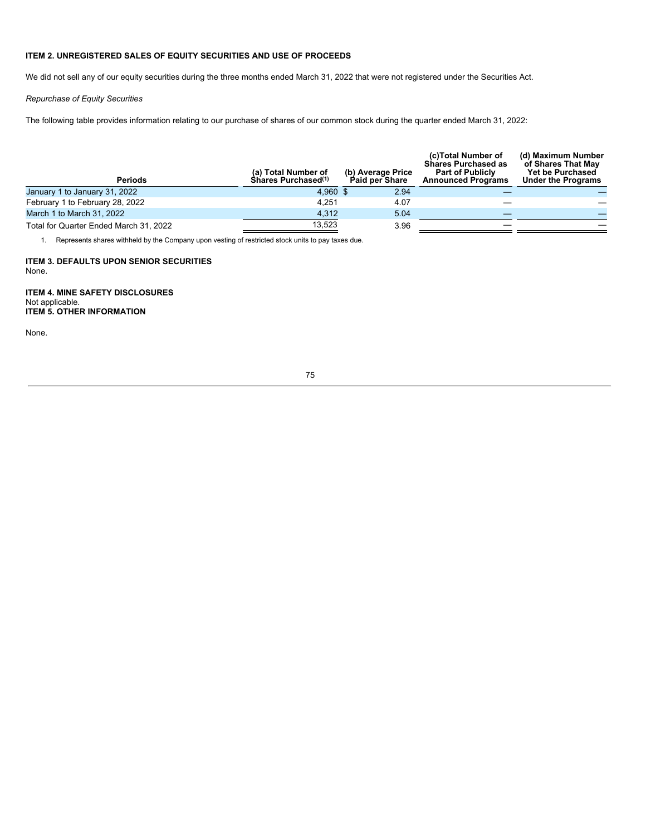## **ITEM 2. UNREGISTERED SALES OF EQUITY SECURITIES AND USE OF PROCEEDS**

We did not sell any of our equity securities during the three months ended March 31, 2022 that were not registered under the Securities Act.

*Repurchase of Equity Securities*

The following table provides information relating to our purchase of shares of our common stock during the quarter ended March 31, 2022:

| <b>Periods</b>                         | (a) Total Number of<br>Shares Purchased <sup>(1)</sup> | (b) Average Price<br><b>Paid per Share</b> | (c)Total Number of<br><b>Shares Purchased as</b><br><b>Part of Publicly</b><br><b>Announced Programs</b> | (d) Maximum Number<br>of Shares That Mav<br><b>Yet be Purchased</b><br><b>Under the Programs</b> |
|----------------------------------------|--------------------------------------------------------|--------------------------------------------|----------------------------------------------------------------------------------------------------------|--------------------------------------------------------------------------------------------------|
| January 1 to January 31, 2022          | 4.960 \$                                               | 2.94                                       |                                                                                                          |                                                                                                  |
| February 1 to February 28, 2022        | 4.251                                                  | 4.07                                       |                                                                                                          |                                                                                                  |
| March 1 to March 31, 2022              | 4.312                                                  | 5.04                                       |                                                                                                          |                                                                                                  |
| Total for Quarter Ended March 31, 2022 | 13.523                                                 | 3.96                                       |                                                                                                          |                                                                                                  |

1. Represents shares withheld by the Company upon vesting of restricted stock units to pay taxes due.

**ITEM 3. DEFAULTS UPON SENIOR SECURITIES** None.

**ITEM 4. MINE SAFETY DISCLOSURES** Not applicable. **ITEM 5. OTHER INFORMATION**

None.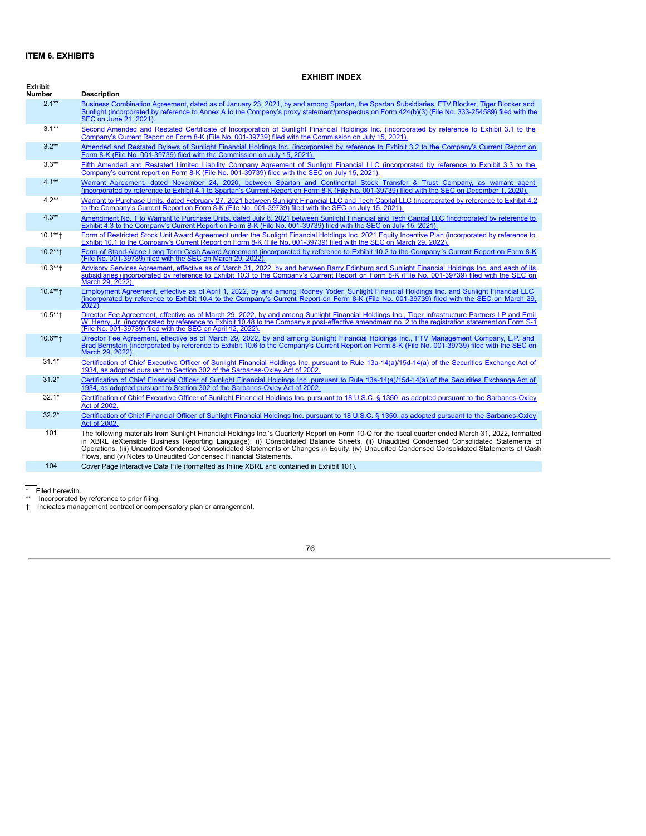## **ITEM 6. EXHIBITS**

# **EXHIBIT INDEX**

| Exhibit<br><b>Number</b> | <b>Description</b>                                                                                                                                                                                                                                                                                                                                                                                                                                                                                                  |
|--------------------------|---------------------------------------------------------------------------------------------------------------------------------------------------------------------------------------------------------------------------------------------------------------------------------------------------------------------------------------------------------------------------------------------------------------------------------------------------------------------------------------------------------------------|
| $2.1**$                  | Business Combination Agreement, dated as of January 23, 2021, by and among Spartan, the Spartan Subsidiaries, FTV Blocker, Tiger Blocker and<br>Sunlight (incorporated by reference to Annex A to the Company's proxy statement/prospectus on Form 424(b)(3) (File No. 333-254589) filed with the<br>SEC on June 21, 2021).                                                                                                                                                                                         |
| $3.1***$                 | Second Amended and Restated Certificate of Incorporation of Sunlight Financial Holdings Inc. (incorporated by reference to Exhibit 3.1 to the<br>Company's Current Report on Form 8-K (File No. 001-39739) filed with the Commission on July 15, 2021).                                                                                                                                                                                                                                                             |
| $3.2**$                  | Amended and Restated Bylaws of Sunlight Financial Holdings Inc. (incorporated by reference to Exhibit 3.2 to the Company's Current Report on<br>Form 8-K (File No. 001-39739) filed with the Commission on July 15, 2021).                                                                                                                                                                                                                                                                                          |
| $3.3**$                  | Fifth Amended and Restated Limited Liability Company Agreement of Sunlight Financial LLC (incorporated by reference to Exhibit 3.3 to the<br>Company's current report on Form 8-K (File No. 001-39739) filed with the SEC on July 15, 2021).                                                                                                                                                                                                                                                                        |
| $4.1***$                 | Warrant Agreement, dated November 24, 2020, between Spartan and Continental Stock Transfer & Trust Company, as warrant agent<br>(incorporated by reference to Exhibit 4.1 to Spartan's Current Report on Form 8-K (File No. 001-39739) filed with the SEC on December 1, 2020).                                                                                                                                                                                                                                     |
| $4.2**$                  | Warrant to Purchase Units, dated February 27, 2021 between Sunlight Financial LLC and Tech Capital LLC (incorporated by reference to Exhibit 4.2<br>to the Company's Current Report on Form 8-K (File No. 001-39739) filed with the SEC on July 15, 2021).                                                                                                                                                                                                                                                          |
| $4.3**$                  | Amendment No. 1 to Warrant to Purchase Units, dated July 8, 2021 between Sunlight Financial and Tech Capital LLC (incorporated by reference to<br>Exhibit 4.3 to the Company's Current Report on Form 8-K (File No. 001-39739) filed with the SEC on July 15, 2021).                                                                                                                                                                                                                                                |
| $10.1***$                | Form of Restricted Stock Unit Award Agreement under the Sunlight Financial Holdings Inc. 2021 Equity Incentive Plan (incorporated by reference to<br>Exhibit 10.1 to the Company's Current Report on Form 8-K (File No. 001-39739) filed with the SEC on March 29, 2022).                                                                                                                                                                                                                                           |
| $10.2***$                | Form of Stand-Alone Long Term Cash Award Agreement (incorporated by reference to Exhibit 10.2 to the Company's Current Report on Form 8-K<br>(File No. 001-39739) filed with the SEC on March 29, 2022)                                                                                                                                                                                                                                                                                                             |
| $10.3***$                | Advisory Services Agreement, effective as of March 31, 2022, by and between Barry Edinburg and Sunlight Financial Holdings Inc. and each of its<br>subsidiaries (incorporated by reference to Exhibit 10.3 to the Company's Current Report on Form 8-K (File No. 001-39739) filed with the SEC on<br>March 29, 2022).                                                                                                                                                                                               |
| $10.4***$                | Employment Agreement, effective as of April 1, 2022, by and among Rodney Yoder, Sunlight Financial Holdings Inc. and Sunlight Financial LLC<br>(incorporated by reference to Exhibit 10.4 to the Company's Current Report on Form 8-K (File No. 001-39739) filed with the SEC on March 29.<br>$2022$ ).                                                                                                                                                                                                             |
| $10.5***$                | Director Fee Agreement, effective as of March 29, 2022, by and among Sunlight Financial Holdings Inc., Tiger Infrastructure Partners LP and Emil<br>W. Henry, Jr. (incorporated by reference to Exhibit 10.48 to the Company's post-effective amendment no. 2 to the registration statement on Form S-1<br>(File No. 001-39739) filed with the SEC on April 12, 2022).                                                                                                                                              |
| $10.6***$                | Director Fee Agreement, effective as of March 29, 2022, by and among Sunlight Financial Holdings Inc., FTV Management Company, L.P. and<br>Brad Bernstein (incorporated by reference to Exhibit 10.6 to the Company's Current Report on Form 8-K (File No. 001-39739) filed with the SEC on<br>March 29, 2022).                                                                                                                                                                                                     |
| $31.1*$                  | Certification of Chief Executive Officer of Sunlight Financial Holdings Inc. pursuant to Rule 13a-14(a)/15d-14(a) of the Securities Exchange Act of<br>1934, as adopted pursuant to Section 302 of the Sarbanes-Oxley Act of 2002.                                                                                                                                                                                                                                                                                  |
| $31.2*$                  | Certification of Chief Financial Officer of Sunlight Financial Holdings Inc. pursuant to Rule 13a-14(a)/15d-14(a) of the Securities Exchange Act of<br>1934, as adopted pursuant to Section 302 of the Sarbanes-Oxley Act of 2002.                                                                                                                                                                                                                                                                                  |
| $32.1*$                  | Certification of Chief Executive Officer of Sunlight Financial Holdings Inc. pursuant to 18 U.S.C. § 1350, as adopted pursuant to the Sarbanes-Oxley<br>Act of 2002.                                                                                                                                                                                                                                                                                                                                                |
| $32.2*$                  | Certification of Chief Financial Officer of Sunlight Financial Holdings Inc. pursuant to 18 U.S.C. § 1350, as adopted pursuant to the Sarbanes-Oxley<br>Act of 2002                                                                                                                                                                                                                                                                                                                                                 |
| 101                      | The following materials from Sunlight Financial Holdings Inc.'s Quarterly Report on Form 10-Q for the fiscal quarter ended March 31, 2022, formatted<br>in XBRL (eXtensible Business Reporting Language); (i) Consolidated Balance Sheets, (ii) Unaudited Condensed Consolidated Statements of<br>Operations, (iii) Unaudited Condensed Consolidated Statements of Changes in Equity, (iv) Unaudited Condensed Consolidated Statements of Cash<br>Flows, and (v) Notes to Unaudited Condensed Financial Statements. |
| 104                      | Cover Page Interactive Data File (formatted as Inline XBRL and contained in Exhibit 101).                                                                                                                                                                                                                                                                                                                                                                                                                           |

\* Filed herewith. \*\* Incorporated by reference to prior filing. † Indicates management contract or compensatory plan or arrangement.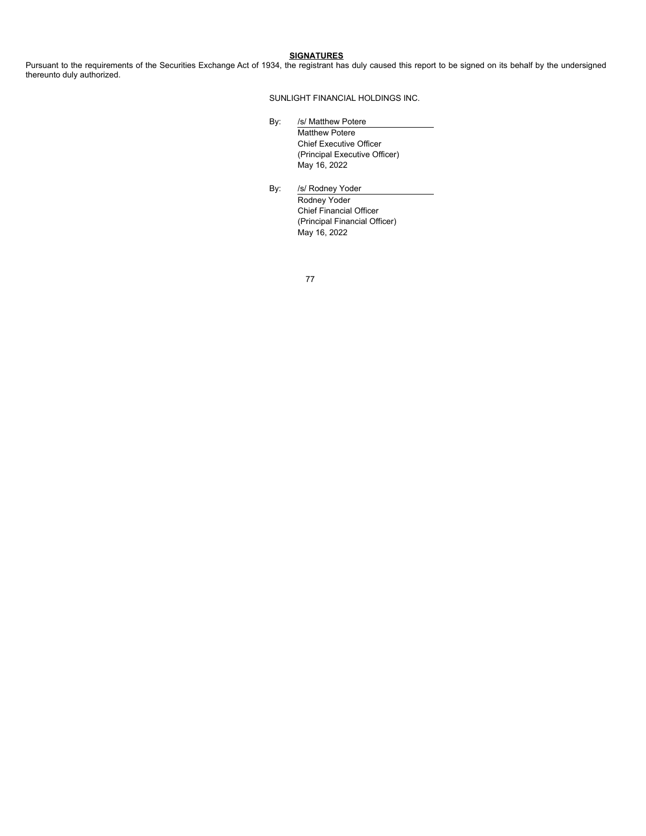**SIGNATURES**

Pursuant to the requirements of the Securities Exchange Act of 1934, the registrant has duly caused this report to be signed on its behalf by the undersigned thereunto duly authorized.

SUNLIGHT FINANCIAL HOLDINGS INC.

- By: /s/ Matthew Potere Matthew Potere Chief Executive Officer (Principal Executive Officer) May 16, 2022
- By: /s/ Rodney Yoder Rodney Yoder Chief Financial Officer (Principal Financial Officer) May 16, 2022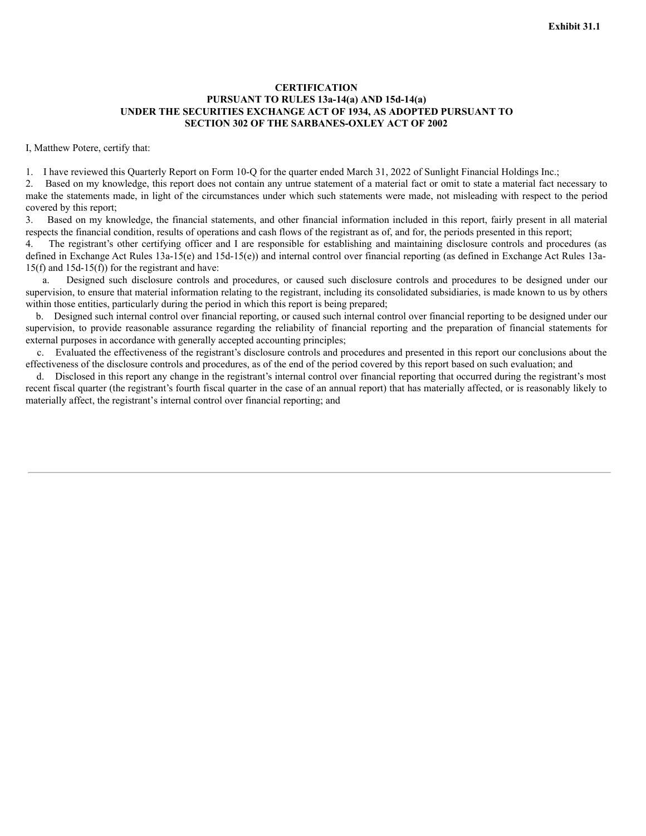## <span id="page-79-0"></span>**CERTIFICATION PURSUANT TO RULES 13a-14(a) AND 15d-14(a) UNDER THE SECURITIES EXCHANGE ACT OF 1934, AS ADOPTED PURSUANT TO SECTION 302 OF THE SARBANES-OXLEY ACT OF 2002**

I, Matthew Potere, certify that:

1. I have reviewed this Quarterly Report on Form 10-Q for the quarter ended March 31, 2022 of Sunlight Financial Holdings Inc.;

2. Based on my knowledge, this report does not contain any untrue statement of a material fact or omit to state a material fact necessary to make the statements made, in light of the circumstances under which such statements were made, not misleading with respect to the period covered by this report;

3. Based on my knowledge, the financial statements, and other financial information included in this report, fairly present in all material respects the financial condition, results of operations and cash flows of the registrant as of, and for, the periods presented in this report;

4. The registrant's other certifying officer and I are responsible for establishing and maintaining disclosure controls and procedures (as defined in Exchange Act Rules 13a-15(e) and 15d-15(e)) and internal control over financial reporting (as defined in Exchange Act Rules 13a-15(f) and 15d-15(f)) for the registrant and have:

a. Designed such disclosure controls and procedures, or caused such disclosure controls and procedures to be designed under our supervision, to ensure that material information relating to the registrant, including its consolidated subsidiaries, is made known to us by others within those entities, particularly during the period in which this report is being prepared;

b. Designed such internal control over financial reporting, or caused such internal control over financial reporting to be designed under our supervision, to provide reasonable assurance regarding the reliability of financial reporting and the preparation of financial statements for external purposes in accordance with generally accepted accounting principles;

c. Evaluated the effectiveness of the registrant's disclosure controls and procedures and presented in this report our conclusions about the effectiveness of the disclosure controls and procedures, as of the end of the period covered by this report based on such evaluation; and

d. Disclosed in this report any change in the registrant's internal control over financial reporting that occurred during the registrant's most recent fiscal quarter (the registrant's fourth fiscal quarter in the case of an annual report) that has materially affected, or is reasonably likely to materially affect, the registrant's internal control over financial reporting; and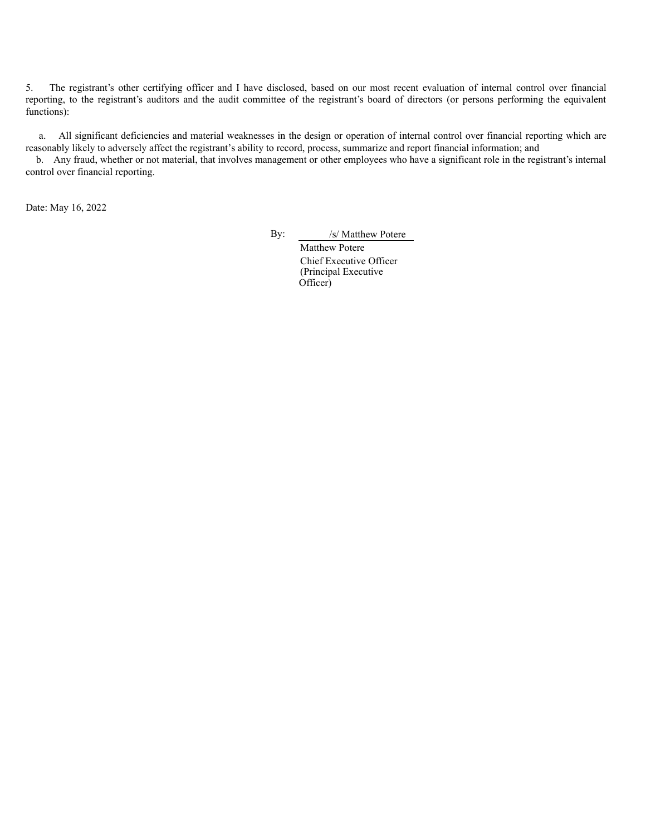5. The registrant's other certifying officer and I have disclosed, based on our most recent evaluation of internal control over financial reporting, to the registrant's auditors and the audit committee of the registrant's board of directors (or persons performing the equivalent functions):

a. All significant deficiencies and material weaknesses in the design or operation of internal control over financial reporting which are reasonably likely to adversely affect the registrant's ability to record, process, summarize and report financial information; and

b. Any fraud, whether or not material, that involves management or other employees who have a significant role in the registrant's internal control over financial reporting.

Date: May 16, 2022

By: /s/ Matthew Potere

Matthew Potere Chief Executive Officer (Principal Executive Officer)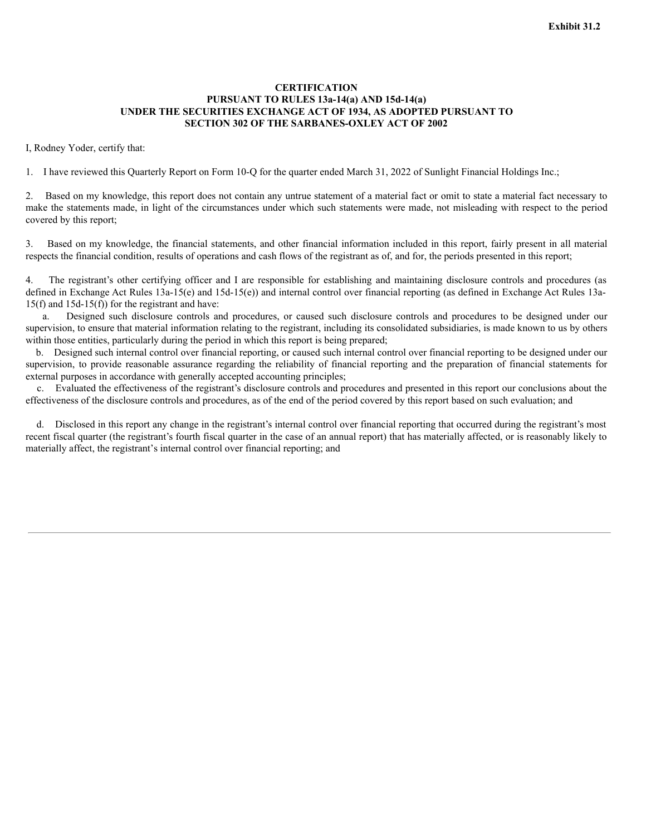# <span id="page-81-0"></span>**CERTIFICATION PURSUANT TO RULES 13a-14(a) AND 15d-14(a) UNDER THE SECURITIES EXCHANGE ACT OF 1934, AS ADOPTED PURSUANT TO SECTION 302 OF THE SARBANES-OXLEY ACT OF 2002**

I, Rodney Yoder, certify that:

1. I have reviewed this Quarterly Report on Form 10-Q for the quarter ended March 31, 2022 of Sunlight Financial Holdings Inc.;

2. Based on my knowledge, this report does not contain any untrue statement of a material fact or omit to state a material fact necessary to make the statements made, in light of the circumstances under which such statements were made, not misleading with respect to the period covered by this report;

3. Based on my knowledge, the financial statements, and other financial information included in this report, fairly present in all material respects the financial condition, results of operations and cash flows of the registrant as of, and for, the periods presented in this report;

4. The registrant's other certifying officer and I are responsible for establishing and maintaining disclosure controls and procedures (as defined in Exchange Act Rules 13a-15(e) and 15d-15(e)) and internal control over financial reporting (as defined in Exchange Act Rules 13a-15(f) and 15d-15(f)) for the registrant and have:

a. Designed such disclosure controls and procedures, or caused such disclosure controls and procedures to be designed under our supervision, to ensure that material information relating to the registrant, including its consolidated subsidiaries, is made known to us by others within those entities, particularly during the period in which this report is being prepared;

b. Designed such internal control over financial reporting, or caused such internal control over financial reporting to be designed under our supervision, to provide reasonable assurance regarding the reliability of financial reporting and the preparation of financial statements for external purposes in accordance with generally accepted accounting principles;

c. Evaluated the effectiveness of the registrant's disclosure controls and procedures and presented in this report our conclusions about the effectiveness of the disclosure controls and procedures, as of the end of the period covered by this report based on such evaluation; and

d. Disclosed in this report any change in the registrant's internal control over financial reporting that occurred during the registrant's most recent fiscal quarter (the registrant's fourth fiscal quarter in the case of an annual report) that has materially affected, or is reasonably likely to materially affect, the registrant's internal control over financial reporting; and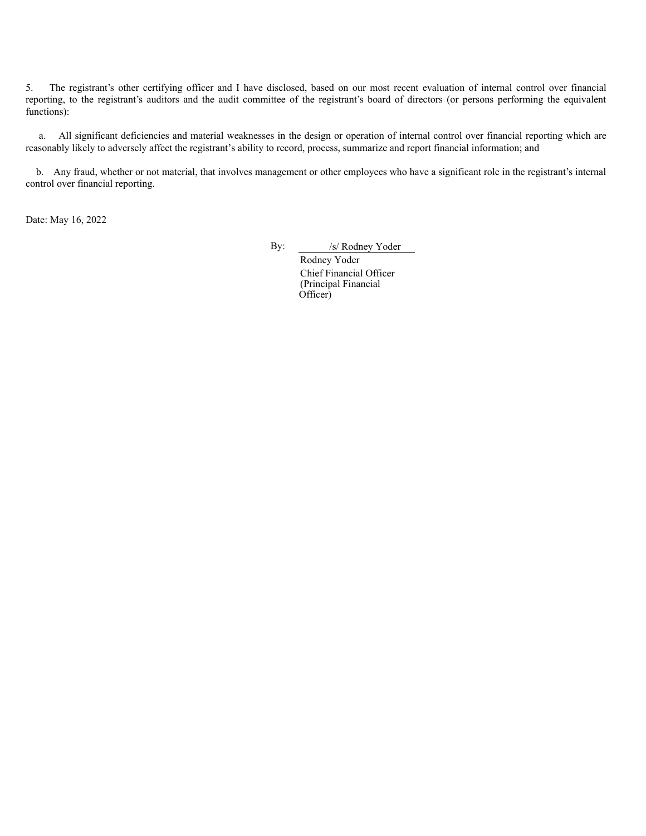5. The registrant's other certifying officer and I have disclosed, based on our most recent evaluation of internal control over financial reporting, to the registrant's auditors and the audit committee of the registrant's board of directors (or persons performing the equivalent functions):

a. All significant deficiencies and material weaknesses in the design or operation of internal control over financial reporting which are reasonably likely to adversely affect the registrant's ability to record, process, summarize and report financial information; and

b. Any fraud, whether or not material, that involves management or other employees who have a significant role in the registrant's internal control over financial reporting.

Date: May 16, 2022

By: /s/ Rodney Yoder

Rodney Yoder Chief Financial Officer (Principal Financial Officer)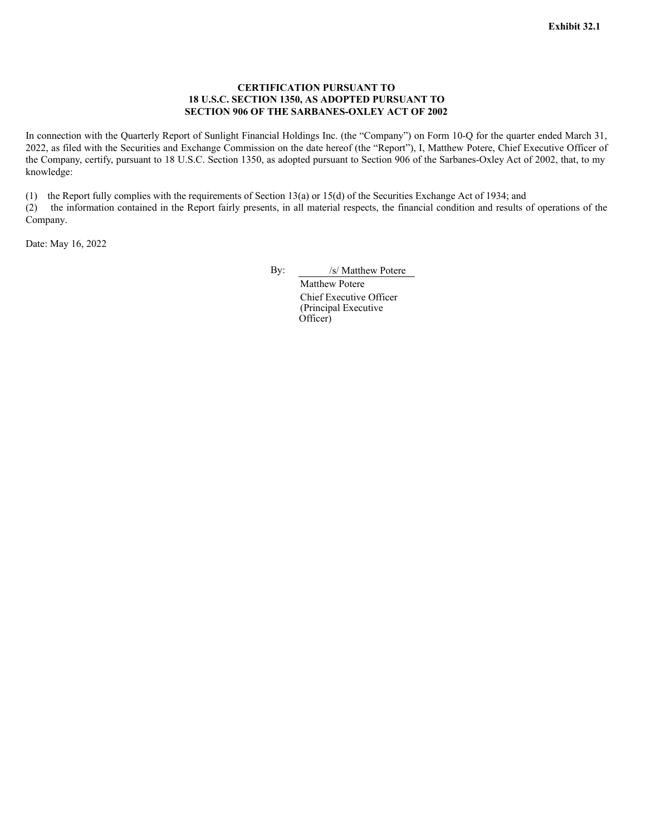# **CERTIFICATION PURSUANT TO 18 U.S.C. SECTION 1350, AS ADOPTED PURSUANT TO SECTION 906 OF THE SARBANES-OXLEY ACT OF 2002**

<span id="page-83-0"></span>In connection with the Quarterly Report of Sunlight Financial Holdings Inc. (the "Company") on Form 10-Q for the quarter ended March 31, 2022, as filed with the Securities and Exchange Commission on the date hereof (the "Report"), I, Matthew Potere, Chief Executive Officer of the Company, certify, pursuant to 18 U.S.C. Section 1350, as adopted pursuant to Section 906 of the Sarbanes-Oxley Act of 2002, that, to my knowledge:

(1) the Report fully complies with the requirements of Section 13(a) or 15(d) of the Securities Exchange Act of 1934; and (2) the information contained in the Report fairly presents, in all material respects, the financial condition and results of operations of the Company.

Date: May 16, 2022

By: /s/ Matthew Potere

Matthew Potere Chief Executive Officer (Principal Executive Officer)